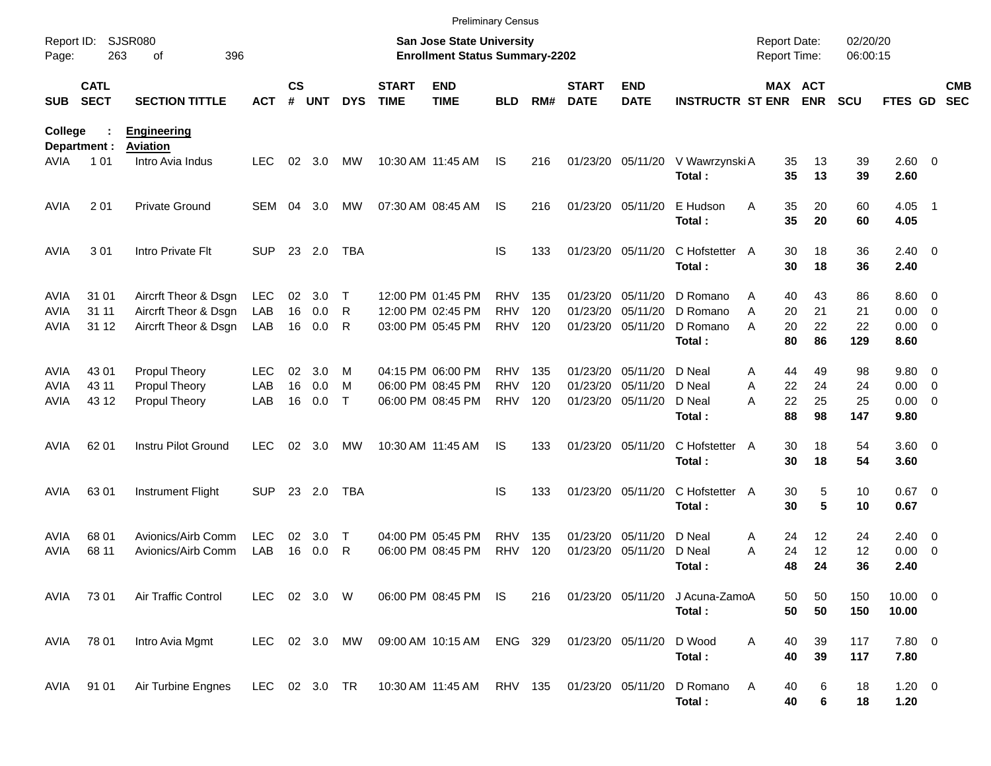|                     |                            |                                              |                   |                    |            |                  |                             | <b>Preliminary Census</b>                                          |                          |            |                               |                               |                                |                                     |                       |                      |                             |                          |                          |
|---------------------|----------------------------|----------------------------------------------|-------------------|--------------------|------------|------------------|-----------------------------|--------------------------------------------------------------------|--------------------------|------------|-------------------------------|-------------------------------|--------------------------------|-------------------------------------|-----------------------|----------------------|-----------------------------|--------------------------|--------------------------|
| Report ID:<br>Page: | 263                        | <b>SJSR080</b><br>396<br>οf                  |                   |                    |            |                  |                             | San Jose State University<br><b>Enrollment Status Summary-2202</b> |                          |            |                               |                               |                                | <b>Report Date:</b><br>Report Time: |                       | 02/20/20<br>06:00:15 |                             |                          |                          |
| <b>SUB</b>          | <b>CATL</b><br><b>SECT</b> | <b>SECTION TITTLE</b>                        | <b>ACT</b>        | $\mathsf{cs}$<br># | <b>UNT</b> | <b>DYS</b>       | <b>START</b><br><b>TIME</b> | <b>END</b><br><b>TIME</b>                                          | <b>BLD</b>               | RM#        | <b>START</b><br><b>DATE</b>   | <b>END</b><br><b>DATE</b>     | <b>INSTRUCTR ST ENR</b>        |                                     | MAX ACT<br><b>ENR</b> | <b>SCU</b>           | <b>FTES GD</b>              |                          | <b>CMB</b><br><b>SEC</b> |
| <b>College</b>      | Department :               | <b>Engineering</b><br><b>Aviation</b>        |                   |                    |            |                  |                             |                                                                    |                          |            |                               |                               |                                |                                     |                       |                      |                             |                          |                          |
| AVIA                | 1 0 1                      | Intro Avia Indus                             | <b>LEC</b>        | 02                 | 3.0        | МW               |                             | 10:30 AM 11:45 AM                                                  | IS                       | 216        |                               | 01/23/20 05/11/20             | V Wawrzynski A<br>Total:       | 35<br>35                            | 13<br>13              | 39<br>39             | 2.60 0<br>2.60              |                          |                          |
| <b>AVIA</b>         | 2 0 1                      | <b>Private Ground</b>                        | <b>SEM</b>        | 04                 | 3.0        | MW               |                             | 07:30 AM 08:45 AM                                                  | IS                       | 216        |                               | 01/23/20 05/11/20             | E Hudson<br>Total:             | A<br>35<br>35                       | 20<br>20              | 60<br>60             | 4.05<br>4.05                | $\blacksquare$ 1         |                          |
| <b>AVIA</b>         | 3 0 1                      | Intro Private Flt                            | <b>SUP</b>        |                    | 23 2.0     | TBA              |                             |                                                                    | IS                       | 133        |                               | 01/23/20 05/11/20             | C Hofstetter<br>Total:         | 30<br>A<br>30                       | 18<br>18              | 36<br>36             | $2.40 \ 0$<br>2.40          |                          |                          |
| <b>AVIA</b>         | 31 01                      | Aircrft Theor & Dsgn                         | <b>LEC</b>        | 02                 | 3.0        | $\top$           |                             | 12:00 PM 01:45 PM                                                  | <b>RHV</b>               | 135        | 01/23/20                      | 05/11/20                      | D Romano                       | 40<br>Α                             | 43                    | 86                   | $8.60 \quad 0$              |                          |                          |
| <b>AVIA</b><br>AVIA | 31 11<br>31 12             | Aircrft Theor & Dsgn<br>Aircrft Theor & Dsgn | LAB<br>LAB        | 16<br>16           | 0.0<br>0.0 | R<br>R           |                             | 12:00 PM 02:45 PM<br>03:00 PM 05:45 PM                             | <b>RHV</b><br><b>RHV</b> | 120<br>120 | 01/23/20<br>01/23/20 05/11/20 | 05/11/20                      | D Romano<br>D Romano<br>Total: | A<br>20<br>20<br>Α<br>80            | 21<br>22<br>86        | 21<br>22<br>129      | 0.00<br>$0.00 \t 0$<br>8.60 | $\overline{\phantom{0}}$ |                          |
| <b>AVIA</b>         | 43 01                      | Propul Theory                                | LEC.              | 02                 | 3.0        | M                |                             | 04:15 PM 06:00 PM                                                  | <b>RHV</b>               | 135        | 01/23/20                      | 05/11/20                      | D Neal                         | 44<br>Α                             | 49                    | 98                   | 9.80 0                      |                          |                          |
| AVIA                | 43 11                      | Propul Theory                                | LAB               | 16                 | 0.0        | м                |                             | 06:00 PM 08:45 PM                                                  | <b>RHV</b>               | 120        | 01/23/20                      | 05/11/20                      | D Neal                         | 22<br>A                             | 24                    | 24                   | 0.00                        | $\overline{\phantom{0}}$ |                          |
| AVIA                | 43 12                      | Propul Theory                                | LAB               | 16                 | 0.0        | $\mathsf{T}$     |                             | 06:00 PM 08:45 PM                                                  | <b>RHV</b>               | 120        | 01/23/20 05/11/20             |                               | D Neal<br>Total:               | 22<br>А<br>88                       | 25<br>98              | 25<br>147            | $0.00 \t 0$<br>9.80         |                          |                          |
| <b>AVIA</b>         | 62 01                      | Instru Pilot Ground                          | LEC.              | 02                 | 3.0        | МW               |                             | 10:30 AM 11:45 AM                                                  | IS                       | 133        |                               | 01/23/20 05/11/20             | C Hofstetter<br>Total:         | 30<br>A<br>30                       | 18<br>18              | 54<br>54             | $3.60 \ 0$<br>3.60          |                          |                          |
| <b>AVIA</b>         | 63 01                      | Instrument Flight                            | <b>SUP</b>        |                    | 23 2.0     | TBA              |                             |                                                                    | IS                       | 133        |                               | 01/23/20 05/11/20             | C Hofstetter A<br>Total:       | 30<br>30                            | 5<br>5                | 10<br>10             | $0.67$ 0<br>0.67            |                          |                          |
| AVIA<br>AVIA        | 68 01<br>68 11             | Avionics/Airb Comm<br>Avionics/Airb Comm     | <b>LEC</b><br>LAB | 02<br>16           | 3.0<br>0.0 | $\mathsf T$<br>R |                             | 04:00 PM 05:45 PM<br>06:00 PM 08:45 PM                             | <b>RHV</b><br><b>RHV</b> | 135<br>120 | 01/23/20                      | 05/11/20<br>01/23/20 05/11/20 | D Neal<br>D Neal               | 24<br>Α<br>24<br>А                  | 12 <sup>2</sup><br>12 | 24<br>12             | $2.40 \quad 0$<br>0.00      | $\overline{\phantom{0}}$ |                          |
|                     |                            |                                              |                   |                    |            |                  |                             |                                                                    |                          |            |                               |                               | Total:                         | 48                                  | 24                    | 36                   | 2.40                        |                          |                          |
|                     | AVIA 7301                  | Air Traffic Control                          | LEC 02 3.0 W      |                    |            |                  |                             | 06:00 PM 08:45 PM IS                                               |                          | 216        |                               | 01/23/20 05/11/20             | J Acuna-ZamoA<br>Total:        | 50<br>50                            | 50<br>50              | 150<br>150           | $10.00 \t 0$<br>10.00       |                          |                          |
| AVIA                | 78 01                      | Intro Avia Mgmt                              |                   |                    |            | LEC 02 3.0 MW    |                             | 09:00 AM 10:15 AM ENG 329                                          |                          |            | 01/23/20 05/11/20             |                               | D Wood<br>Total:               | 40<br>Α<br>40                       | 39<br>39              | 117<br>117           | 7.80 0<br>7.80              |                          |                          |
| AVIA                | 91 01                      | Air Turbine Engnes                           |                   |                    |            |                  |                             | LEC 02 3.0 TR  10:30 AM  11:45 AM  RHV  135                        |                          |            | 01/23/20 05/11/20             |                               | D Romano<br>Total:             | A<br>40<br>40                       | 6<br>6                | 18<br>18             | $1.20 \t 0$<br>1.20         |                          |                          |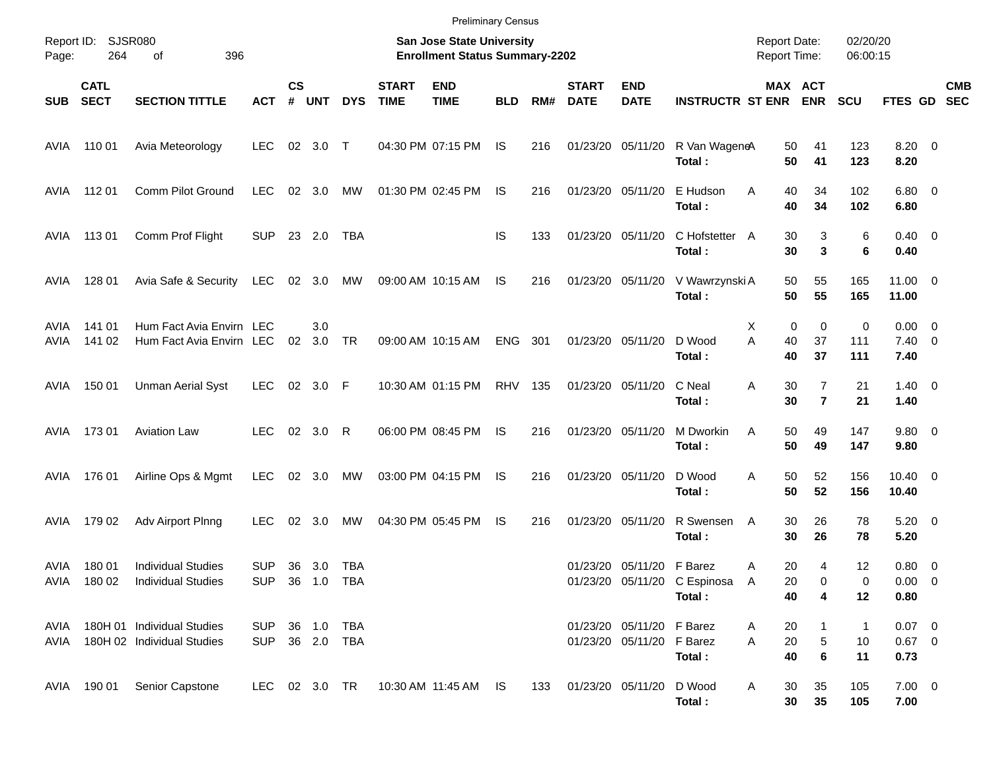| Page:        | Report ID: SJSR080<br>264  | 396<br>οf                                                |                              |                    |            |                            |                             | <b>Preliminary Census</b><br>San Jose State University<br><b>Enrollment Status Summary-2202</b> |            |     |                             |                                                        |                                        | <b>Report Date:</b><br>Report Time: |                                  | 02/20/20<br>06:00:15     |                                       |                          |
|--------------|----------------------------|----------------------------------------------------------|------------------------------|--------------------|------------|----------------------------|-----------------------------|-------------------------------------------------------------------------------------------------|------------|-----|-----------------------------|--------------------------------------------------------|----------------------------------------|-------------------------------------|----------------------------------|--------------------------|---------------------------------------|--------------------------|
| <b>SUB</b>   | <b>CATL</b><br><b>SECT</b> | <b>SECTION TITTLE</b>                                    | <b>ACT</b>                   | $\mathsf{cs}$<br># | <b>UNT</b> | <b>DYS</b>                 | <b>START</b><br><b>TIME</b> | <b>END</b><br><b>TIME</b>                                                                       | <b>BLD</b> | RM# | <b>START</b><br><b>DATE</b> | <b>END</b><br><b>DATE</b>                              | <b>INSTRUCTR ST ENR</b>                |                                     | MAX ACT<br><b>ENR</b>            | <b>SCU</b>               | FTES GD                               | <b>CMB</b><br><b>SEC</b> |
| AVIA         | 110 01                     | Avia Meteorology                                         | <b>LEC</b>                   |                    | 02 3.0 T   |                            |                             | 04:30 PM 07:15 PM                                                                               | <b>IS</b>  | 216 | 01/23/20 05/11/20           |                                                        | R Van WageneA<br>Total:                | 50<br>50                            | 41<br>41                         | 123<br>123               | $8.20 \ 0$<br>8.20                    |                          |
| AVIA         | 112 01                     | Comm Pilot Ground                                        | <b>LEC</b>                   |                    | 02 3.0     | МW                         |                             | 01:30 PM 02:45 PM                                                                               | IS         | 216 | 01/23/20 05/11/20           |                                                        | E Hudson<br>Total:                     | Α<br>40<br>40                       | 34<br>34                         | 102<br>102               | $6.80$ 0<br>6.80                      |                          |
| AVIA         | 11301                      | Comm Prof Flight                                         | <b>SUP</b>                   |                    | 23 2.0     | TBA                        |                             |                                                                                                 | IS         | 133 | 01/23/20 05/11/20           |                                                        | C Hofstetter A<br>Total:               | 30<br>30                            | 3<br>3                           | 6<br>6                   | $0.40 \quad 0$<br>0.40                |                          |
| AVIA         | 128 01                     | Avia Safe & Security                                     | <b>LEC</b>                   |                    | 02 3.0     | МW                         |                             | 09:00 AM 10:15 AM                                                                               | IS.        | 216 |                             | 01/23/20 05/11/20                                      | V Wawrzynski A<br>Total:               | 50<br>50                            | 55<br>55                         | 165<br>165               | $11.00 \t 0$<br>11.00                 |                          |
| AVIA<br>AVIA | 141 01<br>141 02           | Hum Fact Avia Envirn LEC<br>Hum Fact Avia Envirn LEC     |                              | 02                 | 3.0<br>3.0 | TR                         |                             | 09:00 AM 10:15 AM                                                                               | <b>ENG</b> | 301 | 01/23/20 05/11/20           |                                                        | D Wood<br>Total:                       | $\mathbf 0$<br>X<br>A<br>40<br>40   | $\mathbf 0$<br>37<br>37          | 0<br>111<br>111          | $0.00 \t 0$<br>$7.40 \quad 0$<br>7.40 |                          |
| AVIA         | 150 01                     | <b>Unman Aerial Syst</b>                                 | <b>LEC</b>                   |                    | 02 3.0 F   |                            |                             | 10:30 AM 01:15 PM                                                                               | <b>RHV</b> | 135 | 01/23/20 05/11/20           |                                                        | C Neal<br>Total:                       | Α<br>30<br>30                       | $\overline{7}$<br>$\overline{7}$ | 21<br>21                 | $1.40 \ 0$<br>1.40                    |                          |
| AVIA         | 173 01                     | <b>Aviation Law</b>                                      | <b>LEC</b>                   |                    | 02 3.0     | R                          |                             | 06:00 PM 08:45 PM                                                                               | IS         | 216 | 01/23/20 05/11/20           |                                                        | M Dworkin<br>Total:                    | Α<br>50<br>50                       | 49<br>49                         | 147<br>147               | 9.80 0<br>9.80                        |                          |
| AVIA         | 176 01                     | Airline Ops & Mgmt                                       | <b>LEC</b>                   | 02                 | 3.0        | МW                         |                             | 03:00 PM 04:15 PM                                                                               | IS         | 216 | 01/23/20 05/11/20           |                                                        | D Wood<br>Total:                       | Α<br>50<br>50                       | 52<br>52                         | 156<br>156               | $10.40 \quad 0$<br>10.40              |                          |
| AVIA         | 179 02                     | Adv Airport Plnng                                        | <b>LEC</b>                   | 02                 | 3.0        | МW                         |                             | 04:30 PM 05:45 PM                                                                               | IS         | 216 | 01/23/20 05/11/20           |                                                        | R Swensen<br>Total:                    | 30<br>A<br>30                       | 26<br>26                         | 78<br>78                 | $5.20 \ 0$<br>5.20                    |                          |
| AVIA         | 180 01<br>AVIA 180 02      | <b>Individual Studies</b><br><b>Individual Studies</b>   | <b>SUP</b><br>SUP 36 1.0 TBA |                    | 36 3.0     | TBA                        |                             |                                                                                                 |            |     |                             | 01/23/20 05/11/20 F Barez                              | 01/23/20 05/11/20 C Espinosa<br>Total: | 20<br>Α<br>$\mathsf{A}$<br>20<br>40 | 4<br>0<br>4                      | 12<br>0<br>12            | 0.80 0<br>$0.00 \t 0$<br>0.80         |                          |
| AVIA<br>avia |                            | 180H 01 Individual Studies<br>180H 02 Individual Studies | SUP<br>SUP                   |                    |            | 36  1.0  TBA<br>36 2.0 TBA |                             |                                                                                                 |            |     |                             | 01/23/20 05/11/20 F Barez<br>01/23/20 05/11/20 F Barez | Total:                                 | 20<br>Α<br>$20\,$<br>A<br>40        | 1<br>5<br>$\bf 6$                | $\mathbf{1}$<br>10<br>11 | $0.07$ 0<br>$0.67$ 0<br>0.73          |                          |
|              | AVIA 190 01                | Senior Capstone                                          | LEC 02 3.0 TR                |                    |            |                            |                             | 10:30 AM 11:45 AM IS                                                                            |            | 133 | 01/23/20 05/11/20           |                                                        | D Wood<br>Total:                       | 30<br>A<br>30                       | 35<br>35                         | 105<br>105               | $7.00 \t 0$<br>7.00                   |                          |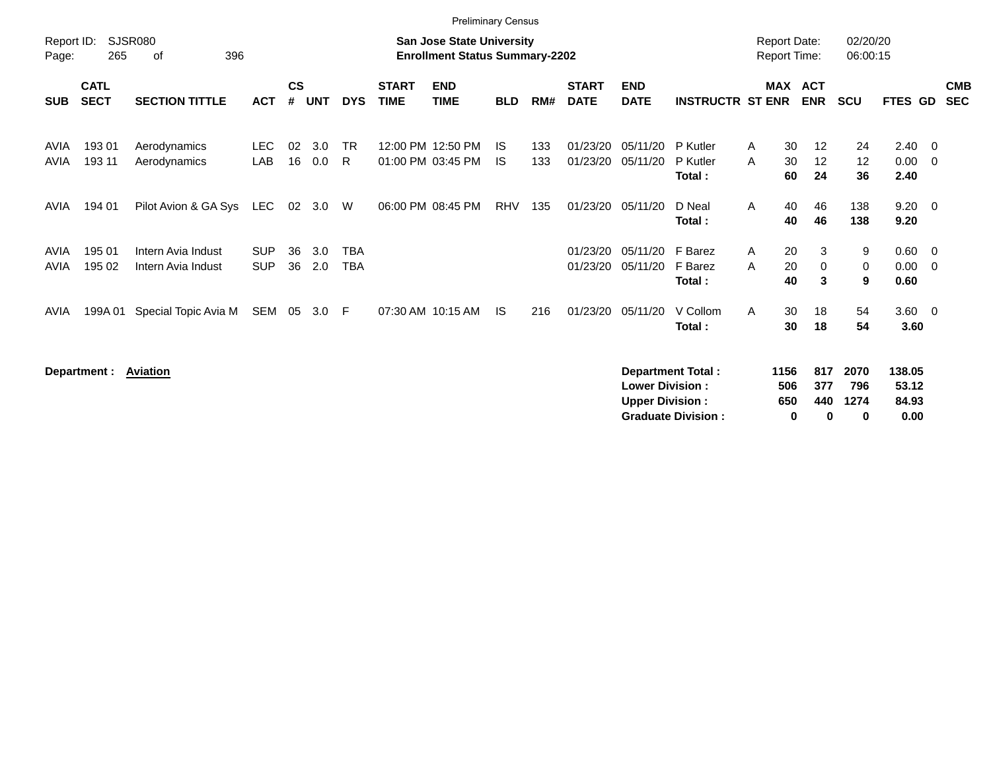|                     |                            |                                          |                          |                    |            |                          |                             | <b>Preliminary Census</b>                                                 |            |            |                             |                           |                                |                                            |                       |                               |                        |                          |                          |
|---------------------|----------------------------|------------------------------------------|--------------------------|--------------------|------------|--------------------------|-----------------------------|---------------------------------------------------------------------------|------------|------------|-----------------------------|---------------------------|--------------------------------|--------------------------------------------|-----------------------|-------------------------------|------------------------|--------------------------|--------------------------|
| Report ID:<br>Page: | 265                        | <b>SJSR080</b><br>396<br>οf              |                          |                    |            |                          |                             | <b>San Jose State University</b><br><b>Enrollment Status Summary-2202</b> |            |            |                             |                           |                                | <b>Report Date:</b><br><b>Report Time:</b> |                       | 02/20/20<br>06:00:15          |                        |                          |                          |
| <b>SUB</b>          | <b>CATL</b><br><b>SECT</b> | <b>SECTION TITTLE</b>                    | <b>ACT</b>               | $\mathsf{cs}$<br># | <b>UNT</b> | <b>DYS</b>               | <b>START</b><br><b>TIME</b> | <b>END</b><br><b>TIME</b>                                                 | <b>BLD</b> | RM#        | <b>START</b><br><b>DATE</b> | <b>END</b><br><b>DATE</b> | <b>INSTRUCTR ST ENR</b>        |                                            | MAX ACT<br><b>ENR</b> | <b>SCU</b>                    | <b>FTES GD</b>         |                          | <b>CMB</b><br><b>SEC</b> |
| AVIA<br><b>AVIA</b> | 193 01<br>193 11           | Aerodynamics<br>Aerodynamics             | <b>LEC</b><br>LAB        | 02<br>16           | 3.0<br>0.0 | <b>TR</b><br>R.          |                             | 12:00 PM 12:50 PM<br>01:00 PM 03:45 PM                                    | IS.<br>IS. | 133<br>133 | 01/23/20<br>01/23/20        | 05/11/20<br>05/11/20      | P Kutler<br>P Kutler<br>Total: | 30<br>A<br>30<br>A<br>60                   | 12<br>12<br>24        | 24<br>$12 \overline{ }$<br>36 | 2.40<br>0.00<br>2.40   | - 0<br>- 0               |                          |
| AVIA                | 194 01                     | Pilot Avion & GA Sys                     | LEC                      | 02                 | 3.0        | W                        |                             | 06:00 PM 08:45 PM                                                         | <b>RHV</b> | 135        | 01/23/20                    | 05/11/20                  | D Neal<br>Total:               | $\mathsf{A}$<br>40<br>40                   | 46<br>46              | 138<br>138                    | 9.20<br>9.20           | $\overline{\phantom{0}}$ |                          |
| AVIA<br><b>AVIA</b> | 195 01<br>195 02           | Intern Avia Indust<br>Intern Avia Indust | <b>SUP</b><br><b>SUP</b> | 36<br>36           | 3.0<br>2.0 | <b>TBA</b><br><b>TBA</b> |                             |                                                                           |            |            | 01/23/20<br>01/23/20        | 05/11/20<br>05/11/20      | F Barez<br>F Barez<br>Total:   | A<br>20<br>A<br>20<br>40                   | 3<br>$\mathbf 0$<br>3 | 9<br>0<br>9                   | 0.60<br>0.00<br>0.60   | $\overline{0}$<br>- 0    |                          |
| AVIA                | 199A 01                    | Special Topic Avia M                     | SEM                      | 05                 | 3.0        | -F                       |                             | 07:30 AM 10:15 AM                                                         | IS.        | 216        | 01/23/20                    | 05/11/20                  | V Collom<br>Total:             | 30<br>A<br>30                              | 18<br>18              | 54<br>54                      | $3.60 \quad 0$<br>3.60 |                          |                          |
|                     | Department :               | <b>Aviation</b>                          |                          |                    |            |                          |                             |                                                                           |            |            |                             | <b>Lower Division:</b>    | Department Total:              | 1156<br>506                                | 817<br>377            | 2070<br>796                   | 138.05<br>53.12        |                          |                          |

**Upper Division : 650 440 1274 84.93<br>
Graduate Division : 650 0 0 0 0.00** 

**Graduate Division :**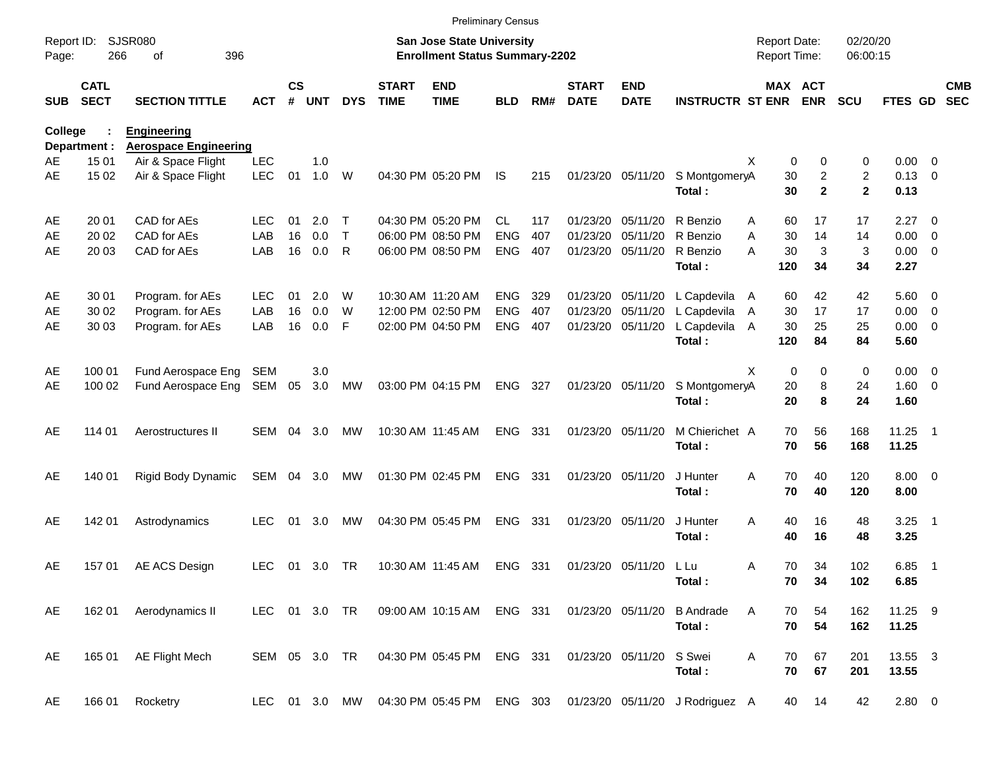|                     |                            |                                                    |               |                    |            |               |                             | <b>Preliminary Census</b>                                          |            |     |                             |                           |                                 |                     |             |                                  |                      |                        |                          |                          |
|---------------------|----------------------------|----------------------------------------------------|---------------|--------------------|------------|---------------|-----------------------------|--------------------------------------------------------------------|------------|-----|-----------------------------|---------------------------|---------------------------------|---------------------|-------------|----------------------------------|----------------------|------------------------|--------------------------|--------------------------|
| Report ID:<br>Page: | 266                        | <b>SJSR080</b><br>396<br>of                        |               |                    |            |               |                             | San Jose State University<br><b>Enrollment Status Summary-2202</b> |            |     |                             |                           |                                 | <b>Report Date:</b> |             | <b>Report Time:</b>              | 02/20/20<br>06:00:15 |                        |                          |                          |
| <b>SUB</b>          | <b>CATL</b><br><b>SECT</b> | <b>SECTION TITTLE</b>                              | <b>ACT</b>    | $\mathsf{cs}$<br># | <b>UNT</b> | <b>DYS</b>    | <b>START</b><br><b>TIME</b> | <b>END</b><br><b>TIME</b>                                          | <b>BLD</b> | RM# | <b>START</b><br><b>DATE</b> | <b>END</b><br><b>DATE</b> | <b>INSTRUCTR ST ENR</b>         |                     |             | MAX ACT<br><b>ENR</b>            | <b>SCU</b>           | FTES GD                |                          | <b>CMB</b><br><b>SEC</b> |
| <b>College</b>      | Department :               | <b>Engineering</b><br><b>Aerospace Engineering</b> |               |                    |            |               |                             |                                                                    |            |     |                             |                           |                                 |                     |             |                                  |                      |                        |                          |                          |
| AE                  | 15 01                      | Air & Space Flight                                 | <b>LEC</b>    |                    | 1.0        |               |                             |                                                                    |            |     |                             |                           |                                 | X                   | 0           | 0                                | 0                    | $0.00 \t 0$            |                          |                          |
| AE                  | 15 02                      | Air & Space Flight                                 | <b>LEC</b>    | 01                 | 1.0        | W             |                             | 04:30 PM 05:20 PM                                                  | IS         | 215 |                             | 01/23/20 05/11/20         | S MontgomeryA<br>Total:         |                     | 30<br>30    | $\boldsymbol{2}$<br>$\mathbf{2}$ | 2<br>$\mathbf{2}$    | $0.13 \quad 0$<br>0.13 |                          |                          |
| AE                  | 20 01                      | CAD for AEs                                        | LEC.          | 01                 | 2.0        | Т             |                             | 04:30 PM 05:20 PM                                                  | CL.        | 117 | 01/23/20                    | 05/11/20                  | R Benzio                        | A                   | 60          | 17                               | 17                   | $2.27 \t 0$            |                          |                          |
| AE                  | 20 02                      | CAD for AEs                                        | LAB           | 16                 | 0.0        | $\top$        |                             | 06:00 PM 08:50 PM                                                  | <b>ENG</b> | 407 | 01/23/20                    | 05/11/20                  | R Benzio                        | A                   | 30          | 14                               | 14                   | $0.00 \t 0$            |                          |                          |
| AE                  | 20 03                      | CAD for AEs                                        | LAB           | 16                 | 0.0        | R             |                             | 06:00 PM 08:50 PM                                                  | <b>ENG</b> | 407 |                             | 01/23/20 05/11/20         | R Benzio<br>Total:              | А                   | 30<br>120   | 3<br>34                          | 3<br>34              | $0.00 \t 0$<br>2.27    |                          |                          |
| AE                  | 30 01                      | Program. for AEs                                   | <b>LEC</b>    | 01                 | 2.0        | W             |                             | 10:30 AM 11:20 AM                                                  | <b>ENG</b> | 329 |                             | 01/23/20 05/11/20         | L Capdevila                     | A                   | 60          | 42                               | 42                   | $5.60$ 0               |                          |                          |
| AE                  | 30 02                      | Program. for AEs                                   | LAB           | 16                 | 0.0        | W             |                             | 12:00 PM 02:50 PM                                                  | <b>ENG</b> | 407 | 01/23/20                    | 05/11/20                  | L Capdevila                     | A                   | 30          | 17                               | 17                   | $0.00 \t 0$            |                          |                          |
| AE                  | 30 03                      | Program. for AEs                                   | LAB           | 16                 | 0.0        | F             |                             | 02:00 PM 04:50 PM                                                  | <b>ENG</b> | 407 |                             | 01/23/20 05/11/20         | L Capdevila                     | A                   | 30          | 25                               | 25                   | $0.00 \t 0$            |                          |                          |
|                     |                            |                                                    |               |                    |            |               |                             |                                                                    |            |     |                             |                           | Total:                          |                     | 120         | 84                               | 84                   | 5.60                   |                          |                          |
| AE                  | 100 01                     | Fund Aerospace Eng                                 | SEM           |                    | 3.0        |               |                             |                                                                    |            |     |                             |                           |                                 | X                   | $\mathbf 0$ | 0                                | 0                    | $0.00 \t 0$            |                          |                          |
| AE                  | 100 02                     | Fund Aerospace Eng                                 | SEM           | 05                 | 3.0        | <b>MW</b>     |                             | 03:00 PM 04:15 PM                                                  | ENG        | 327 |                             | 01/23/20 05/11/20         | S MontgomeryA                   |                     | 20          | 8                                | 24                   | $1.60 \t 0$            |                          |                          |
|                     |                            |                                                    |               |                    |            |               |                             |                                                                    |            |     |                             |                           | Total:                          |                     | 20          | 8                                | 24                   | 1.60                   |                          |                          |
| AE                  | 114 01                     | Aerostructures II                                  | SEM           | 04                 | 3.0        | МW            |                             | 10:30 AM 11:45 AM                                                  | <b>ENG</b> | 331 |                             | 01/23/20 05/11/20         | M Chierichet A                  |                     | 70          | 56                               | 168                  | $11.25$ 1              |                          |                          |
|                     |                            |                                                    |               |                    |            |               |                             |                                                                    |            |     |                             |                           | Total:                          |                     | 70          | 56                               | 168                  | 11.25                  |                          |                          |
| AE                  | 140 01                     | Rigid Body Dynamic                                 | SEM           |                    | 04 3.0     | МW            |                             | 01:30 PM 02:45 PM                                                  | <b>ENG</b> | 331 |                             | 01/23/20 05/11/20         | J Hunter                        | A                   | 70          | 40                               | 120                  | $8.00 \t 0$            |                          |                          |
|                     |                            |                                                    |               |                    |            |               |                             |                                                                    |            |     |                             |                           | Total:                          |                     | 70          | 40                               | 120                  | 8.00                   |                          |                          |
| AE                  | 142 01                     | Astrodynamics                                      | LEC           | 01                 | 3.0        | МW            |                             | 04:30 PM 05:45 PM                                                  | <b>ENG</b> | 331 |                             | 01/23/20 05/11/20         | J Hunter                        | A                   | 40          | 16                               | 48                   | $3.25$ 1               |                          |                          |
|                     |                            |                                                    |               |                    |            |               |                             |                                                                    |            |     |                             |                           | Total:                          |                     | 40          | 16                               | 48                   | 3.25                   |                          |                          |
| AE                  | 157 01                     | AE ACS Design                                      | <b>LEC</b>    | 01                 | 3.0 TR     |               |                             | 10:30 AM 11:45 AM                                                  | ENG 331    |     |                             | 01/23/20 05/11/20         | L Lu                            | A                   | 70          | 34                               | 102                  | 6.85                   | $\overline{\phantom{1}}$ |                          |
|                     |                            |                                                    |               |                    |            |               |                             |                                                                    |            |     |                             |                           | Total:                          |                     | 70          | 34                               | 102                  | 6.85                   |                          |                          |
| AE                  | 162 01                     | Aerodynamics II                                    |               |                    |            | LEC 01 3.0 TR |                             | 09:00 AM 10:15 AM ENG 331                                          |            |     |                             | 01/23/20 05/11/20         | <b>B</b> Andrade                | Α                   | 70          | 54                               | 162                  | 11.25 9                |                          |                          |
|                     |                            |                                                    |               |                    |            |               |                             |                                                                    |            |     |                             |                           | Total:                          |                     | 70          | 54                               | 162                  | 11.25                  |                          |                          |
| AE                  | 165 01                     | <b>AE Flight Mech</b>                              | SEM 05 3.0 TR |                    |            |               |                             | 04:30 PM 05:45 PM ENG 331                                          |            |     |                             | 01/23/20 05/11/20         | S Swei                          | Α                   | 70          | 67                               | 201                  | 13.55 3                |                          |                          |
|                     |                            |                                                    |               |                    |            |               |                             |                                                                    |            |     |                             |                           | Total:                          |                     | 70          | 67                               | 201                  | 13.55                  |                          |                          |
| AE                  | 166 01                     | Rocketry                                           |               |                    |            |               |                             | LEC 01 3.0 MW 04:30 PM 05:45 PM ENG 303                            |            |     |                             |                           | 01/23/20 05/11/20 J Rodriguez A |                     | 40          | 14                               | 42                   | 2.80 0                 |                          |                          |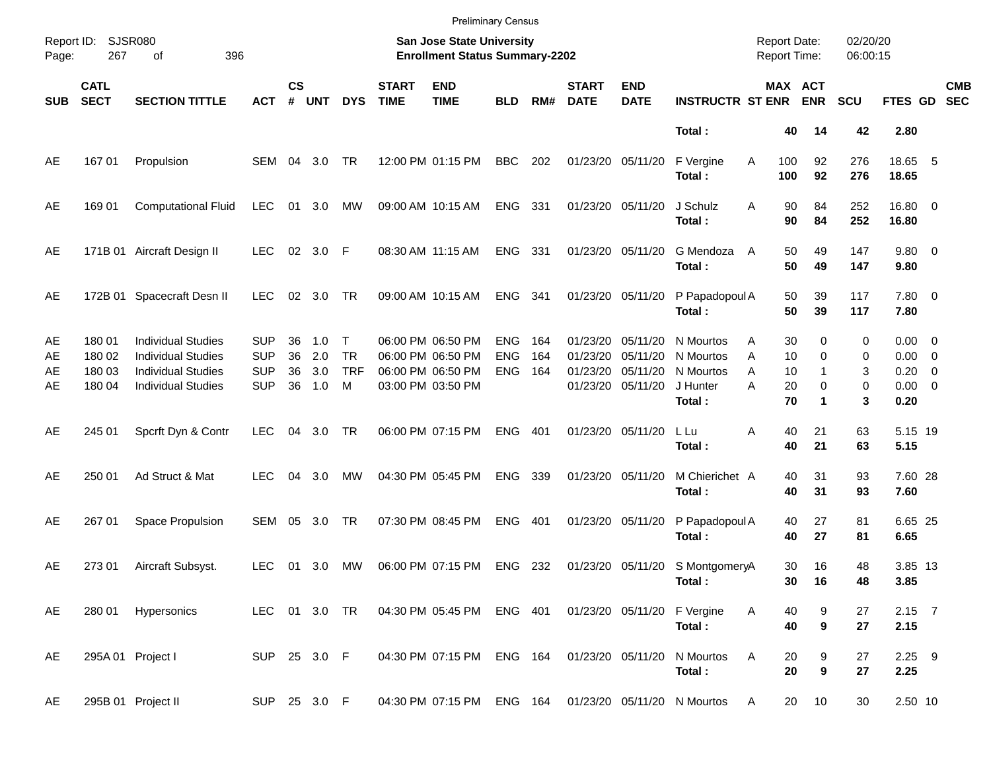|                      |                                      |                                                                                                                  |                                                      |                      |                          |                                              |                             | <b>Preliminary Census</b>                                                        |                                        |                   |                                  |                                                       |                                                           |                                            |                            |                                            |                       |                                                                 |                          |
|----------------------|--------------------------------------|------------------------------------------------------------------------------------------------------------------|------------------------------------------------------|----------------------|--------------------------|----------------------------------------------|-----------------------------|----------------------------------------------------------------------------------|----------------------------------------|-------------------|----------------------------------|-------------------------------------------------------|-----------------------------------------------------------|--------------------------------------------|----------------------------|--------------------------------------------|-----------------------|-----------------------------------------------------------------|--------------------------|
| Report ID:<br>Page:  | SJSR080<br>267                       | 396<br>оf                                                                                                        |                                                      |                      |                          |                                              |                             | San Jose State University<br><b>Enrollment Status Summary-2202</b>               |                                        |                   |                                  |                                                       |                                                           | <b>Report Date:</b><br><b>Report Time:</b> |                            |                                            | 02/20/20<br>06:00:15  |                                                                 |                          |
| <b>SUB</b>           | <b>CATL</b><br><b>SECT</b>           | <b>SECTION TITTLE</b>                                                                                            | <b>ACT</b>                                           | $\mathsf{cs}$<br>#   | <b>UNT</b>               | <b>DYS</b>                                   | <b>START</b><br><b>TIME</b> | <b>END</b><br><b>TIME</b>                                                        | <b>BLD</b>                             | RM#               | <b>START</b><br><b>DATE</b>      | <b>END</b><br><b>DATE</b>                             | <b>INSTRUCTR ST ENR</b>                                   |                                            |                            | MAX ACT<br><b>ENR</b>                      | <b>SCU</b>            | FTES GD                                                         | <b>CMB</b><br><b>SEC</b> |
|                      |                                      |                                                                                                                  |                                                      |                      |                          |                                              |                             |                                                                                  |                                        |                   |                                  |                                                       | Total:                                                    |                                            | 40                         | 14                                         | 42                    | 2.80                                                            |                          |
| AE                   | 167 01                               | Propulsion                                                                                                       | SEM 04                                               |                      | 3.0                      | <b>TR</b>                                    |                             | 12:00 PM 01:15 PM                                                                | <b>BBC</b>                             | 202               | 01/23/20 05/11/20                |                                                       | F Vergine<br>Total:                                       | Α                                          | 100<br>100                 | 92<br>92                                   | 276<br>276            | 18.65 5<br>18.65                                                |                          |
| AE                   | 169 01                               | <b>Computational Fluid</b>                                                                                       | LEC                                                  | 01                   | 3.0                      | МW                                           |                             | 09:00 AM 10:15 AM                                                                | <b>ENG</b>                             | 331               | 01/23/20 05/11/20                |                                                       | J Schulz<br>Total:                                        | A                                          | 90<br>90                   | 84<br>84                                   | 252<br>252            | 16.80 0<br>16.80                                                |                          |
| AE                   |                                      | 171B 01 Aircraft Design II                                                                                       | <b>LEC</b>                                           |                      | 02 3.0 F                 |                                              |                             | 08:30 AM 11:15 AM                                                                | <b>ENG</b>                             | 331               | 01/23/20 05/11/20                |                                                       | G Mendoza<br>Total:                                       | A                                          | 50<br>50                   | 49<br>49                                   | 147<br>147            | 9.80 0<br>9.80                                                  |                          |
| AE                   | 172B 01                              | Spacecraft Desn II                                                                                               | <b>LEC</b>                                           | 02                   | 3.0                      | <b>TR</b>                                    |                             | 09:00 AM 10:15 AM                                                                | <b>ENG</b>                             | 341               |                                  | 01/23/20 05/11/20                                     | P Papadopoul A<br>Total:                                  |                                            | 50<br>50                   | 39<br>39                                   | 117<br>117            | 7.80 0<br>7.80                                                  |                          |
| AE<br>AE<br>AE<br>AE | 180 01<br>180 02<br>180 03<br>180 04 | <b>Individual Studies</b><br><b>Individual Studies</b><br><b>Individual Studies</b><br><b>Individual Studies</b> | <b>SUP</b><br><b>SUP</b><br><b>SUP</b><br><b>SUP</b> | 36<br>36<br>36<br>36 | 1.0<br>2.0<br>3.0<br>1.0 | $\mathsf{T}$<br><b>TR</b><br><b>TRF</b><br>M |                             | 06:00 PM 06:50 PM<br>06:00 PM 06:50 PM<br>06:00 PM 06:50 PM<br>03:00 PM 03:50 PM | <b>ENG</b><br><b>ENG</b><br><b>ENG</b> | 164<br>164<br>164 | 01/23/20<br>01/23/20<br>01/23/20 | 05/11/20<br>05/11/20<br>05/11/20<br>01/23/20 05/11/20 | N Mourtos<br>N Mourtos<br>N Mourtos<br>J Hunter<br>Total: | A<br>A<br>A<br>Α                           | 30<br>10<br>10<br>20<br>70 | 0<br>0<br>$\mathbf{1}$<br>0<br>$\mathbf 1$ | 0<br>0<br>3<br>0<br>3 | $0.00 \t 0$<br>$0.00 \t 0$<br>$0.20 \ 0$<br>$0.00 \t 0$<br>0.20 |                          |
| AE                   | 245 01                               | Spcrft Dyn & Contr                                                                                               | <b>LEC</b>                                           | 04                   | 3.0                      | <b>TR</b>                                    |                             | 06:00 PM 07:15 PM                                                                | <b>ENG</b>                             | 401               |                                  | 01/23/20 05/11/20                                     | L Lu<br>Total:                                            | Α                                          | 40<br>40                   | 21<br>21                                   | 63<br>63              | 5.15 19<br>5.15                                                 |                          |
| AE                   | 250 01                               | Ad Struct & Mat                                                                                                  | LEC.                                                 | 04                   | 3.0                      | МW                                           |                             | 04:30 PM 05:45 PM                                                                | <b>ENG</b>                             | 339               | 01/23/20 05/11/20                |                                                       | M Chierichet A<br>Total:                                  |                                            | 40<br>40                   | 31<br>31                                   | 93<br>93              | 7.60 28<br>7.60                                                 |                          |
| AE                   | 267 01                               | Space Propulsion                                                                                                 | SEM                                                  | 05                   | 3.0                      | TR                                           |                             | 07:30 PM 08:45 PM                                                                | <b>ENG</b>                             | 401               |                                  | 01/23/20 05/11/20                                     | P Papadopoul A<br>Total:                                  |                                            | 40<br>40                   | 27<br>27                                   | 81<br>81              | 6.65 25<br>6.65                                                 |                          |
| AE                   | 273 01                               | Aircraft Subsyst.                                                                                                | <b>LEC</b>                                           | 01                   | 3.0                      | МW                                           |                             | 06:00 PM 07:15 PM                                                                | ENG 232                                |                   |                                  | 01/23/20 05/11/20                                     | S MontgomeryA<br>Total:                                   |                                            | 30<br>30                   | 16<br>16                                   | 48<br>48              | 3.85 13<br>3.85                                                 |                          |
| AE                   | 280 01                               | Hypersonics                                                                                                      | LEC 01 3.0 TR                                        |                      |                          |                                              |                             | 04:30 PM 05:45 PM ENG 401                                                        |                                        |                   |                                  | 01/23/20 05/11/20                                     | F Vergine<br>Total:                                       | Α                                          | 40<br>40                   | 9<br>$\boldsymbol{9}$                      | 27<br>27              | $2.15$ 7<br>2.15                                                |                          |
| AE                   |                                      | 295A 01 Project I                                                                                                | SUP 25 3.0 F                                         |                      |                          |                                              |                             | 04:30 PM 07:15 PM                                                                | ENG 164                                |                   | 01/23/20 05/11/20                |                                                       | N Mourtos<br>Total:                                       | Α                                          | 20<br>20                   | 9<br>$\boldsymbol{9}$                      | 27<br>27              | $2.25$ 9<br>2.25                                                |                          |
| AE                   |                                      | 295B 01 Project II                                                                                               | SUP 25 3.0 F                                         |                      |                          |                                              |                             | 04:30 PM 07:15 PM ENG 164                                                        |                                        |                   |                                  |                                                       | 01/23/20 05/11/20 N Mourtos                               | A                                          | 20                         | 10                                         | 30                    | 2.50 10                                                         |                          |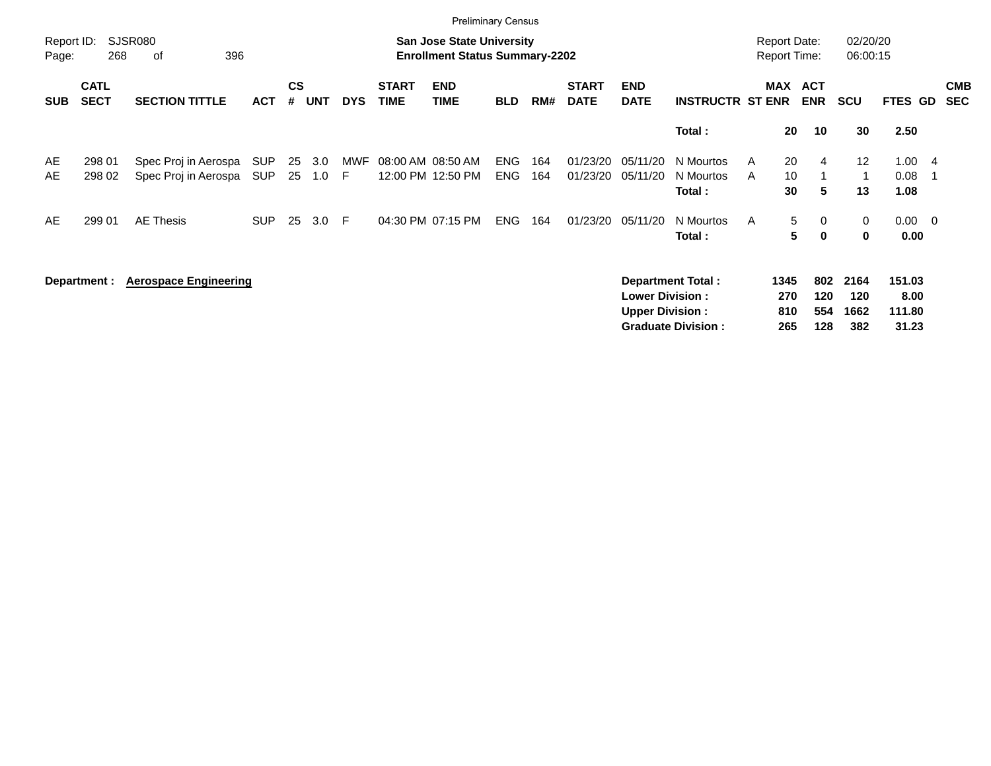|                     |                            |                                              |                          |                |            |            |                             | <b>Preliminary Census</b>                                                 |                          |            |                             |                                                  |                                                       |                                            |                                       |                            |                                   |                |                          |
|---------------------|----------------------------|----------------------------------------------|--------------------------|----------------|------------|------------|-----------------------------|---------------------------------------------------------------------------|--------------------------|------------|-----------------------------|--------------------------------------------------|-------------------------------------------------------|--------------------------------------------|---------------------------------------|----------------------------|-----------------------------------|----------------|--------------------------|
| Report ID:<br>Page: | 268                        | <b>SJSR080</b><br>396<br>οf                  |                          |                |            |            |                             | <b>San Jose State University</b><br><b>Enrollment Status Summary-2202</b> |                          |            |                             |                                                  |                                                       | <b>Report Date:</b><br><b>Report Time:</b> |                                       | 02/20/20<br>06:00:15       |                                   |                |                          |
| <b>SUB</b>          | <b>CATL</b><br><b>SECT</b> | <b>SECTION TITTLE</b>                        | <b>ACT</b>               | <b>CS</b><br># | <b>UNT</b> | <b>DYS</b> | <b>START</b><br><b>TIME</b> | <b>END</b><br><b>TIME</b>                                                 | <b>BLD</b>               | RM#        | <b>START</b><br><b>DATE</b> | <b>END</b><br><b>DATE</b>                        | <b>INSTRUCTR ST ENR</b>                               | <b>MAX</b>                                 | <b>ACT</b><br><b>ENR</b>              | <b>SCU</b>                 | FTES GD                           |                | <b>CMB</b><br><b>SEC</b> |
|                     |                            |                                              |                          |                |            |            |                             |                                                                           |                          |            |                             |                                                  | Total:                                                |                                            | 20<br>10                              | 30                         | 2.50                              |                |                          |
| AE<br>AE            | 298 01<br>298 02           | Spec Proj in Aerospa<br>Spec Proj in Aerospa | <b>SUP</b><br><b>SUP</b> | 25<br>25       | 3.0<br>1.0 | MWF<br>F   | 08:00 AM 08:50 AM           | 12:00 PM 12:50 PM                                                         | <b>ENG</b><br><b>ENG</b> | 164<br>164 | 01/23/20<br>01/23/20        | 05/11/20<br>05/11/20                             | N Mourtos<br>N Mourtos<br>Total:                      | A<br>A                                     | 20<br>$\overline{4}$<br>10<br>30<br>5 | 12<br>1<br>13              | 1.00<br>0.08<br>1.08              | - 4<br>- 1     |                          |
| AE                  | 299 01                     | <b>AE Thesis</b>                             | <b>SUP</b>               | 25             | 3.0        | F.         |                             | 04:30 PM 07:15 PM                                                         | <b>ENG</b>               | 164        | 01/23/20                    | 05/11/20                                         | N Mourtos<br>Total:                                   | A                                          | 5<br>0<br>5<br>$\mathbf 0$            | 0<br>$\mathbf 0$           | 0.00<br>0.00                      | $\overline{0}$ |                          |
|                     | Department :               | <b>Aerospace Engineering</b>                 |                          |                |            |            |                             |                                                                           |                          |            |                             | <b>Lower Division:</b><br><b>Upper Division:</b> | <b>Department Total:</b><br><b>Graduate Division:</b> | 1345<br>270<br>810<br>265                  | 802<br>120<br>554<br>128              | 2164<br>120<br>1662<br>382 | 151.03<br>8.00<br>111.80<br>31.23 |                |                          |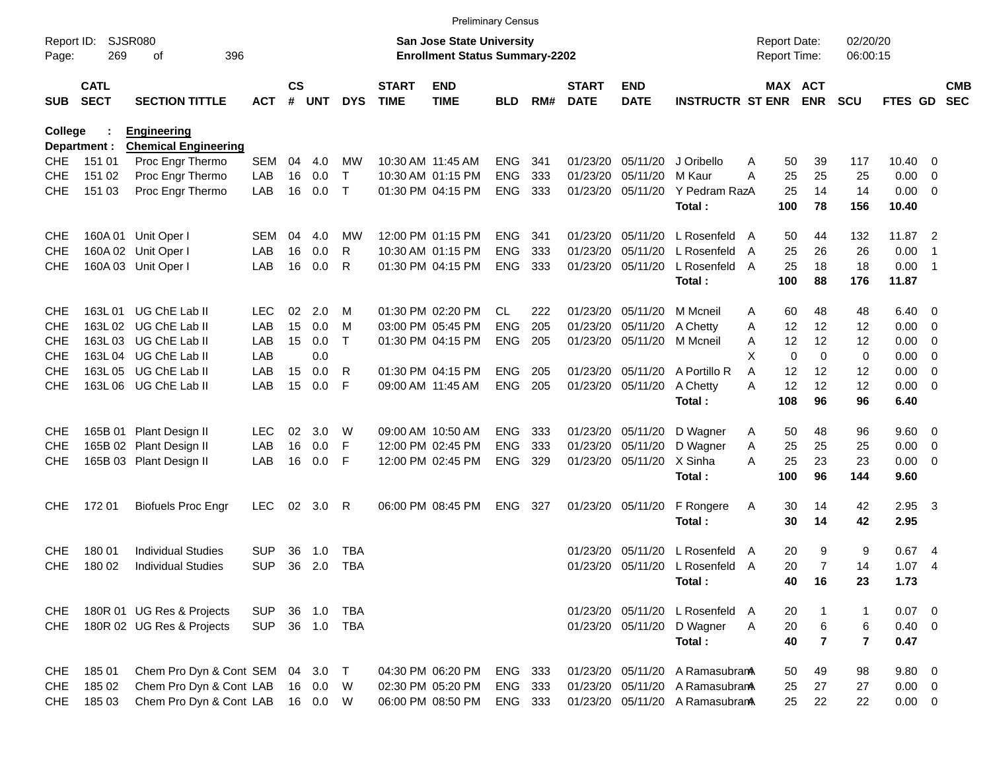|                     |                            |                                |            |               |         |              |                             | <b>Preliminary Census</b>                                                 |            |     |                             |                           |                                 |                                     |                          |                      |                |                            |                          |
|---------------------|----------------------------|--------------------------------|------------|---------------|---------|--------------|-----------------------------|---------------------------------------------------------------------------|------------|-----|-----------------------------|---------------------------|---------------------------------|-------------------------------------|--------------------------|----------------------|----------------|----------------------------|--------------------------|
| Report ID:<br>Page: | 269                        | <b>SJSR080</b><br>396<br>οf    |            |               |         |              |                             | <b>San Jose State University</b><br><b>Enrollment Status Summary-2202</b> |            |     |                             |                           |                                 | <b>Report Date:</b><br>Report Time: |                          | 02/20/20<br>06:00:15 |                |                            |                          |
| <b>SUB</b>          | <b>CATL</b><br><b>SECT</b> | <b>SECTION TITTLE</b>          | <b>ACT</b> | $\mathsf{cs}$ | # UNT   | <b>DYS</b>   | <b>START</b><br><b>TIME</b> | <b>END</b><br><b>TIME</b>                                                 | <b>BLD</b> | RM# | <b>START</b><br><b>DATE</b> | <b>END</b><br><b>DATE</b> | <b>INSTRUCTR ST ENR</b>         |                                     | MAX ACT<br><b>ENR</b>    | <b>SCU</b>           | FTES GD        |                            | <b>CMB</b><br><b>SEC</b> |
| <b>College</b>      |                            | <b>Engineering</b>             |            |               |         |              |                             |                                                                           |            |     |                             |                           |                                 |                                     |                          |                      |                |                            |                          |
|                     | Department :               | <b>Chemical Engineering</b>    |            |               |         |              |                             |                                                                           |            |     |                             |                           |                                 |                                     |                          |                      |                |                            |                          |
| <b>CHE</b>          | 151 01                     | Proc Engr Thermo               | <b>SEM</b> | 04            | 4.0     | МW           |                             | 10:30 AM 11:45 AM                                                         | <b>ENG</b> | 341 | 01/23/20                    | 05/11/20                  | J Oribello                      | 50<br>Α                             | 39                       | 117                  | 10.40          | 0                          |                          |
| <b>CHE</b>          | 151 02                     | Proc Engr Thermo               | LAB        | 16            | 0.0     | Т            |                             | 10:30 AM 01:15 PM                                                         | <b>ENG</b> | 333 | 01/23/20                    | 05/11/20                  | M Kaur                          | 25<br>А                             | 25                       | 25                   | 0.00           | 0                          |                          |
| <b>CHE</b>          | 151 03                     | Proc Engr Thermo               | LAB        | 16            | 0.0     | $\mathsf{T}$ |                             | 01:30 PM 04:15 PM                                                         | <b>ENG</b> | 333 | 01/23/20                    | 05/11/20                  | Y Pedram RazA                   | 25                                  | 14                       | 14                   | 0.00           | 0                          |                          |
|                     |                            |                                |            |               |         |              |                             |                                                                           |            |     |                             |                           | Total:                          | 100                                 | 78                       | 156                  | 10.40          |                            |                          |
| <b>CHE</b>          | 160A 01                    | Unit Oper I                    | SEM        | 04            | 4.0     | MW           |                             | 12:00 PM 01:15 PM                                                         | <b>ENG</b> | 341 | 01/23/20                    | 05/11/20                  | L Rosenfeld                     | 50<br>A                             | 44                       | 132                  | 11.87          | $\overline{\phantom{0}}^2$ |                          |
| <b>CHE</b>          |                            | 160A 02 Unit Oper I            | LAB        | 16            | 0.0     | R            |                             | 10:30 AM 01:15 PM                                                         | <b>ENG</b> | 333 | 01/23/20                    | 05/11/20                  | L Rosenfeld                     | 25<br>A                             | 26                       | 26                   | 0.00           | $\overline{1}$             |                          |
| <b>CHE</b>          |                            | 160A 03 Unit Oper I            | LAB        | 16            | 0.0     | R            |                             | 01:30 PM 04:15 PM                                                         | <b>ENG</b> | 333 | 01/23/20                    | 05/11/20                  | L Rosenfeld                     | 25<br>A                             | 18                       | 18                   | 0.00           | $\overline{1}$             |                          |
|                     |                            |                                |            |               |         |              |                             |                                                                           |            |     |                             |                           | Total:                          | 100                                 | 88                       | 176                  | 11.87          |                            |                          |
| <b>CHE</b>          | 163L 01                    | UG ChE Lab II                  | LEC        | 02            | 2.0     | M            |                             | 01:30 PM 02:20 PM                                                         | CL         | 222 | 01/23/20                    | 05/11/20                  | M Mcneil                        | 60<br>A                             | 48                       | 48                   | 6.40           | $\mathbf 0$                |                          |
| <b>CHE</b>          | 163L02                     | UG ChE Lab II                  | LAB        | 15            | 0.0     | м            |                             | 03:00 PM 05:45 PM                                                         | <b>ENG</b> | 205 | 01/23/20                    | 05/11/20                  | A Chetty                        | 12<br>Α                             | 12                       | 12                   | 0.00           | 0                          |                          |
| <b>CHE</b>          | 163L03                     | UG ChE Lab II                  | LAB        | 15            | 0.0     | т            |                             | 01:30 PM 04:15 PM                                                         | <b>ENG</b> | 205 |                             | 01/23/20 05/11/20         | M Mcneil                        | 12<br>A                             | 12                       | 12                   | 0.00           | 0                          |                          |
| <b>CHE</b>          | 163L 04                    | UG ChE Lab II                  | LAB        |               | 0.0     |              |                             |                                                                           |            |     |                             |                           |                                 | X                                   | $\mathbf{0}$<br>$\Omega$ | 0                    | 0.00           | 0                          |                          |
| <b>CHE</b>          | 163L 05                    | UG ChE Lab II                  | LAB        | 15            | 0.0     | R            |                             | 01:30 PM 04:15 PM                                                         | <b>ENG</b> | 205 | 01/23/20                    | 05/11/20                  | A Portillo R                    | 12<br>A                             | 12                       | 12                   | 0.00           | 0                          |                          |
| CHE                 |                            | 163L 06 UG ChE Lab II          | LAB        | 15            | 0.0     | F            | 09:00 AM 11:45 AM           |                                                                           | <b>ENG</b> | 205 |                             | 01/23/20 05/11/20         | A Chetty                        | 12<br>А                             | 12                       | 12                   | 0.00           | 0                          |                          |
|                     |                            |                                |            |               |         |              |                             |                                                                           |            |     |                             |                           | Total:                          | 108                                 | 96                       | 96                   | 6.40           |                            |                          |
| <b>CHE</b>          |                            | 165B 01 Plant Design II        | LEC        | 02            | 3.0     | W            |                             | 09:00 AM 10:50 AM                                                         | <b>ENG</b> | 333 | 01/23/20                    | 05/11/20                  | D Wagner                        | 50<br>A                             | 48                       | 96                   | 9.60           | $\overline{0}$             |                          |
| <b>CHE</b>          |                            | 165B 02 Plant Design II        | LAB        | 16            | 0.0     | F            |                             | 12:00 PM 02:45 PM                                                         | <b>ENG</b> | 333 | 01/23/20                    | 05/11/20                  | D Wagner                        | 25<br>A                             | 25                       | 25                   | 0.00           | 0                          |                          |
| <b>CHE</b>          |                            | 165B 03 Plant Design II        | LAB        | 16            | 0.0     | F            |                             | 12:00 PM 02:45 PM                                                         | <b>ENG</b> | 329 |                             | 01/23/20 05/11/20         | X Sinha                         | 25<br>А                             | 23                       | 23                   | 0.00           | 0                          |                          |
|                     |                            |                                |            |               |         |              |                             |                                                                           |            |     |                             |                           | Total:                          | 100                                 | 96                       | 144                  | 9.60           |                            |                          |
| <b>CHE</b>          | 172 01                     | <b>Biofuels Proc Engr</b>      | <b>LEC</b> | 02            | 3.0     | R            |                             | 06:00 PM 08:45 PM                                                         | <b>ENG</b> | 327 |                             | 01/23/20 05/11/20         | F Rongere                       | 30<br>A                             | 14                       | 42                   | $2.95 \quad 3$ |                            |                          |
|                     |                            |                                |            |               |         |              |                             |                                                                           |            |     |                             |                           | Total:                          | 30                                  | 14                       | 42                   | 2.95           |                            |                          |
| <b>CHE</b>          | 180 01                     | <b>Individual Studies</b>      | SUP        | 36            | 1.0     | TBA          |                             |                                                                           |            |     | 01/23/20                    | 05/11/20                  | L Rosenfeld                     | 20<br>A                             | 9                        | 9                    | 0.674          |                            |                          |
| <b>CHE</b>          | 180 02                     | <b>Individual Studies</b>      | <b>SUP</b> | 36            | 2.0     | <b>TBA</b>   |                             |                                                                           |            |     |                             |                           | 01/23/20 05/11/20 L Rosenfeld A | 20                                  | $\overline{7}$           | 14                   | 1.07           | - 4                        |                          |
|                     |                            |                                |            |               |         |              |                             |                                                                           |            |     |                             |                           | Total:                          | 40                                  | 16                       | 23                   | 1.73           |                            |                          |
| <b>CHE</b>          |                            | 180R 01 UG Res & Projects      | <b>SUP</b> |               | 36 1.0  | TBA          |                             |                                                                           |            |     |                             |                           | 01/23/20 05/11/20 L Rosenfeld A | 20                                  |                          | $\mathbf{1}$         | $0.07$ 0       |                            |                          |
| <b>CHE</b>          |                            | 180R 02 UG Res & Projects      | <b>SUP</b> |               | 36 1.0  | TBA          |                             |                                                                           |            |     |                             | 01/23/20 05/11/20         | D Wagner                        | 20<br>Α                             | 6                        | 6                    | $0.40 \ 0$     |                            |                          |
|                     |                            |                                |            |               |         |              |                             |                                                                           |            |     |                             |                           | Total:                          | 40                                  | $\overline{\mathbf{r}}$  | $\overline{7}$       | 0.47           |                            |                          |
|                     |                            |                                |            |               |         |              |                             |                                                                           |            |     |                             |                           |                                 |                                     |                          |                      |                |                            |                          |
| <b>CHE</b>          | 185 01                     | Chem Pro Dyn & Cont SEM 04 3.0 |            |               |         | $\top$       |                             | 04:30 PM 06:20 PM                                                         | ENG 333    |     |                             |                           | 01/23/20 05/11/20 A Ramasubran  | 50                                  | 49                       | 98                   | 9.80 0         |                            |                          |
| <b>CHE</b>          | 185 02                     | Chem Pro Dyn & Cont LAB        |            |               | 16 0.0  | W            |                             | 02:30 PM 05:20 PM                                                         | ENG 333    |     |                             |                           | 01/23/20 05/11/20 A Ramasubran  | 25                                  | 27                       | 27                   | $0.00 \t 0$    |                            |                          |
| <b>CHE</b>          | 185 03                     | Chem Pro Dyn & Cont LAB        |            |               | 16  0.0 | W            |                             | 06:00 PM 08:50 PM                                                         | ENG 333    |     |                             |                           | 01/23/20 05/11/20 A Ramasubran  | 25                                  | 22                       | 22                   | $0.00 \t 0$    |                            |                          |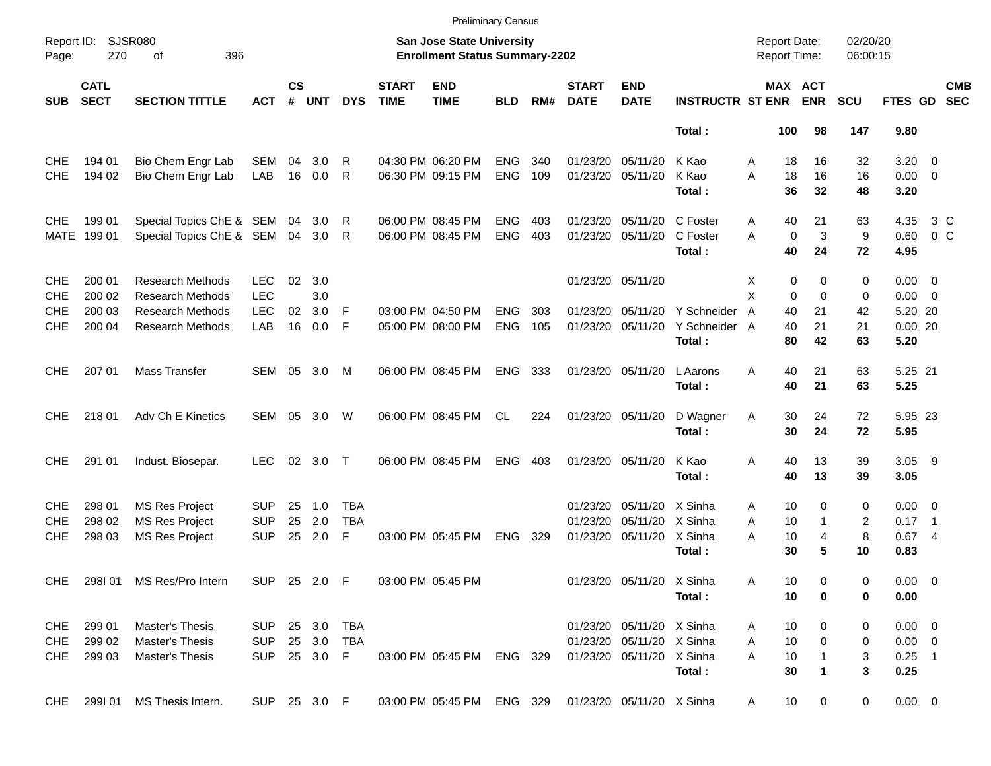|                          |                            |                                                |                          |                    |            |                          |                             |                                                                           | <b>Preliminary Census</b> |       |                             |                                               |                         |                                     |                       |                      |               |                          |                          |
|--------------------------|----------------------------|------------------------------------------------|--------------------------|--------------------|------------|--------------------------|-----------------------------|---------------------------------------------------------------------------|---------------------------|-------|-----------------------------|-----------------------------------------------|-------------------------|-------------------------------------|-----------------------|----------------------|---------------|--------------------------|--------------------------|
| Report ID:<br>Page:      | 270                        | <b>SJSR080</b><br>396<br>οf                    |                          |                    |            |                          |                             | <b>San Jose State University</b><br><b>Enrollment Status Summary-2202</b> |                           |       |                             |                                               |                         | <b>Report Date:</b><br>Report Time: |                       | 02/20/20<br>06:00:15 |               |                          |                          |
| <b>SUB</b>               | <b>CATL</b><br><b>SECT</b> | <b>SECTION TITTLE</b>                          | <b>ACT</b>               | $\mathsf{cs}$<br># | <b>UNT</b> | <b>DYS</b>               | <b>START</b><br><b>TIME</b> | <b>END</b><br><b>TIME</b>                                                 | <b>BLD</b>                | RM#   | <b>START</b><br><b>DATE</b> | <b>END</b><br><b>DATE</b>                     | <b>INSTRUCTR ST ENR</b> |                                     | MAX ACT<br><b>ENR</b> | <b>SCU</b>           | FTES GD       |                          | <b>CMB</b><br><b>SEC</b> |
|                          |                            |                                                |                          |                    |            |                          |                             |                                                                           |                           |       |                             |                                               | Total:                  | 100                                 | 98                    | 147                  | 9.80          |                          |                          |
| <b>CHE</b>               | 194 01                     | Bio Chem Engr Lab                              | SEM                      | 04                 | 3.0        | R                        |                             | 04:30 PM 06:20 PM                                                         | <b>ENG</b>                | 340   |                             | 01/23/20 05/11/20                             | K Kao                   | 18<br>Α                             | 16                    | 32                   | 3.20          | $\overline{\phantom{0}}$ |                          |
| <b>CHE</b>               | 194 02                     | Bio Chem Engr Lab                              | LAB                      | 16                 | 0.0        | R                        |                             | 06:30 PM 09:15 PM                                                         | <b>ENG</b>                | 109   |                             | 01/23/20 05/11/20                             | K Kao                   | A<br>18                             | 16                    | 16                   | $0.00 \t 0$   |                          |                          |
|                          |                            |                                                |                          |                    |            |                          |                             |                                                                           |                           |       |                             |                                               | Total:                  | 36                                  | 32                    | 48                   | 3.20          |                          |                          |
| <b>CHE</b>               | 199 01                     | Special Topics ChE & SEM 04                    |                          |                    | 3.0        | R                        |                             | 06:00 PM 08:45 PM                                                         | <b>ENG</b>                | 403   |                             | 01/23/20 05/11/20                             | C Foster                | 40<br>Α                             | 21                    | 63                   | 4.35          |                          | 3 C                      |
| MATE                     | 199 01                     | Special Topics ChE & SEM                       |                          | 04                 | 3.0        | R                        |                             | 06:00 PM 08:45 PM                                                         | <b>ENG</b>                | 403   |                             | 01/23/20 05/11/20                             | C Foster                | A                                   | 3<br>$\mathbf 0$      | 9                    | 0.60          |                          | 0 <sup>o</sup>           |
|                          |                            |                                                |                          |                    |            |                          |                             |                                                                           |                           |       |                             |                                               | Total:                  | 40                                  | 24                    | 72                   | 4.95          |                          |                          |
| <b>CHE</b>               | 200 01                     | <b>Research Methods</b>                        | <b>LEC</b>               | 02                 | 3.0        |                          |                             |                                                                           |                           |       |                             | 01/23/20 05/11/20                             |                         | X                                   | 0<br>0                | 0                    | $0.00 \t 0$   |                          |                          |
| <b>CHE</b>               | 200 02                     | <b>Research Methods</b>                        | <b>LEC</b>               |                    | 3.0        |                          |                             |                                                                           |                           |       |                             |                                               |                         | X                                   | $\Omega$<br>$\Omega$  | 0                    | $0.00 \t 0$   |                          |                          |
| <b>CHE</b>               | 200 03                     | <b>Research Methods</b>                        | <b>LEC</b>               | 02                 | 3.0        | F                        |                             | 03:00 PM 04:50 PM                                                         | <b>ENG</b>                | 303   |                             | 01/23/20 05/11/20                             | Y Schneider             | 40<br>$\overline{A}$                | 21                    | 42                   | 5.20 20       |                          |                          |
| <b>CHE</b>               | 200 04                     | <b>Research Methods</b>                        | LAB                      | 16                 | 0.0        | F                        |                             | 05:00 PM 08:00 PM                                                         | <b>ENG</b>                | 105   |                             | 01/23/20 05/11/20                             | Y Schneider A           | 40                                  | 21                    | 21                   | 0.0020        |                          |                          |
|                          |                            |                                                |                          |                    |            |                          |                             |                                                                           |                           |       |                             |                                               | Total:                  | 80                                  | 42                    | 63                   | 5.20          |                          |                          |
| CHE.                     | 207 01                     | <b>Mass Transfer</b>                           | SEM 05                   |                    | 3.0        | M                        |                             | 06:00 PM 08:45 PM                                                         | <b>ENG</b>                | - 333 |                             | 01/23/20 05/11/20                             | L Aarons                | A<br>40                             | 21                    | 63                   | 5.25 21       |                          |                          |
|                          |                            |                                                |                          |                    |            |                          |                             |                                                                           |                           |       |                             |                                               | Total:                  | 40                                  | 21                    | 63                   | 5.25          |                          |                          |
| CHE.                     | 218 01                     | Adv Ch E Kinetics                              | <b>SEM</b>               | 05                 | 3.0        | W                        |                             | 06:00 PM 08:45 PM                                                         | CL.                       | 224   |                             | 01/23/20 05/11/20                             | D Wagner                | Α<br>30                             | 24                    | 72                   | 5.95 23       |                          |                          |
|                          |                            |                                                |                          |                    |            |                          |                             |                                                                           |                           |       |                             |                                               | Total:                  | 30                                  | 24                    | 72                   | 5.95          |                          |                          |
| <b>CHE</b>               | 291 01                     | Indust. Biosepar.                              | <b>LEC</b>               |                    | 02 3.0     | $\top$                   |                             | 06:00 PM 08:45 PM                                                         | <b>ENG</b>                | 403   |                             | 01/23/20 05/11/20                             | K Kao                   | A<br>40                             | 13                    | 39                   | $3.05$ 9      |                          |                          |
|                          |                            |                                                |                          |                    |            |                          |                             |                                                                           |                           |       |                             |                                               | Total:                  | 40                                  | 13                    | 39                   | 3.05          |                          |                          |
|                          |                            |                                                |                          |                    |            |                          |                             |                                                                           |                           |       |                             |                                               |                         |                                     |                       |                      |               |                          |                          |
| <b>CHE</b>               | 298 01<br>298 02           | <b>MS Res Project</b>                          | <b>SUP</b>               | 25                 | 1.0        | <b>TBA</b><br><b>TBA</b> |                             |                                                                           |                           |       | 01/23/20                    | 01/23/20 05/11/20 X Sinha<br>05/11/20 X Sinha |                         | 10<br>Α                             | 0<br>1                | 0                    | $0.00 \t 0$   |                          |                          |
| <b>CHE</b><br><b>CHE</b> | 298 03                     | <b>MS Res Project</b><br><b>MS Res Project</b> | <b>SUP</b><br><b>SUP</b> | 25<br>25           | 2.0<br>2.0 | F                        |                             | 03:00 PM 05:45 PM                                                         | <b>ENG</b>                | 329   |                             | 01/23/20 05/11/20 X Sinha                     |                         | A<br>10<br>A<br>10                  | 4                     | 2<br>8               | 0.17<br>0.674 | $\overline{\phantom{1}}$ |                          |
|                          |                            |                                                |                          |                    |            |                          |                             |                                                                           |                           |       |                             |                                               | Total:                  | 30                                  | 5                     | 10                   | 0.83          |                          |                          |
|                          |                            |                                                |                          |                    |            |                          |                             |                                                                           |                           |       |                             |                                               |                         |                                     |                       |                      |               |                          |                          |
|                          |                            | CHE 298101 MS Res/Pro Intern                   | SUP 25 2.0 F             |                    |            |                          |                             | 03:00 PM 05:45 PM                                                         |                           |       |                             | 01/23/20 05/11/20 X Sinha                     |                         | 10<br>A                             |                       | 0                    | $0.00 \t 0$   |                          |                          |
|                          |                            |                                                |                          |                    |            |                          |                             |                                                                           |                           |       |                             |                                               | Total:                  | 10                                  | 0                     | 0                    | 0.00          |                          |                          |
| CHE                      | 299 01                     | Master's Thesis                                | SUP                      |                    | 25 3.0 TBA |                          |                             |                                                                           |                           |       |                             | 01/23/20 05/11/20 X Sinha                     |                         | 10<br>Α                             | 0                     | 0                    | $0.00 \t 0$   |                          |                          |
| CHE                      | 299 02                     | Master's Thesis                                | <b>SUP</b>               |                    | 25 3.0     | TBA                      |                             |                                                                           |                           |       |                             | 01/23/20 05/11/20 X Sinha                     |                         | 10<br>A                             | 0                     | 0                    | $0.00 \t 0$   |                          |                          |
| CHE                      | 299 03                     | Master's Thesis                                | SUP 25 3.0 F             |                    |            |                          |                             | 03:00 PM 05:45 PM ENG 329                                                 |                           |       |                             | 01/23/20 05/11/20 X Sinha                     |                         | 10<br>A                             |                       | 3                    | $0.25$ 1      |                          |                          |
|                          |                            |                                                |                          |                    |            |                          |                             |                                                                           |                           |       |                             |                                               | Total:                  | 30                                  | 1                     | 3                    | 0.25          |                          |                          |
|                          | CHE 299101                 | MS Thesis Intern.                              | SUP 25 3.0 F             |                    |            |                          |                             | 03:00 PM 05:45 PM ENG 329 01/23/20 05/11/20 X Sinha                       |                           |       |                             |                                               |                         | 10<br>A                             | $\mathbf 0$           | $\mathbf 0$          | $0.00 \t 0$   |                          |                          |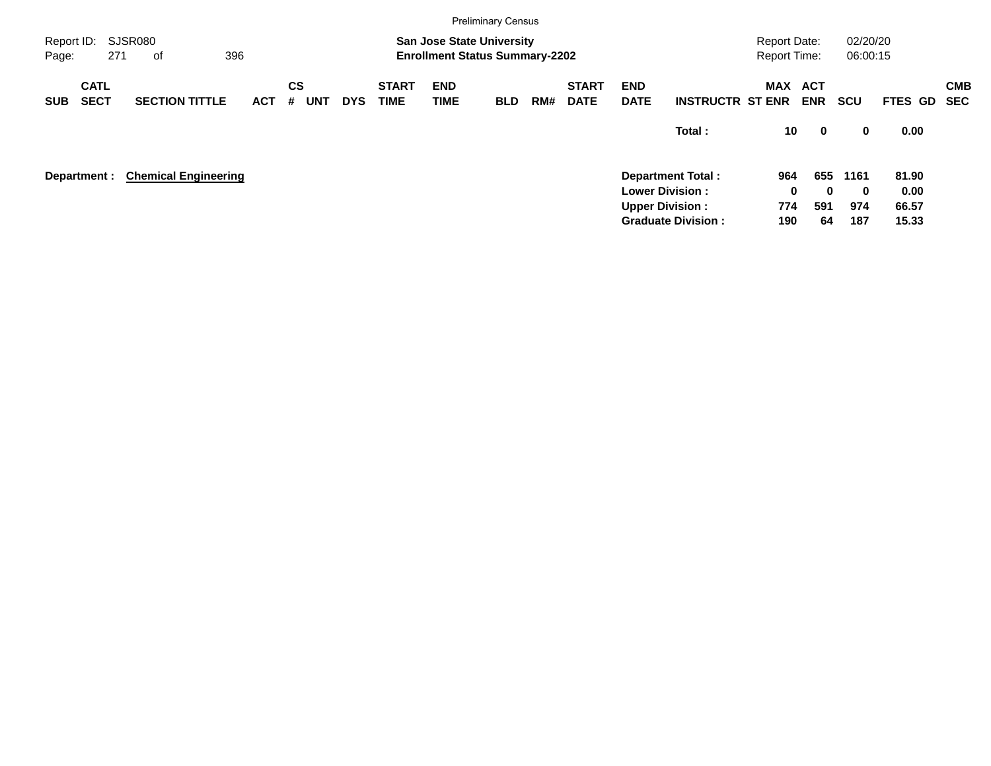|                     |                            |                             |            |                              |            |                             |                                                                           | <b>Preliminary Census</b> |     |                             |                           |                                                                              |                                            |                          |                      |                        |            |
|---------------------|----------------------------|-----------------------------|------------|------------------------------|------------|-----------------------------|---------------------------------------------------------------------------|---------------------------|-----|-----------------------------|---------------------------|------------------------------------------------------------------------------|--------------------------------------------|--------------------------|----------------------|------------------------|------------|
| Report ID:<br>Page: |                            | SJSR080<br>396<br>271<br>of |            |                              |            |                             | <b>San Jose State University</b><br><b>Enrollment Status Summary-2202</b> |                           |     |                             |                           |                                                                              | <b>Report Date:</b><br><b>Report Time:</b> |                          | 02/20/20<br>06:00:15 |                        |            |
| <b>SUB</b>          | <b>CATL</b><br><b>SECT</b> | <b>SECTION TITTLE</b>       | <b>ACT</b> | <b>CS</b><br>#<br><b>UNT</b> | <b>DYS</b> | <b>START</b><br><b>TIME</b> | <b>END</b><br><b>TIME</b>                                                 | <b>BLD</b>                | RM# | <b>START</b><br><b>DATE</b> | <b>END</b><br><b>DATE</b> | <b>INSTRUCTR ST ENR</b>                                                      | MAX                                        | <b>ACT</b><br><b>ENR</b> | <b>SCU</b>           | FTES GD SEC            | <b>CMB</b> |
|                     |                            |                             |            |                              |            |                             |                                                                           |                           |     |                             |                           | Total:                                                                       | 10                                         | $\mathbf 0$              | 0                    | 0.00                   |            |
|                     | Department :               | <b>Chemical Engineering</b> |            |                              |            |                             |                                                                           |                           |     |                             |                           | <b>Department Total:</b><br><b>Lower Division:</b><br><b>Upper Division:</b> | 964<br>0<br>774                            | 655<br>$\bf{0}$<br>591   | 1161<br>0<br>974     | 81.90<br>0.00<br>66.57 |            |
|                     |                            |                             |            |                              |            |                             |                                                                           |                           |     |                             |                           | <b>Graduate Division:</b>                                                    | 190                                        | 64                       | 187                  | 15.33                  |            |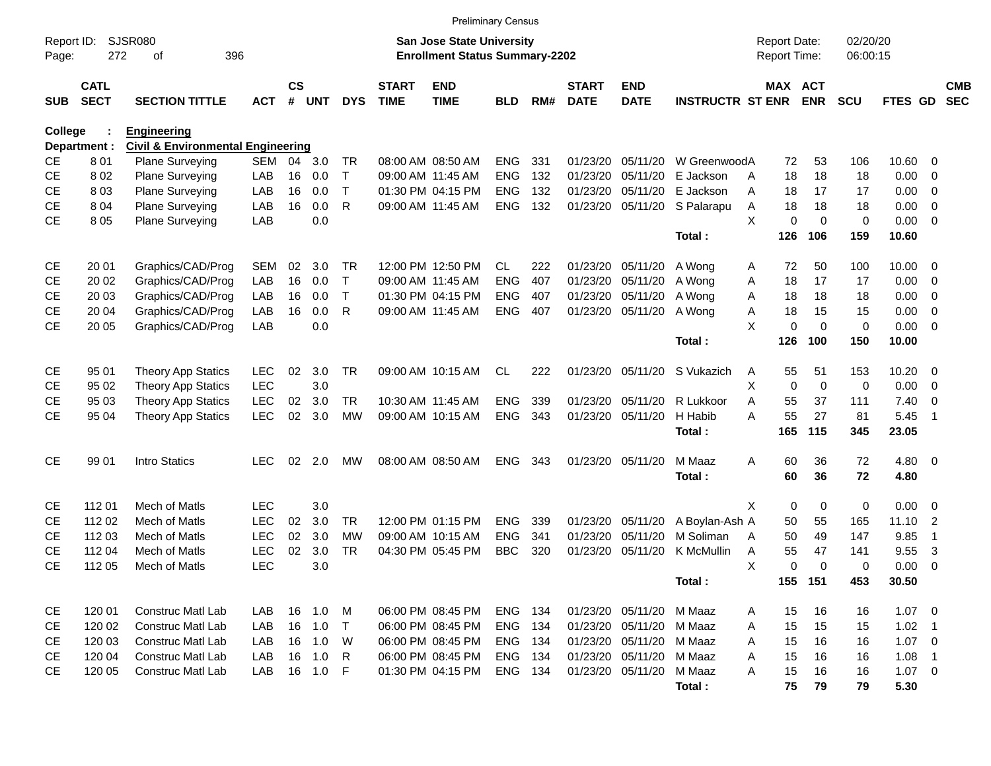|                     |                            |                                              |            |                    |            |            |                             |                                                                           | <b>Preliminary Census</b> |     |                             |                           |                         |                                     |             |             |                      |             |                |                          |
|---------------------|----------------------------|----------------------------------------------|------------|--------------------|------------|------------|-----------------------------|---------------------------------------------------------------------------|---------------------------|-----|-----------------------------|---------------------------|-------------------------|-------------------------------------|-------------|-------------|----------------------|-------------|----------------|--------------------------|
| Report ID:<br>Page: | 272                        | <b>SJSR080</b><br>396<br>οf                  |            |                    |            |            |                             | <b>San Jose State University</b><br><b>Enrollment Status Summary-2202</b> |                           |     |                             |                           |                         | <b>Report Date:</b><br>Report Time: |             |             | 02/20/20<br>06:00:15 |             |                |                          |
| <b>SUB</b>          | <b>CATL</b><br><b>SECT</b> | <b>SECTION TITTLE</b>                        | <b>ACT</b> | $\mathsf{cs}$<br># | <b>UNT</b> | <b>DYS</b> | <b>START</b><br><b>TIME</b> | <b>END</b><br><b>TIME</b>                                                 | <b>BLD</b>                | RM# | <b>START</b><br><b>DATE</b> | <b>END</b><br><b>DATE</b> | <b>INSTRUCTR ST ENR</b> |                                     | MAX ACT     | <b>ENR</b>  | <b>SCU</b>           | FTES GD     |                | <b>CMB</b><br><b>SEC</b> |
| College             |                            | <b>Engineering</b>                           |            |                    |            |            |                             |                                                                           |                           |     |                             |                           |                         |                                     |             |             |                      |             |                |                          |
|                     | Department :               | <b>Civil &amp; Environmental Engineering</b> |            |                    |            |            |                             |                                                                           |                           |     |                             |                           |                         |                                     |             |             |                      |             |                |                          |
| <b>CE</b>           | 801                        | <b>Plane Surveying</b>                       | <b>SEM</b> | 04                 | 3.0        | TR         |                             | 08:00 AM 08:50 AM                                                         | <b>ENG</b>                | 331 | 01/23/20                    | 05/11/20                  | W GreenwoodA            |                                     | 72          | 53          | 106                  | 10.60       | 0              |                          |
| <b>CE</b>           | 802                        | <b>Plane Surveying</b>                       | LAB        | 16                 | 0.0        | $\top$     |                             | 09:00 AM 11:45 AM                                                         | <b>ENG</b>                | 132 | 01/23/20                    | 05/11/20                  | E Jackson               | A                                   | 18          | 18          | 18                   | 0.00        | 0              |                          |
| <b>CE</b>           | 803                        | <b>Plane Surveying</b>                       | LAB        | 16                 | 0.0        | T          |                             | 01:30 PM 04:15 PM                                                         | <b>ENG</b>                | 132 | 01/23/20                    | 05/11/20                  | E Jackson               | Α                                   | 18          | 17          | 17                   | 0.00        | 0              |                          |
| <b>CE</b>           | 804                        | <b>Plane Surveying</b>                       | LAB        | 16                 | 0.0        | R          |                             | 09:00 AM 11:45 AM                                                         | <b>ENG</b>                | 132 |                             | 01/23/20 05/11/20         | S Palarapu              | Α                                   | 18          | 18          | 18                   | 0.00        | 0              |                          |
| <b>CE</b>           | 8 0 5                      | <b>Plane Surveying</b>                       | LAB        |                    | 0.0        |            |                             |                                                                           |                           |     |                             |                           |                         | X                                   | $\mathbf 0$ | $\Omega$    | $\mathbf 0$          | 0.00        | $\mathbf 0$    |                          |
|                     |                            |                                              |            |                    |            |            |                             |                                                                           |                           |     |                             |                           | Total:                  |                                     | 126         | 106         | 159                  | 10.60       |                |                          |
| <b>CE</b>           | 20 01                      | Graphics/CAD/Prog                            | <b>SEM</b> | 02                 | 3.0        | TR         |                             | 12:00 PM 12:50 PM                                                         | CL.                       | 222 | 01/23/20                    | 05/11/20                  | A Wong                  | A                                   | 72          | 50          | 100                  | 10.00       | 0              |                          |
| <b>CE</b>           | 20 02                      | Graphics/CAD/Prog                            | LAB        | 16                 | 0.0        | $\top$     |                             | 09:00 AM 11:45 AM                                                         | <b>ENG</b>                | 407 | 01/23/20                    | 05/11/20                  | A Wong                  | Α                                   | 18          | 17          | 17                   | 0.00        | 0              |                          |
| <b>CE</b>           | 20 03                      | Graphics/CAD/Prog                            | LAB        | 16                 | 0.0        | т          |                             | 01:30 PM 04:15 PM                                                         | <b>ENG</b>                | 407 | 01/23/20                    | 05/11/20                  | A Wong                  | Α                                   | 18          | 18          | 18                   | 0.00        | 0              |                          |
| <b>CE</b>           | 20 04                      | Graphics/CAD/Prog                            | LAB        | 16                 | 0.0        | R          |                             | 09:00 AM 11:45 AM                                                         | <b>ENG</b>                | 407 |                             | 01/23/20 05/11/20         | A Wong                  | Α                                   | 18          | 15          | 15                   | 0.00        | 0              |                          |
| <b>CE</b>           | 20 05                      | Graphics/CAD/Prog                            | LAB        |                    | 0.0        |            |                             |                                                                           |                           |     |                             |                           |                         | X                                   | 0           | $\Omega$    | $\mathbf 0$          | 0.00        | $\overline{0}$ |                          |
|                     |                            |                                              |            |                    |            |            |                             |                                                                           |                           |     |                             |                           | Total:                  |                                     | 126         | 100         | 150                  | 10.00       |                |                          |
| <b>CE</b>           | 95 01                      | <b>Theory App Statics</b>                    | <b>LEC</b> | 02                 | 3.0        | <b>TR</b>  |                             | 09:00 AM 10:15 AM                                                         | <b>CL</b>                 | 222 |                             | 01/23/20 05/11/20         | S Vukazich              | A                                   | 55          | 51          | 153                  | 10.20       | $\overline{0}$ |                          |
| <b>CE</b>           | 95 02                      | <b>Theory App Statics</b>                    | <b>LEC</b> |                    | 3.0        |            |                             |                                                                           |                           |     |                             |                           |                         | X.                                  | $\mathbf 0$ | $\mathbf 0$ | 0                    | 0.00        | 0              |                          |
| <b>CE</b>           | 95 03                      | <b>Theory App Statics</b>                    | <b>LEC</b> | 02                 | 3.0        | TR         |                             | 10:30 AM 11:45 AM                                                         | <b>ENG</b>                | 339 |                             | 01/23/20 05/11/20         | R Lukkoor               | Α                                   | 55          | 37          | 111                  | 7.40        | $\mathbf 0$    |                          |
| <b>CE</b>           | 95 04                      | <b>Theory App Statics</b>                    | <b>LEC</b> | 02                 | 3.0        | <b>MW</b>  |                             | 09:00 AM 10:15 AM                                                         | <b>ENG</b>                | 343 |                             | 01/23/20 05/11/20         | H Habib                 | А                                   | 55          | 27          | 81                   | 5.45        | -1             |                          |
|                     |                            |                                              |            |                    |            |            |                             |                                                                           |                           |     |                             |                           | Total:                  |                                     | 165         | 115         | 345                  | 23.05       |                |                          |
| <b>CE</b>           | 99 01                      | Intro Statics                                | <b>LEC</b> | 02                 | 2.0        | MW         |                             | 08:00 AM 08:50 AM                                                         | <b>ENG</b>                | 343 |                             | 01/23/20 05/11/20         | M Maaz                  | A                                   | 60          | 36          | 72                   | $4.80\ 0$   |                |                          |
|                     |                            |                                              |            |                    |            |            |                             |                                                                           |                           |     |                             |                           | Total:                  |                                     | 60          | 36          | 72                   | 4.80        |                |                          |
| <b>CE</b>           | 112 01                     | Mech of Matls                                | <b>LEC</b> |                    | 3.0        |            |                             |                                                                           |                           |     |                             |                           |                         | X                                   | 0           | 0           | 0                    | 0.00        | 0              |                          |
| <b>CE</b>           | 112 02                     | Mech of Matls                                | <b>LEC</b> | 02                 | 3.0        | TR         |                             | 12:00 PM 01:15 PM                                                         | <b>ENG</b>                | 339 | 01/23/20                    | 05/11/20                  | A Boylan-Ash A          |                                     | 50          | 55          | 165                  | 11.10       | $\overline{2}$ |                          |
| СE                  | 112 03                     | Mech of Matls                                | <b>LEC</b> | 02                 | 3.0        | <b>MW</b>  |                             | 09:00 AM 10:15 AM                                                         | <b>ENG</b>                | 341 | 01/23/20                    | 05/11/20                  | M Soliman               | A                                   | 50          | 49          | 147                  | 9.85        | $\overline{1}$ |                          |
| <b>CE</b>           | 112 04                     | Mech of Matls                                | <b>LEC</b> | 02                 | 3.0        | <b>TR</b>  |                             | 04:30 PM 05:45 PM                                                         | <b>BBC</b>                | 320 | 01/23/20                    | 05/11/20                  | <b>K</b> McMullin       | Α                                   | 55          | 47          | 141                  | 9.55        | 3              |                          |
| <b>CE</b>           | 112 05                     | Mech of Matls                                | <b>LEC</b> |                    | 3.0        |            |                             |                                                                           |                           |     |                             |                           |                         | X                                   | 0           | $\Omega$    | 0                    | 0.00        | $\mathbf 0$    |                          |
|                     |                            |                                              |            |                    |            |            |                             |                                                                           |                           |     |                             |                           | Total:                  |                                     | 155 151     |             | 453                  | 30.50       |                |                          |
| CE                  | 120 01                     | Construc Matl Lab                            | LAB        |                    | 16 1.0     | M          |                             | 06:00 PM 08:45 PM                                                         | ENG 134                   |     |                             | 01/23/20 05/11/20 M Maaz  |                         | A                                   | 15          | 16          | 16                   | $1.07 \t 0$ |                |                          |
| CE                  | 120 02                     | Construc Matl Lab                            | LAB        |                    | 16 1.0     | $\top$     |                             | 06:00 PM 08:45 PM                                                         | ENG 134                   |     |                             | 01/23/20 05/11/20 M Maaz  |                         | A                                   | 15          | 15          | 15                   | $1.02$ 1    |                |                          |
| CE                  | 120 03                     | Construc Matl Lab                            | LAB        |                    | 16 1.0     | W          |                             | 06:00 PM 08:45 PM                                                         | ENG 134                   |     |                             | 01/23/20 05/11/20 M Maaz  |                         | A                                   | 15          | 16          | 16                   | $1.07 \t 0$ |                |                          |
| CE                  | 120 04                     | Construc Matl Lab                            | LAB        |                    | 16 1.0     | R          |                             | 06:00 PM 08:45 PM                                                         | ENG 134                   |     |                             | 01/23/20 05/11/20 M Maaz  |                         | A                                   | 15          | 16          | 16                   | 1.08        | $\overline{1}$ |                          |
| <b>CE</b>           | 120 05                     | Construc Matl Lab                            | LAB        |                    | 16 1.0     | -F         |                             | 01:30 PM 04:15 PM                                                         | ENG 134                   |     |                             | 01/23/20 05/11/20         | M Maaz                  | Α                                   | 15          | 16          | 16                   | $1.07 \t 0$ |                |                          |
|                     |                            |                                              |            |                    |            |            |                             |                                                                           |                           |     |                             |                           | Total:                  |                                     | 75          | 79          | 79                   | 5.30        |                |                          |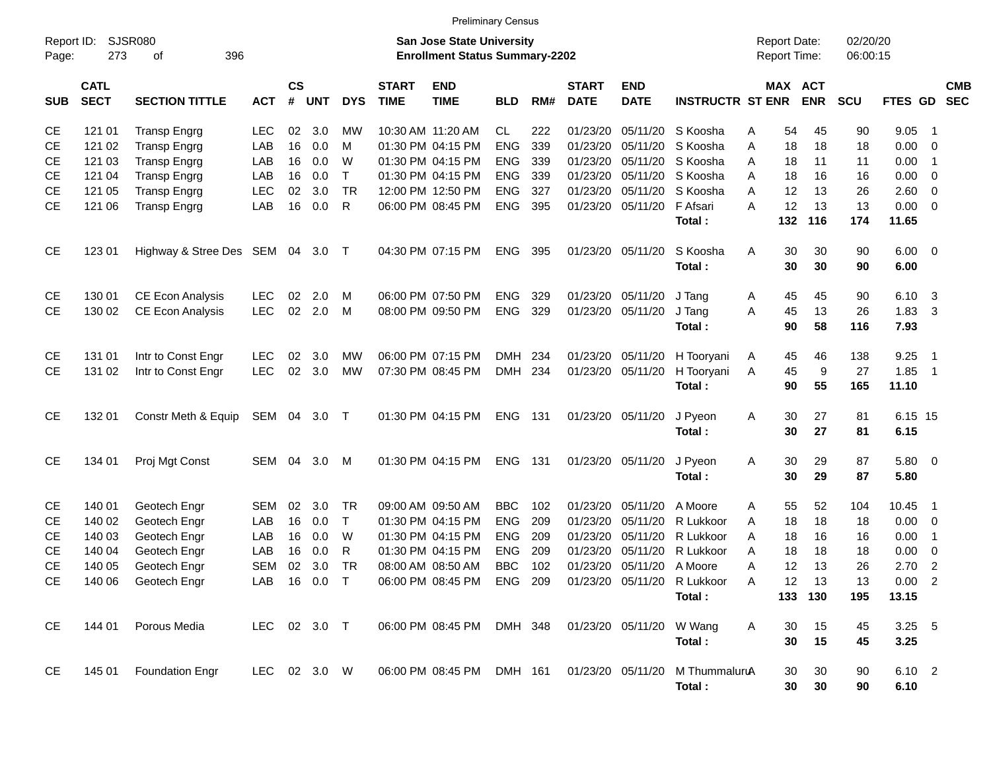|                     |                            |                                  |              |                    |              |            |                             | <b>Preliminary Census</b>                                                 |            |       |                             |                           |                          |                                            |                       |                      |                        |                            |            |
|---------------------|----------------------------|----------------------------------|--------------|--------------------|--------------|------------|-----------------------------|---------------------------------------------------------------------------|------------|-------|-----------------------------|---------------------------|--------------------------|--------------------------------------------|-----------------------|----------------------|------------------------|----------------------------|------------|
| Report ID:<br>Page: | 273                        | SJSR080<br>396<br>οf             |              |                    |              |            |                             | <b>San Jose State University</b><br><b>Enrollment Status Summary-2202</b> |            |       |                             |                           |                          | <b>Report Date:</b><br><b>Report Time:</b> |                       | 02/20/20<br>06:00:15 |                        |                            |            |
| <b>SUB</b>          | <b>CATL</b><br><b>SECT</b> | <b>SECTION TITTLE</b>            | <b>ACT</b>   | $\mathsf{cs}$<br># | <b>UNT</b>   | <b>DYS</b> | <b>START</b><br><b>TIME</b> | <b>END</b><br><b>TIME</b>                                                 | <b>BLD</b> | RM#   | <b>START</b><br><b>DATE</b> | <b>END</b><br><b>DATE</b> | <b>INSTRUCTR ST ENR</b>  |                                            | MAX ACT<br><b>ENR</b> | <b>SCU</b>           | FTES GD SEC            |                            | <b>CMB</b> |
| CЕ                  | 121 01                     | <b>Transp Engrg</b>              | LEC          | 02                 | 3.0          | МW         |                             | 10:30 AM 11:20 AM                                                         | <b>CL</b>  | 222   | 01/23/20                    | 05/11/20                  | S Koosha                 | 54<br>Α                                    | 45                    | 90                   | 9.05                   | -1                         |            |
| <b>CE</b>           | 121 02                     | <b>Transp Engrg</b>              | LAB          | 16                 | 0.0          | м          |                             | 01:30 PM 04:15 PM                                                         | <b>ENG</b> | 339   |                             | 01/23/20 05/11/20         | S Koosha                 | A<br>18                                    | 18                    | 18                   | 0.00                   | - 0                        |            |
| <b>CE</b>           | 121 03                     | <b>Transp Engrg</b>              | LAB          | 16                 | 0.0          | W          |                             | 01:30 PM 04:15 PM                                                         | <b>ENG</b> | 339   |                             | 01/23/20 05/11/20         | S Koosha                 | A<br>18                                    | 11                    | 11                   | 0.00                   | $\overline{1}$             |            |
| <b>CE</b>           | 121 04                     | <b>Transp Engrg</b>              | LAB          | 16                 | 0.0          | $\top$     |                             | 01:30 PM 04:15 PM                                                         | <b>ENG</b> | 339   |                             | 01/23/20 05/11/20         | S Koosha                 | 18<br>A                                    | 16                    | 16                   | 0.00                   | 0                          |            |
| <b>CE</b>           | 121 05                     | <b>Transp Engrg</b>              | <b>LEC</b>   | 02                 | 3.0          | <b>TR</b>  |                             | 12:00 PM 12:50 PM                                                         | <b>ENG</b> | 327   |                             | 01/23/20 05/11/20         | S Koosha                 | A<br>12                                    | 13                    | 26                   | 2.60                   | $\overline{\mathbf{0}}$    |            |
| <b>CE</b>           | 121 06                     | <b>Transp Engrg</b>              | LAB          | 16                 | 0.0          | R          |                             | 06:00 PM 08:45 PM                                                         | <b>ENG</b> | 395   |                             | 01/23/20 05/11/20         | F Afsari                 | 12<br>A                                    | 13                    | 13                   | 0.00                   | $\overline{\phantom{0}}$   |            |
|                     |                            |                                  |              |                    |              |            |                             |                                                                           |            |       |                             |                           | Total:                   | 132                                        | 116                   | 174                  | 11.65                  |                            |            |
| CE                  | 123 01                     | Highway & Stree Des SEM 04 3.0 T |              |                    |              |            |                             | 04:30 PM 07:15 PM                                                         | <b>ENG</b> | 395   |                             | 01/23/20 05/11/20         | S Koosha<br>Total:       | 30<br>A<br>30                              | 30<br>30              | 90<br>90             | $6.00 \quad 0$<br>6.00 |                            |            |
| <b>CE</b>           | 130 01                     | CE Econ Analysis                 | <b>LEC</b>   | 02                 | 2.0          | M          |                             | 06:00 PM 07:50 PM                                                         | <b>ENG</b> | 329   |                             | 01/23/20 05/11/20         | J Tang                   | 45<br>A                                    | 45                    | 90                   | 6.10 3                 |                            |            |
| <b>CE</b>           | 130 02                     | CE Econ Analysis                 | <b>LEC</b>   | 02                 | 2.0          | M          |                             | 08:00 PM 09:50 PM                                                         | <b>ENG</b> | 329   |                             | 01/23/20 05/11/20         | J Tang                   | 45<br>Α                                    | 13                    | 26                   | 1.83                   | -3                         |            |
|                     |                            |                                  |              |                    |              |            |                             |                                                                           |            |       |                             |                           | Total:                   | 90                                         | 58                    | 116                  | 7.93                   |                            |            |
| <b>CE</b>           | 131 01                     | Intr to Const Engr               | <b>LEC</b>   | 02                 | 3.0          | МW         |                             | 06:00 PM 07:15 PM                                                         | DMH 234    |       |                             | 01/23/20 05/11/20         |                          |                                            | 46                    | 138                  | 9.25                   | $\overline{\phantom{1}}$   |            |
| <b>CE</b>           | 131 02                     | Intr to Const Engr               | <b>LEC</b>   | 02                 | 3.0          | <b>MW</b>  |                             | 07:30 PM 08:45 PM                                                         | DMH 234    |       |                             | 01/23/20 05/11/20         | H Tooryani<br>H Tooryani | 45<br>A<br>45<br>Α                         | 9                     | 27                   | 1.85                   | $\overline{\phantom{0}}$ 1 |            |
|                     |                            |                                  |              |                    |              |            |                             |                                                                           |            |       |                             |                           | Total:                   | 90                                         | 55                    | 165                  | 11.10                  |                            |            |
| <b>CE</b>           | 132 01                     | Constr Meth & Equip              | SEM 04 3.0 T |                    |              |            |                             | 01:30 PM 04:15 PM                                                         | <b>ENG</b> | - 131 |                             | 01/23/20 05/11/20         | J Pyeon                  | 30<br>Α                                    | 27                    | 81                   | 6.15 15                |                            |            |
|                     |                            |                                  |              |                    |              |            |                             |                                                                           |            |       |                             |                           | Total:                   | 30                                         | 27                    | 81                   | 6.15                   |                            |            |
| CE                  | 134 01                     | Proj Mgt Const                   | SEM          | 04                 | 3.0          | M          |                             | 01:30 PM 04:15 PM                                                         | <b>ENG</b> | - 131 |                             | 01/23/20 05/11/20         | J Pyeon<br>Total:        | Α<br>30<br>30                              | 29<br>29              | 87<br>87             | 5.80 0<br>5.80         |                            |            |
| <b>CE</b>           | 140 01                     | Geotech Engr                     | SEM          | 02                 | 3.0          | <b>TR</b>  |                             | 09:00 AM 09:50 AM                                                         | <b>BBC</b> | 102   | 01/23/20                    | 05/11/20                  | A Moore                  | 55<br>A                                    | 52                    | 104                  | 10.45                  | - 1                        |            |
| <b>CE</b>           | 140 02                     | Geotech Engr                     | LAB          | 16                 | 0.0          | $\top$     |                             | 01:30 PM 04:15 PM                                                         | <b>ENG</b> | 209   | 01/23/20                    | 05/11/20                  | R Lukkoor                | 18<br>A                                    | 18                    | 18                   | 0.00                   | $\overline{\mathbf{0}}$    |            |
| <b>CE</b>           | 140 03                     | Geotech Engr                     | LAB          | 16                 | 0.0          | W          |                             | 01:30 PM 04:15 PM                                                         | <b>ENG</b> | 209   | 01/23/20                    | 05/11/20                  | R Lukkoor                | A<br>18                                    | 16                    | 16                   | 0.00                   | -1                         |            |
| <b>CE</b>           | 140 04                     | Geotech Engr                     | LAB          | 16                 | 0.0          | R          |                             | 01:30 PM 04:15 PM                                                         | <b>ENG</b> | 209   | 01/23/20                    | 05/11/20                  | R Lukkoor                | 18<br>Α                                    | 18                    | 18                   | 0.00                   | 0                          |            |
| <b>CE</b>           | 140 05                     | Geotech Engr                     | <b>SEM</b>   | 02                 | 3.0          | <b>TR</b>  |                             | 08:00 AM 08:50 AM                                                         | <b>BBC</b> | 102   |                             | 01/23/20 05/11/20 A Moore |                          | 12<br>Α                                    | 13                    | 26                   | 2.70                   | $\overline{2}$             |            |
| CЕ                  |                            | 140 06 Geotech Engr              |              |                    | LAB 16 0.0 T |            |                             | 06:00 PM 08:45 PM ENG 209 01/23/20 05/11/20 R Lukkoor                     |            |       |                             |                           |                          | Α<br>12                                    | $^{\circ}$ 13         | 13                   | 0.00 2                 |                            |            |
|                     |                            |                                  |              |                    |              |            |                             |                                                                           |            |       |                             |                           | Total:                   |                                            | 133 130               | 195                  | 13.15                  |                            |            |
| CE                  | 144 01                     | Porous Media                     | LEC 02 3.0 T |                    |              |            |                             | 06:00 PM 08:45 PM DMH 348                                                 |            |       |                             | 01/23/20 05/11/20 W Wang  |                          | Α<br>30                                    | 15                    | 45                   | $3.25$ 5               |                            |            |
|                     |                            |                                  |              |                    |              |            |                             |                                                                           |            |       |                             |                           | Total:                   | 30                                         | 15                    | 45                   | 3.25                   |                            |            |
| CE                  | 145 01                     | <b>Foundation Engr</b>           | LEC 02 3.0 W |                    |              |            |                             | 06:00 PM 08:45 PM DMH 161                                                 |            |       |                             | 01/23/20 05/11/20         | M ThummaluruA<br>Total:  | 30                                         | 30<br>30<br>30        | 90<br>90             | 6.10 2<br>6.10         |                            |            |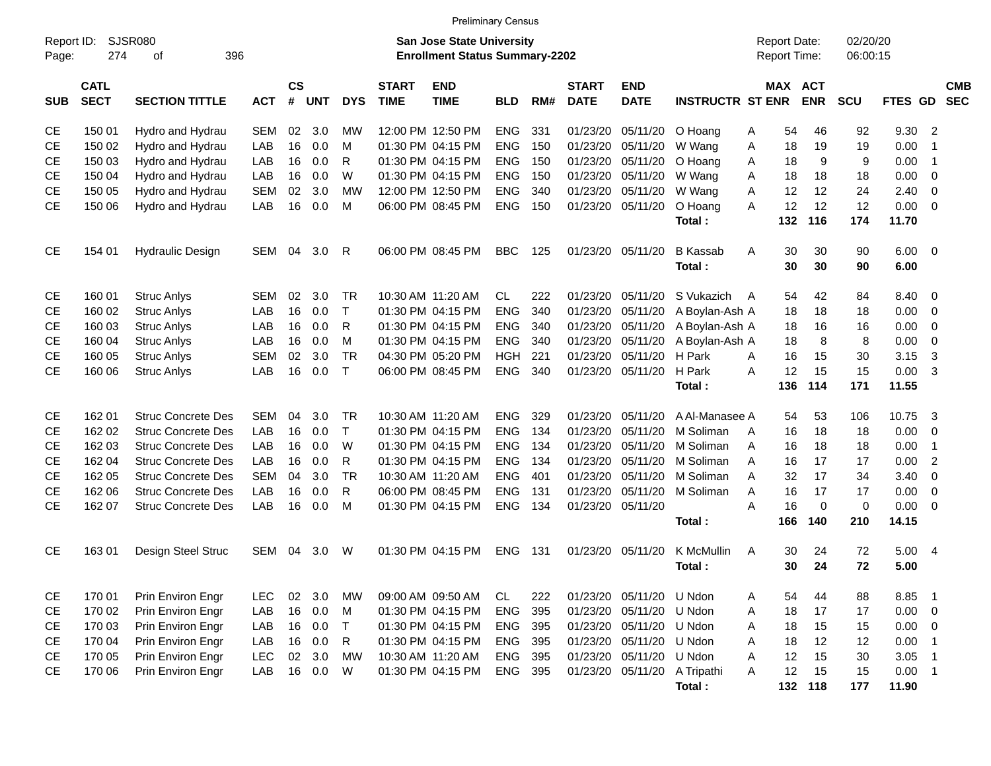| SJSR080<br>02/20/20<br>Report ID:<br>San Jose State University<br><b>Report Date:</b><br>396<br><b>Enrollment Status Summary-2202</b><br>Report Time:<br>06:00:15<br>Page:<br>274<br>οf<br>$\mathsf{cs}$<br><b>CMB</b><br><b>CATL</b><br><b>START</b><br><b>END</b><br><b>START</b><br><b>END</b><br>MAX ACT<br><b>SECT</b><br>#<br><b>ENR</b><br>FTES GD<br><b>SEC</b><br><b>SECTION TITTLE</b><br><b>ACT</b><br><b>UNT</b><br><b>DYS</b><br><b>TIME</b><br><b>TIME</b><br><b>BLD</b><br>RM#<br><b>DATE</b><br><b>DATE</b><br><b>INSTRUCTR ST ENR</b><br><b>SCU</b><br><b>SUB</b><br>150 01<br>02<br>3.0<br>12:00 PM 12:50 PM<br><b>ENG</b><br>331<br>01/23/20<br>05/11/20<br>92<br>9.30<br>$\overline{2}$<br><b>CE</b><br>Hydro and Hydrau<br><b>SEM</b><br>МW<br>O Hoang<br>54<br>46<br>Α<br><b>CE</b><br>Hydro and Hydrau<br>16<br>0.0<br>01:30 PM 04:15 PM<br><b>ENG</b><br>150<br>01/23/20<br>05/11/20<br>19<br>0.00<br>150 02<br>LAB<br>м<br>W Wang<br>Α<br>18<br>19<br>$\overline{1}$<br><b>CE</b><br>Hydro and Hydrau<br>16<br>0.0<br>R<br>01:30 PM 04:15 PM<br><b>ENG</b><br>150<br>01/23/20<br>05/11/20<br>18<br>9<br>9<br>0.00<br>150 03<br>LAB<br>O Hoang<br>A<br>$\overline{1}$<br><b>CE</b><br>Hydro and Hydrau<br>LAB<br>16<br>0.0<br>W<br>01:30 PM 04:15 PM<br><b>ENG</b><br>150<br>01/23/20<br>05/11/20<br>18<br>18<br>0.00<br>150 04<br>W Wang<br>A<br>18<br>- 0<br><b>CE</b><br>Hydro and Hydrau<br><b>SEM</b><br>02<br>3.0<br><b>MW</b><br>12:00 PM 12:50 PM<br><b>ENG</b><br>340<br>01/23/20<br>05/11/20<br>A<br>12<br>12<br>2.40<br>150 05<br>W Wang<br>24<br>- 0<br>12<br>12<br><b>CE</b><br>LAB<br>16<br>0.0<br>06:00 PM 08:45 PM<br><b>ENG</b><br>150<br>01/23/20 05/11/20<br>A<br>12<br>0.00<br>150 06<br>Hydro and Hydrau<br>м<br>O Hoang<br>$\overline{\phantom{0}}$<br>132<br>116<br>174<br>11.70<br>Total:<br><b>CE</b><br><b>SEM</b><br>06:00 PM 08:45 PM<br><b>BBC</b><br>125<br>01/23/20 05/11/20<br><b>B</b> Kassab<br>30<br>30<br>90<br>$6.00 \quad 0$<br>154 01<br><b>Hydraulic Design</b><br>04<br>3.0<br>R<br>Α<br>30<br>30<br>Total:<br>90<br>6.00<br>02<br>3.0<br><b>TR</b><br>10:30 AM 11:20 AM<br>CL.<br>222<br>42<br>8.40<br><b>CE</b><br>160 01<br><b>Struc Anlys</b><br><b>SEM</b><br>01/23/20<br>05/11/20<br>S Vukazich<br>54<br>84<br>- 0<br>A<br><b>Struc Anlys</b><br>16<br>0.0<br>$\mathsf{T}$<br>01:30 PM 04:15 PM<br><b>ENG</b><br>340<br>01/23/20<br>05/11/20<br>18<br>18<br>0.00<br><b>CE</b><br>160 02<br>LAB<br>A Boylan-Ash A<br>18<br>- 0<br><b>CE</b><br>16<br>0.0<br>R<br>01:30 PM 04:15 PM<br><b>ENG</b><br>01/23/20<br>05/11/20<br>16<br>0.00<br>160 03<br><b>Struc Anlys</b><br>LAB<br>340<br>A Boylan-Ash A<br>18<br>16<br>- 0<br><b>CE</b><br>LAB<br>16<br>0.0<br>M<br>01:30 PM 04:15 PM<br><b>ENG</b><br>340<br>01/23/20<br>05/11/20<br>A Boylan-Ash A<br>18<br>8<br>8<br>0.00<br>160 04<br><b>Struc Anlys</b><br>0<br><b>TR</b><br>15<br><b>CE</b><br><b>SEM</b><br>02<br>3.0<br>04:30 PM 05:20 PM<br>221<br>01/23/20<br>05/11/20<br>H Park<br>16<br>30<br>3.15<br>3<br>160 05<br><b>Struc Anlys</b><br>HGH<br>A<br>$\top$<br>15<br><b>CE</b><br>160 06<br>LAB<br>16<br>0.0<br>06:00 PM 08:45 PM<br><b>ENG</b><br>340<br>01/23/20 05/11/20<br>H Park<br>A<br>12<br>15<br>0.00<br>3<br><b>Struc Anlys</b><br>136<br>114<br>171<br>11.55<br>Total:<br><b>CE</b><br>162 01<br><b>Struc Concrete Des</b><br><b>SEM</b><br>3.0<br><b>TR</b><br>10:30 AM 11:20 AM<br><b>ENG</b><br>329<br>05/11/20<br>A Al-Manasee A<br>53<br>10.75<br>-3<br>04<br>01/23/20<br>54<br>106<br>$\mathsf{T}$<br><b>CE</b><br>162 02<br><b>Struc Concrete Des</b><br>LAB<br>16<br>0.0<br>01:30 PM 04:15 PM<br><b>ENG</b><br>134<br>01/23/20<br>05/11/20<br>M Soliman<br>16<br>18<br>0.00<br>18<br>- 0<br>A<br><b>CE</b><br>162 03<br><b>Struc Concrete Des</b><br>LAB<br>16<br>0.0<br>W<br>01:30 PM 04:15 PM<br><b>ENG</b><br>134<br>01/23/20<br>05/11/20<br>M Soliman<br>18<br>0.00<br>A<br>16<br>18<br>$\overline{1}$<br><b>CE</b><br>162 04<br><b>Struc Concrete Des</b><br>LAB<br>16<br>0.0<br>R<br>01:30 PM 04:15 PM<br><b>ENG</b><br>01/23/20<br>05/11/20<br>M Soliman<br>17<br>0.00<br>$\overline{2}$<br>134<br>Α<br>16<br>17<br><b>TR</b><br><b>CE</b><br>162 05<br><b>Struc Concrete Des</b><br><b>SEM</b><br>3.0<br><b>ENG</b><br>401<br>01/23/20<br>05/11/20<br>M Soliman<br>32<br>17<br>3.40<br>04<br>10:30 AM 11:20 AM<br>Α<br>34<br>0<br><b>CE</b><br>162 06<br><b>Struc Concrete Des</b><br>LAB<br>16<br>0.0<br>R<br>06:00 PM 08:45 PM<br><b>ENG</b><br>131<br>01/23/20<br>05/11/20<br>M Soliman<br>A<br>16<br>17<br>0.00<br>17<br>0<br><b>CE</b><br>162 07<br><b>Struc Concrete Des</b><br>LAB<br>16<br>0.0<br>M<br><b>ENG</b><br>134<br>01/23/20 05/11/20<br>A<br>16<br>$\mathbf 0$<br>0<br>0.00<br>01:30 PM 04:15 PM<br>- 0<br>166<br>140<br>210<br>14.15<br>Total:<br><b>CE</b><br>Design Steel Struc<br>01:30 PM 04:15 PM<br><b>ENG</b><br>K McMullin<br>30<br>24<br>5.00 4<br>16301<br><b>SEM</b><br>04<br>3.0<br>W<br>131<br>01/23/20<br>05/11/20<br>A<br>72<br>30<br>24<br>72<br>5.00<br>Total:<br>Prin Environ Engr<br>3.0<br>8.85<br>CE<br>170 01<br><b>LEC</b><br>02<br>МW<br>09:00 AM 09:50 AM<br>CL<br>222<br>01/23/20 05/11/20<br>U Ndon<br>54<br>44<br>88<br>- 1<br>A<br>170 02<br>Prin Environ Engr<br>LAB<br>16<br>0.0<br><b>ENG</b><br>395<br>01/23/20 05/11/20<br>U Ndon<br>18<br>17<br>17<br>$0.00 \t 0$<br>CE<br>M<br>01:30 PM 04:15 PM<br>Α<br>170 03<br>Prin Environ Engr<br>LAB<br>16<br>0.0<br>$\top$<br>01:30 PM 04:15 PM<br><b>ENG</b><br>01/23/20 05/11/20<br>U Ndon<br>18<br>15<br>$0.00 \t 0$<br>CE<br>395<br>Α<br>15<br><b>CE</b><br>170 04<br>Prin Environ Engr<br>LAB<br>16<br>0.0<br>R<br>01:30 PM 04:15 PM<br><b>ENG</b><br>395<br>01/23/20 05/11/20<br>U Ndon<br>18<br>12<br>0.00<br>A<br>12<br>$\overline{\phantom{0}}$<br>Prin Environ Engr<br>3.0<br>15<br><b>CE</b><br>170 05<br><b>LEC</b><br>02<br>MW<br>10:30 AM 11:20 AM<br><b>ENG</b><br>395<br>01/23/20 05/11/20<br>U Ndon<br>12<br>$30\,$<br>3.05<br>A<br>$\overline{\phantom{1}}$<br>12<br>15<br>$0.00$ 1<br><b>CE</b><br>170 06<br>Prin Environ Engr<br>LAB<br>16<br>0.0<br>W<br>01:30 PM 04:15 PM<br>ENG<br>395<br>01/23/20 05/11/20<br>A Tripathi<br>15<br>A<br>132 118<br>11.90<br>Total:<br>177 |  |  |  |  | <b>Preliminary Census</b> |  |  |  |  |  |  |
|--------------------------------------------------------------------------------------------------------------------------------------------------------------------------------------------------------------------------------------------------------------------------------------------------------------------------------------------------------------------------------------------------------------------------------------------------------------------------------------------------------------------------------------------------------------------------------------------------------------------------------------------------------------------------------------------------------------------------------------------------------------------------------------------------------------------------------------------------------------------------------------------------------------------------------------------------------------------------------------------------------------------------------------------------------------------------------------------------------------------------------------------------------------------------------------------------------------------------------------------------------------------------------------------------------------------------------------------------------------------------------------------------------------------------------------------------------------------------------------------------------------------------------------------------------------------------------------------------------------------------------------------------------------------------------------------------------------------------------------------------------------------------------------------------------------------------------------------------------------------------------------------------------------------------------------------------------------------------------------------------------------------------------------------------------------------------------------------------------------------------------------------------------------------------------------------------------------------------------------------------------------------------------------------------------------------------------------------------------------------------------------------------------------------------------------------------------------------------------------------------------------------------------------------------------------------------------------------------------------------------------------------------------------------------------------------------------------------------------------------------------------------------------------------------------------------------------------------------------------------------------------------------------------------------------------------------------------------------------------------------------------------------------------------------------------------------------------------------------------------------------------------------------------------------------------------------------------------------------------------------------------------------------------------------------------------------------------------------------------------------------------------------------------------------------------------------------------------------------------------------------------------------------------------------------------------------------------------------------------------------------------------------------------------------------------------------------------------------------------------------------------------------------------------------------------------------------------------------------------------------------------------------------------------------------------------------------------------------------------------------------------------------------------------------------------------------------------------------------------------------------------------------------------------------------------------------------------------------------------------------------------------------------------------------------------------------------------------------------------------------------------------------------------------------------------------------------------------------------------------------------------------------------------------------------------------------------------------------------------------------------------------------------------------------------------------------------------------------------------------------------------------------------------------------------------------------------------------------------------------------------------------------------------------------------------------------------------------------------------------------------------------------------------------------------------------------------------------------------------------------------------------------------------------------------------------------------------------------------------------------------------------------------------------------------------------------------------------------------------------------------------------------------------------------------------------------------------------------------------------------------------------------------------------------------------------------------------------------------------------------------------------------------------------------------------------------------------------------------------------------------------------------------------------------------------------------------------------------------------------------------------------------------------------------------------------------------------------------------------------------------------------------------------------------------------------------------------------------------------------------------------------------------------------------------------------------------------------------------------------------------------|--|--|--|--|---------------------------|--|--|--|--|--|--|
|                                                                                                                                                                                                                                                                                                                                                                                                                                                                                                                                                                                                                                                                                                                                                                                                                                                                                                                                                                                                                                                                                                                                                                                                                                                                                                                                                                                                                                                                                                                                                                                                                                                                                                                                                                                                                                                                                                                                                                                                                                                                                                                                                                                                                                                                                                                                                                                                                                                                                                                                                                                                                                                                                                                                                                                                                                                                                                                                                                                                                                                                                                                                                                                                                                                                                                                                                                                                                                                                                                                                                                                                                                                                                                                                                                                                                                                                                                                                                                                                                                                                                                                                                                                                                                                                                                                                                                                                                                                                                                                                                                                                                                                                                                                                                                                                                                                                                                                                                                                                                                                                                                                                                                                                                                                                                                                                                                                                                                                                                                                                                                                                                                                                                                                                                                                                                                                                                                                                                                                                                                                                                                                                                                                                                                                              |  |  |  |  |                           |  |  |  |  |  |  |
|                                                                                                                                                                                                                                                                                                                                                                                                                                                                                                                                                                                                                                                                                                                                                                                                                                                                                                                                                                                                                                                                                                                                                                                                                                                                                                                                                                                                                                                                                                                                                                                                                                                                                                                                                                                                                                                                                                                                                                                                                                                                                                                                                                                                                                                                                                                                                                                                                                                                                                                                                                                                                                                                                                                                                                                                                                                                                                                                                                                                                                                                                                                                                                                                                                                                                                                                                                                                                                                                                                                                                                                                                                                                                                                                                                                                                                                                                                                                                                                                                                                                                                                                                                                                                                                                                                                                                                                                                                                                                                                                                                                                                                                                                                                                                                                                                                                                                                                                                                                                                                                                                                                                                                                                                                                                                                                                                                                                                                                                                                                                                                                                                                                                                                                                                                                                                                                                                                                                                                                                                                                                                                                                                                                                                                                              |  |  |  |  |                           |  |  |  |  |  |  |
|                                                                                                                                                                                                                                                                                                                                                                                                                                                                                                                                                                                                                                                                                                                                                                                                                                                                                                                                                                                                                                                                                                                                                                                                                                                                                                                                                                                                                                                                                                                                                                                                                                                                                                                                                                                                                                                                                                                                                                                                                                                                                                                                                                                                                                                                                                                                                                                                                                                                                                                                                                                                                                                                                                                                                                                                                                                                                                                                                                                                                                                                                                                                                                                                                                                                                                                                                                                                                                                                                                                                                                                                                                                                                                                                                                                                                                                                                                                                                                                                                                                                                                                                                                                                                                                                                                                                                                                                                                                                                                                                                                                                                                                                                                                                                                                                                                                                                                                                                                                                                                                                                                                                                                                                                                                                                                                                                                                                                                                                                                                                                                                                                                                                                                                                                                                                                                                                                                                                                                                                                                                                                                                                                                                                                                                              |  |  |  |  |                           |  |  |  |  |  |  |
|                                                                                                                                                                                                                                                                                                                                                                                                                                                                                                                                                                                                                                                                                                                                                                                                                                                                                                                                                                                                                                                                                                                                                                                                                                                                                                                                                                                                                                                                                                                                                                                                                                                                                                                                                                                                                                                                                                                                                                                                                                                                                                                                                                                                                                                                                                                                                                                                                                                                                                                                                                                                                                                                                                                                                                                                                                                                                                                                                                                                                                                                                                                                                                                                                                                                                                                                                                                                                                                                                                                                                                                                                                                                                                                                                                                                                                                                                                                                                                                                                                                                                                                                                                                                                                                                                                                                                                                                                                                                                                                                                                                                                                                                                                                                                                                                                                                                                                                                                                                                                                                                                                                                                                                                                                                                                                                                                                                                                                                                                                                                                                                                                                                                                                                                                                                                                                                                                                                                                                                                                                                                                                                                                                                                                                                              |  |  |  |  |                           |  |  |  |  |  |  |
|                                                                                                                                                                                                                                                                                                                                                                                                                                                                                                                                                                                                                                                                                                                                                                                                                                                                                                                                                                                                                                                                                                                                                                                                                                                                                                                                                                                                                                                                                                                                                                                                                                                                                                                                                                                                                                                                                                                                                                                                                                                                                                                                                                                                                                                                                                                                                                                                                                                                                                                                                                                                                                                                                                                                                                                                                                                                                                                                                                                                                                                                                                                                                                                                                                                                                                                                                                                                                                                                                                                                                                                                                                                                                                                                                                                                                                                                                                                                                                                                                                                                                                                                                                                                                                                                                                                                                                                                                                                                                                                                                                                                                                                                                                                                                                                                                                                                                                                                                                                                                                                                                                                                                                                                                                                                                                                                                                                                                                                                                                                                                                                                                                                                                                                                                                                                                                                                                                                                                                                                                                                                                                                                                                                                                                                              |  |  |  |  |                           |  |  |  |  |  |  |
|                                                                                                                                                                                                                                                                                                                                                                                                                                                                                                                                                                                                                                                                                                                                                                                                                                                                                                                                                                                                                                                                                                                                                                                                                                                                                                                                                                                                                                                                                                                                                                                                                                                                                                                                                                                                                                                                                                                                                                                                                                                                                                                                                                                                                                                                                                                                                                                                                                                                                                                                                                                                                                                                                                                                                                                                                                                                                                                                                                                                                                                                                                                                                                                                                                                                                                                                                                                                                                                                                                                                                                                                                                                                                                                                                                                                                                                                                                                                                                                                                                                                                                                                                                                                                                                                                                                                                                                                                                                                                                                                                                                                                                                                                                                                                                                                                                                                                                                                                                                                                                                                                                                                                                                                                                                                                                                                                                                                                                                                                                                                                                                                                                                                                                                                                                                                                                                                                                                                                                                                                                                                                                                                                                                                                                                              |  |  |  |  |                           |  |  |  |  |  |  |
|                                                                                                                                                                                                                                                                                                                                                                                                                                                                                                                                                                                                                                                                                                                                                                                                                                                                                                                                                                                                                                                                                                                                                                                                                                                                                                                                                                                                                                                                                                                                                                                                                                                                                                                                                                                                                                                                                                                                                                                                                                                                                                                                                                                                                                                                                                                                                                                                                                                                                                                                                                                                                                                                                                                                                                                                                                                                                                                                                                                                                                                                                                                                                                                                                                                                                                                                                                                                                                                                                                                                                                                                                                                                                                                                                                                                                                                                                                                                                                                                                                                                                                                                                                                                                                                                                                                                                                                                                                                                                                                                                                                                                                                                                                                                                                                                                                                                                                                                                                                                                                                                                                                                                                                                                                                                                                                                                                                                                                                                                                                                                                                                                                                                                                                                                                                                                                                                                                                                                                                                                                                                                                                                                                                                                                                              |  |  |  |  |                           |  |  |  |  |  |  |
|                                                                                                                                                                                                                                                                                                                                                                                                                                                                                                                                                                                                                                                                                                                                                                                                                                                                                                                                                                                                                                                                                                                                                                                                                                                                                                                                                                                                                                                                                                                                                                                                                                                                                                                                                                                                                                                                                                                                                                                                                                                                                                                                                                                                                                                                                                                                                                                                                                                                                                                                                                                                                                                                                                                                                                                                                                                                                                                                                                                                                                                                                                                                                                                                                                                                                                                                                                                                                                                                                                                                                                                                                                                                                                                                                                                                                                                                                                                                                                                                                                                                                                                                                                                                                                                                                                                                                                                                                                                                                                                                                                                                                                                                                                                                                                                                                                                                                                                                                                                                                                                                                                                                                                                                                                                                                                                                                                                                                                                                                                                                                                                                                                                                                                                                                                                                                                                                                                                                                                                                                                                                                                                                                                                                                                                              |  |  |  |  |                           |  |  |  |  |  |  |
|                                                                                                                                                                                                                                                                                                                                                                                                                                                                                                                                                                                                                                                                                                                                                                                                                                                                                                                                                                                                                                                                                                                                                                                                                                                                                                                                                                                                                                                                                                                                                                                                                                                                                                                                                                                                                                                                                                                                                                                                                                                                                                                                                                                                                                                                                                                                                                                                                                                                                                                                                                                                                                                                                                                                                                                                                                                                                                                                                                                                                                                                                                                                                                                                                                                                                                                                                                                                                                                                                                                                                                                                                                                                                                                                                                                                                                                                                                                                                                                                                                                                                                                                                                                                                                                                                                                                                                                                                                                                                                                                                                                                                                                                                                                                                                                                                                                                                                                                                                                                                                                                                                                                                                                                                                                                                                                                                                                                                                                                                                                                                                                                                                                                                                                                                                                                                                                                                                                                                                                                                                                                                                                                                                                                                                                              |  |  |  |  |                           |  |  |  |  |  |  |
|                                                                                                                                                                                                                                                                                                                                                                                                                                                                                                                                                                                                                                                                                                                                                                                                                                                                                                                                                                                                                                                                                                                                                                                                                                                                                                                                                                                                                                                                                                                                                                                                                                                                                                                                                                                                                                                                                                                                                                                                                                                                                                                                                                                                                                                                                                                                                                                                                                                                                                                                                                                                                                                                                                                                                                                                                                                                                                                                                                                                                                                                                                                                                                                                                                                                                                                                                                                                                                                                                                                                                                                                                                                                                                                                                                                                                                                                                                                                                                                                                                                                                                                                                                                                                                                                                                                                                                                                                                                                                                                                                                                                                                                                                                                                                                                                                                                                                                                                                                                                                                                                                                                                                                                                                                                                                                                                                                                                                                                                                                                                                                                                                                                                                                                                                                                                                                                                                                                                                                                                                                                                                                                                                                                                                                                              |  |  |  |  |                           |  |  |  |  |  |  |
|                                                                                                                                                                                                                                                                                                                                                                                                                                                                                                                                                                                                                                                                                                                                                                                                                                                                                                                                                                                                                                                                                                                                                                                                                                                                                                                                                                                                                                                                                                                                                                                                                                                                                                                                                                                                                                                                                                                                                                                                                                                                                                                                                                                                                                                                                                                                                                                                                                                                                                                                                                                                                                                                                                                                                                                                                                                                                                                                                                                                                                                                                                                                                                                                                                                                                                                                                                                                                                                                                                                                                                                                                                                                                                                                                                                                                                                                                                                                                                                                                                                                                                                                                                                                                                                                                                                                                                                                                                                                                                                                                                                                                                                                                                                                                                                                                                                                                                                                                                                                                                                                                                                                                                                                                                                                                                                                                                                                                                                                                                                                                                                                                                                                                                                                                                                                                                                                                                                                                                                                                                                                                                                                                                                                                                                              |  |  |  |  |                           |  |  |  |  |  |  |
|                                                                                                                                                                                                                                                                                                                                                                                                                                                                                                                                                                                                                                                                                                                                                                                                                                                                                                                                                                                                                                                                                                                                                                                                                                                                                                                                                                                                                                                                                                                                                                                                                                                                                                                                                                                                                                                                                                                                                                                                                                                                                                                                                                                                                                                                                                                                                                                                                                                                                                                                                                                                                                                                                                                                                                                                                                                                                                                                                                                                                                                                                                                                                                                                                                                                                                                                                                                                                                                                                                                                                                                                                                                                                                                                                                                                                                                                                                                                                                                                                                                                                                                                                                                                                                                                                                                                                                                                                                                                                                                                                                                                                                                                                                                                                                                                                                                                                                                                                                                                                                                                                                                                                                                                                                                                                                                                                                                                                                                                                                                                                                                                                                                                                                                                                                                                                                                                                                                                                                                                                                                                                                                                                                                                                                                              |  |  |  |  |                           |  |  |  |  |  |  |
|                                                                                                                                                                                                                                                                                                                                                                                                                                                                                                                                                                                                                                                                                                                                                                                                                                                                                                                                                                                                                                                                                                                                                                                                                                                                                                                                                                                                                                                                                                                                                                                                                                                                                                                                                                                                                                                                                                                                                                                                                                                                                                                                                                                                                                                                                                                                                                                                                                                                                                                                                                                                                                                                                                                                                                                                                                                                                                                                                                                                                                                                                                                                                                                                                                                                                                                                                                                                                                                                                                                                                                                                                                                                                                                                                                                                                                                                                                                                                                                                                                                                                                                                                                                                                                                                                                                                                                                                                                                                                                                                                                                                                                                                                                                                                                                                                                                                                                                                                                                                                                                                                                                                                                                                                                                                                                                                                                                                                                                                                                                                                                                                                                                                                                                                                                                                                                                                                                                                                                                                                                                                                                                                                                                                                                                              |  |  |  |  |                           |  |  |  |  |  |  |
|                                                                                                                                                                                                                                                                                                                                                                                                                                                                                                                                                                                                                                                                                                                                                                                                                                                                                                                                                                                                                                                                                                                                                                                                                                                                                                                                                                                                                                                                                                                                                                                                                                                                                                                                                                                                                                                                                                                                                                                                                                                                                                                                                                                                                                                                                                                                                                                                                                                                                                                                                                                                                                                                                                                                                                                                                                                                                                                                                                                                                                                                                                                                                                                                                                                                                                                                                                                                                                                                                                                                                                                                                                                                                                                                                                                                                                                                                                                                                                                                                                                                                                                                                                                                                                                                                                                                                                                                                                                                                                                                                                                                                                                                                                                                                                                                                                                                                                                                                                                                                                                                                                                                                                                                                                                                                                                                                                                                                                                                                                                                                                                                                                                                                                                                                                                                                                                                                                                                                                                                                                                                                                                                                                                                                                                              |  |  |  |  |                           |  |  |  |  |  |  |
|                                                                                                                                                                                                                                                                                                                                                                                                                                                                                                                                                                                                                                                                                                                                                                                                                                                                                                                                                                                                                                                                                                                                                                                                                                                                                                                                                                                                                                                                                                                                                                                                                                                                                                                                                                                                                                                                                                                                                                                                                                                                                                                                                                                                                                                                                                                                                                                                                                                                                                                                                                                                                                                                                                                                                                                                                                                                                                                                                                                                                                                                                                                                                                                                                                                                                                                                                                                                                                                                                                                                                                                                                                                                                                                                                                                                                                                                                                                                                                                                                                                                                                                                                                                                                                                                                                                                                                                                                                                                                                                                                                                                                                                                                                                                                                                                                                                                                                                                                                                                                                                                                                                                                                                                                                                                                                                                                                                                                                                                                                                                                                                                                                                                                                                                                                                                                                                                                                                                                                                                                                                                                                                                                                                                                                                              |  |  |  |  |                           |  |  |  |  |  |  |
|                                                                                                                                                                                                                                                                                                                                                                                                                                                                                                                                                                                                                                                                                                                                                                                                                                                                                                                                                                                                                                                                                                                                                                                                                                                                                                                                                                                                                                                                                                                                                                                                                                                                                                                                                                                                                                                                                                                                                                                                                                                                                                                                                                                                                                                                                                                                                                                                                                                                                                                                                                                                                                                                                                                                                                                                                                                                                                                                                                                                                                                                                                                                                                                                                                                                                                                                                                                                                                                                                                                                                                                                                                                                                                                                                                                                                                                                                                                                                                                                                                                                                                                                                                                                                                                                                                                                                                                                                                                                                                                                                                                                                                                                                                                                                                                                                                                                                                                                                                                                                                                                                                                                                                                                                                                                                                                                                                                                                                                                                                                                                                                                                                                                                                                                                                                                                                                                                                                                                                                                                                                                                                                                                                                                                                                              |  |  |  |  |                           |  |  |  |  |  |  |
|                                                                                                                                                                                                                                                                                                                                                                                                                                                                                                                                                                                                                                                                                                                                                                                                                                                                                                                                                                                                                                                                                                                                                                                                                                                                                                                                                                                                                                                                                                                                                                                                                                                                                                                                                                                                                                                                                                                                                                                                                                                                                                                                                                                                                                                                                                                                                                                                                                                                                                                                                                                                                                                                                                                                                                                                                                                                                                                                                                                                                                                                                                                                                                                                                                                                                                                                                                                                                                                                                                                                                                                                                                                                                                                                                                                                                                                                                                                                                                                                                                                                                                                                                                                                                                                                                                                                                                                                                                                                                                                                                                                                                                                                                                                                                                                                                                                                                                                                                                                                                                                                                                                                                                                                                                                                                                                                                                                                                                                                                                                                                                                                                                                                                                                                                                                                                                                                                                                                                                                                                                                                                                                                                                                                                                                              |  |  |  |  |                           |  |  |  |  |  |  |
|                                                                                                                                                                                                                                                                                                                                                                                                                                                                                                                                                                                                                                                                                                                                                                                                                                                                                                                                                                                                                                                                                                                                                                                                                                                                                                                                                                                                                                                                                                                                                                                                                                                                                                                                                                                                                                                                                                                                                                                                                                                                                                                                                                                                                                                                                                                                                                                                                                                                                                                                                                                                                                                                                                                                                                                                                                                                                                                                                                                                                                                                                                                                                                                                                                                                                                                                                                                                                                                                                                                                                                                                                                                                                                                                                                                                                                                                                                                                                                                                                                                                                                                                                                                                                                                                                                                                                                                                                                                                                                                                                                                                                                                                                                                                                                                                                                                                                                                                                                                                                                                                                                                                                                                                                                                                                                                                                                                                                                                                                                                                                                                                                                                                                                                                                                                                                                                                                                                                                                                                                                                                                                                                                                                                                                                              |  |  |  |  |                           |  |  |  |  |  |  |
|                                                                                                                                                                                                                                                                                                                                                                                                                                                                                                                                                                                                                                                                                                                                                                                                                                                                                                                                                                                                                                                                                                                                                                                                                                                                                                                                                                                                                                                                                                                                                                                                                                                                                                                                                                                                                                                                                                                                                                                                                                                                                                                                                                                                                                                                                                                                                                                                                                                                                                                                                                                                                                                                                                                                                                                                                                                                                                                                                                                                                                                                                                                                                                                                                                                                                                                                                                                                                                                                                                                                                                                                                                                                                                                                                                                                                                                                                                                                                                                                                                                                                                                                                                                                                                                                                                                                                                                                                                                                                                                                                                                                                                                                                                                                                                                                                                                                                                                                                                                                                                                                                                                                                                                                                                                                                                                                                                                                                                                                                                                                                                                                                                                                                                                                                                                                                                                                                                                                                                                                                                                                                                                                                                                                                                                              |  |  |  |  |                           |  |  |  |  |  |  |
|                                                                                                                                                                                                                                                                                                                                                                                                                                                                                                                                                                                                                                                                                                                                                                                                                                                                                                                                                                                                                                                                                                                                                                                                                                                                                                                                                                                                                                                                                                                                                                                                                                                                                                                                                                                                                                                                                                                                                                                                                                                                                                                                                                                                                                                                                                                                                                                                                                                                                                                                                                                                                                                                                                                                                                                                                                                                                                                                                                                                                                                                                                                                                                                                                                                                                                                                                                                                                                                                                                                                                                                                                                                                                                                                                                                                                                                                                                                                                                                                                                                                                                                                                                                                                                                                                                                                                                                                                                                                                                                                                                                                                                                                                                                                                                                                                                                                                                                                                                                                                                                                                                                                                                                                                                                                                                                                                                                                                                                                                                                                                                                                                                                                                                                                                                                                                                                                                                                                                                                                                                                                                                                                                                                                                                                              |  |  |  |  |                           |  |  |  |  |  |  |
|                                                                                                                                                                                                                                                                                                                                                                                                                                                                                                                                                                                                                                                                                                                                                                                                                                                                                                                                                                                                                                                                                                                                                                                                                                                                                                                                                                                                                                                                                                                                                                                                                                                                                                                                                                                                                                                                                                                                                                                                                                                                                                                                                                                                                                                                                                                                                                                                                                                                                                                                                                                                                                                                                                                                                                                                                                                                                                                                                                                                                                                                                                                                                                                                                                                                                                                                                                                                                                                                                                                                                                                                                                                                                                                                                                                                                                                                                                                                                                                                                                                                                                                                                                                                                                                                                                                                                                                                                                                                                                                                                                                                                                                                                                                                                                                                                                                                                                                                                                                                                                                                                                                                                                                                                                                                                                                                                                                                                                                                                                                                                                                                                                                                                                                                                                                                                                                                                                                                                                                                                                                                                                                                                                                                                                                              |  |  |  |  |                           |  |  |  |  |  |  |
|                                                                                                                                                                                                                                                                                                                                                                                                                                                                                                                                                                                                                                                                                                                                                                                                                                                                                                                                                                                                                                                                                                                                                                                                                                                                                                                                                                                                                                                                                                                                                                                                                                                                                                                                                                                                                                                                                                                                                                                                                                                                                                                                                                                                                                                                                                                                                                                                                                                                                                                                                                                                                                                                                                                                                                                                                                                                                                                                                                                                                                                                                                                                                                                                                                                                                                                                                                                                                                                                                                                                                                                                                                                                                                                                                                                                                                                                                                                                                                                                                                                                                                                                                                                                                                                                                                                                                                                                                                                                                                                                                                                                                                                                                                                                                                                                                                                                                                                                                                                                                                                                                                                                                                                                                                                                                                                                                                                                                                                                                                                                                                                                                                                                                                                                                                                                                                                                                                                                                                                                                                                                                                                                                                                                                                                              |  |  |  |  |                           |  |  |  |  |  |  |
|                                                                                                                                                                                                                                                                                                                                                                                                                                                                                                                                                                                                                                                                                                                                                                                                                                                                                                                                                                                                                                                                                                                                                                                                                                                                                                                                                                                                                                                                                                                                                                                                                                                                                                                                                                                                                                                                                                                                                                                                                                                                                                                                                                                                                                                                                                                                                                                                                                                                                                                                                                                                                                                                                                                                                                                                                                                                                                                                                                                                                                                                                                                                                                                                                                                                                                                                                                                                                                                                                                                                                                                                                                                                                                                                                                                                                                                                                                                                                                                                                                                                                                                                                                                                                                                                                                                                                                                                                                                                                                                                                                                                                                                                                                                                                                                                                                                                                                                                                                                                                                                                                                                                                                                                                                                                                                                                                                                                                                                                                                                                                                                                                                                                                                                                                                                                                                                                                                                                                                                                                                                                                                                                                                                                                                                              |  |  |  |  |                           |  |  |  |  |  |  |
|                                                                                                                                                                                                                                                                                                                                                                                                                                                                                                                                                                                                                                                                                                                                                                                                                                                                                                                                                                                                                                                                                                                                                                                                                                                                                                                                                                                                                                                                                                                                                                                                                                                                                                                                                                                                                                                                                                                                                                                                                                                                                                                                                                                                                                                                                                                                                                                                                                                                                                                                                                                                                                                                                                                                                                                                                                                                                                                                                                                                                                                                                                                                                                                                                                                                                                                                                                                                                                                                                                                                                                                                                                                                                                                                                                                                                                                                                                                                                                                                                                                                                                                                                                                                                                                                                                                                                                                                                                                                                                                                                                                                                                                                                                                                                                                                                                                                                                                                                                                                                                                                                                                                                                                                                                                                                                                                                                                                                                                                                                                                                                                                                                                                                                                                                                                                                                                                                                                                                                                                                                                                                                                                                                                                                                                              |  |  |  |  |                           |  |  |  |  |  |  |
|                                                                                                                                                                                                                                                                                                                                                                                                                                                                                                                                                                                                                                                                                                                                                                                                                                                                                                                                                                                                                                                                                                                                                                                                                                                                                                                                                                                                                                                                                                                                                                                                                                                                                                                                                                                                                                                                                                                                                                                                                                                                                                                                                                                                                                                                                                                                                                                                                                                                                                                                                                                                                                                                                                                                                                                                                                                                                                                                                                                                                                                                                                                                                                                                                                                                                                                                                                                                                                                                                                                                                                                                                                                                                                                                                                                                                                                                                                                                                                                                                                                                                                                                                                                                                                                                                                                                                                                                                                                                                                                                                                                                                                                                                                                                                                                                                                                                                                                                                                                                                                                                                                                                                                                                                                                                                                                                                                                                                                                                                                                                                                                                                                                                                                                                                                                                                                                                                                                                                                                                                                                                                                                                                                                                                                                              |  |  |  |  |                           |  |  |  |  |  |  |
|                                                                                                                                                                                                                                                                                                                                                                                                                                                                                                                                                                                                                                                                                                                                                                                                                                                                                                                                                                                                                                                                                                                                                                                                                                                                                                                                                                                                                                                                                                                                                                                                                                                                                                                                                                                                                                                                                                                                                                                                                                                                                                                                                                                                                                                                                                                                                                                                                                                                                                                                                                                                                                                                                                                                                                                                                                                                                                                                                                                                                                                                                                                                                                                                                                                                                                                                                                                                                                                                                                                                                                                                                                                                                                                                                                                                                                                                                                                                                                                                                                                                                                                                                                                                                                                                                                                                                                                                                                                                                                                                                                                                                                                                                                                                                                                                                                                                                                                                                                                                                                                                                                                                                                                                                                                                                                                                                                                                                                                                                                                                                                                                                                                                                                                                                                                                                                                                                                                                                                                                                                                                                                                                                                                                                                                              |  |  |  |  |                           |  |  |  |  |  |  |
|                                                                                                                                                                                                                                                                                                                                                                                                                                                                                                                                                                                                                                                                                                                                                                                                                                                                                                                                                                                                                                                                                                                                                                                                                                                                                                                                                                                                                                                                                                                                                                                                                                                                                                                                                                                                                                                                                                                                                                                                                                                                                                                                                                                                                                                                                                                                                                                                                                                                                                                                                                                                                                                                                                                                                                                                                                                                                                                                                                                                                                                                                                                                                                                                                                                                                                                                                                                                                                                                                                                                                                                                                                                                                                                                                                                                                                                                                                                                                                                                                                                                                                                                                                                                                                                                                                                                                                                                                                                                                                                                                                                                                                                                                                                                                                                                                                                                                                                                                                                                                                                                                                                                                                                                                                                                                                                                                                                                                                                                                                                                                                                                                                                                                                                                                                                                                                                                                                                                                                                                                                                                                                                                                                                                                                                              |  |  |  |  |                           |  |  |  |  |  |  |
|                                                                                                                                                                                                                                                                                                                                                                                                                                                                                                                                                                                                                                                                                                                                                                                                                                                                                                                                                                                                                                                                                                                                                                                                                                                                                                                                                                                                                                                                                                                                                                                                                                                                                                                                                                                                                                                                                                                                                                                                                                                                                                                                                                                                                                                                                                                                                                                                                                                                                                                                                                                                                                                                                                                                                                                                                                                                                                                                                                                                                                                                                                                                                                                                                                                                                                                                                                                                                                                                                                                                                                                                                                                                                                                                                                                                                                                                                                                                                                                                                                                                                                                                                                                                                                                                                                                                                                                                                                                                                                                                                                                                                                                                                                                                                                                                                                                                                                                                                                                                                                                                                                                                                                                                                                                                                                                                                                                                                                                                                                                                                                                                                                                                                                                                                                                                                                                                                                                                                                                                                                                                                                                                                                                                                                                              |  |  |  |  |                           |  |  |  |  |  |  |
|                                                                                                                                                                                                                                                                                                                                                                                                                                                                                                                                                                                                                                                                                                                                                                                                                                                                                                                                                                                                                                                                                                                                                                                                                                                                                                                                                                                                                                                                                                                                                                                                                                                                                                                                                                                                                                                                                                                                                                                                                                                                                                                                                                                                                                                                                                                                                                                                                                                                                                                                                                                                                                                                                                                                                                                                                                                                                                                                                                                                                                                                                                                                                                                                                                                                                                                                                                                                                                                                                                                                                                                                                                                                                                                                                                                                                                                                                                                                                                                                                                                                                                                                                                                                                                                                                                                                                                                                                                                                                                                                                                                                                                                                                                                                                                                                                                                                                                                                                                                                                                                                                                                                                                                                                                                                                                                                                                                                                                                                                                                                                                                                                                                                                                                                                                                                                                                                                                                                                                                                                                                                                                                                                                                                                                                              |  |  |  |  |                           |  |  |  |  |  |  |
|                                                                                                                                                                                                                                                                                                                                                                                                                                                                                                                                                                                                                                                                                                                                                                                                                                                                                                                                                                                                                                                                                                                                                                                                                                                                                                                                                                                                                                                                                                                                                                                                                                                                                                                                                                                                                                                                                                                                                                                                                                                                                                                                                                                                                                                                                                                                                                                                                                                                                                                                                                                                                                                                                                                                                                                                                                                                                                                                                                                                                                                                                                                                                                                                                                                                                                                                                                                                                                                                                                                                                                                                                                                                                                                                                                                                                                                                                                                                                                                                                                                                                                                                                                                                                                                                                                                                                                                                                                                                                                                                                                                                                                                                                                                                                                                                                                                                                                                                                                                                                                                                                                                                                                                                                                                                                                                                                                                                                                                                                                                                                                                                                                                                                                                                                                                                                                                                                                                                                                                                                                                                                                                                                                                                                                                              |  |  |  |  |                           |  |  |  |  |  |  |
|                                                                                                                                                                                                                                                                                                                                                                                                                                                                                                                                                                                                                                                                                                                                                                                                                                                                                                                                                                                                                                                                                                                                                                                                                                                                                                                                                                                                                                                                                                                                                                                                                                                                                                                                                                                                                                                                                                                                                                                                                                                                                                                                                                                                                                                                                                                                                                                                                                                                                                                                                                                                                                                                                                                                                                                                                                                                                                                                                                                                                                                                                                                                                                                                                                                                                                                                                                                                                                                                                                                                                                                                                                                                                                                                                                                                                                                                                                                                                                                                                                                                                                                                                                                                                                                                                                                                                                                                                                                                                                                                                                                                                                                                                                                                                                                                                                                                                                                                                                                                                                                                                                                                                                                                                                                                                                                                                                                                                                                                                                                                                                                                                                                                                                                                                                                                                                                                                                                                                                                                                                                                                                                                                                                                                                                              |  |  |  |  |                           |  |  |  |  |  |  |
|                                                                                                                                                                                                                                                                                                                                                                                                                                                                                                                                                                                                                                                                                                                                                                                                                                                                                                                                                                                                                                                                                                                                                                                                                                                                                                                                                                                                                                                                                                                                                                                                                                                                                                                                                                                                                                                                                                                                                                                                                                                                                                                                                                                                                                                                                                                                                                                                                                                                                                                                                                                                                                                                                                                                                                                                                                                                                                                                                                                                                                                                                                                                                                                                                                                                                                                                                                                                                                                                                                                                                                                                                                                                                                                                                                                                                                                                                                                                                                                                                                                                                                                                                                                                                                                                                                                                                                                                                                                                                                                                                                                                                                                                                                                                                                                                                                                                                                                                                                                                                                                                                                                                                                                                                                                                                                                                                                                                                                                                                                                                                                                                                                                                                                                                                                                                                                                                                                                                                                                                                                                                                                                                                                                                                                                              |  |  |  |  |                           |  |  |  |  |  |  |
|                                                                                                                                                                                                                                                                                                                                                                                                                                                                                                                                                                                                                                                                                                                                                                                                                                                                                                                                                                                                                                                                                                                                                                                                                                                                                                                                                                                                                                                                                                                                                                                                                                                                                                                                                                                                                                                                                                                                                                                                                                                                                                                                                                                                                                                                                                                                                                                                                                                                                                                                                                                                                                                                                                                                                                                                                                                                                                                                                                                                                                                                                                                                                                                                                                                                                                                                                                                                                                                                                                                                                                                                                                                                                                                                                                                                                                                                                                                                                                                                                                                                                                                                                                                                                                                                                                                                                                                                                                                                                                                                                                                                                                                                                                                                                                                                                                                                                                                                                                                                                                                                                                                                                                                                                                                                                                                                                                                                                                                                                                                                                                                                                                                                                                                                                                                                                                                                                                                                                                                                                                                                                                                                                                                                                                                              |  |  |  |  |                           |  |  |  |  |  |  |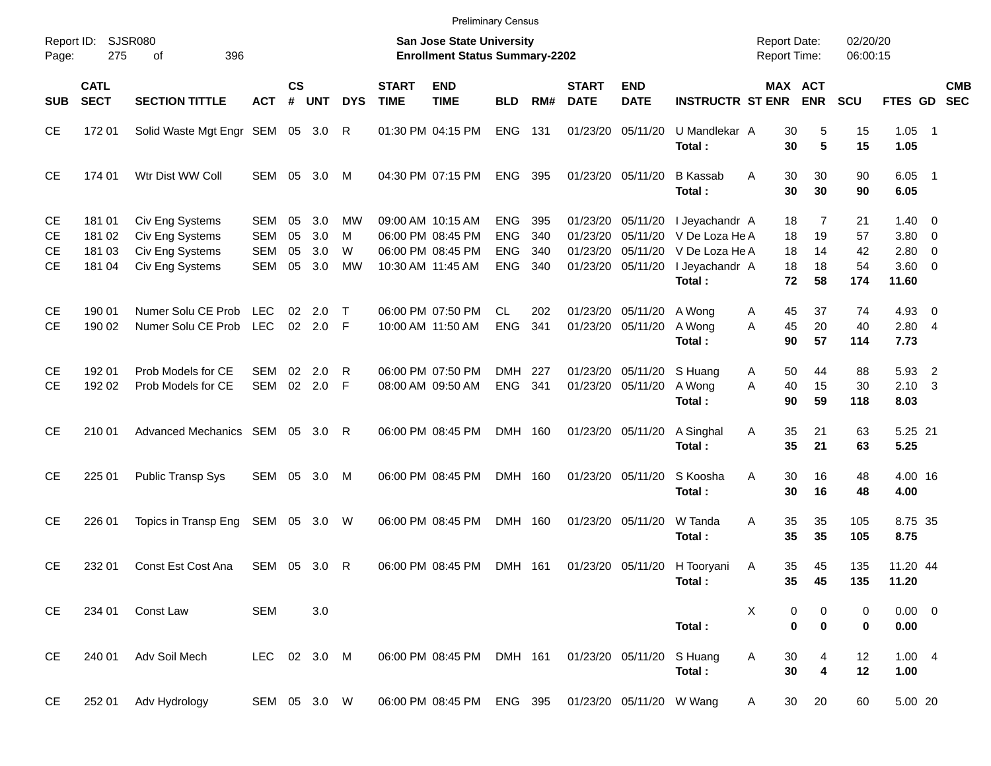|                             |                                      |                                                                          |                                        |                      |                          |                    |                             | <b>Preliminary Census</b>                                                        |                                                      |                          |                                  |                                                       |                                                                                |                                            |                                        |                             |                                                        |                            |            |
|-----------------------------|--------------------------------------|--------------------------------------------------------------------------|----------------------------------------|----------------------|--------------------------|--------------------|-----------------------------|----------------------------------------------------------------------------------|------------------------------------------------------|--------------------------|----------------------------------|-------------------------------------------------------|--------------------------------------------------------------------------------|--------------------------------------------|----------------------------------------|-----------------------------|--------------------------------------------------------|----------------------------|------------|
| Report ID:<br>Page:         | 275                                  | SJSR080<br>396<br>οf                                                     |                                        |                      |                          |                    |                             | <b>San Jose State University</b><br><b>Enrollment Status Summary-2202</b>        |                                                      |                          |                                  |                                                       |                                                                                | <b>Report Date:</b><br><b>Report Time:</b> |                                        | 02/20/20<br>06:00:15        |                                                        |                            |            |
| <b>SUB</b>                  | <b>CATL</b><br><b>SECT</b>           | <b>SECTION TITTLE</b>                                                    | АСТ                                    | <b>CS</b><br>#       | <b>UNT</b>               | <b>DYS</b>         | <b>START</b><br><b>TIME</b> | <b>END</b><br><b>TIME</b>                                                        | <b>BLD</b>                                           | RM#                      | <b>START</b><br><b>DATE</b>      | <b>END</b><br><b>DATE</b>                             | <b>INSTRUCTR ST ENR</b>                                                        |                                            | <b>MAX ACT</b><br><b>ENR</b>           | <b>SCU</b>                  | FTES GD SEC                                            |                            | <b>CMB</b> |
| <b>CE</b>                   | 17201                                | Solid Waste Mgt Engr SEM 05 3.0                                          |                                        |                      |                          | R                  |                             | 01:30 PM 04:15 PM                                                                | <b>ENG</b>                                           | 131                      |                                  | 01/23/20 05/11/20                                     | U Mandlekar A<br>Total:                                                        | 30<br>30                                   | 5<br>$5\phantom{.0}$                   | 15<br>15                    | $1.05$ 1<br>1.05                                       |                            |            |
| <b>CE</b>                   | 174 01                               | Wtr Dist WW Coll                                                         | SEM                                    | 05                   | 3.0                      | M                  |                             | 04:30 PM 07:15 PM                                                                | <b>ENG</b>                                           | 395                      |                                  | 01/23/20 05/11/20                                     | <b>B</b> Kassab<br>Total:                                                      | 30<br>A<br>30                              | 30<br>30                               | 90<br>90                    | $6.05$ 1<br>6.05                                       |                            |            |
| <b>CE</b><br>СE<br>СE<br>СE | 181 01<br>181 02<br>181 03<br>181 04 | Civ Eng Systems<br>Civ Eng Systems<br>Civ Eng Systems<br>Civ Eng Systems | SEM<br><b>SEM</b><br><b>SEM</b><br>SEM | 05<br>05<br>05<br>05 | 3.0<br>3.0<br>3.0<br>3.0 | МW<br>м<br>W<br>MW |                             | 09:00 AM 10:15 AM<br>06:00 PM 08:45 PM<br>06:00 PM 08:45 PM<br>10:30 AM 11:45 AM | <b>ENG</b><br><b>ENG</b><br><b>ENG</b><br><b>ENG</b> | 395<br>340<br>340<br>340 | 01/23/20<br>01/23/20<br>01/23/20 | 05/11/20<br>05/11/20<br>05/11/20<br>01/23/20 05/11/20 | I Jeyachandr A<br>V De Loza He A<br>V De Loza He A<br>I Jeyachandr A<br>Total: | 18<br>18<br>18<br>18<br>72                 | $\overline{7}$<br>19<br>14<br>18<br>58 | 21<br>57<br>42<br>54<br>174 | $1.40 \ 0$<br>3.80 0<br>$2.80 \t 0$<br>3.60 0<br>11.60 |                            |            |
| СE<br><b>CE</b>             | 190 01<br>190 02                     | Numer Solu CE Prob<br>Numer Solu CE Prob LEC                             | <b>LEC</b>                             | 02                   | - 2.0<br>02 2.0 F        | $\top$             |                             | 06:00 PM 07:50 PM<br>10:00 AM 11:50 AM                                           | <b>CL</b><br><b>ENG</b>                              | 202<br>341               | 01/23/20<br>01/23/20             | 05/11/20<br>05/11/20                                  | A Wong<br>A Wong<br>Total:                                                     | 45<br>A<br>45<br>A<br>90                   | 37<br>20<br>57                         | 74<br>40<br>114             | $4.93$ 0<br>2.804<br>7.73                              |                            |            |
| СE<br><b>CE</b>             | 192 01<br>192 02                     | Prob Models for CE<br>Prob Models for CE                                 | <b>SEM</b><br>SEM                      | 02                   | 2.0<br>02 2.0            | R<br>- F           |                             | 06:00 PM 07:50 PM<br>08:00 AM 09:50 AM                                           | DMH<br><b>ENG</b>                                    | 227<br>341               | 01/23/20                         | 05/11/20<br>01/23/20 05/11/20                         | S Huang<br>A Wong<br>Total:                                                    | 50<br>A<br>A<br>40<br>90                   | 44<br>15<br>59                         | 88<br>30<br>118             | 5.93<br>$2.10 \quad 3$<br>8.03                         | $\overline{\phantom{0}}^2$ |            |
| <b>CE</b>                   | 210 01                               | Advanced Mechanics SEM 05 3.0                                            |                                        |                      |                          | R                  |                             | 06:00 PM 08:45 PM                                                                | DMH 160                                              |                          |                                  | 01/23/20 05/11/20                                     | A Singhal<br>Total:                                                            | 35<br>Α<br>35                              | 21<br>21                               | 63<br>63                    | 5.25 21<br>5.25                                        |                            |            |
| <b>CE</b>                   | 225 01                               | Public Transp Sys                                                        |                                        |                      | SEM 05 3.0               | M                  |                             | 06:00 PM 08:45 PM                                                                | DMH 160                                              |                          |                                  | 01/23/20 05/11/20                                     | S Koosha<br>Total:                                                             | 30<br>A<br>30                              | 16<br>16                               | 48<br>48                    | 4.00 16<br>4.00                                        |                            |            |
| <b>CE</b>                   | 226 01                               | Topics in Transp Eng                                                     | SEM 05 3.0                             |                      |                          | W                  |                             | 06:00 PM 08:45 PM                                                                | DMH 160                                              |                          |                                  | 01/23/20 05/11/20                                     | W Tanda<br>Total:                                                              | 35<br>Α<br>35                              | 35<br>35                               | 105<br>105                  | 8.75 35<br>8.75                                        |                            |            |
| <b>CE</b>                   | 232 01                               | Const Est Cost Ana                                                       | SEM 05 3.0                             |                      |                          | R                  |                             | 06:00 PM 08:45 PM                                                                | DMH 161                                              |                          |                                  |                                                       | 01/23/20 05/11/20 H Tooryani<br>Total:                                         | 35<br>A<br>35                              | 45<br>45                               | 135<br>135                  | 11.20 44<br>11.20                                      |                            |            |
| CE                          | 234 01                               | Const Law                                                                | <b>SEM</b>                             |                      | 3.0                      |                    |                             |                                                                                  |                                                      |                          |                                  |                                                       | Total:                                                                         | х<br>$\bf{0}$                              | 0<br>0<br>$\bf{0}$                     | 0<br>0                      | $0.00 \t 0$<br>0.00                                    |                            |            |
| CE                          | 240 01                               | Adv Soil Mech                                                            | LEC 02 3.0 M                           |                      |                          |                    |                             | 06:00 PM 08:45 PM DMH 161                                                        |                                                      |                          |                                  | 01/23/20 05/11/20                                     | S Huang<br>Total:                                                              | Α<br>30<br>30                              | 4<br>4                                 | 12<br>12                    | 1.004<br>1.00                                          |                            |            |
| <b>CE</b>                   |                                      | 252 01 Adv Hydrology                                                     | SEM 05 3.0 W                           |                      |                          |                    |                             | 06:00 PM 08:45 PM ENG 395                                                        |                                                      |                          |                                  | 01/23/20 05/11/20 W Wang                              |                                                                                | 30<br>A                                    | 20                                     | 60                          | 5.00 20                                                |                            |            |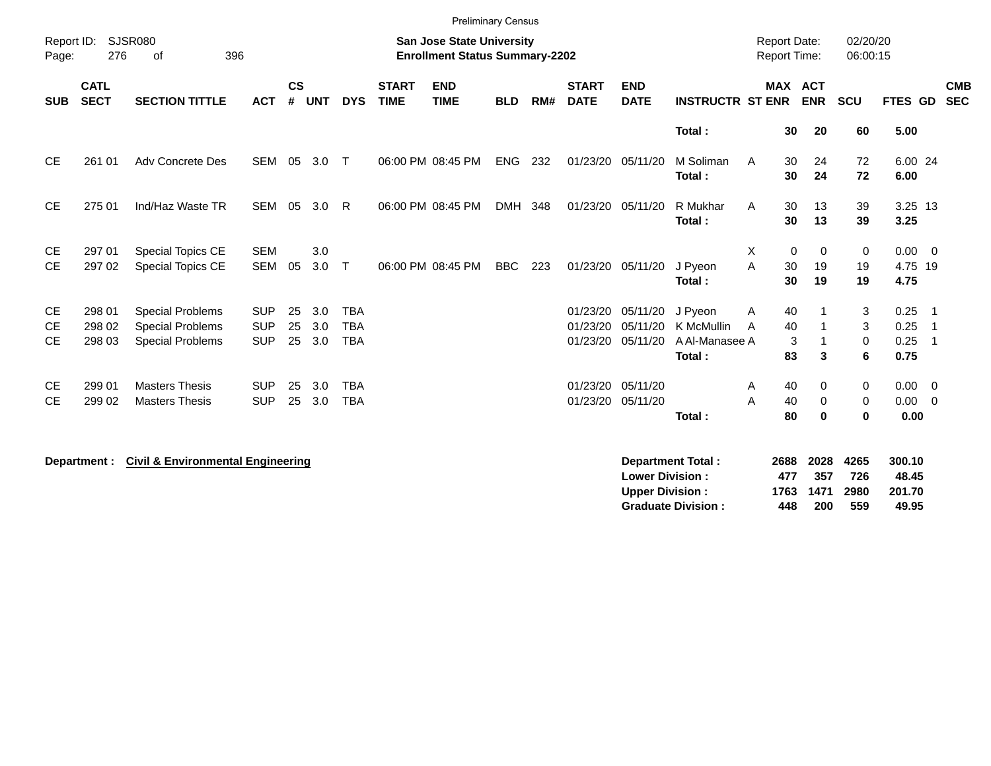|                                     |                            |                                                                               |                                        |                    |                   |                                        |                             | <b>Preliminary Census</b>                                                 |            |     |                                  |                                  |                                                   |                                     |                              |                              |                              |                                         |
|-------------------------------------|----------------------------|-------------------------------------------------------------------------------|----------------------------------------|--------------------|-------------------|----------------------------------------|-----------------------------|---------------------------------------------------------------------------|------------|-----|----------------------------------|----------------------------------|---------------------------------------------------|-------------------------------------|------------------------------|------------------------------|------------------------------|-----------------------------------------|
| Report ID:<br>Page:                 | 276                        | <b>SJSR080</b><br>396<br>οf                                                   |                                        |                    |                   |                                        |                             | <b>San Jose State University</b><br><b>Enrollment Status Summary-2202</b> |            |     |                                  |                                  |                                                   | <b>Report Date:</b><br>Report Time: |                              | 02/20/20<br>06:00:15         |                              |                                         |
| <b>SUB</b>                          | <b>CATL</b><br><b>SECT</b> | <b>SECTION TITTLE</b>                                                         | <b>ACT</b>                             | $\mathsf{cs}$<br># | <b>UNT</b>        | <b>DYS</b>                             | <b>START</b><br><b>TIME</b> | <b>END</b><br><b>TIME</b>                                                 | <b>BLD</b> | RM# | <b>START</b><br><b>DATE</b>      | <b>END</b><br><b>DATE</b>        | <b>INSTRUCTR ST ENR</b>                           | <b>MAX ACT</b>                      | <b>ENR</b>                   | SCU                          | FTES GD                      | <b>CMB</b><br><b>SEC</b>                |
|                                     |                            |                                                                               |                                        |                    |                   |                                        |                             |                                                                           |            |     |                                  |                                  | Total:                                            | 30                                  | 20                           | 60                           | 5.00                         |                                         |
| <b>CE</b>                           | 261 01                     | Adv Concrete Des                                                              | SEM                                    | 05                 | 3.0               | $\top$                                 |                             | 06:00 PM 08:45 PM                                                         | <b>ENG</b> | 232 | 01/23/20 05/11/20                |                                  | M Soliman<br>Total:                               | 30<br>A<br>30                       | 24<br>24                     | 72<br>72                     | 6.00 24<br>6.00              |                                         |
| <b>CE</b>                           | 275 01                     | Ind/Haz Waste TR                                                              | <b>SEM</b>                             | 05                 | 3.0               | R                                      |                             | 06:00 PM 08:45 PM                                                         | <b>DMH</b> | 348 | 01/23/20 05/11/20                |                                  | R Mukhar<br>Total:                                | A<br>30<br>30                       | 13<br>13                     | 39<br>39                     | 3.25 13<br>3.25              |                                         |
| <b>CE</b><br><b>CE</b>              | 297 01<br>297 02           | <b>Special Topics CE</b><br>Special Topics CE                                 | <b>SEM</b><br><b>SEM</b>               | 05                 | 3.0<br>3.0        | $\mathsf{T}$                           |                             | 06:00 PM 08:45 PM                                                         | <b>BBC</b> | 223 | 01/23/20                         | 05/11/20                         | J Pyeon<br>Total:                                 | Χ<br>0<br>A<br>30<br>30             | $\mathbf 0$<br>19<br>19      | 0<br>19<br>19                | 0.00<br>4.75 19<br>4.75      | $\overline{\mathbf{0}}$                 |
| <b>CE</b><br><b>CE</b><br><b>CE</b> | 298 01<br>298 02<br>298 03 | <b>Special Problems</b><br><b>Special Problems</b><br><b>Special Problems</b> | <b>SUP</b><br><b>SUP</b><br><b>SUP</b> | 25<br>25<br>25     | 3.0<br>3.0<br>3.0 | <b>TBA</b><br><b>TBA</b><br><b>TBA</b> |                             |                                                                           |            |     | 01/23/20<br>01/23/20<br>01/23/20 | 05/11/20<br>05/11/20<br>05/11/20 | J Pyeon<br>K McMullin<br>A Al-Manasee A<br>Total: | 40<br>Α<br>40<br>A<br>3<br>83       | 3                            | 3<br>3<br>0<br>6             | 0.25<br>0.25<br>0.25<br>0.75 | - 1<br>$\overline{1}$<br>$\overline{1}$ |
| <b>CE</b><br><b>CE</b>              | 299 01<br>299 02           | <b>Masters Thesis</b><br><b>Masters Thesis</b>                                | <b>SUP</b><br><b>SUP</b>               | 25<br>25           | 3.0<br>3.0        | <b>TBA</b><br><b>TBA</b>               |                             |                                                                           |            |     | 01/23/20<br>01/23/20             | 05/11/20<br>05/11/20             | Total:                                            | 40<br>A<br>A<br>40<br>80            | 0<br>$\mathbf 0$<br>$\bf{0}$ | 0<br>$\mathbf 0$<br>$\bf{0}$ | $0.00 \t 0$<br>0.00<br>0.00  | $\overline{0}$                          |
|                                     | Department :               | <b>Civil &amp; Environmental Engineering</b>                                  |                                        |                    |                   |                                        |                             |                                                                           |            |     |                                  | <b>Lower Division:</b>           | <b>Department Total:</b>                          | 2688<br>477                         | 2028<br>357                  | 4265<br>726                  | 300.10<br>48.45              |                                         |

**Upper Division : 1763 1471 2980 201.70 Graduate Division : 448 200 559 49.95**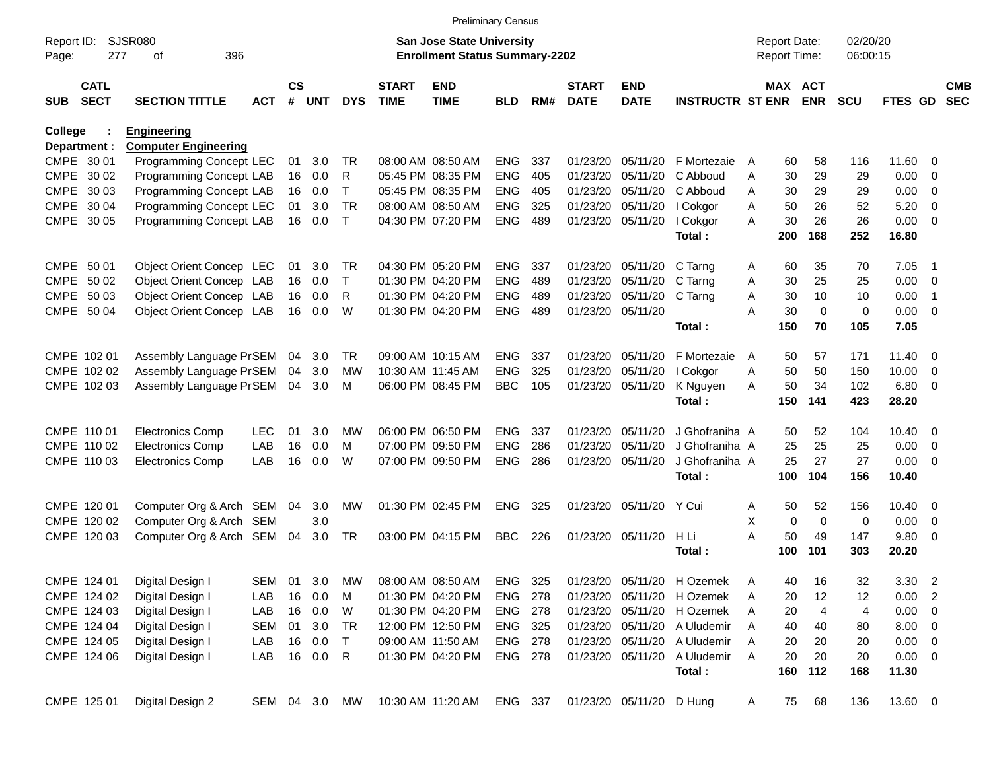|                     |                            |                             |            |                    |            |              |                             | <b>Preliminary Census</b>                                                 |                |     |                             |                           |                            |   |                                     |                |                      |             |                          |                          |
|---------------------|----------------------------|-----------------------------|------------|--------------------|------------|--------------|-----------------------------|---------------------------------------------------------------------------|----------------|-----|-----------------------------|---------------------------|----------------------------|---|-------------------------------------|----------------|----------------------|-------------|--------------------------|--------------------------|
| Report ID:<br>Page: | 277                        | <b>SJSR080</b><br>396<br>οf |            |                    |            |              |                             | <b>San Jose State University</b><br><b>Enrollment Status Summary-2202</b> |                |     |                             |                           |                            |   | <b>Report Date:</b><br>Report Time: |                | 02/20/20<br>06:00:15 |             |                          |                          |
| <b>SUB</b>          | <b>CATL</b><br><b>SECT</b> | <b>SECTION TITTLE</b>       | <b>ACT</b> | $\mathsf{cs}$<br># | <b>UNT</b> | <b>DYS</b>   | <b>START</b><br><b>TIME</b> | <b>END</b><br><b>TIME</b>                                                 | <b>BLD</b>     | RM# | <b>START</b><br><b>DATE</b> | <b>END</b><br><b>DATE</b> | <b>INSTRUCTR ST ENR</b>    |   | <b>MAX ACT</b>                      | <b>ENR</b>     | <b>SCU</b>           | FTES GD     |                          | <b>CMB</b><br><b>SEC</b> |
| <b>College</b>      |                            | <b>Engineering</b>          |            |                    |            |              |                             |                                                                           |                |     |                             |                           |                            |   |                                     |                |                      |             |                          |                          |
|                     | Department :               | <b>Computer Engineering</b> |            |                    |            |              |                             |                                                                           |                |     |                             |                           |                            |   |                                     |                |                      |             |                          |                          |
| CMPE 30 01          |                            | Programming Concept LEC     |            | 01                 | 3.0        | <b>TR</b>    |                             | 08:00 AM 08:50 AM                                                         | <b>ENG</b>     | 337 | 01/23/20                    | 05/11/20                  | F Mortezaie                | A | 60                                  | 58             | 116                  | 11.60       | $\overline{\mathbf{0}}$  |                          |
| CMPE 30 02          |                            | Programming Concept LAB     |            | 16                 | 0.0        | R            |                             | 05:45 PM 08:35 PM                                                         | <b>ENG</b>     | 405 | 01/23/20                    | 05/11/20                  | C Abboud                   | A | 30                                  | 29             | 29                   | 0.00        | $\overline{0}$           |                          |
| CMPE 30 03          |                            | Programming Concept LAB     |            | 16                 | 0.0        | Т            |                             | 05:45 PM 08:35 PM                                                         | <b>ENG</b>     | 405 | 01/23/20                    | 05/11/20                  | C Abboud                   | A | 30                                  | 29             | 29                   | 0.00        | $\overline{0}$           |                          |
| CMPE 30 04          |                            | Programming Concept LEC     |            | 01                 | 3.0        | <b>TR</b>    |                             | 08:00 AM 08:50 AM                                                         | ENG            | 325 | 01/23/20                    | 05/11/20                  | I Cokgor                   | A | 50                                  | 26             | 52                   | 5.20        | $\overline{0}$           |                          |
| CMPE 30 05          |                            | Programming Concept LAB     |            | 16                 | 0.0        | $\mathsf{T}$ |                             | 04:30 PM 07:20 PM                                                         | <b>ENG</b>     | 489 | 01/23/20                    | 05/11/20                  | I Cokgor                   | A | 30                                  | 26             | 26                   | 0.00        | $\overline{0}$           |                          |
|                     |                            |                             |            |                    |            |              |                             |                                                                           |                |     |                             |                           | Total:                     |   | 200                                 | 168            | 252                  | 16.80       |                          |                          |
| CMPE 50 01          |                            | Object Orient Concep LEC    |            | 01                 | 3.0        | TR.          |                             | 04:30 PM 05:20 PM                                                         | <b>ENG</b>     | 337 | 01/23/20                    | 05/11/20                  | C Tarng                    | A | 60                                  | 35             | 70                   | 7.05        | -1                       |                          |
| CMPE 50 02          |                            | Object Orient Concep LAB    |            | 16                 | 0.0        | T            |                             | 01:30 PM 04:20 PM                                                         | <b>ENG</b>     | 489 | 01/23/20                    | 05/11/20                  | C Tarng                    | A | 30                                  | 25             | 25                   | 0.00        | $\overline{\mathbf{0}}$  |                          |
| CMPE 50 03          |                            | Object Orient Concep LAB    |            | 16                 | 0.0        | R            |                             | 01:30 PM 04:20 PM                                                         | ENG            | 489 | 01/23/20                    | 05/11/20                  | C Tarng                    | A | 30                                  | 10             | 10                   | 0.00        | $\overline{\mathbf{1}}$  |                          |
|                     | CMPE 50 04                 | Object Orient Concep LAB    |            | 16                 | 0.0        | W            |                             | 01:30 PM 04:20 PM                                                         | <b>ENG</b>     | 489 | 01/23/20                    | 05/11/20                  |                            | A | 30                                  | $\overline{0}$ | 0                    | 0.00        | $\overline{\mathbf{0}}$  |                          |
|                     |                            |                             |            |                    |            |              |                             |                                                                           |                |     |                             |                           | Total:                     |   | 150                                 | 70             | 105                  | 7.05        |                          |                          |
|                     | CMPE 102 01                | Assembly Language PrSEM     |            | 04                 | 3.0        | TR.          |                             | 09:00 AM 10:15 AM                                                         | <b>ENG</b>     | 337 | 01/23/20                    | 05/11/20                  | F Mortezaie                | A | 50                                  | 57             | 171                  | 11.40       | - 0                      |                          |
|                     | CMPE 102 02                | Assembly Language PrSEM     |            | 04                 | 3.0        | МW           | 10:30 AM 11:45 AM           |                                                                           | <b>ENG</b>     | 325 | 01/23/20                    | 05/11/20                  | I Cokgor                   | A | 50                                  | 50             | 150                  | 10.00       | $\overline{\mathbf{0}}$  |                          |
|                     | CMPE 102 03                | Assembly Language PrSEM     |            | 04                 | 3.0        | M            |                             | 06:00 PM 08:45 PM                                                         | <b>BBC</b>     | 105 | 01/23/20                    | 05/11/20                  | K Nguyen                   | A | 50                                  | 34             | 102                  | 6.80        | - 0                      |                          |
|                     |                            |                             |            |                    |            |              |                             |                                                                           |                |     |                             |                           | Total:                     |   | 150                                 | 141            | 423                  | 28.20       |                          |                          |
|                     |                            |                             |            |                    |            |              |                             |                                                                           |                |     |                             |                           |                            |   |                                     |                |                      |             |                          |                          |
|                     | CMPE 110 01                | <b>Electronics Comp</b>     | <b>LEC</b> | 01                 | 3.0        | <b>MW</b>    |                             | 06:00 PM 06:50 PM                                                         | <b>ENG</b>     | 337 | 01/23/20                    | 05/11/20                  | J Ghofraniha A             |   | 50                                  | 52             | 104                  | 10.40       | $\overline{\mathbf{0}}$  |                          |
|                     | CMPE 110 02                | <b>Electronics Comp</b>     | LAB        | 16                 | 0.0        | M            |                             | 07:00 PM 09:50 PM                                                         | <b>ENG</b>     | 286 | 01/23/20                    | 05/11/20                  | J Ghofraniha A             |   | 25                                  | 25             | 25                   | 0.00        | 0                        |                          |
|                     | CMPE 110 03                | <b>Electronics Comp</b>     | LAB        | 16                 | 0.0        | W            |                             | 07:00 PM 09:50 PM                                                         | ENG            | 286 | 01/23/20                    | 05/11/20                  | J Ghofraniha A             |   | 25                                  | 27             | 27                   | 0.00        | - 0                      |                          |
|                     |                            |                             |            |                    |            |              |                             |                                                                           |                |     |                             |                           | Total:                     |   | 100                                 | 104            | 156                  | 10.40       |                          |                          |
|                     | CMPE 120 01                | Computer Org & Arch SEM     |            | 04                 | 3.0        | <b>MW</b>    |                             | 01:30 PM 02:45 PM                                                         | <b>ENG</b>     | 325 | 01/23/20                    | 05/11/20                  | Y Cui                      | Α | 50                                  | 52             | 156                  | 10.40       | $\overline{\mathbf{0}}$  |                          |
|                     | CMPE 120 02                | Computer Org & Arch SEM     |            |                    | 3.0        |              |                             |                                                                           |                |     |                             |                           |                            | X | $\mathbf 0$                         | $\overline{0}$ | 0                    | 0.00        | $\overline{\mathbf{0}}$  |                          |
|                     | CMPE 120 03                | Computer Org & Arch SEM     |            | 04                 | 3.0        | TR           |                             | 03:00 PM 04:15 PM                                                         | <b>BBC</b>     | 226 | 01/23/20                    | 05/11/20                  | H Li                       | A | 50                                  | 49             | 147                  | 9.80        | $\overline{\mathbf{0}}$  |                          |
|                     |                            |                             |            |                    |            |              |                             |                                                                           |                |     |                             |                           | Total:                     |   | 100                                 | 101            | 303                  | 20.20       |                          |                          |
|                     | CMPE 124 01                | Digital Design I            | SEM        | 01                 | 3.0        | MW           |                             | 08:00 AM 08:50 AM                                                         | ENG            | 325 |                             |                           | 01/23/20 05/11/20 H Ozemek | A | 40                                  | 16             | 32                   | 3.30        | $\overline{2}$           |                          |
|                     | CMPE 124 02                | Digital Design I            | LAB        | 16                 | 0.0        | M            |                             | 01:30 PM 04:20 PM                                                         | ENG 278        |     |                             | 01/23/20 05/11/20         | H Ozemek                   | A | 20                                  | 12             | 12                   | 0.00        | $\overline{c}$           |                          |
|                     | CMPE 124 03                | Digital Design I            | LAB        |                    | 16 0.0     | W            |                             | 01:30 PM 04:20 PM                                                         | <b>ENG 278</b> |     |                             | 01/23/20 05/11/20         | H Ozemek                   | A | 20                                  | 4              | $\overline{4}$       | 0.00        | $\overline{\phantom{0}}$ |                          |
|                     | CMPE 124 04                | Digital Design I            | <b>SEM</b> | 01                 | 3.0        | TR           |                             | 12:00 PM 12:50 PM                                                         | ENG 325        |     |                             | 01/23/20 05/11/20         | A Uludemir                 | A | 40                                  | 40             | 80                   | $8.00 \t 0$ |                          |                          |
|                     | CMPE 124 05                | Digital Design I            | LAB        | 16                 | 0.0        | T            |                             | 09:00 AM 11:50 AM                                                         | ENG 278        |     |                             | 01/23/20 05/11/20         | A Uludemir                 | A | 20                                  | 20             | 20                   | $0.00 \t 0$ |                          |                          |
|                     | CMPE 124 06                | Digital Design I            | LAB        |                    | 16 0.0     | R            |                             | 01:30 PM 04:20 PM                                                         | ENG 278        |     |                             | 01/23/20 05/11/20         | A Uludemir                 | A | 20                                  | 20             | 20                   | $0.00 \t 0$ |                          |                          |
|                     |                            |                             |            |                    |            |              |                             |                                                                           |                |     |                             |                           | Total:                     |   | 160                                 | 112            | 168                  | 11.30       |                          |                          |
|                     |                            |                             |            |                    |            |              |                             |                                                                           |                |     |                             |                           |                            |   |                                     |                |                      |             |                          |                          |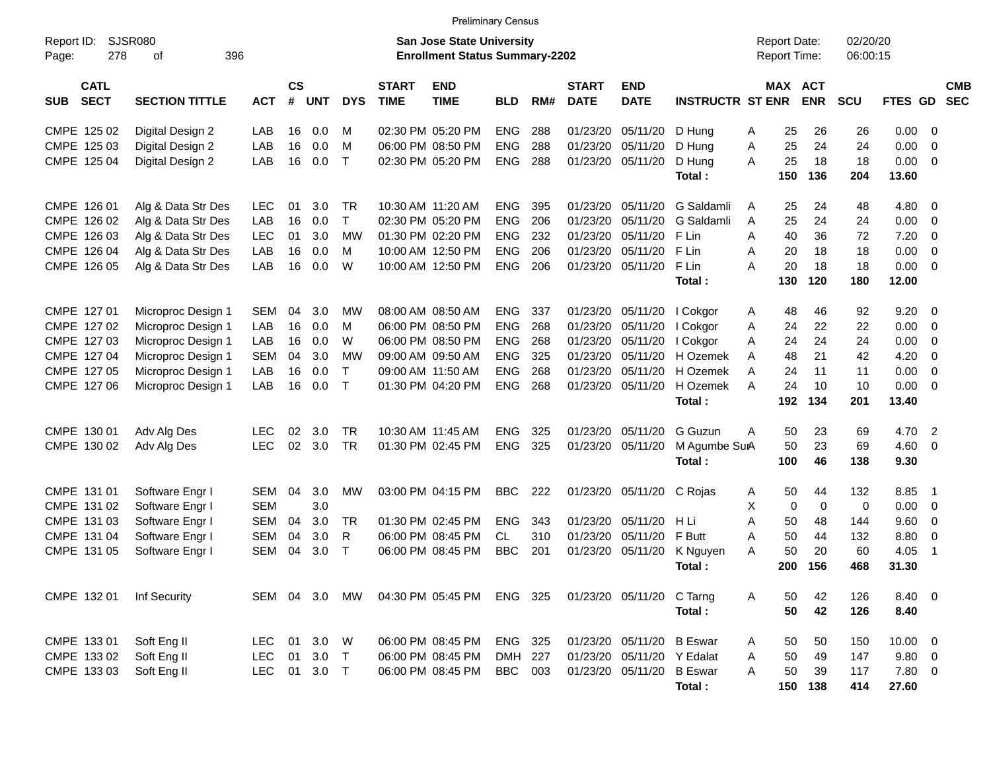|                                          |                             |            |                    |            |               |                             |                                                                           | <b>Preliminary Census</b> |     |                             |                            |                         |                                            |             |                       |                      |              |                          |                          |
|------------------------------------------|-----------------------------|------------|--------------------|------------|---------------|-----------------------------|---------------------------------------------------------------------------|---------------------------|-----|-----------------------------|----------------------------|-------------------------|--------------------------------------------|-------------|-----------------------|----------------------|--------------|--------------------------|--------------------------|
| Report ID:<br>278<br>Page:               | <b>SJSR080</b><br>396<br>οf |            |                    |            |               |                             | <b>San Jose State University</b><br><b>Enrollment Status Summary-2202</b> |                           |     |                             |                            |                         | <b>Report Date:</b><br><b>Report Time:</b> |             |                       | 02/20/20<br>06:00:15 |              |                          |                          |
| <b>CATL</b><br><b>SECT</b><br><b>SUB</b> | <b>SECTION TITTLE</b>       | <b>ACT</b> | $\mathsf{cs}$<br># | <b>UNT</b> | <b>DYS</b>    | <b>START</b><br><b>TIME</b> | <b>END</b><br><b>TIME</b>                                                 | <b>BLD</b>                | RM# | <b>START</b><br><b>DATE</b> | <b>END</b><br><b>DATE</b>  | <b>INSTRUCTR ST ENR</b> |                                            |             | MAX ACT<br><b>ENR</b> | <b>SCU</b>           | FTES GD      |                          | <b>CMB</b><br><b>SEC</b> |
| CMPE 125 02                              | Digital Design 2            | LAB        | 16                 | 0.0        | м             |                             | 02:30 PM 05:20 PM                                                         | <b>ENG</b>                | 288 | 01/23/20                    | 05/11/20                   | D Hung                  | Α                                          | 25          | 26                    | 26                   | $0.00 \t 0$  |                          |                          |
| CMPE 125 03                              | Digital Design 2            | LAB        | 16                 | 0.0        | M             |                             | 06:00 PM 08:50 PM                                                         | <b>ENG</b>                | 288 | 01/23/20                    | 05/11/20                   | D Hung                  | Α                                          | 25          | 24                    | 24                   | 0.00         | $\overline{0}$           |                          |
| CMPE 125 04                              | Digital Design 2            | LAB        | 16                 | 0.0        | $\top$        |                             | 02:30 PM 05:20 PM                                                         | <b>ENG</b>                | 288 | 01/23/20                    | 05/11/20                   | D Hung                  | A                                          | 25          | 18                    | 18                   | $0.00 \t 0$  |                          |                          |
|                                          |                             |            |                    |            |               |                             |                                                                           |                           |     |                             |                            | Total:                  |                                            | 150         | 136                   | 204                  | 13.60        |                          |                          |
| CMPE 126 01                              | Alg & Data Str Des          | <b>LEC</b> | 01                 | 3.0        | -TR           |                             | 10:30 AM 11:20 AM                                                         | <b>ENG</b>                | 395 | 01/23/20                    | 05/11/20                   | G Saldamli              | Α                                          | 25          | 24                    | 48                   | $4.80\ 0$    |                          |                          |
| CMPE 126 02                              | Alg & Data Str Des          | LAB        | 16                 | 0.0        | $\mathsf{T}$  |                             | 02:30 PM 05:20 PM                                                         | <b>ENG</b>                | 206 | 01/23/20                    | 05/11/20                   | G Saldamli              | A                                          | 25          | 24                    | 24                   | 0.00         | $\overline{\phantom{0}}$ |                          |
| CMPE 126 03                              | Alg & Data Str Des          | <b>LEC</b> | 01                 | 3.0        | МW            |                             | 01:30 PM 02:20 PM                                                         | <b>ENG</b>                | 232 | 01/23/20                    | 05/11/20                   | F Lin                   | A                                          | 40          | 36                    | 72                   | 7.20         | - 0                      |                          |
| CMPE 126 04                              | Alg & Data Str Des          | LAB        | 16                 | 0.0        | м             |                             | 10:00 AM 12:50 PM                                                         | <b>ENG</b>                | 206 | 01/23/20                    | 05/11/20                   | F Lin                   | A                                          | 20          | 18                    | 18                   | 0.00         | $\overline{0}$           |                          |
| CMPE 126 05                              | Alg & Data Str Des          | LAB        | 16                 | 0.0        | W             |                             | 10:00 AM 12:50 PM                                                         | <b>ENG</b>                | 206 | 01/23/20                    | 05/11/20                   | F Lin                   | A                                          | 20          | 18                    | 18                   | $0.00 \t 0$  |                          |                          |
|                                          |                             |            |                    |            |               |                             |                                                                           |                           |     |                             |                            | Total:                  |                                            | 130         | 120                   | 180                  | 12.00        |                          |                          |
| CMPE 127 01                              | Microproc Design 1          | <b>SEM</b> | 04                 | 3.0        | МW            |                             | 08:00 AM 08:50 AM                                                         | <b>ENG</b>                | 337 | 01/23/20                    | 05/11/20                   | I Cokgor                | A                                          | 48          | 46                    | 92                   | $9.20 \ 0$   |                          |                          |
| CMPE 127 02                              | Microproc Design 1          | LAB        | 16                 | 0.0        | м             |                             | 06:00 PM 08:50 PM                                                         | <b>ENG</b>                | 268 | 01/23/20                    | 05/11/20                   | I Cokgor                | Α                                          | 24          | 22                    | 22                   | 0.00         | $\overline{\phantom{0}}$ |                          |
| CMPE 127 03                              | Microproc Design 1          | LAB        | 16                 | 0.0        | W             |                             | 06:00 PM 08:50 PM                                                         | <b>ENG</b>                | 268 | 01/23/20                    | 05/11/20                   | I Cokaor                | A                                          | 24          | 24                    | 24                   | 0.00         | $\overline{\phantom{0}}$ |                          |
| CMPE 127 04                              | Microproc Design 1          | <b>SEM</b> | 04                 | 3.0        | <b>MW</b>     |                             | 09:00 AM 09:50 AM                                                         | <b>ENG</b>                | 325 | 01/23/20                    | 05/11/20                   | H Ozemek                | A                                          | 48          | 21                    | 42                   | 4.20         | - 0                      |                          |
| CMPE 127 05                              | Microproc Design 1          | LAB        | 16                 | 0.0        | $\top$        |                             | 09:00 AM 11:50 AM                                                         | <b>ENG</b>                | 268 | 01/23/20                    | 05/11/20                   | H Ozemek                | A                                          | 24          | 11                    | 11                   | 0.00         | $\overline{\mathbf{0}}$  |                          |
| CMPE 127 06                              | Microproc Design 1          | LAB        | 16                 | 0.0        | $\top$        |                             | 01:30 PM 04:20 PM                                                         | <b>ENG</b>                | 268 | 01/23/20                    | 05/11/20                   | H Ozemek                | A                                          | 24          | 10                    | 10                   | $0.00 \t 0$  |                          |                          |
|                                          |                             |            |                    |            |               |                             |                                                                           |                           |     |                             |                            | Total:                  |                                            | 192         | 134                   | 201                  | 13.40        |                          |                          |
| CMPE 130 01                              | Adv Alg Des                 | <b>LEC</b> | 02                 | 3.0        | <b>TR</b>     |                             | 10:30 AM 11:45 AM                                                         | <b>ENG</b>                | 325 | 01/23/20                    | 05/11/20                   | G Guzun                 | A                                          | 50          | 23                    | 69                   | 4.70 2       |                          |                          |
| CMPE 130 02                              | Adv Alg Des                 | LEC        | 02                 | 3.0        | TR            |                             | 01:30 PM 02:45 PM                                                         | <b>ENG</b>                | 325 | 01/23/20                    | 05/11/20                   | M Agumbe SurA           |                                            | 50          | 23                    | 69                   | $4.60$ 0     |                          |                          |
|                                          |                             |            |                    |            |               |                             |                                                                           |                           |     |                             |                            | Total:                  |                                            | 100         | 46                    | 138                  | 9.30         |                          |                          |
| CMPE 131 01                              | Software Engr I             | SEM        | 04                 | 3.0        | <b>MW</b>     |                             | 03:00 PM 04:15 PM                                                         | <b>BBC</b>                | 222 | 01/23/20                    | 05/11/20                   | C Rojas                 | A                                          | 50          | 44                    | 132                  | 8.85         | $\overline{\phantom{1}}$ |                          |
| CMPE 131 02                              | Software Engr I             | <b>SEM</b> |                    | 3.0        |               |                             |                                                                           |                           |     |                             |                            |                         | Χ                                          | $\mathbf 0$ | $\mathbf 0$           | 0                    | 0.00         | $\overline{\phantom{0}}$ |                          |
| CMPE 131 03                              | Software Engr I             | SEM        | 04                 | 3.0        | TR            |                             | 01:30 PM 02:45 PM                                                         | <b>ENG</b>                | 343 | 01/23/20                    | 05/11/20                   | H Li                    | A                                          | 50          | 48                    | 144                  | 9.60 0       |                          |                          |
| CMPE 131 04                              | Software Engr I             | <b>SEM</b> | 04                 | 3.0        | R             |                             | 06:00 PM 08:45 PM                                                         | <b>CL</b>                 | 310 | 01/23/20                    | 05/11/20                   | F Butt                  | A                                          | 50          | 44                    | 132                  | 8.80         | $\overline{\mathbf{0}}$  |                          |
| CMPE 131 05                              | Software Engr I             | <b>SEM</b> | 04                 | 3.0        | $\top$        |                             | 06:00 PM 08:45 PM                                                         | <b>BBC</b>                | 201 | 01/23/20                    | 05/11/20                   | K Nguyen                | A                                          | 50          | 20                    | 60                   | 4.05         | - 1                      |                          |
|                                          |                             |            |                    |            |               |                             |                                                                           |                           |     |                             |                            | Total:                  |                                            | 200         | 156                   | 468                  | 31.30        |                          |                          |
| CMPE 132 01                              | Inf Security                |            |                    |            | SEM 04 3.0 MW |                             | 04:30 PM 05:45 PM ENG 325                                                 |                           |     |                             | 01/23/20 05/11/20 C Tarng  |                         | A                                          | 50          | 42                    | 126                  | 8.40 0       |                          |                          |
|                                          |                             |            |                    |            |               |                             |                                                                           |                           |     |                             |                            | Total:                  |                                            | 50          | 42                    | 126                  | 8.40         |                          |                          |
| CMPE 133 01                              | Soft Eng II                 | LEC        |                    | 01 3.0 W   |               |                             | 06:00 PM 08:45 PM                                                         | ENG 325                   |     |                             | 01/23/20 05/11/20          | <b>B</b> Eswar          | A                                          | 50          | 50                    | 150                  | $10.00 \t 0$ |                          |                          |
| CMPE 133 02                              | Soft Eng II                 | LEC        |                    | 01 3.0 T   |               |                             | 06:00 PM 08:45 PM                                                         | DMH 227                   |     |                             | 01/23/20 05/11/20 Y Edalat |                         | A                                          | 50          | 49                    | 147                  | $9.80$ 0     |                          |                          |
| CMPE 133 03                              | Soft Eng II                 | <b>LEC</b> |                    | 01 3.0 T   |               |                             | 06:00 PM 08:45 PM                                                         | BBC                       | 003 |                             | 01/23/20 05/11/20          | <b>B</b> Eswar          | A                                          | 50          | 39                    | 117                  | 7.80 0       |                          |                          |
|                                          |                             |            |                    |            |               |                             |                                                                           |                           |     |                             |                            | Total:                  |                                            |             | 150 138               | 414                  | 27.60        |                          |                          |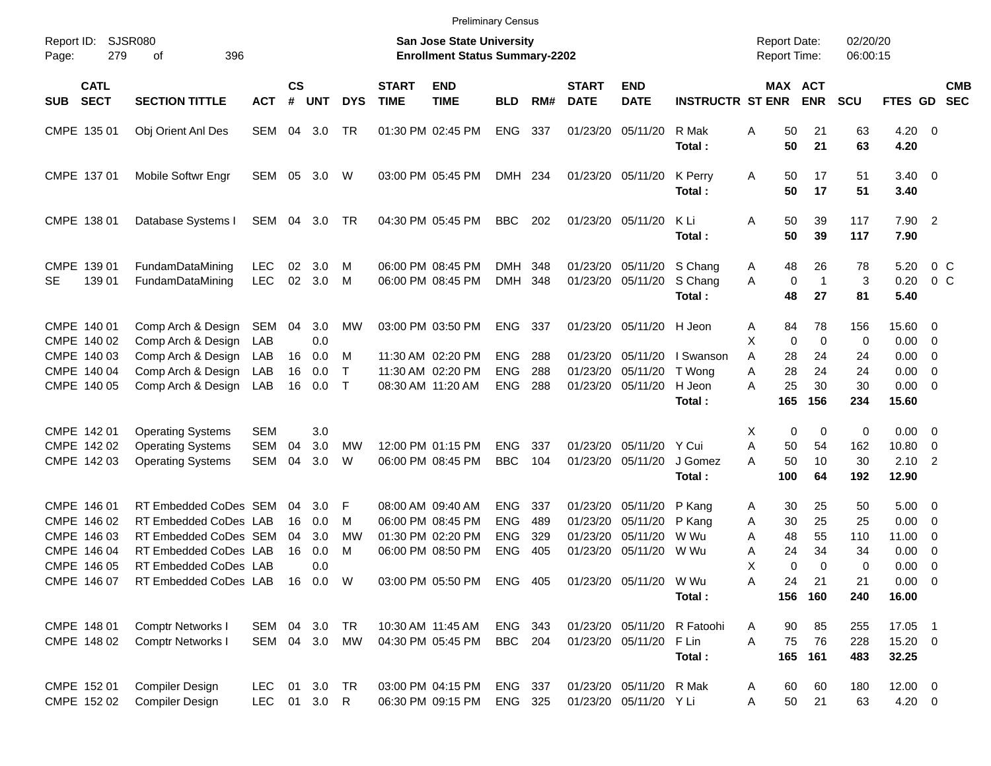|                     |                                           |                                                                         |                          |                    |                       |                             |                             | <b>Preliminary Census</b>                                                 |                           |                   |                                  |                                  |                               |                                        |                                 |                      |                                      |                                                         |                          |
|---------------------|-------------------------------------------|-------------------------------------------------------------------------|--------------------------|--------------------|-----------------------|-----------------------------|-----------------------------|---------------------------------------------------------------------------|---------------------------|-------------------|----------------------------------|----------------------------------|-------------------------------|----------------------------------------|---------------------------------|----------------------|--------------------------------------|---------------------------------------------------------|--------------------------|
| Report ID:<br>Page: | 279                                       | SJSR080<br>396<br>οf                                                    |                          |                    |                       |                             |                             | <b>San Jose State University</b><br><b>Enrollment Status Summary-2202</b> |                           |                   |                                  |                                  |                               | <b>Report Date:</b><br>Report Time:    |                                 | 02/20/20<br>06:00:15 |                                      |                                                         |                          |
| <b>SUB</b>          | <b>CATL</b><br><b>SECT</b>                | <b>SECTION TITTLE</b>                                                   | <b>ACT</b>               | $\mathsf{cs}$<br># | <b>UNT</b>            | <b>DYS</b>                  | <b>START</b><br><b>TIME</b> | <b>END</b><br><b>TIME</b>                                                 | <b>BLD</b>                | RM#               | <b>START</b><br><b>DATE</b>      | <b>END</b><br><b>DATE</b>        | <b>INSTRUCTR ST ENR</b>       | MAX ACT                                | <b>ENR</b>                      | <b>SCU</b>           | FTES GD                              |                                                         | <b>CMB</b><br><b>SEC</b> |
|                     | CMPE 135 01                               | Obj Orient Anl Des                                                      | SEM                      | 04                 | 3.0                   | TR                          |                             | 01:30 PM 02:45 PM                                                         | ENG                       | 337               | 01/23/20                         | 05/11/20                         | R Mak<br>Total:               | Α<br>50<br>50                          | 21<br>21                        | 63<br>63             | 4.20<br>4.20                         | $\overline{\phantom{0}}$                                |                          |
|                     | CMPE 137 01                               | Mobile Softwr Engr                                                      | SEM 05                   |                    | 3.0                   | W                           |                             | 03:00 PM 05:45 PM                                                         | DMH 234                   |                   | 01/23/20                         | 05/11/20                         | K Perry<br>Total:             | Α<br>50<br>50                          | 17<br>17                        | 51<br>51             | $3.40 \ 0$<br>3.40                   |                                                         |                          |
|                     | CMPE 138 01                               | Database Systems I                                                      | SEM 04                   |                    | 3.0                   | TR                          |                             | 04:30 PM 05:45 PM                                                         | BBC                       | 202               | 01/23/20                         | 05/11/20                         | K Li<br>Total:                | Α<br>50<br>50                          | 39<br>39                        | 117<br>117           | 7.90 2<br>7.90                       |                                                         |                          |
| SE                  | CMPE 139 01<br>139 01                     | FundamDataMining<br>FundamDataMining                                    | <b>LEC</b><br><b>LEC</b> | 02<br>02           | 3.0<br>3.0            | M<br>M                      |                             | 06:00 PM 08:45 PM<br>06:00 PM 08:45 PM                                    | DMH 348<br>DMH 348        |                   | 01/23/20<br>01/23/20             | 05/11/20<br>05/11/20             | S Chang<br>S Chang<br>Total:  | 48<br>A<br>$\mathbf 0$<br>A<br>48      | 26<br>$\overline{1}$<br>27      | 78<br>3<br>81        | 5.20<br>0.20<br>5.40                 | $0\,$ C<br>0 <sup>o</sup>                               |                          |
|                     | CMPE 140 01<br>CMPE 140 02                | Comp Arch & Design<br>Comp Arch & Design                                | SEM 04<br>LAB            |                    | 3.0<br>0.0            | <b>MW</b>                   |                             | 03:00 PM 03:50 PM                                                         | ENG                       | 337               | 01/23/20                         | 05/11/20                         | H Jeon                        | 84<br>A<br>X<br>$\mathbf 0$            | 78<br>$\mathbf 0$               | 156<br>0             | 15.60<br>0.00                        | $\overline{\phantom{0}}$<br>$\overline{\mathbf{0}}$     |                          |
|                     | CMPE 140 03<br>CMPE 140 04<br>CMPE 140 05 | Comp Arch & Design<br>Comp Arch & Design<br>Comp Arch & Design          | LAB<br>LAB<br>LAB        | 16<br>16<br>16     | 0.0<br>0.0<br>0.0     | M<br>$\mathsf{T}$<br>$\top$ |                             | 11:30 AM 02:20 PM<br>11:30 AM 02:20 PM<br>08:30 AM 11:20 AM               | ENG<br>ENG<br><b>ENG</b>  | 288<br>288<br>288 | 01/23/20<br>01/23/20<br>01/23/20 | 05/11/20<br>05/11/20<br>05/11/20 | I Swanson<br>T Wong<br>H Jeon | 28<br>A<br>28<br>A<br>25<br>Α          | 24<br>24<br>30                  | 24<br>24<br>30       | 0.00<br>0.00<br>0.00                 | $\overline{\mathbf{0}}$<br>0<br>$\overline{\mathbf{0}}$ |                          |
|                     | CMPE 142 01                               | <b>Operating Systems</b>                                                | <b>SEM</b>               |                    | 3.0                   |                             |                             |                                                                           |                           |                   |                                  |                                  | Total:                        | 165<br>X<br>0                          | 156<br>0                        | 234<br>0             | 15.60<br>0.00                        | $\overline{\phantom{0}}$                                |                          |
|                     | CMPE 142 02<br>CMPE 142 03                | <b>Operating Systems</b><br><b>Operating Systems</b>                    | <b>SEM</b><br><b>SEM</b> | 04<br>04           | 3.0<br>3.0            | <b>MW</b><br>W              |                             | 12:00 PM 01:15 PM<br>06:00 PM 08:45 PM                                    | <b>ENG</b><br><b>BBC</b>  | 337<br>104        | 01/23/20<br>01/23/20             | 05/11/20<br>05/11/20             | Y Cui<br>J Gomez<br>Total:    | 50<br>Α<br>50<br>Α<br>100              | 54<br>10<br>64                  | 162<br>30<br>192     | 10.80<br>2.10<br>12.90               | 0<br>$\overline{2}$                                     |                          |
|                     | CMPE 146 01<br>CMPE 146 02<br>CMPE 146 03 | RT Embedded CoDes SEM<br>RT Embedded CoDes LAB<br>RT Embedded CoDes SEM |                          | 04<br>16<br>04     | 3.0<br>0.0<br>3.0     | F<br>M<br><b>MW</b>         |                             | 08:00 AM 09:40 AM<br>06:00 PM 08:45 PM<br>01:30 PM 02:20 PM               | <b>ENG</b><br>ENG<br>ENG  | 337<br>489<br>329 | 01/23/20<br>01/23/20<br>01/23/20 | 05/11/20<br>05/11/20<br>05/11/20 | P Kang<br>P Kang<br>W Wu      | 30<br>A<br>30<br>Α<br>48<br>A          | 25<br>25<br>55                  | 50<br>25<br>110      | 5.00<br>0.00<br>11.00                | - 0<br>0<br>$\overline{\mathbf{0}}$                     |                          |
|                     | CMPE 146 04<br>CMPE 146 05<br>CMPE 146 07 | RT Embedded CoDes LAB<br>RT Embedded CoDes LAB<br>RT Embedded CoDes LAB |                          | 16                 | 0.0<br>0.0<br>16  0.0 | M<br>W                      |                             | 06:00 PM 08:50 PM<br>03:00 PM 05:50 PM ENG 405                            | <b>ENG</b>                | 405               | 01/23/20                         | 05/11/20<br>01/23/20 05/11/20    | W Wu<br>W Wu<br>Total:        | 24<br>Α<br>X<br>$\mathbf 0$<br>24<br>Α | 34<br>$\Omega$<br>21<br>156 160 | 34<br>0<br>21<br>240 | 0.00<br>0.00<br>$0.00 \t 0$<br>16.00 | $\mathbf 0$<br>- 0                                      |                          |
|                     | CMPE 148 01<br>CMPE 148 02                | <b>Comptr Networks I</b><br><b>Comptr Networks I</b>                    | SEM 04 3.0<br>SEM 04 3.0 |                    |                       | TR<br>MW                    |                             | 10:30 AM 11:45 AM<br>04:30 PM 05:45 PM                                    | ENG 343<br><b>BBC</b> 204 |                   | 01/23/20<br>01/23/20             | 05/11/20<br>05/11/20             | R Fatoohi<br>F Lin<br>Total:  | 90<br>A<br>Α<br>75                     | 85<br>76<br>165 161             | 255<br>228<br>483    | 17.05 1<br>15.20 0<br>32.25          |                                                         |                          |

CMPE 152 01 Compiler Design LEC 01 3.0 TR 03:00 PM 04:15 PM ENG 337 01/23/20 05/11/20 R Mak A 60 60 180 12.00 0<br>CMPE 152 02 Compiler Design LEC 01 3.0 R 06:30 PM 09:15 PM ENG 325 01/23/20 05/11/20 Y Li A 50 21 63 4.20 0 06:30 PM 09:15 PM ENG 325 01/23/20 05/11/20 Y Li A 50 21 63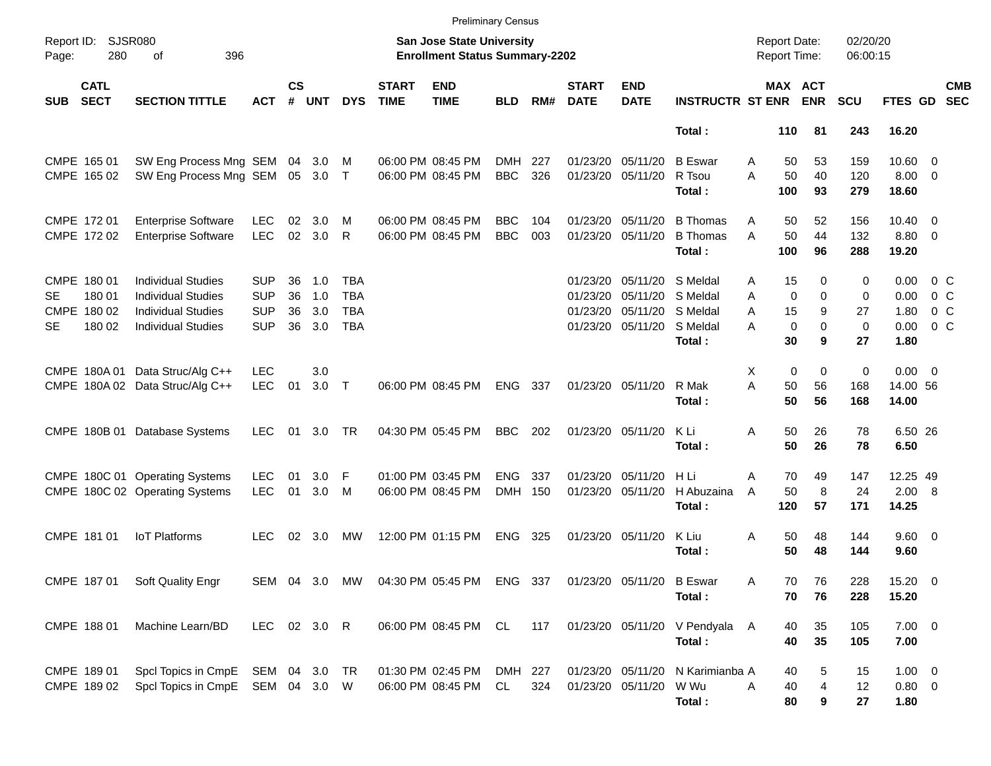|            |                                                |                                                                                                                  |                                                      |                      |                          |                                               |                             | <b>Preliminary Census</b>                                          |                       |            |                                  |                                                       |                                                        |                                                                  |                                            |                                   |                                      |                                               |                          |
|------------|------------------------------------------------|------------------------------------------------------------------------------------------------------------------|------------------------------------------------------|----------------------|--------------------------|-----------------------------------------------|-----------------------------|--------------------------------------------------------------------|-----------------------|------------|----------------------------------|-------------------------------------------------------|--------------------------------------------------------|------------------------------------------------------------------|--------------------------------------------|-----------------------------------|--------------------------------------|-----------------------------------------------|--------------------------|
| Page:      | Report ID: SJSR080<br>280                      | 396<br>of                                                                                                        |                                                      |                      |                          |                                               |                             | San Jose State University<br><b>Enrollment Status Summary-2202</b> |                       |            |                                  |                                                       |                                                        | <b>Report Date:</b><br><b>Report Time:</b>                       |                                            | 02/20/20<br>06:00:15              |                                      |                                               |                          |
| <b>SUB</b> | <b>CATL</b><br><b>SECT</b>                     | <b>SECTION TITTLE</b>                                                                                            | <b>ACT</b>                                           | $\mathsf{cs}$<br>#   | <b>UNT</b>               | <b>DYS</b>                                    | <b>START</b><br><b>TIME</b> | <b>END</b><br><b>TIME</b>                                          | <b>BLD</b>            | RM#        | <b>START</b><br><b>DATE</b>      | <b>END</b><br><b>DATE</b>                             | <b>INSTRUCTR ST ENR</b>                                | MAX ACT                                                          | <b>ENR</b>                                 | <b>SCU</b>                        | FTES GD                              |                                               | <b>CMB</b><br><b>SEC</b> |
|            |                                                |                                                                                                                  |                                                      |                      |                          |                                               |                             |                                                                    |                       |            |                                  |                                                       | Total:                                                 | 110                                                              | 81                                         | 243                               | 16.20                                |                                               |                          |
|            | CMPE 165 01<br>CMPE 165 02                     | SW Eng Process Mng SEM<br>SW Eng Process Mng SEM                                                                 |                                                      | 04                   | 3.0<br>05 3.0 T          | M                                             |                             | 06:00 PM 08:45 PM<br>06:00 PM 08:45 PM                             | DMH<br><b>BBC</b>     | 227<br>326 | 01/23/20                         | 05/11/20<br>01/23/20 05/11/20                         | <b>B</b> Eswar<br>R Tsou<br>Total:                     | 50<br>A<br>50<br>A<br>100                                        | 53<br>40<br>93                             | 159<br>120<br>279                 | $10.60 \t 0$<br>$8.00 \t 0$<br>18.60 |                                               |                          |
|            | CMPE 172 01<br>CMPE 172 02                     | <b>Enterprise Software</b><br><b>Enterprise Software</b>                                                         | <b>LEC</b><br><b>LEC</b>                             | 02<br>02             | 3.0<br>3.0               | M<br>$\mathsf{R}$                             |                             | 06:00 PM 08:45 PM<br>06:00 PM 08:45 PM                             | BBC<br><b>BBC</b>     | 104<br>003 | 01/23/20                         | 05/11/20<br>01/23/20 05/11/20                         | <b>B</b> Thomas<br><b>B</b> Thomas<br>Total:           | Α<br>50<br>50<br>A<br>100                                        | 52<br>44<br>96                             | 156<br>132<br>288                 | $10.40 \quad 0$<br>8.80 0<br>19.20   |                                               |                          |
| SE<br>SE   | CMPE 180 01<br>180 01<br>CMPE 180 02<br>180 02 | <b>Individual Studies</b><br><b>Individual Studies</b><br><b>Individual Studies</b><br><b>Individual Studies</b> | <b>SUP</b><br><b>SUP</b><br><b>SUP</b><br><b>SUP</b> | 36<br>36<br>36<br>36 | 1.0<br>1.0<br>3.0<br>3.0 | TBA<br><b>TBA</b><br><b>TBA</b><br><b>TBA</b> |                             |                                                                    |                       |            | 01/23/20<br>01/23/20<br>01/23/20 | 05/11/20<br>05/11/20<br>05/11/20<br>01/23/20 05/11/20 | S Meldal<br>S Meldal<br>S Meldal<br>S Meldal<br>Total: | 15<br>A<br>$\mathbf 0$<br>A<br>15<br>A<br>$\mathbf 0$<br>A<br>30 | $\Omega$<br>$\Omega$<br>9<br>$\Omega$<br>9 | 0<br>0<br>27<br>$\mathbf 0$<br>27 | 0.00<br>0.00<br>1.80<br>0.00<br>1.80 | 0 <sup>o</sup><br>$0\,C$<br>$0\,C$<br>$0\,$ C |                          |
|            |                                                | CMPE 180A 01 Data Struc/Alg C++<br>CMPE 180A 02 Data Struc/Alg C++                                               | <b>LEC</b><br><b>LEC</b>                             | 01                   | 3.0<br>$3.0$ T           |                                               |                             | 06:00 PM 08:45 PM                                                  | <b>ENG</b>            | 337        |                                  | 01/23/20 05/11/20                                     | R Mak<br>Total:                                        | Χ<br>$\mathbf 0$<br>A<br>50<br>50                                | $\mathbf 0$<br>56<br>56                    | 0<br>168<br>168                   | $0.00 \t 0$<br>14.00 56<br>14.00     |                                               |                          |
|            |                                                | CMPE 180B 01 Database Systems                                                                                    | <b>LEC</b>                                           | 01                   | 3.0                      | TR                                            |                             | 04:30 PM 05:45 PM                                                  | <b>BBC</b>            | 202        |                                  | 01/23/20 05/11/20                                     | K Li<br>Total:                                         | 50<br>A<br>50                                                    | 26<br>26                                   | 78<br>78                          | 6.50 26<br>6.50                      |                                               |                          |
|            |                                                | CMPE 180C 01 Operating Systems<br>CMPE 180C 02 Operating Systems                                                 | <b>LEC</b><br><b>LEC</b>                             | 01<br>01             | 3.0<br>3.0               | -F<br>M                                       |                             | 01:00 PM 03:45 PM<br>06:00 PM 08:45 PM                             | <b>ENG</b><br>DMH 150 | 337        | 01/23/20                         | 05/11/20<br>01/23/20 05/11/20                         | H Li<br>H Abuzaina<br>Total:                           | A<br>70<br>50<br>A<br>120                                        | 49<br>8<br>57                              | 147<br>24<br>171                  | 12.25 49<br>2.00 8<br>14.25          |                                               |                          |
|            | CMPE 181 01                                    | <b>IoT Platforms</b>                                                                                             | LEC.                                                 | 02                   | 3.0                      | МW                                            |                             | 12:00 PM 01:15 PM                                                  | <b>ENG</b>            | 325        |                                  | 01/23/20 05/11/20                                     | K Liu<br>Total:                                        | Α<br>50<br>50                                                    | 48<br>48                                   | 144<br>144                        | 9.60 0<br>9.60                       |                                               |                          |
|            |                                                | CMPE 187 01 Soft Quality Engr                                                                                    |                                                      |                      |                          |                                               |                             | SEM 04 3.0 MW 04:30 PM 05:45 PM ENG 337 01/23/20 05/11/20 B Eswar  |                       |            |                                  |                                                       | Total:                                                 | Α<br>70<br>70                                                    | 76<br>76                                   | 228<br>228                        | 15.20 0<br>15.20                     |                                               |                          |
|            | CMPE 188 01                                    | Machine Learn/BD                                                                                                 | LEC 02 3.0 R                                         |                      |                          |                                               |                             | 06:00 PM 08:45 PM CL 117                                           |                       |            |                                  |                                                       | 01/23/20 05/11/20 V Pendyala A<br>Total:               | 40<br>40                                                         | 35<br>35                                   | 105<br>105                        | $7.00 \t 0$<br>7.00                  |                                               |                          |
|            | CMPE 189 01<br>CMPE 189 02                     | Spcl Topics in CmpE SEM 04 3.0 TR<br>Spcl Topics in CmpE SEM 04 3.0 W                                            |                                                      |                      |                          |                                               |                             | 01:30 PM 02:45 PM<br>06:00 PM 08:45 PM                             | DMH 227<br>CL         | 324        |                                  | 01/23/20 05/11/20<br>01/23/20 05/11/20                | N Karimianba A<br>W Wu<br>Total:                       | 40<br>A<br>40<br>80                                              | 5<br>4<br>9                                | 15<br>12<br>27                    | $1.00 \t 0$<br>$0.80 \ 0$<br>1.80    |                                               |                          |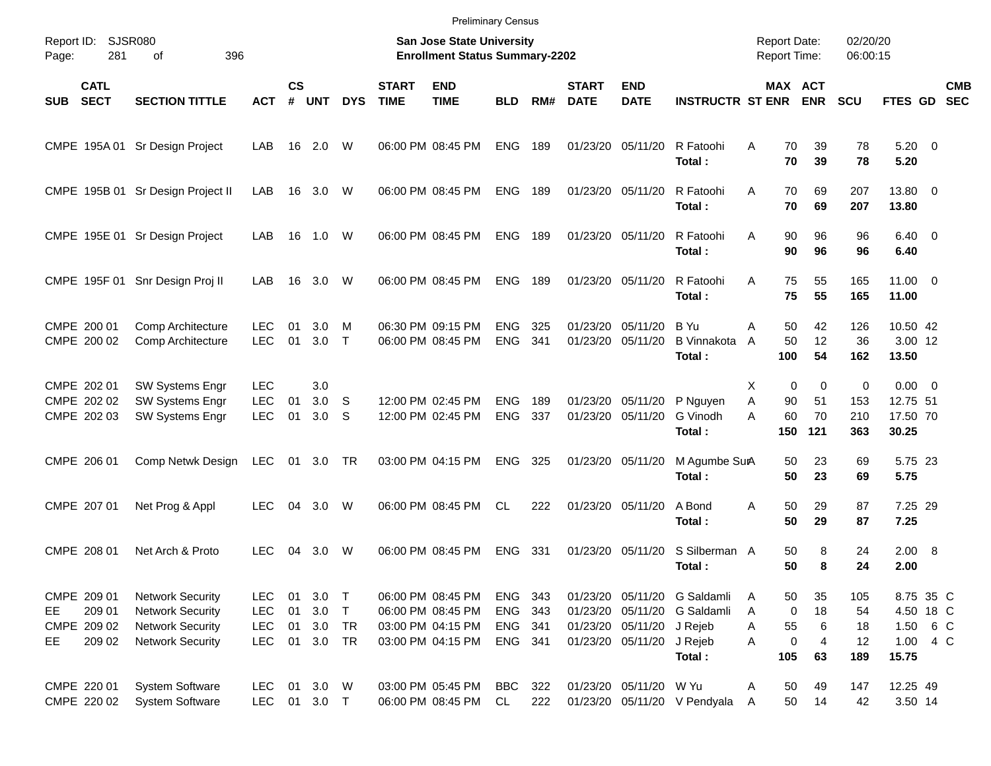|            |                                                |                                                                                                          |                                                      |                      |                             |                        |                             | <b>Preliminary Census</b>                                                        |                                             |            |                             |                                                             |                                                                            |                     |                                     |                                            |                              |                                                         |                          |
|------------|------------------------------------------------|----------------------------------------------------------------------------------------------------------|------------------------------------------------------|----------------------|-----------------------------|------------------------|-----------------------------|----------------------------------------------------------------------------------|---------------------------------------------|------------|-----------------------------|-------------------------------------------------------------|----------------------------------------------------------------------------|---------------------|-------------------------------------|--------------------------------------------|------------------------------|---------------------------------------------------------|--------------------------|
| Page:      | Report ID: SJSR080<br>281                      | 396<br>of                                                                                                |                                                      |                      |                             |                        |                             | San Jose State University<br><b>Enrollment Status Summary-2202</b>               |                                             |            |                             |                                                             |                                                                            |                     |                                     | <b>Report Date:</b><br><b>Report Time:</b> | 02/20/20<br>06:00:15         |                                                         |                          |
| <b>SUB</b> | <b>CATL</b><br><b>SECT</b>                     | <b>SECTION TITTLE</b>                                                                                    | <b>ACT</b>                                           | $\mathsf{cs}$<br>#   | <b>UNT</b>                  | <b>DYS</b>             | <b>START</b><br><b>TIME</b> | <b>END</b><br><b>TIME</b>                                                        | <b>BLD</b>                                  | RM#        | <b>START</b><br><b>DATE</b> | <b>END</b><br><b>DATE</b>                                   | <b>INSTRUCTR ST ENR</b>                                                    |                     |                                     | <b>MAX ACT</b><br><b>ENR</b>               | <b>SCU</b>                   | FTES GD                                                 | <b>CMB</b><br><b>SEC</b> |
|            |                                                | CMPE 195A 01 Sr Design Project                                                                           | LAB                                                  |                      | 16 2.0                      | W                      |                             | 06:00 PM 08:45 PM                                                                | <b>ENG</b>                                  | 189        |                             | 01/23/20 05/11/20                                           | R Fatoohi<br>Total:                                                        | A                   | 70<br>70                            | 39<br>39                                   | 78<br>78                     | $5.20 \ 0$<br>5.20                                      |                          |
|            |                                                | CMPE 195B 01 Sr Design Project II                                                                        | LAB                                                  |                      | 16 3.0                      | W                      |                             | 06:00 PM 08:45 PM                                                                | <b>ENG</b>                                  | 189        |                             | 01/23/20 05/11/20                                           | R Fatoohi<br>Total:                                                        | A                   | 70<br>70                            | 69<br>69                                   | 207<br>207                   | 13.80 0<br>13.80                                        |                          |
|            |                                                | CMPE 195E 01 Sr Design Project                                                                           | LAB                                                  |                      | 16  1.0  W                  |                        |                             | 06:00 PM 08:45 PM                                                                | <b>ENG</b>                                  | 189        |                             | 01/23/20 05/11/20                                           | R Fatoohi<br>Total:                                                        | A                   | 90<br>90                            | 96<br>96                                   | 96<br>96                     | $6.40 \quad 0$<br>6.40                                  |                          |
|            |                                                | CMPE 195F 01 Snr Design Proj II                                                                          | LAB                                                  | 16                   | 3.0                         | W                      |                             | 06:00 PM 08:45 PM                                                                | <b>ENG</b>                                  | 189        |                             | 01/23/20 05/11/20                                           | R Fatoohi<br>Total:                                                        | A                   | 75<br>75                            | 55<br>55                                   | 165<br>165                   | $11.00 \t 0$<br>11.00                                   |                          |
|            | CMPE 200 01<br>CMPE 200 02                     | Comp Architecture<br>Comp Architecture                                                                   | <b>LEC</b><br><b>LEC</b>                             | 01<br>01             | 3.0<br>3.0                  | м<br>$\top$            |                             | 06:30 PM 09:15 PM<br>06:00 PM 08:45 PM                                           | <b>ENG</b><br><b>ENG</b>                    | 325<br>341 | 01/23/20                    | 05/11/20<br>01/23/20 05/11/20                               | B Yu<br><b>B</b> Vinnakota<br>Total:                                       | Α<br>$\overline{A}$ | 50<br>50<br>100                     | 42<br>12<br>54                             | 126<br>36<br>162             | 10.50 42<br>3.00 12<br>13.50                            |                          |
|            | CMPE 202 01<br>CMPE 202 02<br>CMPE 202 03      | <b>SW Systems Engr</b><br>SW Systems Engr<br>SW Systems Engr                                             | <b>LEC</b><br><b>LEC</b><br><b>LEC</b>               | 01<br>01             | 3.0<br>3.0<br>3.0           | <sub>S</sub><br>S      |                             | 12:00 PM 02:45 PM<br>12:00 PM 02:45 PM                                           | <b>ENG</b><br><b>ENG</b>                    | 189<br>337 | 01/23/20                    | 05/11/20<br>01/23/20 05/11/20                               | P Nguyen<br>G Vinodh<br>Total:                                             | X<br>Α<br>А         | $\mathbf 0$<br>90<br>60<br>150      | $\mathbf 0$<br>51<br>70<br>121             | 0<br>153<br>210<br>363       | $0.00 \t 0$<br>12.75 51<br>17.50 70<br>30.25            |                          |
|            | CMPE 206 01                                    | Comp Netwk Design                                                                                        | <b>LEC</b>                                           | 01                   | 3.0 TR                      |                        |                             | 03:00 PM 04:15 PM                                                                | <b>ENG</b>                                  | 325        |                             | 01/23/20 05/11/20                                           | M Agumbe SurA<br>Total:                                                    |                     | 50<br>50                            | 23<br>23                                   | 69<br>69                     | 5.75 23<br>5.75                                         |                          |
|            | CMPE 207 01                                    | Net Prog & Appl                                                                                          | <b>LEC</b>                                           | 04                   | 3.0                         | W                      |                             | 06:00 PM 08:45 PM                                                                | <b>CL</b>                                   | 222        |                             | 01/23/20 05/11/20                                           | A Bond<br>Total:                                                           | A                   | 50<br>50                            | 29<br>29                                   | 87<br>87                     | 7.25 29<br>7.25                                         |                          |
|            | CMPE 208 01                                    | Net Arch & Proto                                                                                         | <b>LEC</b>                                           | 04                   | 3.0                         | W                      |                             | 06:00 PM 08:45 PM                                                                | <b>ENG</b>                                  | 331        |                             | 01/23/20 05/11/20                                           | S Silberman A<br>Total:                                                    |                     | 50<br>50                            | 8<br>8                                     | 24<br>24                     | 2.00 8<br>2.00                                          |                          |
| EE.<br>EE. | CMPE 209 01<br>209 01<br>CMPE 209 02<br>209 02 | <b>Network Security</b><br><b>Network Security</b><br><b>Network Security</b><br><b>Network Security</b> | <b>LEC</b><br><b>LEC</b><br><b>LEC</b><br><b>LEC</b> | 01<br>01<br>01<br>01 | 3.0<br>3.0<br>3.0<br>3.0 TR | $\top$<br>$\top$<br>TR |                             | 06:00 PM 08:45 PM<br>06:00 PM 08:45 PM<br>03:00 PM 04:15 PM<br>03:00 PM 04:15 PM | ENG 343<br><b>ENG</b><br>ENG 341<br>ENG 341 | 343        |                             | 01/23/20 05/11/20<br>01/23/20 05/11/20<br>01/23/20 05/11/20 | 01/23/20 05/11/20 G Saldamli<br>G Saldamli<br>J Rejeb<br>J Rejeb<br>Total: | A<br>A<br>A<br>A    | 50<br>$\mathbf 0$<br>55<br>0<br>105 | 35<br>18<br>6<br>$\overline{4}$<br>63      | 105<br>54<br>18<br>12<br>189 | 8.75 35 C<br>4.50 18 C<br>1.50 6 C<br>1.00 4 C<br>15.75 |                          |
|            | CMPE 220 01<br>CMPE 220 02                     | <b>System Software</b><br><b>System Software</b>                                                         | <b>LEC</b><br><b>LEC</b>                             |                      | 01 3.0 W<br>01 3.0 T        |                        |                             | 03:00 PM 05:45 PM<br>06:00 PM 08:45 PM                                           | <b>BBC</b><br>CL                            | 322<br>222 |                             | 01/23/20 05/11/20 W Yu                                      | 01/23/20 05/11/20 V Pendyala                                               | Α<br>A              | 50<br>50                            | 49<br>14                                   | 147<br>42                    | 12.25 49<br>3.50 14                                     |                          |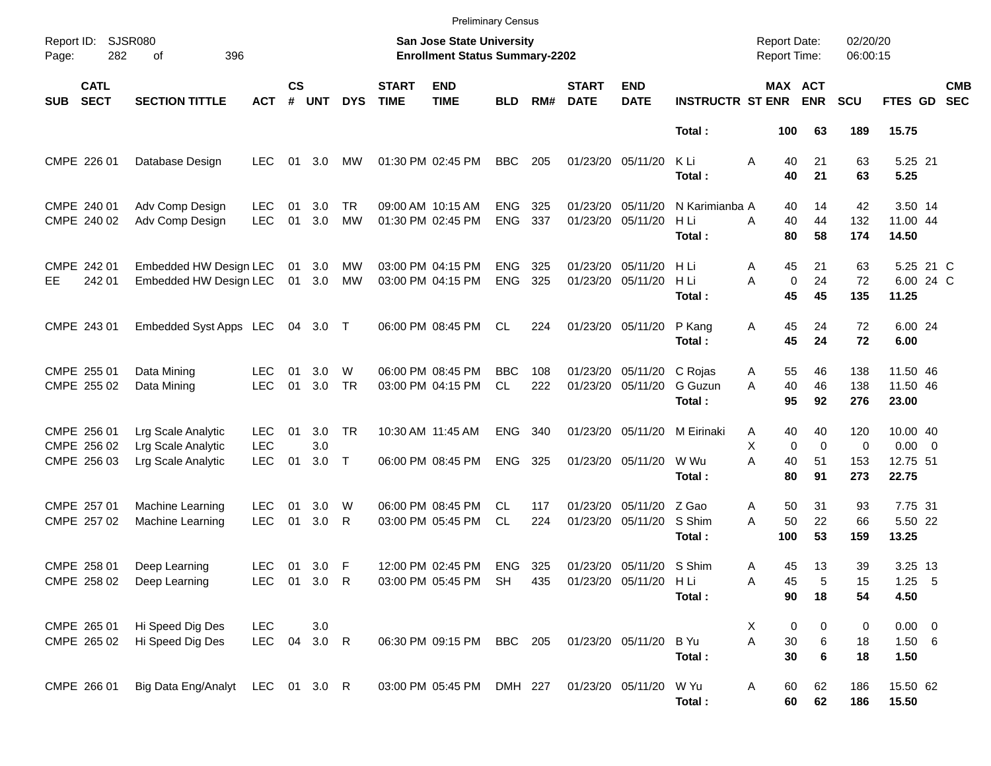|                     |                                           |                                                                |                                        |                    |                   |                     |                             | <b>Preliminary Census</b>                                          |                          |            |                               |                                               |                                  |                                              |                               |                        |                                              |                          |
|---------------------|-------------------------------------------|----------------------------------------------------------------|----------------------------------------|--------------------|-------------------|---------------------|-----------------------------|--------------------------------------------------------------------|--------------------------|------------|-------------------------------|-----------------------------------------------|----------------------------------|----------------------------------------------|-------------------------------|------------------------|----------------------------------------------|--------------------------|
| Report ID:<br>Page: | 282                                       | <b>SJSR080</b><br>396<br>of                                    |                                        |                    |                   |                     |                             | San Jose State University<br><b>Enrollment Status Summary-2202</b> |                          |            |                               |                                               |                                  | <b>Report Date:</b><br><b>Report Time:</b>   |                               | 02/20/20<br>06:00:15   |                                              |                          |
| <b>SUB</b>          | <b>CATL</b><br><b>SECT</b>                | <b>SECTION TITTLE</b>                                          | <b>ACT</b>                             | $\mathsf{cs}$<br># | <b>UNT</b>        | <b>DYS</b>          | <b>START</b><br><b>TIME</b> | <b>END</b><br><b>TIME</b>                                          | <b>BLD</b>               | RM#        | <b>START</b><br><b>DATE</b>   | <b>END</b><br><b>DATE</b>                     | <b>INSTRUCTR ST ENR</b>          | MAX ACT                                      | <b>ENR</b>                    | <b>SCU</b>             | FTES GD                                      | <b>CMB</b><br><b>SEC</b> |
|                     |                                           |                                                                |                                        |                    |                   |                     |                             |                                                                    |                          |            |                               |                                               | Total:                           | 100                                          | 63                            | 189                    | 15.75                                        |                          |
|                     | CMPE 226 01                               | Database Design                                                | LEC                                    | 01                 | 3.0               | МW                  |                             | 01:30 PM 02:45 PM                                                  | BBC                      | 205        | 01/23/20 05/11/20             |                                               | K Li<br>Total:                   | Α<br>40<br>40                                | 21<br>21                      | 63<br>63               | 5.25 21<br>5.25                              |                          |
|                     | CMPE 240 01<br>CMPE 240 02                | Adv Comp Design<br>Adv Comp Design                             | <b>LEC</b><br><b>LEC</b>               | 01<br>01           | 3.0<br>3.0        | TR.<br><b>MW</b>    |                             | 09:00 AM 10:15 AM<br>01:30 PM 02:45 PM                             | <b>ENG</b><br><b>ENG</b> | 325<br>337 | 01/23/20<br>01/23/20 05/11/20 | 05/11/20                                      | N Karimianba A<br>H Li<br>Total: | 40<br>40<br>A<br>80                          | 14<br>44<br>58                | 42<br>132<br>174       | 3.50 14<br>11.00 44<br>14.50                 |                          |
| EE                  | CMPE 242 01<br>242 01                     | Embedded HW Design LEC<br>Embedded HW Design LEC               |                                        | 01<br>01           | 3.0<br>3.0        | MW<br>MW            |                             | 03:00 PM 04:15 PM<br>03:00 PM 04:15 PM                             | <b>ENG</b><br><b>ENG</b> | 325<br>325 | 01/23/20<br>01/23/20 05/11/20 | 05/11/20                                      | H Li<br>H Li<br>Total:           | 45<br>Α<br>A<br>$\mathbf 0$<br>45            | 21<br>24<br>45                | 63<br>72<br>135        | 5.25 21 C<br>6.00 24 C<br>11.25              |                          |
|                     | CMPE 243 01                               | Embedded Syst Apps LEC                                         |                                        |                    | 04 3.0 T          |                     |                             | 06:00 PM 08:45 PM                                                  | CL                       | 224        | 01/23/20 05/11/20             |                                               | P Kang<br>Total:                 | 45<br>Α<br>45                                | 24<br>24                      | 72<br>72               | 6.00 24<br>6.00                              |                          |
|                     | CMPE 255 01<br>CMPE 255 02                | Data Mining<br>Data Mining                                     | LEC.<br><b>LEC</b>                     | 01<br>01           | 3.0<br>3.0        | W<br><b>TR</b>      |                             | 06:00 PM 08:45 PM<br>03:00 PM 04:15 PM                             | <b>BBC</b><br>CL.        | 108<br>222 | 01/23/20<br>01/23/20 05/11/20 | 05/11/20                                      | C Rojas<br>G Guzun<br>Total:     | 55<br>A<br>40<br>A<br>95                     | 46<br>46<br>92                | 138<br>138<br>276      | 11.50 46<br>11.50 46<br>23.00                |                          |
|                     | CMPE 256 01<br>CMPE 256 02<br>CMPE 256 03 | Lrg Scale Analytic<br>Lrg Scale Analytic<br>Lrg Scale Analytic | <b>LEC</b><br><b>LEC</b><br><b>LEC</b> | 01<br>01           | 3.0<br>3.0<br>3.0 | <b>TR</b><br>$\top$ |                             | 10:30 AM 11:45 AM<br>06:00 PM 08:45 PM                             | <b>ENG</b><br><b>ENG</b> | 340<br>325 |                               | 01/23/20 05/11/20<br>01/23/20 05/11/20        | M Eirinaki<br>W Wu<br>Total:     | 40<br>A<br>X<br>$\mathbf 0$<br>A<br>40<br>80 | 40<br>$\mathbf 0$<br>51<br>91 | 120<br>0<br>153<br>273 | 10.00 40<br>$0.00 \t 0$<br>12.75 51<br>22.75 |                          |
|                     | CMPE 257 01<br>CMPE 257 02                | Machine Learning<br>Machine Learning                           | <b>LEC</b><br><b>LEC</b>               | 01<br>01           | 3.0<br>3.0        | W<br>R              |                             | 06:00 PM 08:45 PM<br>03:00 PM 05:45 PM                             | CL<br><b>CL</b>          | 117<br>224 | 01/23/20                      | 05/11/20<br>01/23/20 05/11/20                 | Z Gao<br>S Shim<br>Total:        | Α<br>50<br>50<br>A<br>100                    | 31<br>22<br>53                | 93<br>66<br>159        | 7.75 31<br>5.50 22<br>13.25                  |                          |
|                     | CMPE 258 01                               | Deep Learning<br>CMPE 258 02 Deep Learning                     | <b>LEC</b><br>LEC 01 3.0 R             | 01                 | 3.0 F             |                     |                             | 12:00 PM 02:45 PM<br>03:00 PM 05:45 PM SH                          | <b>ENG</b>               | 325<br>435 |                               | 01/23/20 05/11/20 S Shim<br>01/23/20 05/11/20 | H Li<br>Total:                   | 45<br>Α<br>Α<br>45<br>90                     | 13<br>5<br>18                 | 39<br>15<br>54         | 3.25 13<br>$1.25 - 5$<br>4.50                |                          |
|                     | CMPE 265 01<br>CMPE 265 02                | Hi Speed Dig Des<br>Hi Speed Dig Des                           | <b>LEC</b><br>LEC 04 3.0 R             |                    | 3.0               |                     |                             | 06:30 PM 09:15 PM BBC 205                                          |                          |            | 01/23/20 05/11/20             |                                               | B Yu<br>Total:                   | X<br>$\mathbf 0$<br>A<br>30<br>30            | 0<br>$\,6$<br>6               | 0<br>18<br>18          | $0.00 \t 0$<br>1.50 6<br>1.50                |                          |
|                     | CMPE 266 01                               | Big Data Eng/Analyt LEC 01 3.0 R                               |                                        |                    |                   |                     |                             | 03:00 PM 05:45 PM                                                  | DMH 227                  |            | 01/23/20 05/11/20             |                                               | W Yu<br>Total:                   | 60<br>A<br>60                                | 62<br>62                      | 186<br>186             | 15.50 62<br>15.50                            |                          |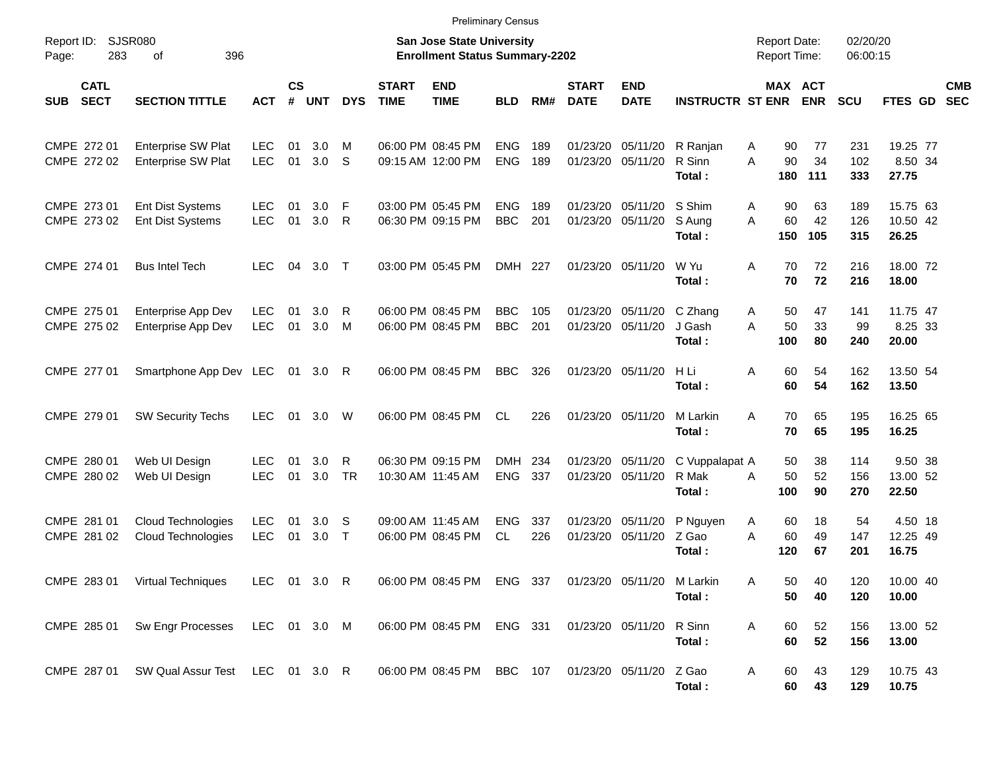|                                          |                                                        |                          |                |              |              |                             |                                                                    | <b>Preliminary Census</b> |            |                             |                                        |                                   |                                            |                       |                      |                               |                          |
|------------------------------------------|--------------------------------------------------------|--------------------------|----------------|--------------|--------------|-----------------------------|--------------------------------------------------------------------|---------------------------|------------|-----------------------------|----------------------------------------|-----------------------------------|--------------------------------------------|-----------------------|----------------------|-------------------------------|--------------------------|
| Report ID:<br>Page:                      | SJSR080<br>283<br>396<br>οf                            |                          |                |              |              |                             | San Jose State University<br><b>Enrollment Status Summary-2202</b> |                           |            |                             |                                        |                                   | <b>Report Date:</b><br><b>Report Time:</b> |                       | 02/20/20<br>06:00:15 |                               |                          |
| <b>CATL</b><br><b>SECT</b><br><b>SUB</b> | <b>SECTION TITTLE</b>                                  | <b>ACT</b>               | <b>CS</b><br># | <b>UNT</b>   | <b>DYS</b>   | <b>START</b><br><b>TIME</b> | <b>END</b><br><b>TIME</b>                                          | <b>BLD</b>                | RM#        | <b>START</b><br><b>DATE</b> | <b>END</b><br><b>DATE</b>              | <b>INSTRUCTR ST ENR</b>           |                                            | MAX ACT<br><b>ENR</b> | <b>SCU</b>           | <b>FTES GD</b>                | <b>CMB</b><br><b>SEC</b> |
| CMPE 272 01<br>CMPE 272 02               | <b>Enterprise SW Plat</b><br><b>Enterprise SW Plat</b> | <b>LEC</b><br><b>LEC</b> | 01<br>01       | 3.0<br>3.0   | м<br>S       |                             | 06:00 PM 08:45 PM<br>09:15 AM 12:00 PM                             | <b>ENG</b><br><b>ENG</b>  | 189<br>189 |                             | 01/23/20 05/11/20<br>01/23/20 05/11/20 | R Ranjan<br>R Sinn<br>Total:      | 90<br>A<br>A<br>90<br>180                  | 77<br>34<br>111       | 231<br>102<br>333    | 19.25 77<br>8.50 34<br>27.75  |                          |
| CMPE 273 01<br>CMPE 273 02               | <b>Ent Dist Systems</b><br><b>Ent Dist Systems</b>     | <b>LEC</b><br><b>LEC</b> | 01<br>01       | 3.0<br>3.0   | F<br>R       |                             | 03:00 PM 05:45 PM<br>06:30 PM 09:15 PM                             | <b>ENG</b><br><b>BBC</b>  | 189<br>201 |                             | 01/23/20 05/11/20<br>01/23/20 05/11/20 | S Shim<br>S Aung<br>Total:        | 90<br>Α<br>60<br>A<br>150                  | 63<br>42<br>105       | 189<br>126<br>315    | 15.75 63<br>10.50 42<br>26.25 |                          |
| CMPE 274 01                              | <b>Bus Intel Tech</b>                                  | <b>LEC</b>               | 04             | $3.0$ T      |              |                             | 03:00 PM 05:45 PM                                                  | DMH 227                   |            |                             | 01/23/20 05/11/20                      | W Yu<br>Total:                    | A<br>70<br>70                              | 72<br>72              | 216<br>216           | 18.00 72<br>18.00             |                          |
| CMPE 275 01<br>CMPE 275 02               | Enterprise App Dev<br>Enterprise App Dev               | <b>LEC</b><br><b>LEC</b> | 01<br>01       | 3.0<br>3.0   | R<br>M       |                             | 06:00 PM 08:45 PM<br>06:00 PM 08:45 PM                             | <b>BBC</b><br><b>BBC</b>  | 105<br>201 |                             | 01/23/20 05/11/20<br>01/23/20 05/11/20 | C Zhang<br>J Gash<br>Total:       | 50<br>A<br>A<br>50<br>100                  | 47<br>33<br>80        | 141<br>99<br>240     | 11.75 47<br>8.25 33<br>20.00  |                          |
| CMPE 277 01                              | Smartphone App Dev LEC                                 |                          |                | 01 3.0       | R            |                             | 06:00 PM 08:45 PM                                                  | <b>BBC</b>                | 326        |                             | 01/23/20 05/11/20                      | H Li<br>Total:                    | A<br>60<br>60                              | 54<br>54              | 162<br>162           | 13.50 54<br>13.50             |                          |
| CMPE 279 01                              | <b>SW Security Techs</b>                               | <b>LEC</b>               | 01             | 3.0          | W            |                             | 06:00 PM 08:45 PM                                                  | <b>CL</b>                 | 226        |                             | 01/23/20 05/11/20                      | M Larkin<br>Total:                | 70<br>A<br>70                              | 65<br>65              | 195<br>195           | 16.25 65<br>16.25             |                          |
| CMPE 280 01<br>CMPE 280 02               | Web UI Design<br>Web UI Design                         | <b>LEC</b><br><b>LEC</b> | 01<br>01       | 3.0<br>3.0   | R<br>TR      |                             | 06:30 PM 09:15 PM<br>10:30 AM 11:45 AM                             | <b>DMH</b><br><b>ENG</b>  | 234<br>337 |                             | 01/23/20 05/11/20<br>01/23/20 05/11/20 | C Vuppalapat A<br>R Mak<br>Total: | 50<br>50<br>A<br>100                       | 38<br>52<br>90        | 114<br>156<br>270    | 9.50 38<br>13.00 52<br>22.50  |                          |
| CMPE 281 01<br>CMPE 281 02               | Cloud Technologies<br>Cloud Technologies               | <b>LEC</b><br><b>LEC</b> | 01<br>01       | 3.0<br>3.0   | -S<br>$\top$ |                             | 09:00 AM 11:45 AM<br>06:00 PM 08:45 PM                             | <b>ENG</b><br><b>CL</b>   | 337<br>226 | 01/23/20                    | 05/11/20<br>01/23/20 05/11/20          | P Nguyen<br>Z Gao<br>Total:       | 60<br>A<br>60<br>A<br>120                  | 18<br>49<br>67        | 54<br>147<br>201     | 4.50 18<br>12.25 49<br>16.75  |                          |
|                                          | CMPE 283 01 Virtual Techniques                         |                          |                | LEC 01 3.0 R |              |                             | 06:00 PM 08:45 PM ENG 337 01/23/20 05/11/20                        |                           |            |                             |                                        | M Larkin<br>Total:                | Α<br>50<br>50                              | 40<br>40              | 120<br>120           | 10.00 40<br>10.00             |                          |
|                                          | CMPE 285 01 Sw Engr Processes LEC 01 3.0 M             |                          |                |              |              |                             | 06:00 PM 08:45 PM ENG 331                                          |                           |            | 01/23/20 05/11/20           |                                        | R Sinn<br>Total:                  | 60<br>A<br>60                              | 52<br>52              | 156<br>156           | 13.00 52<br>13.00             |                          |
|                                          | CMPE 287 01 SW Qual Assur Test LEC 01 3.0 R            |                          |                |              |              |                             | 06:00 PM 08:45 PM BBC 107 01/23/20 05/11/20                        |                           |            |                             |                                        | Z Gao<br>Total:                   | 60<br>A                                    | 43<br>60<br>43        | 129<br>129           | 10.75 43<br>10.75             |                          |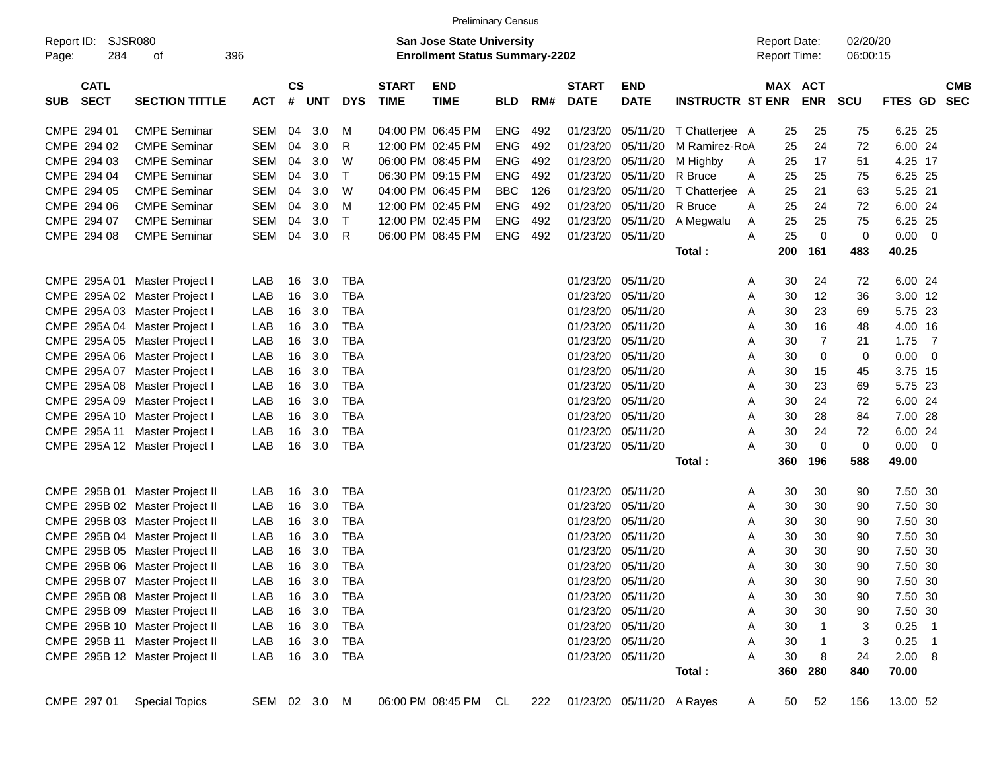|                                          |                                |            |                    |              |            |                             |                                                                           | <b>Preliminary Census</b> |     |                             |                           |                         |                                            |                |                      |             |            |
|------------------------------------------|--------------------------------|------------|--------------------|--------------|------------|-----------------------------|---------------------------------------------------------------------------|---------------------------|-----|-----------------------------|---------------------------|-------------------------|--------------------------------------------|----------------|----------------------|-------------|------------|
| Report ID:<br>284<br>Page:               | SJSR080<br>396<br>οf           |            |                    |              |            |                             | <b>San Jose State University</b><br><b>Enrollment Status Summary-2202</b> |                           |     |                             |                           |                         | <b>Report Date:</b><br><b>Report Time:</b> |                | 02/20/20<br>06:00:15 |             |            |
| <b>CATL</b><br><b>SECT</b><br><b>SUB</b> | <b>SECTION TITTLE</b>          | <b>ACT</b> | $\mathsf{cs}$<br># | UNT          | <b>DYS</b> | <b>START</b><br><b>TIME</b> | <b>END</b><br><b>TIME</b>                                                 | <b>BLD</b>                | RM# | <b>START</b><br><b>DATE</b> | <b>END</b><br><b>DATE</b> | <b>INSTRUCTR ST ENR</b> | <b>MAX ACT</b>                             | <b>ENR</b>     | <b>SCU</b>           | FTES GD SEC | <b>CMB</b> |
| CMPE 294 01                              | <b>CMPE Seminar</b>            | SEM        | 04                 | 3.0          | M          |                             | 04:00 PM 06:45 PM                                                         | ENG                       | 492 | 01/23/20                    | 05/11/20                  | T Chatterjee A          | 25                                         | 25             | 75                   | 6.25 25     |            |
| CMPE 294 02                              | <b>CMPE Seminar</b>            | SEM        | 04                 | 3.0          | R          |                             | 12:00 PM 02:45 PM                                                         | <b>ENG</b>                | 492 | 01/23/20                    | 05/11/20                  | M Ramirez-RoA           | 25                                         | 24             | 72                   | 6.00 24     |            |
| CMPE 294 03                              | <b>CMPE Seminar</b>            | SEM        | 04                 | 3.0          | W          |                             | 06:00 PM 08:45 PM                                                         | <b>ENG</b>                | 492 | 01/23/20                    | 05/11/20                  | M Highby                | 25<br>A                                    | 17             | 51                   | 4.25 17     |            |
| CMPE 294 04                              | <b>CMPE Seminar</b>            | SEM        | 04                 | 3.0          | $\top$     |                             | 06:30 PM 09:15 PM                                                         | <b>ENG</b>                | 492 | 01/23/20                    | 05/11/20 R Bruce          |                         | 25<br>Α                                    | 25             | 75                   | 6.25 25     |            |
| CMPE 294 05                              | <b>CMPE Seminar</b>            | SEM        | 04                 | 3.0          | W          |                             | 04:00 PM 06:45 PM                                                         | <b>BBC</b>                | 126 | 01/23/20                    | 05/11/20                  | T Chatterjee            | 25<br>A                                    | 21             | 63                   | 5.25 21     |            |
| CMPE 294 06                              | <b>CMPE Seminar</b>            | SEM        | 04                 | 3.0          | M          |                             | 12:00 PM 02:45 PM                                                         | <b>ENG</b>                | 492 | 01/23/20                    | 05/11/20 R Bruce          |                         | 25<br>A                                    | 24             | 72                   | 6.00 24     |            |
| CMPE 294 07                              | <b>CMPE Seminar</b>            | SEM        | 04                 | 3.0          | $\top$     |                             | 12:00 PM 02:45 PM                                                         | <b>ENG</b>                | 492 | 01/23/20                    | 05/11/20                  | A Megwalu               | 25<br>A                                    | 25             | 75                   | 6.25 25     |            |
| CMPE 294 08                              | <b>CMPE Seminar</b>            | <b>SEM</b> | 04                 | 3.0          | R          |                             | 06:00 PM 08:45 PM                                                         | <b>ENG</b>                | 492 |                             | 01/23/20 05/11/20         |                         | 25<br>Α                                    | 0              | 0                    | $0.00 \t 0$ |            |
|                                          |                                |            |                    |              |            |                             |                                                                           |                           |     |                             |                           | Total:                  | 200                                        | 161            | 483                  | 40.25       |            |
|                                          |                                |            |                    |              |            |                             |                                                                           |                           |     |                             |                           |                         |                                            |                |                      |             |            |
|                                          | CMPE 295A 01 Master Project I  | LAB        | 16                 | 3.0          | <b>TBA</b> |                             |                                                                           |                           |     | 01/23/20                    | 05/11/20                  |                         | 30<br>Α                                    | 24             | 72                   | 6.00 24     |            |
|                                          | CMPE 295A 02 Master Project I  | LAB        | 16                 | 3.0          | <b>TBA</b> |                             |                                                                           |                           |     | 01/23/20                    | 05/11/20                  |                         | 30<br>Α                                    | 12             | 36                   | 3.00 12     |            |
|                                          | CMPE 295A 03 Master Project I  | LAB        | 16                 | 3.0          | <b>TBA</b> |                             |                                                                           |                           |     | 01/23/20                    | 05/11/20                  |                         | 30<br>Α                                    | 23             | 69                   | 5.75 23     |            |
|                                          | CMPE 295A 04 Master Project I  | LAB        | 16                 | 3.0          | <b>TBA</b> |                             |                                                                           |                           |     | 01/23/20                    | 05/11/20                  |                         | 30<br>Α                                    | 16             | 48                   | 4.00 16     |            |
|                                          | CMPE 295A 05 Master Project I  | LAB        | 16                 | 3.0          | <b>TBA</b> |                             |                                                                           |                           |     | 01/23/20                    | 05/11/20                  |                         | 30<br>Α                                    | $\overline{7}$ | 21                   | $1.75$ 7    |            |
|                                          | CMPE 295A 06 Master Project I  | LAB        | 16                 | 3.0          | <b>TBA</b> |                             |                                                                           |                           |     | 01/23/20                    | 05/11/20                  |                         | 30<br>Α                                    | 0              | 0                    | $0.00 \t 0$ |            |
|                                          | CMPE 295A 07 Master Project I  | LAB        | 16                 | 3.0          | <b>TBA</b> |                             |                                                                           |                           |     | 01/23/20                    | 05/11/20                  |                         | Α<br>30                                    | 15             | 45                   | 3.75 15     |            |
|                                          | CMPE 295A 08 Master Project I  | LAB        | 16                 | 3.0          | <b>TBA</b> |                             |                                                                           |                           |     | 01/23/20                    | 05/11/20                  |                         | 30<br>Α                                    | 23             | 69                   | 5.75 23     |            |
|                                          | CMPE 295A 09 Master Project I  | LAB        | 16                 | 3.0          | <b>TBA</b> |                             |                                                                           |                           |     | 01/23/20                    | 05/11/20                  |                         | 30<br>Α                                    | 24             | 72                   | 6.00 24     |            |
|                                          | CMPE 295A 10 Master Project I  | LAB        | 16                 | 3.0          | <b>TBA</b> |                             |                                                                           |                           |     | 01/23/20                    | 05/11/20                  |                         | 30<br>Α                                    | 28             | 84                   | 7.00 28     |            |
|                                          | CMPE 295A 11 Master Project I  | LAB        | 16                 | 3.0          | <b>TBA</b> |                             |                                                                           |                           |     | 01/23/20                    | 05/11/20                  |                         | 30<br>Α                                    | 24             | 72                   | 6.00 24     |            |
|                                          | CMPE 295A 12 Master Project I  | LAB        | 16                 | 3.0          | <b>TBA</b> |                             |                                                                           |                           |     |                             | 01/23/20 05/11/20         |                         | 30<br>Α                                    | 0              | 0                    | $0.00 \t 0$ |            |
|                                          |                                |            |                    |              |            |                             |                                                                           |                           |     |                             |                           | Total:                  | 360                                        | 196            | 588                  | 49.00       |            |
|                                          | CMPE 295B 01 Master Project II | LAB        | 16                 | 3.0          | TBA        |                             |                                                                           |                           |     | 01/23/20                    | 05/11/20                  |                         | 30<br>Α                                    | 30             | 90                   | 7.50 30     |            |
|                                          | CMPE 295B 02 Master Project II | LAB        | 16                 | 3.0          | TBA        |                             |                                                                           |                           |     | 01/23/20                    | 05/11/20                  |                         | 30<br>Α                                    | 30             | 90                   | 7.50 30     |            |
|                                          | CMPE 295B 03 Master Project II | LAB        | 16                 | 3.0          | <b>TBA</b> |                             |                                                                           |                           |     | 01/23/20                    | 05/11/20                  |                         | 30<br>Α                                    | 30             | 90                   | 7.50 30     |            |
|                                          | CMPE 295B 04 Master Project II | LAB        | 16                 | 3.0          | <b>TBA</b> |                             |                                                                           |                           |     | 01/23/20                    | 05/11/20                  |                         | 30<br>Α                                    | 30             | 90                   | 7.50 30     |            |
|                                          | CMPE 295B 05 Master Project II | LAB        | 16                 | 3.0          | <b>TBA</b> |                             |                                                                           |                           |     | 01/23/20                    | 05/11/20                  |                         | 30<br>Α                                    | 30             | 90                   | 7.50 30     |            |
|                                          | CMPE 295B 06 Master Project II | LAB        | 16                 | 3.0          | <b>TBA</b> |                             |                                                                           |                           |     |                             | 01/23/20 05/11/20         |                         | 30<br>Α                                    | 30             | 90                   | 7.50 30     |            |
|                                          | CMPE 295B 07 Master Project II | LAB        |                    | 16 3.0       | TBA        |                             |                                                                           |                           |     |                             | 01/23/20 05/11/20         |                         | 30<br>A                                    | 30             | 90                   | 7.50 30     |            |
|                                          | CMPE 295B 08 Master Project II | LAB        |                    | 16 3.0       | TBA        |                             |                                                                           |                           |     |                             | 01/23/20 05/11/20         |                         | 30<br>Α                                    | 30             | 90                   | 7.50 30     |            |
|                                          | CMPE 295B 09 Master Project II | LAB        |                    | 16 3.0       | TBA        |                             |                                                                           |                           |     |                             | 01/23/20 05/11/20         |                         | 30<br>Α                                    | 30             | 90                   | 7.50 30     |            |
|                                          | CMPE 295B 10 Master Project II | LAB        |                    | 16 3.0       | TBA        |                             |                                                                           |                           |     |                             | 01/23/20 05/11/20         |                         | 30<br>Α                                    |                | 3                    | $0.25$ 1    |            |
|                                          | CMPE 295B 11 Master Project II | LAB        |                    | 16 3.0       | TBA        |                             |                                                                           |                           |     |                             | 01/23/20 05/11/20         |                         | 30<br>Α                                    |                | 3                    | $0.25$ 1    |            |
|                                          | CMPE 295B 12 Master Project II | LAB        |                    | 16 3.0 TBA   |            |                             |                                                                           |                           |     |                             | 01/23/20 05/11/20         |                         | 30<br>Α                                    | 8              | 24                   | 2.00 8      |            |
|                                          |                                |            |                    |              |            |                             |                                                                           |                           |     |                             |                           | Total:                  | 360                                        | 280            | 840                  | 70.00       |            |
|                                          |                                |            |                    |              |            |                             |                                                                           |                           |     |                             |                           |                         |                                            |                |                      |             |            |
| CMPE 297 01                              | <b>Special Topics</b>          |            |                    | SEM 02 3.0 M |            |                             | 06:00 PM 08:45 PM CL                                                      |                           | 222 |                             | 01/23/20 05/11/20 A Rayes |                         | 50<br>A                                    | 52             | 156                  | 13.00 52    |            |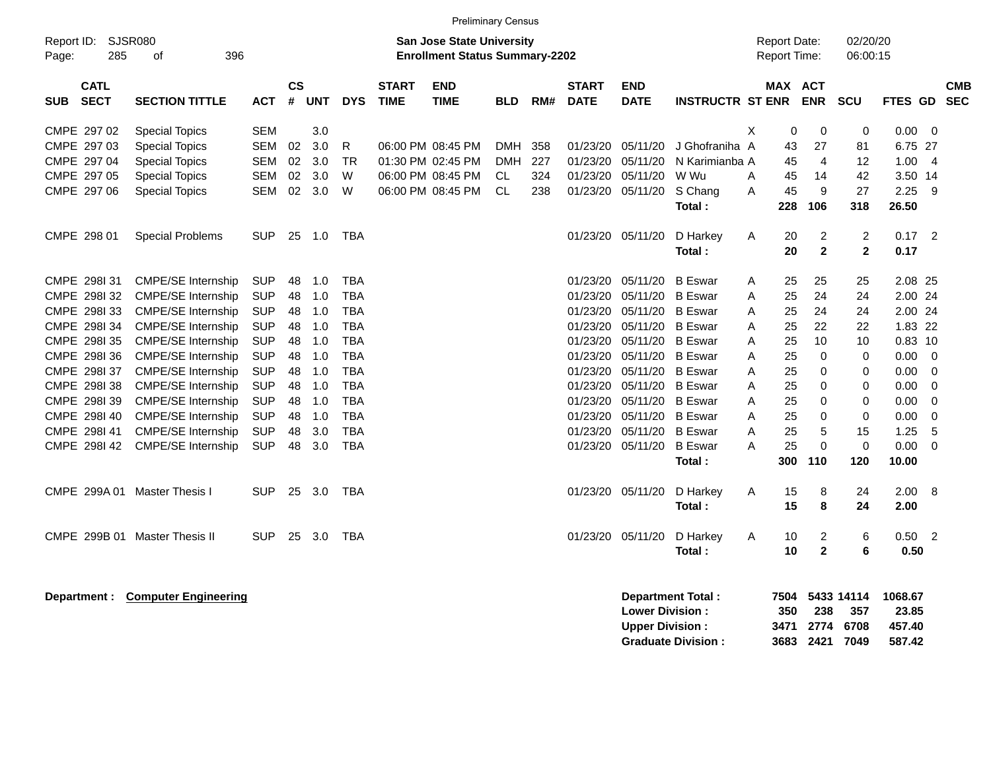|                              |                                                                                                          |            |           |            |            |              | <b>Preliminary Census</b> |            |     |              |                   |                         |                     |                |             |                |                          |            |
|------------------------------|----------------------------------------------------------------------------------------------------------|------------|-----------|------------|------------|--------------|---------------------------|------------|-----|--------------|-------------------|-------------------------|---------------------|----------------|-------------|----------------|--------------------------|------------|
| Report ID:                   | SJSR080<br><b>San Jose State University</b><br>285<br>396<br><b>Enrollment Status Summary-2202</b><br>οf |            |           |            |            |              |                           |            |     |              |                   |                         |                     |                | 02/20/20    |                |                          |            |
| Page:                        |                                                                                                          |            |           |            |            |              |                           |            |     |              |                   |                         | <b>Report Time:</b> |                | 06:00:15    |                |                          |            |
| <b>CATL</b>                  |                                                                                                          |            | <b>CS</b> |            |            | <b>START</b> | <b>END</b>                |            |     | <b>START</b> | <b>END</b>        |                         | <b>MAX ACT</b>      |                |             |                |                          | <b>CMB</b> |
| <b>SECT</b><br><b>SUB</b>    | <b>SECTION TITTLE</b>                                                                                    | <b>ACT</b> | #         | <b>UNT</b> | <b>DYS</b> | <b>TIME</b>  | <b>TIME</b>               | <b>BLD</b> | RM# | <b>DATE</b>  | <b>DATE</b>       | <b>INSTRUCTR ST ENR</b> |                     | <b>ENR</b>     | <b>SCU</b>  | FTES GD SEC    |                          |            |
| CMPE 297 02                  | <b>Special Topics</b>                                                                                    | <b>SEM</b> |           | 3.0        |            |              |                           |            |     |              |                   |                         | X<br>0              | $\mathbf 0$    | $\mathbf 0$ | $0.00 \t 0$    |                          |            |
| CMPE 297 03                  | <b>Special Topics</b>                                                                                    | SEM        | 02        | 3.0        | R          |              | 06:00 PM 08:45 PM         | <b>DMH</b> | 358 | 01/23/20     | 05/11/20          | J Ghofraniha A          | 43                  | 27             | 81          | 6.75 27        |                          |            |
| CMPE 297 04                  | <b>Special Topics</b>                                                                                    | SEM        | 02        | 3.0        | <b>TR</b>  |              | 01:30 PM 02:45 PM         | <b>DMH</b> | 227 | 01/23/20     | 05/11/20          | N Karimianba A          | 45                  | 4              | 12          | 1.004          |                          |            |
| CMPE 297 05                  | <b>Special Topics</b>                                                                                    | SEM        | 02        | 3.0        | W          |              | 06:00 PM 08:45 PM         | <b>CL</b>  | 324 | 01/23/20     | 05/11/20          | W Wu                    | 45<br>A             | 14             | 42          | 3.50 14        |                          |            |
| CMPE 297 06                  | <b>Special Topics</b>                                                                                    | SEM        | 02        | 3.0        | W          |              | 06:00 PM 08:45 PM         | <b>CL</b>  | 238 | 01/23/20     | 05/11/20          | S Chang                 | 45<br>A             | 9              | 27          | 2.25           | - 9                      |            |
|                              |                                                                                                          |            |           |            |            |              |                           |            |     |              |                   | Total:                  | 228                 | 106            | 318         | 26.50          |                          |            |
|                              |                                                                                                          |            |           |            |            |              |                           |            |     |              |                   |                         |                     |                |             |                |                          |            |
| CMPE 298 01                  | <b>Special Problems</b>                                                                                  | <b>SUP</b> |           | 25 1.0     | TBA        |              |                           |            |     |              | 01/23/20 05/11/20 | D Harkey                | 20<br>A             | $\overline{2}$ | 2           | $0.17$ 2       |                          |            |
|                              |                                                                                                          |            |           |            |            |              |                           |            |     |              |                   | Total:                  | 20                  | $\overline{2}$ | $\mathbf 2$ | 0.17           |                          |            |
| CMPE 298131                  | <b>CMPE/SE Internship</b>                                                                                | <b>SUP</b> | 48        | 1.0        | <b>TBA</b> |              |                           |            |     | 01/23/20     | 05/11/20          | <b>B</b> Eswar          | 25<br>A             | 25             | 25          | 2.08 25        |                          |            |
| CMPE 298I 32                 | <b>CMPE/SE Internship</b>                                                                                | <b>SUP</b> | 48        | 1.0        | <b>TBA</b> |              |                           |            |     | 01/23/20     | 05/11/20          | <b>B</b> Eswar          | 25<br>A             | 24             | 24          | 2.00 24        |                          |            |
| CMPE 298I 33                 | <b>CMPE/SE Internship</b>                                                                                | <b>SUP</b> | 48        | 1.0        | <b>TBA</b> |              |                           |            |     | 01/23/20     | 05/11/20          | <b>B</b> Eswar          | 25<br>A             | 24             | 24          | 2.00 24        |                          |            |
| CMPE 298I 34                 | CMPE/SE Internship                                                                                       | <b>SUP</b> | 48        | 1.0        | <b>TBA</b> |              |                           |            |     | 01/23/20     | 05/11/20          | <b>B</b> Eswar          | 25<br>A             | 22             | 22          | 1.83 22        |                          |            |
| CMPE 298I 35                 | <b>CMPE/SE Internship</b>                                                                                | <b>SUP</b> | 48        | 1.0        | <b>TBA</b> |              |                           |            |     | 01/23/20     | 05/11/20          | <b>B</b> Eswar          | 25<br>A             | 10             | 10          | $0.83$ 10      |                          |            |
| CMPE 2981 36                 | CMPE/SE Internship                                                                                       | <b>SUP</b> | 48        | 1.0        | <b>TBA</b> |              |                           |            |     | 01/23/20     | 05/11/20          | <b>B</b> Eswar          | 25<br>A             | $\mathbf 0$    | 0           | $0.00 \t 0$    |                          |            |
| CMPE 298137                  | <b>CMPE/SE Internship</b>                                                                                | <b>SUP</b> | 48        | 1.0        | <b>TBA</b> |              |                           |            |     | 01/23/20     | 05/11/20          | <b>B</b> Eswar          | 25<br>A             | $\mathbf 0$    | 0           | $0.00 \t 0$    |                          |            |
| CMPE 298138                  | CMPE/SE Internship                                                                                       | <b>SUP</b> | 48        | 1.0        | <b>TBA</b> |              |                           |            |     | 01/23/20     | 05/11/20          | <b>B</b> Eswar          | 25<br>A             | 0              | $\Omega$    | $0.00 \quad 0$ |                          |            |
| CMPE 2981 39                 | CMPE/SE Internship                                                                                       | <b>SUP</b> | 48        | 1.0        | <b>TBA</b> |              |                           |            |     | 01/23/20     | 05/11/20          | <b>B</b> Eswar          | 25<br>A             | $\Omega$       | $\Omega$    | 0.00           | $\overline{\phantom{0}}$ |            |
| CMPE 2981 40                 | <b>CMPE/SE Internship</b>                                                                                | <b>SUP</b> | 48        | 1.0        | <b>TBA</b> |              |                           |            |     | 01/23/20     | 05/11/20          | <b>B</b> Eswar          | 25<br>A             | $\mathbf 0$    | $\mathbf 0$ | 0.00           | $\overline{\mathbf{0}}$  |            |
| CMPE 298I 41                 | <b>CMPE/SE Internship</b>                                                                                | <b>SUP</b> | 48        | 3.0        | <b>TBA</b> |              |                           |            |     | 01/23/20     | 05/11/20          | <b>B</b> Eswar          | 25<br>A             | 5              | 15          | 1.25           | - 5                      |            |
| CMPE 298142                  | CMPE/SE Internship                                                                                       | <b>SUP</b> | 48        | 3.0        | <b>TBA</b> |              |                           |            |     | 01/23/20     | 05/11/20          | <b>B</b> Eswar          | 25<br>A             | $\Omega$       | $\mathbf 0$ | 0.00           | $\overline{0}$           |            |
|                              |                                                                                                          |            |           |            |            |              |                           |            |     |              |                   | Total:                  | 300                 | 110            | 120         | 10.00          |                          |            |
|                              |                                                                                                          |            |           |            |            |              |                           |            |     |              |                   |                         |                     |                |             |                |                          |            |
| CMPE 299A 01 Master Thesis I |                                                                                                          | <b>SUP</b> | 25        | 3.0        | TBA        |              |                           |            |     |              | 01/23/20 05/11/20 | D Harkey                | Α<br>15             | 8              | 24          | 2.00 8         |                          |            |
|                              |                                                                                                          |            |           |            |            |              |                           |            |     |              |                   | Total:                  | 15                  | 8              | 24          | 2.00           |                          |            |
|                              | CMPE 299B 01 Master Thesis II                                                                            | <b>SUP</b> | 25        | 3.0        | <b>TBA</b> |              |                           |            |     |              | 01/23/20 05/11/20 | D Harkey                | Α<br>10             | 2              | 6           | $0.50$ 2       |                          |            |
|                              |                                                                                                          |            |           |            |            |              |                           |            |     |              |                   | Total:                  | 10                  | $\mathbf{2}$   | 6           | 0.50           |                          |            |
|                              |                                                                                                          |            |           |            |            |              |                           |            |     |              |                   |                         |                     |                |             |                |                          |            |

**Department : Computer Engineering 1988.67**<br> **Department Total : 7504 5433 14114 1068.67**<br>
Lower Division : 350 238 357 23.85 **Lower Division : 350 238 357 Upper Division : 3471 2774 6708 457.40<br>Graduate Division : 3683 2421 7049 587.42 Graduate Division : 3683 2421 7049 587.42**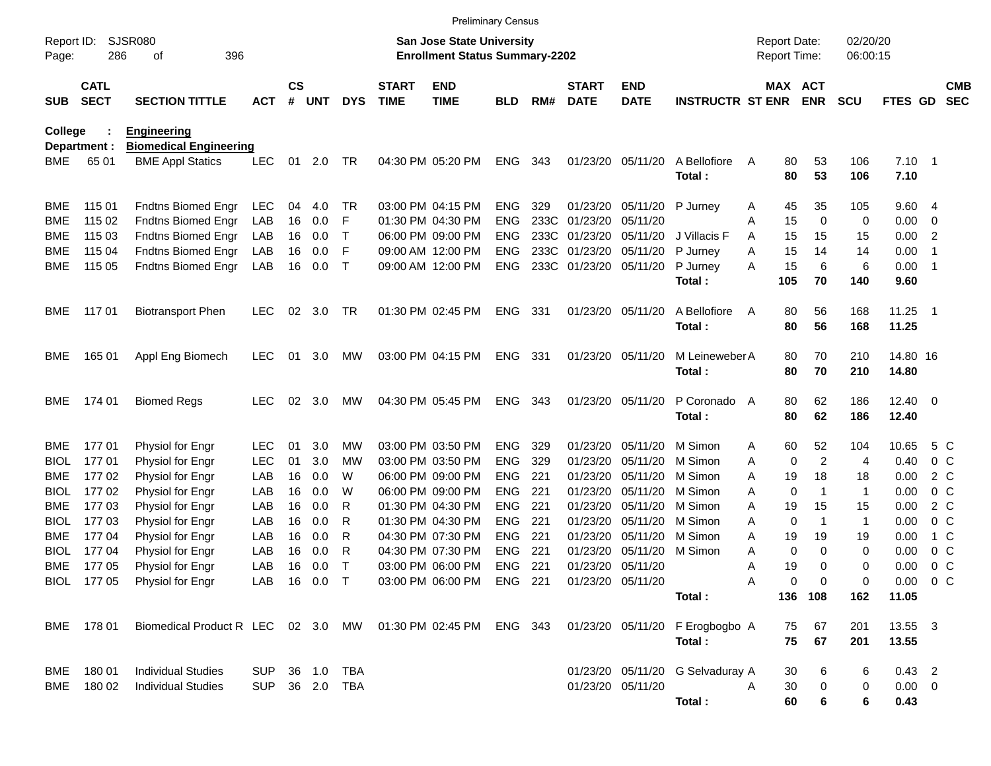|                           |                            |                                                                                              |                |                    |            |              |                             | <b>Preliminary Census</b>                                                 |                          |            |                             |                           |                                  |                                     |                |                      |                |                            |                          |
|---------------------------|----------------------------|----------------------------------------------------------------------------------------------|----------------|--------------------|------------|--------------|-----------------------------|---------------------------------------------------------------------------|--------------------------|------------|-----------------------------|---------------------------|----------------------------------|-------------------------------------|----------------|----------------------|----------------|----------------------------|--------------------------|
| Report ID:<br>Page:       | 286                        | SJSR080<br>396<br>οf                                                                         |                |                    |            |              |                             | <b>San Jose State University</b><br><b>Enrollment Status Summary-2202</b> |                          |            |                             |                           |                                  | <b>Report Date:</b><br>Report Time: |                | 02/20/20<br>06:00:15 |                |                            |                          |
| <b>SUB</b>                | <b>CATL</b><br><b>SECT</b> | <b>SECTION TITTLE</b>                                                                        | <b>ACT</b>     | $\mathsf{cs}$<br># | <b>UNT</b> | <b>DYS</b>   | <b>START</b><br><b>TIME</b> | <b>END</b><br><b>TIME</b>                                                 | <b>BLD</b>               | RM#        | <b>START</b><br><b>DATE</b> | <b>END</b><br><b>DATE</b> | <b>INSTRUCTR ST ENR</b>          | MAX ACT                             | <b>ENR</b>     | <b>SCU</b>           | <b>FTES GD</b> |                            | <b>CMB</b><br><b>SEC</b> |
| College                   |                            | <b>Engineering</b>                                                                           |                |                    |            |              |                             |                                                                           |                          |            |                             |                           |                                  |                                     |                |                      |                |                            |                          |
| <b>BME</b>                | Department :<br>65 01      | <b>Biomedical Engineering</b>                                                                |                |                    |            | TR           |                             | 04:30 PM 05:20 PM                                                         | <b>ENG</b>               | 343        | 01/23/20                    | 05/11/20                  | A Bellofiore                     | 80                                  |                | 106                  | $7.10$ 1       |                            |                          |
|                           |                            | <b>BME Appl Statics</b>                                                                      | <b>LEC</b>     | 01                 | 2.0        |              |                             |                                                                           |                          |            |                             |                           | Total:                           | A<br>80                             | 53<br>53       | 106                  | 7.10           |                            |                          |
| <b>BME</b>                | 115 01                     | <b>Fndtns Biomed Engr</b>                                                                    | <b>LEC</b>     | 04                 | 4.0        | TR           |                             | 03:00 PM 04:15 PM                                                         | <b>ENG</b>               | 329        | 01/23/20                    | 05/11/20                  | P Jurney                         | 45<br>Α                             | 35             | 105                  | 9.604          |                            |                          |
| <b>BME</b>                | 115 02                     | <b>Fndtns Biomed Engr</b>                                                                    | LAB            | 16                 | 0.0        | F            |                             | 01:30 PM 04:30 PM                                                         | <b>ENG</b>               | 233C       | 01/23/20                    | 05/11/20                  |                                  | 15<br>A                             | $\mathbf 0$    | 0                    | 0.00           | 0                          |                          |
| <b>BME</b>                | 115 03                     | <b>Fndtns Biomed Engr</b>                                                                    | LAB            | 16                 | 0.0        | Т            |                             | 06:00 PM 09:00 PM                                                         | <b>ENG</b>               | 233C       | 01/23/20                    | 05/11/20                  | J Villacis F                     | 15<br>A                             | 15             | 15                   | 0.00           | $\overline{2}$             |                          |
| <b>BME</b>                | 115 04                     | <b>Fndtns Biomed Engr</b>                                                                    | LAB            | 16                 | 0.0        | F            |                             | 09:00 AM 12:00 PM                                                         | <b>ENG</b>               | 233C       | 01/23/20                    | 05/11/20                  | P Jurney                         | 15<br>Α                             | 14             | 14                   | 0.00           | -1                         |                          |
| <b>BME</b>                | 115 05                     | <b>Fndtns Biomed Engr</b>                                                                    | LAB            | 16                 | 0.0        | $\mathsf T$  |                             | 09:00 AM 12:00 PM                                                         | <b>ENG</b>               |            | 233C 01/23/20               | 05/11/20                  | P Jurney<br>Total:               | 15<br>A<br>105                      | 6<br>70        | 6<br>140             | 0.00<br>9.60   | - 1                        |                          |
|                           |                            |                                                                                              |                |                    |            |              |                             |                                                                           |                          |            |                             |                           |                                  |                                     |                |                      |                |                            |                          |
| BME                       | 11701                      | <b>Biotransport Phen</b>                                                                     | <b>LEC</b>     | 02                 | 3.0        | TR           |                             | 01:30 PM 02:45 PM                                                         | <b>ENG</b>               | 331        |                             | 01/23/20 05/11/20         | A Bellofiore                     | 80<br>A                             | 56             | 168                  | 11.25          | $\overline{\phantom{0}}$ 1 |                          |
|                           |                            |                                                                                              |                |                    |            |              |                             |                                                                           |                          |            |                             |                           | Total:                           | 80                                  | 56             | 168                  | 11.25          |                            |                          |
| BME                       | 165 01                     | Appl Eng Biomech                                                                             | <b>LEC</b>     | 01                 | 3.0        | <b>MW</b>    |                             | 03:00 PM 04:15 PM                                                         | <b>ENG</b>               | -331       |                             | 01/23/20 05/11/20         | M Leineweber A                   | 80                                  | 70             | 210                  | 14.80 16       |                            |                          |
|                           |                            |                                                                                              |                |                    |            |              |                             |                                                                           |                          |            |                             |                           | Total:                           | 80                                  | 70             | 210                  | 14.80          |                            |                          |
| BME                       | 174 01                     | <b>Biomed Regs</b>                                                                           | <b>LEC</b>     | 02                 | 3.0        | МW           |                             | 04:30 PM 05:45 PM                                                         | ENG                      | 343        |                             | 01/23/20 05/11/20         | P Coronado A                     | 80                                  | 62             | 186                  | $12.40 \t 0$   |                            |                          |
|                           |                            |                                                                                              |                |                    |            |              |                             |                                                                           |                          |            |                             |                           | Total:                           | 80                                  | 62             | 186                  | 12.40          |                            |                          |
| BME                       | 17701                      | Physiol for Engr                                                                             | <b>LEC</b>     | 01                 | 3.0        | МW           |                             | 03:00 PM 03:50 PM                                                         | <b>ENG</b>               | 329        | 01/23/20                    | 05/11/20                  | M Simon                          | 60<br>A                             | 52             | 104                  | 10.65          | 5 C                        |                          |
| <b>BIOL</b>               | 17701                      | Physiol for Engr                                                                             | <b>LEC</b>     | 01                 | 3.0        | МW           |                             | 03:00 PM 03:50 PM                                                         | <b>ENG</b>               | 329        | 01/23/20                    | 05/11/20                  | M Simon                          | 0<br>A                              | $\overline{2}$ | 4                    | 0.40           | 0 <sup>o</sup>             |                          |
| <b>BME</b>                | 17702                      | Physiol for Engr                                                                             | LAB            | 16                 | 0.0        | W            |                             | 06:00 PM 09:00 PM                                                         | <b>ENG</b>               | 221        | 01/23/20                    | 05/11/20                  | M Simon                          | 19<br>A                             | 18             | 18                   | 0.00           | 2 C                        |                          |
| <b>BIOL</b>               | 17702                      | Physiol for Engr                                                                             | LAB            | 16                 | 0.0        | W            |                             | 06:00 PM 09:00 PM                                                         | <b>ENG</b>               | 221        | 01/23/20                    | 05/11/20                  | M Simon                          | $\mathbf 0$<br>A                    | 1              | $\mathbf{1}$         | 0.00           | 0 <sup>o</sup>             |                          |
| <b>BME</b>                | 17703                      | Physiol for Engr                                                                             | LAB            | 16                 | 0.0        | R            |                             | 01:30 PM 04:30 PM                                                         | <b>ENG</b>               | 221        | 01/23/20                    | 05/11/20                  | M Simon<br>M Simon               | A<br>19                             | 15             | 15                   | 0.00           | 2 C                        |                          |
| <b>BIOL</b><br><b>BME</b> | 17703<br>17704             | Physiol for Engr<br>Physiol for Engr                                                         | LAB<br>LAB     | 16<br>16           | 0.0<br>0.0 | R<br>R       |                             | 01:30 PM 04:30 PM<br>04:30 PM 07:30 PM                                    | <b>ENG</b><br><b>ENG</b> | 221<br>221 | 01/23/20<br>01/23/20        | 05/11/20<br>05/11/20      | M Simon                          | 0<br>A<br>A<br>19                   | $\mathbf 1$    | $\mathbf{1}$<br>19   | 0.00<br>0.00   | 0 <sup>o</sup><br>1 C      |                          |
| <b>BIOL</b>               | 17704                      | Physiol for Engr                                                                             | LAB            | 16                 | 0.0        | R            |                             | 04:30 PM 07:30 PM                                                         | <b>ENG</b>               | 221        | 01/23/20                    | 05/11/20                  | M Simon                          | 0<br>A                              | 19<br>$\Omega$ | 0                    | 0.00           | 0 <sup>o</sup>             |                          |
| BME                       | 17705                      | Physiol for Engr                                                                             | LAB            | 16                 | 0.0        | Т            |                             | 03:00 PM 06:00 PM                                                         | <b>ENG</b>               | 221        |                             | 01/23/20 05/11/20         |                                  | 19<br>A                             | 0              | 0                    | 0.00           | 0 <sup>o</sup>             |                          |
|                           |                            | BIOL 177 05 Physiol for Engr                                                                 |                |                    |            | LAB 16 0.0 T |                             | 03:00 PM 06:00 PM ENG 221 01/23/20 05/11/20                               |                          |            |                             |                           |                                  | $\mathsf{A}$<br>0                   | $\overline{0}$ | 0                    | $0.00 \t 0 C$  |                            |                          |
|                           |                            |                                                                                              |                |                    |            |              |                             |                                                                           |                          |            |                             |                           | Total:                           |                                     | 136 108        | 162                  | 11.05          |                            |                          |
|                           | BME 178 01                 | Biomedical Product R LEC 02 3.0 MW 01:30 PM 02:45 PM ENG 343 01/23/20 05/11/20 F Erogbogbo A |                |                    |            |              |                             |                                                                           |                          |            |                             |                           |                                  |                                     | 75 67          | 201                  | 13.55 3        |                            |                          |
|                           |                            |                                                                                              |                |                    |            |              |                             |                                                                           |                          |            |                             |                           | Total:                           |                                     | 75 67          | 201                  | 13.55          |                            |                          |
|                           | BME 180 01                 | <b>Individual Studies</b>                                                                    | SUP 36 1.0 TBA |                    |            |              |                             |                                                                           |                          |            |                             |                           | 01/23/20 05/11/20 G Selvaduray A | 30                                  | 6              | 6                    | $0.43$ 2       |                            |                          |
|                           |                            | BME 180 02 Individual Studies                                                                | SUP 36 2.0 TBA |                    |            |              |                             |                                                                           |                          |            |                             | 01/23/20 05/11/20         |                                  | 30<br>A                             | $\mathbf 0$    | 0                    | $0.00 \quad 0$ |                            |                          |
|                           |                            |                                                                                              |                |                    |            |              |                             |                                                                           |                          |            |                             |                           | Total :                          | 60                                  | 6              | 6                    | 0.43           |                            |                          |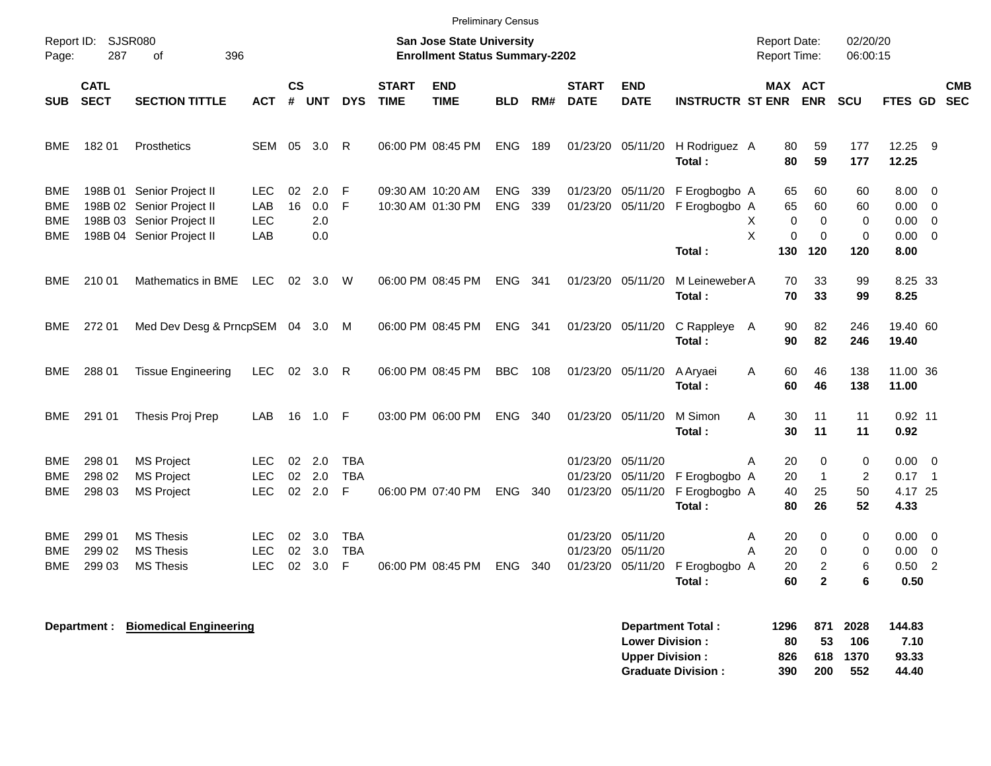|                                        |                            |                                                                                                                  |                                  |                |                          |                                         |                             | <b>Preliminary Census</b>                                                 |                          |            |                             |                                                             |                                          |                                            |                                                              |                                   |                                                                 |                            |            |
|----------------------------------------|----------------------------|------------------------------------------------------------------------------------------------------------------|----------------------------------|----------------|--------------------------|-----------------------------------------|-----------------------------|---------------------------------------------------------------------------|--------------------------|------------|-----------------------------|-------------------------------------------------------------|------------------------------------------|--------------------------------------------|--------------------------------------------------------------|-----------------------------------|-----------------------------------------------------------------|----------------------------|------------|
| Page:                                  | Report ID: SJSR080<br>287  | 396<br>οf                                                                                                        |                                  |                |                          |                                         |                             | <b>San Jose State University</b><br><b>Enrollment Status Summary-2202</b> |                          |            |                             |                                                             |                                          | <b>Report Date:</b><br><b>Report Time:</b> |                                                              | 02/20/20<br>06:00:15              |                                                                 |                            |            |
| <b>SUB</b>                             | <b>CATL</b><br><b>SECT</b> | <b>SECTION TITTLE</b>                                                                                            | ACT                              | <b>CS</b>      | # UNT                    | <b>DYS</b>                              | <b>START</b><br><b>TIME</b> | <b>END</b><br><b>TIME</b>                                                 | <b>BLD</b>               | RM#        | <b>START</b><br><b>DATE</b> | <b>END</b><br><b>DATE</b>                                   | <b>INSTRUCTR ST ENR</b>                  |                                            | <b>MAX ACT</b><br><b>ENR</b>                                 | <b>SCU</b>                        | FTES GD SEC                                                     |                            | <b>CMB</b> |
| BME                                    | 18201                      | Prosthetics                                                                                                      | SEM 05                           |                | 3.0                      | R                                       |                             | 06:00 PM 08:45 PM                                                         | <b>ENG</b>               | 189        |                             | 01/23/20 05/11/20                                           | H Rodriguez A<br>Total:                  | 80                                         | 59<br>80<br>59                                               | 177<br>177                        | 12.25 9<br>12.25                                                |                            |            |
| <b>BME</b><br><b>BME</b><br>BME<br>BME |                            | 198B 01 Senior Project II<br>198B 02 Senior Project II<br>198B 03 Senior Project II<br>198B 04 Senior Project II | LEC.<br>LAB<br><b>LEC</b><br>LAB | 02<br>16       | 2.0<br>0.0<br>2.0<br>0.0 | F<br>F                                  |                             | 09:30 AM 10:20 AM<br>10:30 AM 01:30 PM                                    | <b>ENG</b><br><b>ENG</b> | 339<br>339 | 01/23/20<br>01/23/20        | 05/11/20<br>05/11/20                                        | F Erogbogbo A<br>F Erogbogbo A<br>Total: | 65<br>65<br>Χ<br>X<br>130                  | 60<br>60<br>$\pmb{0}$<br>$\mathbf 0$<br>0<br>$\Omega$<br>120 | 60<br>60<br>0<br>$\pmb{0}$<br>120 | $8.00 \ 0$<br>$0.00 \t 0$<br>$0.00 \t 0$<br>$0.00 \t 0$<br>8.00 |                            |            |
| BME                                    | 210 01                     | Mathematics in BME                                                                                               | <b>LEC</b>                       | 02             | 3.0                      | W                                       |                             | 06:00 PM 08:45 PM                                                         | <b>ENG</b>               | 341        |                             | 01/23/20 05/11/20                                           | M Leineweber A<br>Total:                 | 70                                         | 33<br>70<br>33                                               | 99<br>99                          | 8.25 33<br>8.25                                                 |                            |            |
| BME                                    | 272 01                     | Med Dev Desg & PrncpSEM 04 3.0 M                                                                                 |                                  |                |                          |                                         |                             | 06:00 PM 08:45 PM                                                         | <b>ENG</b>               | 341        |                             | 01/23/20 05/11/20                                           | C Rappleye A<br>Total :                  | 90                                         | 82<br>90<br>82                                               | 246<br>246                        | 19.40 60<br>19.40                                               |                            |            |
| BME                                    | 288 01                     | <b>Tissue Engineering</b>                                                                                        | LEC.                             |                | 02 3.0                   | R                                       |                             | 06:00 PM 08:45 PM                                                         | <b>BBC</b>               | 108        |                             | 01/23/20 05/11/20                                           | A Aryaei<br>Total:                       | 60<br>A<br>60                              | 46<br>46                                                     | 138<br>138                        | 11.00 36<br>11.00                                               |                            |            |
| BME                                    | 291 01                     | Thesis Proj Prep                                                                                                 | LAB                              | 16             | 1.0                      | - F                                     |                             | 03:00 PM 06:00 PM                                                         | <b>ENG</b>               | 340        |                             | 01/23/20 05/11/20                                           | M Simon<br>Total:                        | A<br>30<br>30                              | 11<br>11                                                     | 11<br>11                          | $0.92$ 11<br>0.92                                               |                            |            |
| <b>BME</b><br><b>BME</b><br><b>BME</b> | 298 01<br>298 02<br>298 03 | <b>MS Project</b><br><b>MS Project</b><br><b>MS Project</b>                                                      | LEC.<br>LEC.<br>LEC.             | 02<br>02<br>02 | 2.0<br>2.0<br>2.0        | <b>TBA</b><br><b>TBA</b><br>F           |                             | 06:00 PM 07:40 PM                                                         | <b>ENG</b>               | 340        |                             | 01/23/20 05/11/20<br>01/23/20 05/11/20<br>01/23/20 05/11/20 | F Erogbogbo A<br>F Erogbogbo A<br>Total: | 20<br>Α<br>20<br>40<br>80                  | $\Omega$<br>$\mathbf{1}$<br>25<br>26                         | 0<br>2<br>50<br>52                | $0.00 \t 0$<br>0.17<br>4.17 25<br>4.33                          | $\overline{\phantom{0}}$ 1 |            |
| BME<br>BME<br>BME                      | 299 01<br>299 02<br>299 03 | <b>MS Thesis</b><br><b>MS Thesis</b><br><b>MS Thesis</b>                                                         | LEC.<br><b>LEC</b><br><b>LEC</b> | 02<br>02       | 3.0<br>3.0<br>02 3.0     | <b>TBA</b><br><b>TBA</b><br>$\mathsf F$ |                             | 06:00 PM 08:45 PM                                                         | <b>ENG</b>               | 340        | 01/23/20                    | 05/11/20<br>01/23/20 05/11/20<br>01/23/20 05/11/20          | F Erogbogbo A<br>Total:                  | 20<br>Α<br>20<br>A<br>20<br>60             | 0<br>$\mathbf 0$<br>$\overline{c}$<br>$\overline{2}$         | 0<br>0<br>6<br>6                  | $0.00 \t 0$<br>$0.00 \t 0$<br>0.50<br>0.50                      | $\overline{2}$             |            |
|                                        |                            | Department: Biomedical Engineering                                                                               |                                  |                |                          |                                         |                             |                                                                           |                          |            |                             |                                                             | <b>Department Total:</b>                 | 1296                                       | 871                                                          | 2028                              | 144.83                                                          |                            |            |

| Department Total:         | 1296 |     | 871 2028 | 144.83 |
|---------------------------|------|-----|----------|--------|
| <b>Lower Division:</b>    | 80.  | 53. | 106      | 7.10   |
| <b>Upper Division:</b>    | 826  |     | 618 1370 | 93.33  |
| <b>Graduate Division:</b> | 390  | 200 | 552      | 44.40  |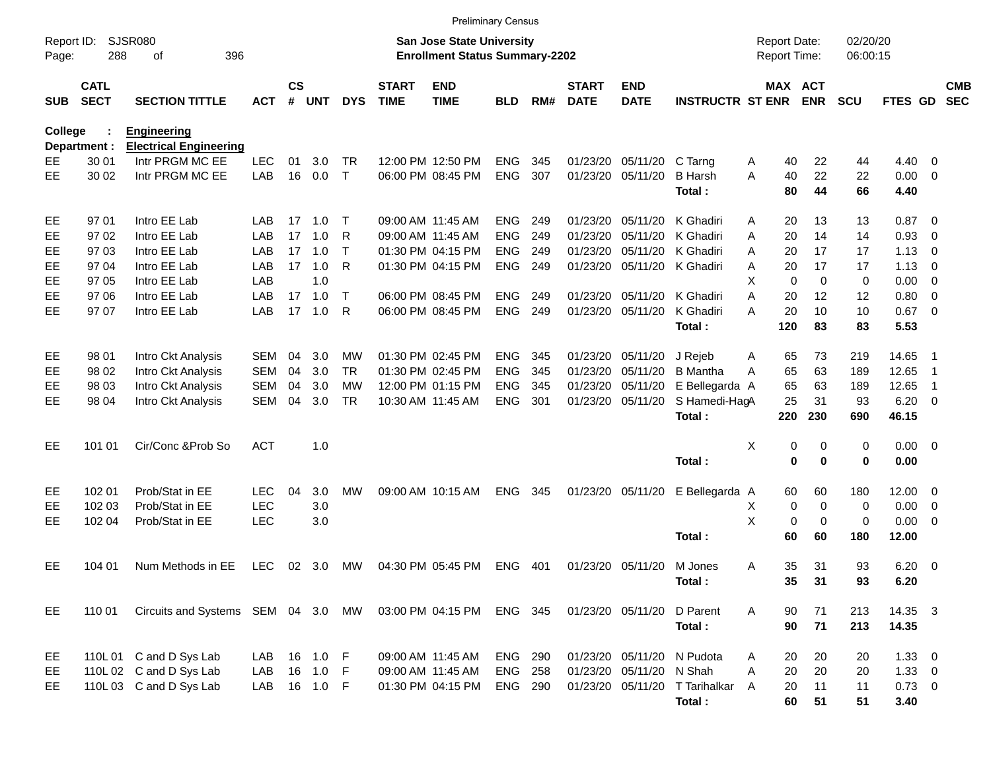|                     |                            |                                                     |            |                |            |              |                             |                                                                    | <b>Preliminary Census</b> |      |                             |                           |                                |                                     |                       |                      |                |                          |                          |
|---------------------|----------------------------|-----------------------------------------------------|------------|----------------|------------|--------------|-----------------------------|--------------------------------------------------------------------|---------------------------|------|-----------------------------|---------------------------|--------------------------------|-------------------------------------|-----------------------|----------------------|----------------|--------------------------|--------------------------|
| Report ID:<br>Page: | 288                        | <b>SJSR080</b><br>396<br>оf                         |            |                |            |              |                             | San Jose State University<br><b>Enrollment Status Summary-2202</b> |                           |      |                             |                           |                                | <b>Report Date:</b><br>Report Time: |                       | 02/20/20<br>06:00:15 |                |                          |                          |
| <b>SUB</b>          | <b>CATL</b><br><b>SECT</b> | <b>SECTION TITTLE</b>                               | <b>ACT</b> | <b>CS</b><br># | <b>UNT</b> | <b>DYS</b>   | <b>START</b><br><b>TIME</b> | <b>END</b><br><b>TIME</b>                                          | BLD                       | RM#  | <b>START</b><br><b>DATE</b> | <b>END</b><br><b>DATE</b> | <b>INSTRUCTR ST ENR</b>        |                                     | MAX ACT<br><b>ENR</b> | <b>SCU</b>           | FTES GD        |                          | <b>CMB</b><br><b>SEC</b> |
| College             |                            | <b>Engineering</b><br><b>Electrical Engineering</b> |            |                |            |              |                             |                                                                    |                           |      |                             |                           |                                |                                     |                       |                      |                |                          |                          |
| EE                  | Department :<br>30 01      | Intr PRGM MC EE                                     | <b>LEC</b> | 01             | 3.0        | TR           |                             | 12:00 PM 12:50 PM                                                  | <b>ENG</b>                | 345  | 01/23/20                    | 05/11/20                  | C Tarng                        | 40<br>A                             | 22                    | 44                   | 4.40           | $\overline{0}$           |                          |
| EE.                 | 30 02                      | Intr PRGM MC EE                                     | LAB        | 16             | 0.0        | $\mathsf{T}$ |                             | 06:00 PM 08:45 PM                                                  | <b>ENG</b>                | 307  |                             | 01/23/20 05/11/20         | <b>B</b> Harsh                 | 40<br>A                             | 22                    | 22                   | 0.00           | - 0                      |                          |
|                     |                            |                                                     |            |                |            |              |                             |                                                                    |                           |      |                             |                           | Total:                         | 80                                  | 44                    | 66                   | 4.40           |                          |                          |
| EE                  | 97 01                      | Intro EE Lab                                        | LAB        |                | 17 1.0     | Т            |                             | 09:00 AM 11:45 AM                                                  | <b>ENG</b>                | 249  | 01/23/20                    | 05/11/20                  | K Ghadiri                      | 20<br>A                             | 13                    | 13                   | 0.87           | $\overline{\phantom{0}}$ |                          |
| EE.                 | 97 02                      | Intro EE Lab                                        | LAB        | 17             | 1.0        | R            |                             | 09:00 AM 11:45 AM                                                  | <b>ENG</b>                | 249  | 01/23/20                    | 05/11/20                  | K Ghadiri                      | 20<br>A                             | 14                    | 14                   | 0.93           | 0                        |                          |
| EE                  | 97 03                      | Intro EE Lab                                        | LAB        | 17             | 1.0        | $\mathsf{T}$ |                             | 01:30 PM 04:15 PM                                                  | <b>ENG</b>                | 249  | 01/23/20                    | 05/11/20                  | K Ghadiri                      | 20<br>A                             | 17                    | 17                   | 1.13           | 0                        |                          |
| EЕ                  | 97 04                      | Intro EE Lab                                        | LAB        | 17             | 1.0        | R            |                             | 01:30 PM 04:15 PM                                                  | <b>ENG</b>                | 249  |                             |                           | 01/23/20 05/11/20 K Ghadiri    | 20<br>A                             | 17                    | 17                   | 1.13           | 0                        |                          |
| EЕ                  | 97 05                      | Intro EE Lab                                        | LAB        |                | 1.0        |              |                             |                                                                    |                           |      |                             |                           |                                | X<br>0                              | $\mathbf 0$           | 0                    | 0.00           | 0                        |                          |
| EE                  | 97 06                      | Intro EE Lab                                        | LAB        | 17             | 1.0        | $\mathsf{T}$ |                             | 06:00 PM 08:45 PM                                                  | <b>ENG</b>                | 249  |                             | 01/23/20 05/11/20         | K Ghadiri                      | A<br>20                             | 12                    | 12                   | 0.80           | 0                        |                          |
| EE.                 | 97 07                      | Intro EE Lab                                        | LAB        | 17             | 1.0        | R            |                             | 06:00 PM 08:45 PM                                                  | <b>ENG</b>                | 249  |                             | 01/23/20 05/11/20         | K Ghadiri                      | 20<br>А                             | 10                    | 10                   | 0.67           | $\overline{\phantom{0}}$ |                          |
|                     |                            |                                                     |            |                |            |              |                             |                                                                    |                           |      |                             |                           | Total:                         | 120                                 | 83                    | 83                   | 5.53           |                          |                          |
| EE                  | 98 01                      | Intro Ckt Analysis                                  | <b>SEM</b> | 04             | 3.0        | MW           |                             | 01:30 PM 02:45 PM                                                  | <b>ENG</b>                | 345  |                             | 01/23/20 05/11/20         | J Rejeb                        | 65<br>A                             | 73                    | 219                  | 14.65          | - 1                      |                          |
| EE                  | 98 02                      | Intro Ckt Analysis                                  | <b>SEM</b> | 04             | 3.0        | TR           |                             | 01:30 PM 02:45 PM                                                  | <b>ENG</b>                | 345  |                             | 01/23/20 05/11/20         | <b>B</b> Mantha                | 65<br>A                             | 63                    | 189                  | 12.65          | -1                       |                          |
| EЕ                  | 98 03                      | Intro Ckt Analysis                                  | <b>SEM</b> | 04             | 3.0        | МW           |                             | 12:00 PM 01:15 PM                                                  | <b>ENG</b>                | 345  |                             | 01/23/20 05/11/20         | E Bellegarda A                 | 65                                  | 63                    | 189                  | 12.65          | -1                       |                          |
| EЕ                  | 98 04                      | Intro Ckt Analysis                                  | <b>SEM</b> | 04             | 3.0        | <b>TR</b>    |                             | 10:30 AM 11:45 AM                                                  | <b>ENG</b>                | 301  |                             | 01/23/20 05/11/20         | S Hamedi-HagA                  | 25                                  | 31                    | 93                   | 6.20           | $\overline{\phantom{0}}$ |                          |
|                     |                            |                                                     |            |                |            |              |                             |                                                                    |                           |      |                             |                           | Total:                         | 220                                 | 230                   | 690                  | 46.15          |                          |                          |
| EE                  | 101 01                     | Cir/Conc & Prob So                                  | <b>ACT</b> |                | 1.0        |              |                             |                                                                    |                           |      |                             |                           |                                | X<br>0                              | 0                     | 0                    | $0.00 \t 0$    |                          |                          |
|                     |                            |                                                     |            |                |            |              |                             |                                                                    |                           |      |                             |                           | Total:                         | $\mathbf 0$                         | $\bf{0}$              | 0                    | 0.00           |                          |                          |
| EE                  | 102 01                     | Prob/Stat in EE                                     | <b>LEC</b> | 04             | 3.0        | МW           |                             | 09:00 AM 10:15 AM                                                  | <b>ENG</b>                | 345  |                             | 01/23/20 05/11/20         | E Bellegarda A                 | 60                                  | 60                    | 180                  | 12.00          | $\overline{\mathbf{0}}$  |                          |
| EЕ                  | 102 03                     | Prob/Stat in EE                                     | <b>LEC</b> |                | 3.0        |              |                             |                                                                    |                           |      |                             |                           |                                | Χ<br>0                              | 0                     | 0                    | 0.00           | $\overline{\mathbf{0}}$  |                          |
| EE                  | 102 04                     | Prob/Stat in EE                                     | <b>LEC</b> |                | 3.0        |              |                             |                                                                    |                           |      |                             |                           |                                | X<br>0                              | $\mathbf 0$           | $\mathbf 0$          | 0.00           | $\overline{\mathbf{0}}$  |                          |
|                     |                            |                                                     |            |                |            |              |                             |                                                                    |                           |      |                             |                           | Total:                         | 60                                  | 60                    | 180                  | 12.00          |                          |                          |
| EE                  | 104 01                     | Num Methods in EE                                   | <b>LEC</b> | 02             | 3.0        | МW           |                             | 04:30 PM 05:45 PM                                                  | <b>ENG</b>                | -401 |                             | 01/23/20 05/11/20         | M Jones                        | 35<br>Α                             | 31                    | 93                   | 6.20           | $\overline{\phantom{0}}$ |                          |
|                     |                            |                                                     |            |                |            |              |                             |                                                                    |                           |      |                             |                           | Total:                         | 35                                  | 31                    | 93                   | 6.20           |                          |                          |
| EE                  | 110 01                     | Circuits and Systems SEM 04 3.0 MW                  |            |                |            |              |                             | 03:00 PM 04:15 PM                                                  | ENG 345                   |      |                             | 01/23/20 05/11/20         | D Parent                       | A<br>90                             | 71                    | 213                  | 14.35 3        |                          |                          |
|                     |                            |                                                     |            |                |            |              |                             |                                                                    |                           |      |                             |                           | Total:                         | 90                                  | 71                    | 213                  | 14.35          |                          |                          |
| EE                  |                            | 110L 01 C and D Sys Lab                             | LAB        |                | 16 1.0 F   |              |                             | 09:00 AM 11:45 AM                                                  | <b>ENG 290</b>            |      |                             |                           | 01/23/20 05/11/20 N Pudota     | 20<br>A                             | 20                    | 20                   | $1.33 \ 0$     |                          |                          |
| EE                  |                            | 110L 02 C and D Sys Lab                             | LAB        |                | 16  1.0  F |              |                             | 09:00 AM 11:45 AM                                                  | <b>ENG 258</b>            |      |                             | 01/23/20 05/11/20 N Shah  |                                | Α<br>20                             | 20                    | 20                   | $1.33 \ 0$     |                          |                          |
| EE                  |                            | 110L 03 C and D Sys Lab                             | LAB        |                | 16  1.0  F |              |                             | 01:30 PM 04:15 PM                                                  | <b>ENG 290</b>            |      |                             |                           | 01/23/20 05/11/20 T Tarihalkar | A<br>20                             | 11                    | 11                   | $0.73 \quad 0$ |                          |                          |
|                     |                            |                                                     |            |                |            |              |                             |                                                                    |                           |      |                             |                           | Total:                         | 60                                  | 51                    | 51                   | 3.40           |                          |                          |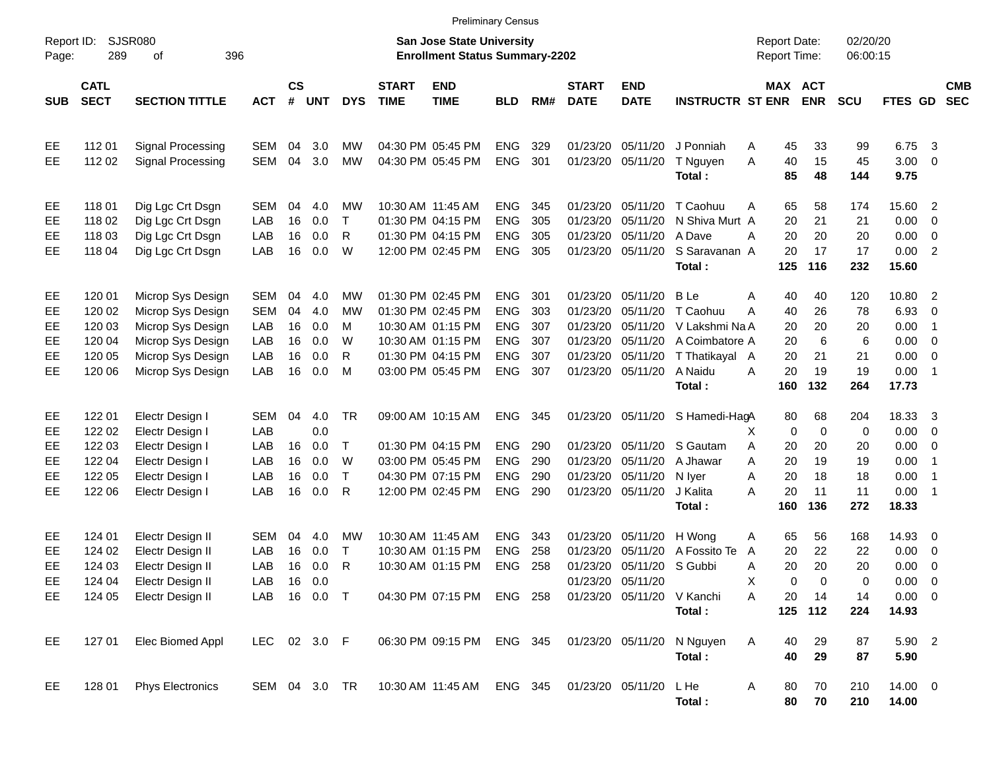| Page:                            | <b>SJSR080</b><br>Report ID:<br>289<br>396<br>οf<br><b>CATL</b> |                                                                                                                            |                                               |                                  |                                        |                                         |                             | <b>San Jose State University</b><br><b>Enrollment Status Summary-2202</b>                                                  |                                                                                  |                                        |                                                                                     |                                                                      |                                                                                                      | <b>Report Date:</b><br><b>Report Time:</b>                                |                                             | 02/20/20<br>06:00:15                              |                                                                        |                                                                                                              |
|----------------------------------|-----------------------------------------------------------------|----------------------------------------------------------------------------------------------------------------------------|-----------------------------------------------|----------------------------------|----------------------------------------|-----------------------------------------|-----------------------------|----------------------------------------------------------------------------------------------------------------------------|----------------------------------------------------------------------------------|----------------------------------------|-------------------------------------------------------------------------------------|----------------------------------------------------------------------|------------------------------------------------------------------------------------------------------|---------------------------------------------------------------------------|---------------------------------------------|---------------------------------------------------|------------------------------------------------------------------------|--------------------------------------------------------------------------------------------------------------|
| <b>SUB</b>                       | <b>SECT</b>                                                     | <b>SECTION TITTLE</b>                                                                                                      | <b>ACT</b>                                    | <b>CS</b><br>#                   | <b>UNT</b>                             | <b>DYS</b>                              | <b>START</b><br><b>TIME</b> | <b>END</b><br><b>TIME</b>                                                                                                  | <b>BLD</b>                                                                       | RM#                                    | <b>START</b><br><b>DATE</b>                                                         | <b>END</b><br><b>DATE</b>                                            | <b>INSTRUCTR ST ENR</b>                                                                              | MAX ACT                                                                   | <b>ENR</b>                                  | <b>SCU</b>                                        | FTES GD                                                                | <b>CMB</b><br><b>SEC</b>                                                                                     |
| EE<br>EЕ                         | 112 01<br>112 02                                                | Signal Processing<br>Signal Processing                                                                                     | SEM<br>SEM                                    | 04<br>04                         | 3.0<br>3.0                             | МW<br><b>MW</b>                         |                             | 04:30 PM 05:45 PM<br>04:30 PM 05:45 PM                                                                                     | <b>ENG</b><br><b>ENG</b>                                                         | 329<br>301                             | 01/23/20<br>01/23/20                                                                | 05/11/20<br>05/11/20                                                 | J Ponniah<br>T Nguyen<br>Total:                                                                      | 45<br>A<br>A<br>40<br>85                                                  | 33<br>15<br>48                              | 99<br>45<br>144                                   | 6.75<br>3.00<br>9.75                                                   | $\overline{\mathbf{3}}$<br>$\overline{\phantom{0}}$                                                          |
| EE<br>EЕ<br>EЕ<br>EЕ             | 11801<br>118 02<br>118 03<br>118 04                             | Dig Lgc Crt Dsgn<br>Dig Lgc Crt Dsgn<br>Dig Lgc Crt Dsgn<br>Dig Lgc Crt Dsgn                                               | <b>SEM</b><br>LAB<br>LAB<br>LAB               | 04<br>16<br>16<br>16             | 4.0<br>0.0<br>0.0<br>0.0               | МW<br>$\top$<br>R<br>W                  |                             | 10:30 AM 11:45 AM<br>01:30 PM 04:15 PM<br>01:30 PM 04:15 PM<br>12:00 PM 02:45 PM                                           | <b>ENG</b><br><b>ENG</b><br><b>ENG</b><br><b>ENG</b>                             | 345<br>305<br>305<br>305               | 01/23/20<br>01/23/20<br>01/23/20<br>01/23/20                                        | 05/11/20<br>05/11/20<br>05/11/20<br>05/11/20                         | T Caohuu<br>N Shiva Murt A<br>A Dave<br>S Saravanan A<br>Total:                                      | 65<br>A<br>20<br>20<br>Α<br>20<br>125                                     | 58<br>21<br>20<br>17<br>116                 | 174<br>21<br>20<br>17<br>232                      | 15.60 2<br>0.00<br>0.00<br>0.00<br>15.60                               | $\overline{\phantom{0}}$<br>$\overline{\phantom{0}}$<br>$\overline{\phantom{0}}$                             |
| EE<br>EЕ<br>EЕ<br>EЕ<br>EЕ<br>EЕ | 120 01<br>120 02<br>120 03<br>120 04<br>120 05<br>120 06        | Microp Sys Design<br>Microp Sys Design<br>Microp Sys Design<br>Microp Sys Design<br>Microp Sys Design<br>Microp Sys Design | SEM<br><b>SEM</b><br>LAB<br>LAB<br>LAB<br>LAB | 04<br>04<br>16<br>16<br>16<br>16 | 4.0<br>4.0<br>0.0<br>0.0<br>0.0<br>0.0 | МW<br>MW<br>м<br>W<br>R<br>м            |                             | 01:30 PM 02:45 PM<br>01:30 PM 02:45 PM<br>10:30 AM 01:15 PM<br>10:30 AM 01:15 PM<br>01:30 PM 04:15 PM<br>03:00 PM 05:45 PM | <b>ENG</b><br><b>ENG</b><br><b>ENG</b><br><b>ENG</b><br><b>ENG</b><br><b>ENG</b> | 301<br>303<br>307<br>307<br>307<br>307 | 01/23/20<br>01/23/20<br>01/23/20<br>01/23/20<br>01/23/20<br>01/23/20                | 05/11/20<br>05/11/20<br>05/11/20<br>05/11/20<br>05/11/20<br>05/11/20 | <b>B</b> Le<br>T Caohuu<br>- V Lakshmi Na A<br>A Coimbatore A<br>T Thatikayal A<br>A Naidu<br>Total: | 40<br>Α<br>40<br>Α<br>20<br>20<br>20<br>20<br>A<br>160                    | 40<br>26<br>20<br>6<br>21<br>19<br>132      | 120<br>78<br>20<br>6<br>21<br>19<br>264           | 10.80 2<br>6.93<br>0.00<br>0.00<br>0.00<br>$0.00$ 1<br>17.73           | $\overline{\phantom{0}}$<br>$\overline{\phantom{1}}$<br>$\overline{\phantom{0}}$<br>$\overline{\phantom{0}}$ |
| EE<br>EЕ<br>EЕ<br>EЕ<br>EЕ<br>EЕ | 122 01<br>122 02<br>122 03<br>122 04<br>122 05<br>122 06        | Electr Design I<br>Electr Design I<br>Electr Design I<br>Electr Design I<br>Electr Design I<br>Electr Design I             | SEM<br>LAB<br>LAB<br>LAB<br>LAB<br>LAB        | 04<br>16<br>16<br>16<br>16       | 4.0<br>0.0<br>0.0<br>0.0<br>0.0<br>0.0 | <b>TR</b><br>$\top$<br>W<br>$\top$<br>R |                             | 09:00 AM 10:15 AM<br>01:30 PM 04:15 PM<br>03:00 PM 05:45 PM<br>04:30 PM 07:15 PM<br>12:00 PM 02:45 PM                      | <b>ENG</b><br><b>ENG</b><br><b>ENG</b><br><b>ENG</b><br><b>ENG</b>               | 345<br>290<br>290<br>290<br>290        | 01/23/20<br>01/23/20<br>01/23/20<br>01/23/20                                        | 01/23/20 05/11/20<br>05/11/20<br>05/11/20<br>05/11/20<br>05/11/20    | S Hamedi-HagA<br>S Gautam<br>A Jhawar<br>N Iyer<br>J Kalita<br>Total:                                | 80<br>$\mathbf 0$<br>X<br>A<br>20<br>20<br>A<br>A<br>20<br>20<br>Α<br>160 | 68<br>0<br>20<br>19<br>18<br>11<br>136      | 204<br>$\mathbf 0$<br>20<br>19<br>18<br>11<br>272 | 18.33 3<br>$0.00 \t 0$<br>$0.00 \t 0$<br>0.00<br>0.00<br>0.00<br>18.33 | $\overline{\phantom{1}}$<br>- 1<br>$\overline{\phantom{1}}$                                                  |
| EЕ<br>EЕ<br>EЕ<br>EЕ<br>EE       | 124 01<br>124 02<br>124 03<br>124 04<br>124 05                  | Electr Design II<br>Electr Design II<br>Electr Design II<br>Electr Design II<br>Electr Design II                           | SEM<br>LAB<br>LAB<br>LAB<br>LAB 16 0.0 T      | 04<br>16<br>16<br>16             | 4.0<br>0.0<br>0.0<br>0.0               | МW<br>$\top$<br>R                       |                             | 10:30 AM 11:45 AM<br>10:30 AM 01:15 PM<br>10:30 AM 01:15 PM<br>04:30 PM 07:15 PM ENG 258                                   | <b>ENG</b><br><b>ENG</b><br><b>ENG</b>                                           | 343<br>258<br>258                      | 01/23/20<br>01/23/20<br>01/23/20<br>01/23/20 05/11/20<br>01/23/20 05/11/20 V Kanchi | 05/11/20<br>05/11/20<br>05/11/20                                     | H Wong<br>A Fossito Te<br>S Gubbi<br>Total:                                                          | 65<br>A<br>20<br>A<br>Α<br>20<br>0<br>X<br>Α<br>20                        | 56<br>22<br>20<br>$\Omega$<br>14<br>125 112 | 168<br>22<br>20<br>0<br>14<br>224                 | 14.93 0<br>0.00<br>0.00<br>0.00<br>$0.00 \t 0$<br>14.93                | $\overline{\mathbf{0}}$<br>$\overline{\phantom{0}}$<br>$\overline{\phantom{0}}$                              |
| EE<br>EE                         | 127 01<br>128 01                                                | Elec Biomed Appl<br><b>Phys Electronics</b>                                                                                | LEC 02 3.0 F<br>SEM 04 3.0 TR                 |                                  |                                        |                                         |                             | 06:30 PM 09:15 PM<br>10:30 AM 11:45 AM                                                                                     | ENG 345                                                                          | ENG 345                                |                                                                                     | 01/23/20 05/11/20                                                    | 01/23/20 05/11/20 N Nguyen<br>Total:<br>L He<br>Total:                                               | Α<br>40<br>40<br>A<br>80<br>80                                            | 29<br>29<br>70<br>70                        | 87<br>87<br>210<br>210                            | 5.90 2<br>5.90<br>14.00 0<br>14.00                                     |                                                                                                              |

Preliminary Census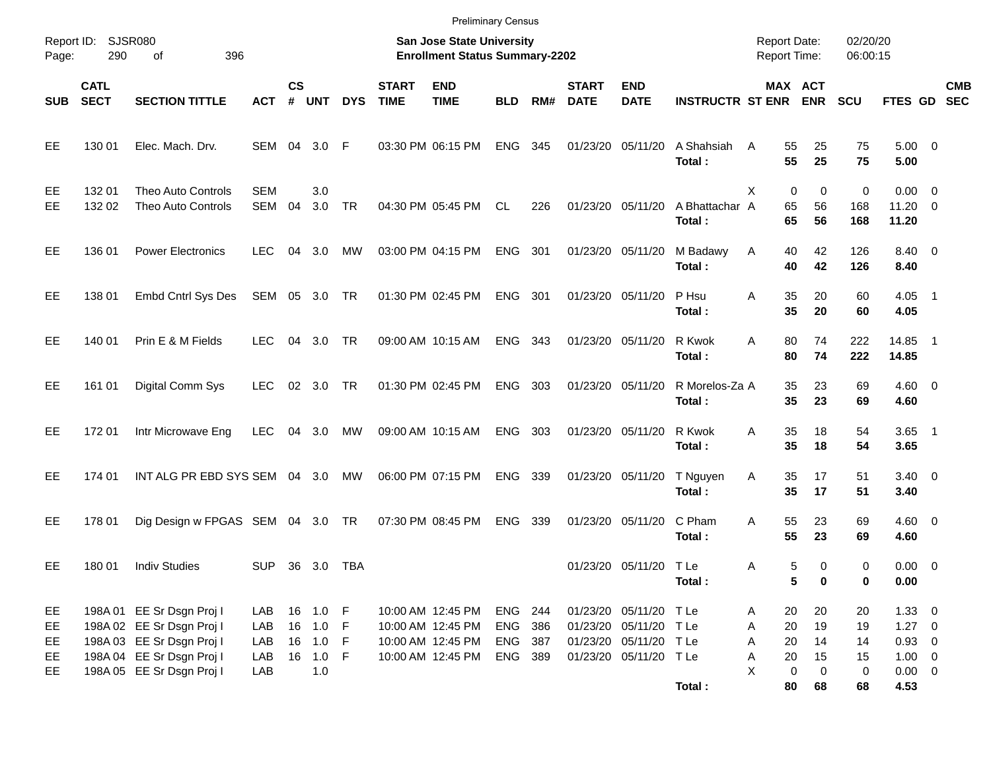|                         |                            |                                                                                                                  |                          |                |                                              |            |                             | <b>Preliminary Census</b>                                                        |                                      |     |                             |                                                                                                   |                          |                                            |                                              |                      |                                                      |                  |            |
|-------------------------|----------------------------|------------------------------------------------------------------------------------------------------------------|--------------------------|----------------|----------------------------------------------|------------|-----------------------------|----------------------------------------------------------------------------------|--------------------------------------|-----|-----------------------------|---------------------------------------------------------------------------------------------------|--------------------------|--------------------------------------------|----------------------------------------------|----------------------|------------------------------------------------------|------------------|------------|
| Report ID:<br>Page:     | 290                        | SJSR080<br>396<br>οf                                                                                             |                          |                |                                              |            |                             | <b>San Jose State University</b><br><b>Enrollment Status Summary-2202</b>        |                                      |     |                             |                                                                                                   |                          | <b>Report Date:</b><br><b>Report Time:</b> |                                              | 02/20/20<br>06:00:15 |                                                      |                  |            |
| <b>SUB</b>              | <b>CATL</b><br><b>SECT</b> | <b>SECTION TITTLE</b>                                                                                            | <b>ACT</b>               | <b>CS</b><br># | <b>UNT</b>                                   | <b>DYS</b> | <b>START</b><br><b>TIME</b> | <b>END</b><br><b>TIME</b>                                                        | <b>BLD</b>                           | RM# | <b>START</b><br><b>DATE</b> | <b>END</b><br><b>DATE</b>                                                                         | <b>INSTRUCTR ST ENR</b>  |                                            | MAX ACT<br><b>ENR</b>                        | <b>SCU</b>           | FTES GD SEC                                          |                  | <b>CMB</b> |
| EE                      | 130 01                     | Elec. Mach. Drv.                                                                                                 | SEM 04 3.0               |                |                                              | F          |                             | 03:30 PM 06:15 PM                                                                | ENG                                  | 345 | 01/23/20 05/11/20           |                                                                                                   | A Shahsiah<br>Total:     | 55<br>A                                    | 25<br>55<br>25                               | 75<br>75             | $5.00 \t 0$<br>5.00                                  |                  |            |
| EE<br><b>EE</b>         | 132 01<br>132 02           | Theo Auto Controls<br><b>Theo Auto Controls</b>                                                                  | <b>SEM</b><br>SEM        | 04             | 3.0<br>3.0                                   | TR         |                             | 04:30 PM 05:45 PM                                                                | CL.                                  | 226 |                             | 01/23/20 05/11/20                                                                                 | A Bhattachar A<br>Total: | X<br>65<br>65                              | 0<br>0<br>56<br>56                           | 0<br>168<br>168      | $0.00 \t 0$<br>$11.20 \t 0$<br>11.20                 |                  |            |
| EE                      | 136 01                     | <b>Power Electronics</b>                                                                                         | <b>LEC</b>               | 04             | 3.0                                          | MW         |                             | 03:00 PM 04:15 PM                                                                | ENG                                  | 301 | 01/23/20 05/11/20           |                                                                                                   | M Badawy<br>Total:       | A                                          | 42<br>40<br>42<br>40                         | 126<br>126           | 8.40 0<br>8.40                                       |                  |            |
| EE                      | 138 01                     | Embd Cntrl Sys Des                                                                                               | SEM 05 3.0 TR            |                |                                              |            |                             | 01:30 PM 02:45 PM                                                                | ENG                                  | 301 | 01/23/20 05/11/20           |                                                                                                   | P Hsu<br>Total:          | A<br>35                                    | 35<br>20<br>20                               | 60<br>60             | $4.05$ 1<br>4.05                                     |                  |            |
| EE                      | 140 01                     | Prin E & M Fields                                                                                                | <b>LEC</b>               | 04             | 3.0                                          | TR         |                             | 09:00 AM 10:15 AM                                                                | ENG                                  | 343 | 01/23/20 05/11/20           |                                                                                                   | R Kwok<br>Total:         | 80<br>A<br>80                              | 74<br>74                                     | 222<br>222           | 14.85<br>14.85                                       | $\blacksquare$ 1 |            |
| EE                      | 161 01                     | Digital Comm Sys                                                                                                 | <b>LEC</b>               |                | 02 3.0                                       | TR         |                             | 01:30 PM 02:45 PM                                                                | ENG                                  | 303 | 01/23/20 05/11/20           |                                                                                                   | R Morelos-Za A<br>Total: |                                            | 35<br>23<br>35<br>23                         | 69<br>69             | $4.60$ 0<br>4.60                                     |                  |            |
| EE                      | 17201                      | Intr Microwave Eng                                                                                               | <b>LEC</b>               | 04             | 3.0                                          | МW         |                             | 09:00 AM 10:15 AM                                                                | ENG                                  | 303 | 01/23/20 05/11/20           |                                                                                                   | R Kwok<br>Total:         | 35<br>A<br>35                              | 18<br>18                                     | 54<br>54             | $3.65$ 1<br>3.65                                     |                  |            |
| EE                      | 174 01                     | INT ALG PR EBD SYS SEM 04 3.0                                                                                    |                          |                |                                              | МW         |                             | 06:00 PM 07:15 PM                                                                | ENG                                  | 339 | 01/23/20 05/11/20           |                                                                                                   | T Nguyen<br>Total:       | 35<br>Α<br>35                              | 17<br>17                                     | 51<br>51             | $3.40 \ 0$<br>3.40                                   |                  |            |
| EE                      | 178 01                     | Dig Design w FPGAS SEM 04 3.0 TR                                                                                 |                          |                |                                              |            |                             | 07:30 PM 08:45 PM                                                                | <b>ENG</b>                           | 339 | 01/23/20 05/11/20           |                                                                                                   | C Pham<br>Total:         | 55<br>A<br>55                              | 23<br>23                                     | 69<br>69             | $4.60$ 0<br>4.60                                     |                  |            |
| EE                      | 180 01                     | <b>Indiv Studies</b>                                                                                             | <b>SUP</b>               |                | 36 3.0                                       | TBA        |                             |                                                                                  |                                      |     |                             | 01/23/20 05/11/20 TLe                                                                             | Total:                   | Α                                          | 5<br>0<br>5<br>0                             | 0<br>0               | $0.00 \t 0$<br>0.00                                  |                  |            |
| EE<br>EE.<br>EE.<br>EE. |                            | 198A 01 EE Sr Dsgn Proj I<br>198A 02 EE Sr Dsgn Proj I<br>198A 03 EE Sr Dsgn Proj I<br>198A 04 EE Sr Dsgn Proj I | LAB<br>LAB<br>LAB<br>LAB |                | 16 1.0 F<br>16 1.0 F<br>16 1.0 F<br>16 1.0 F |            |                             | 10:00 AM 12:45 PM<br>10:00 AM 12:45 PM<br>10:00 AM 12:45 PM<br>10:00 AM 12:45 PM | ENG 244<br>ENG<br>ENG 387<br>ENG 389 | 386 |                             | 01/23/20 05/11/20 TLe<br>01/23/20 05/11/20 TLe<br>01/23/20 05/11/20 T Le<br>01/23/20 05/11/20 TLe |                          | A<br>Α<br>Α<br>Α                           | 20<br>20<br>20<br>19<br>14<br>20<br>15<br>20 | 20<br>19<br>14<br>15 | $1.33 \ 0$<br>$1.27 \t 0$<br>$0.93$ 0<br>$1.00 \t 0$ |                  |            |
| EE                      |                            | 198A 05 EE Sr Dsgn Proj I                                                                                        | LAB                      |                | 1.0                                          |            |                             |                                                                                  |                                      |     |                             |                                                                                                   | Total:                   | X                                          | $\mathbf 0$<br>$\mathbf 0$<br>80<br>68       | 0<br>68              | $0.00 \t 0$<br>4.53                                  |                  |            |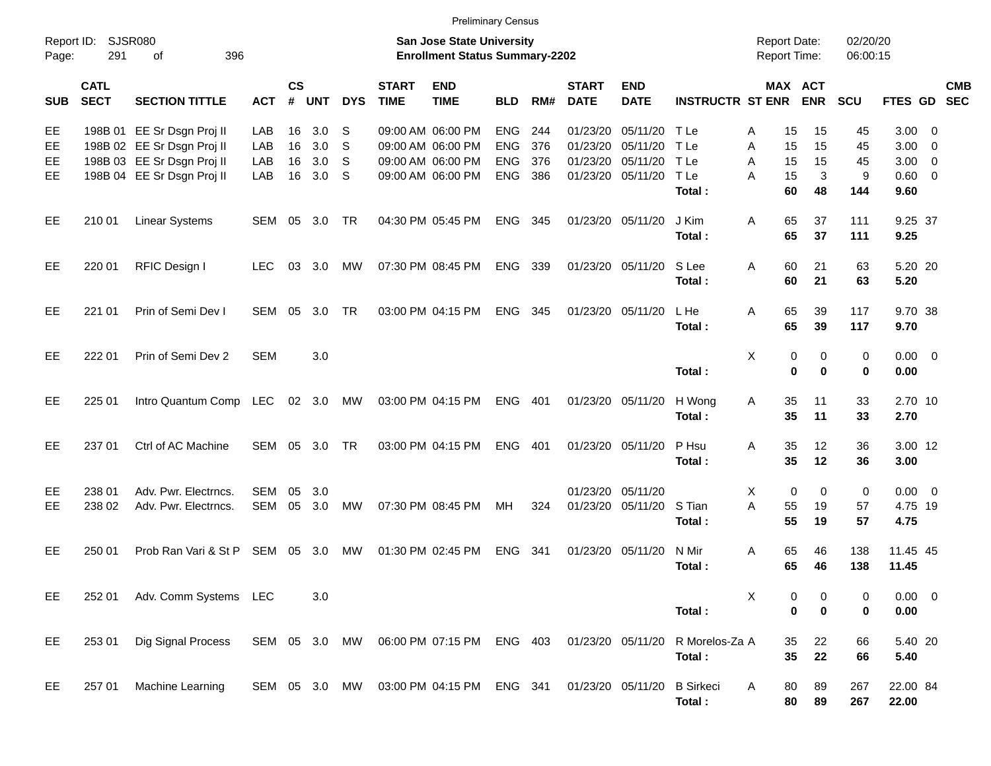| Report ID:<br>Page:  | 291                        | SJSR080<br>396<br>оf                                                                                                 |                          |                             |                          |                              |                             | <b>San Jose State University</b><br><b>Enrollment Status Summary-2202</b>        |                                                      |                          |                                              |                                              |                                        | <b>Report Date:</b><br><b>Report Time:</b> |                                       | 02/20/20<br>06:00:15       |                                        |                                       |
|----------------------|----------------------------|----------------------------------------------------------------------------------------------------------------------|--------------------------|-----------------------------|--------------------------|------------------------------|-----------------------------|----------------------------------------------------------------------------------|------------------------------------------------------|--------------------------|----------------------------------------------|----------------------------------------------|----------------------------------------|--------------------------------------------|---------------------------------------|----------------------------|----------------------------------------|---------------------------------------|
| <b>SUB</b>           | <b>CATL</b><br><b>SECT</b> | <b>SECTION TITTLE</b>                                                                                                | <b>ACT</b>               | $\mathsf{cs}$<br>$\pmb{\#}$ | <b>UNT</b>               | <b>DYS</b>                   | <b>START</b><br><b>TIME</b> | <b>END</b><br><b>TIME</b>                                                        | <b>BLD</b>                                           | RM#                      | <b>START</b><br><b>DATE</b>                  | <b>END</b><br><b>DATE</b>                    | <b>INSTRUCTR ST ENR</b>                |                                            | MAX ACT<br><b>ENR</b>                 | <b>SCU</b>                 | FTES GD SEC                            | <b>CMB</b>                            |
| EE<br>EE<br>EE<br>EE |                            | 198B 01 EE Sr Dsgn Proj II<br>198B 02 EE Sr Dsgn Proj II<br>198B 03 EE Sr Dsgn Proj II<br>198B 04 EE Sr Dsgn Proj II | LAB<br>LAB<br>LAB<br>LAB | 16<br>16<br>16<br>16        | 3.0<br>3.0<br>3.0<br>3.0 | S<br><sub>S</sub><br>S<br>-S |                             | 09:00 AM 06:00 PM<br>09:00 AM 06:00 PM<br>09:00 AM 06:00 PM<br>09:00 AM 06:00 PM | <b>ENG</b><br><b>ENG</b><br><b>ENG</b><br><b>ENG</b> | 244<br>376<br>376<br>386 | 01/23/20<br>01/23/20<br>01/23/20<br>01/23/20 | 05/11/20<br>05/11/20<br>05/11/20<br>05/11/20 | T Le<br>T Le<br>T Le<br>T Le<br>Total: | Α<br>A<br>A<br>15<br>A<br>15<br>60         | 15<br>15<br>15<br>15<br>15<br>3<br>48 | 45<br>45<br>45<br>9<br>144 | 3.00<br>3.00<br>3.00<br>0.60 0<br>9.60 | - 0<br>- 0<br>$\overline{\mathbf{0}}$ |
| EE                   | 210 01                     | <b>Linear Systems</b>                                                                                                | <b>SEM</b>               | 05                          | 3.0                      | TR                           |                             | 04:30 PM 05:45 PM                                                                | ENG                                                  | 345                      | 01/23/20 05/11/20                            |                                              | J Kim<br>Total:                        | 65<br>A<br>65                              | 37<br>37                              | 111<br>111                 | 9.25 37<br>9.25                        |                                       |
| EE                   | 220 01                     | RFIC Design I                                                                                                        | <b>LEC</b>               | 03                          | 3.0                      | MW                           |                             | 07:30 PM 08:45 PM                                                                | ENG                                                  | 339                      |                                              | 01/23/20 05/11/20                            | S Lee<br>Total:                        | Α<br>60<br>60                              | 21<br>21                              | 63<br>63                   | 5.20 20<br>5.20                        |                                       |
| EE                   | 221 01                     | Prin of Semi Dev I                                                                                                   | <b>SEM</b>               | 05                          | 3.0                      | TR                           |                             | 03:00 PM 04:15 PM                                                                | <b>ENG</b>                                           | 345                      | 01/23/20 05/11/20                            |                                              | L He<br>Total:                         | Α<br>65<br>65                              | 39<br>39                              | 117<br>117                 | 9.70 38<br>9.70                        |                                       |
| EE                   | 222 01                     | Prin of Semi Dev 2                                                                                                   | <b>SEM</b>               |                             | 3.0                      |                              |                             |                                                                                  |                                                      |                          |                                              |                                              | Total:                                 | X                                          | 0<br>0<br>$\bf{0}$<br>$\bf{0}$        | 0<br>$\mathbf 0$           | $0.00 \t 0$<br>0.00                    |                                       |
| EE                   | 225 01                     | Intro Quantum Comp                                                                                                   | LEC                      | 02                          | 3.0                      | MW                           |                             | 03:00 PM 04:15 PM                                                                | <b>ENG</b>                                           | 401                      | 01/23/20                                     | 05/11/20                                     | H Wong<br>Total:                       | A                                          | 35<br>11<br>35<br>11                  | 33<br>33                   | 2.70 10<br>2.70                        |                                       |
| EE                   | 237 01                     | Ctrl of AC Machine                                                                                                   | <b>SEM</b>               | 05                          | 3.0                      | TR                           |                             | 03:00 PM 04:15 PM                                                                | <b>ENG</b>                                           | 401                      |                                              | 01/23/20 05/11/20                            | P Hsu<br>Total:                        | Α                                          | 35<br>12<br>35<br>12                  | 36<br>36                   | 3.00 12<br>3.00                        |                                       |
| EE<br>EЕ             | 238 01<br>238 02           | Adv. Pwr. Electrncs.<br>Adv. Pwr. Electrncs.                                                                         | <b>SEM</b><br><b>SEM</b> | 05<br>05                    | 3.0<br>3.0               | MW                           |                             | 07:30 PM 08:45 PM                                                                | МH                                                   | 324                      | 01/23/20<br>01/23/20                         | 05/11/20<br>05/11/20                         | S Tian<br>Total:                       | Χ<br>Α<br>55<br>55                         | $\mathbf 0$<br>0<br>19<br>19          | $\mathbf 0$<br>57<br>57    | $0.00 \t 0$<br>4.75 19<br>4.75         |                                       |
| EE                   | 250 01                     | Prob Ran Vari & St P                                                                                                 | <b>SEM</b>               | 05                          | 3.0                      | MW                           |                             | 01:30 PM 02:45 PM                                                                | <b>ENG</b>                                           | 341                      | 01/23/20                                     | 05/11/20                                     | N Mir<br>Total:                        | A<br>65<br>65                              | 46<br>46                              | 138<br>138                 | 11.45 45<br>11.45                      |                                       |
| EE                   | 252 01                     | Adv. Comm Systems LEC                                                                                                |                          |                             | 3.0                      |                              |                             |                                                                                  |                                                      |                          |                                              |                                              | Total:                                 | X                                          | 0<br>0<br>$\bf{0}$<br>0               | 0<br>0                     | $0.00 \t 0$<br>0.00                    |                                       |
| EE                   | 253 01                     | Dig Signal Process                                                                                                   | SEM 05 3.0 MW            |                             |                          |                              |                             | 06:00 PM 07:15 PM ENG 403                                                        |                                                      |                          |                                              | 01/23/20 05/11/20                            | R Morelos-Za A<br>Total:               |                                            | 22<br>35<br>35<br>22                  | 66<br>66                   | 5.40 20<br>5.40                        |                                       |
| EE                   | 257 01                     | Machine Learning                                                                                                     | SEM 05 3.0 MW            |                             |                          |                              |                             | 03:00 PM 04:15 PM ENG 341                                                        |                                                      |                          | 01/23/20 05/11/20                            |                                              | <b>B</b> Sirkeci<br>Total:             | 80<br>A                                    | 89<br>80<br>89                        | 267<br>267                 | 22.00 84<br>22.00                      |                                       |

Preliminary Census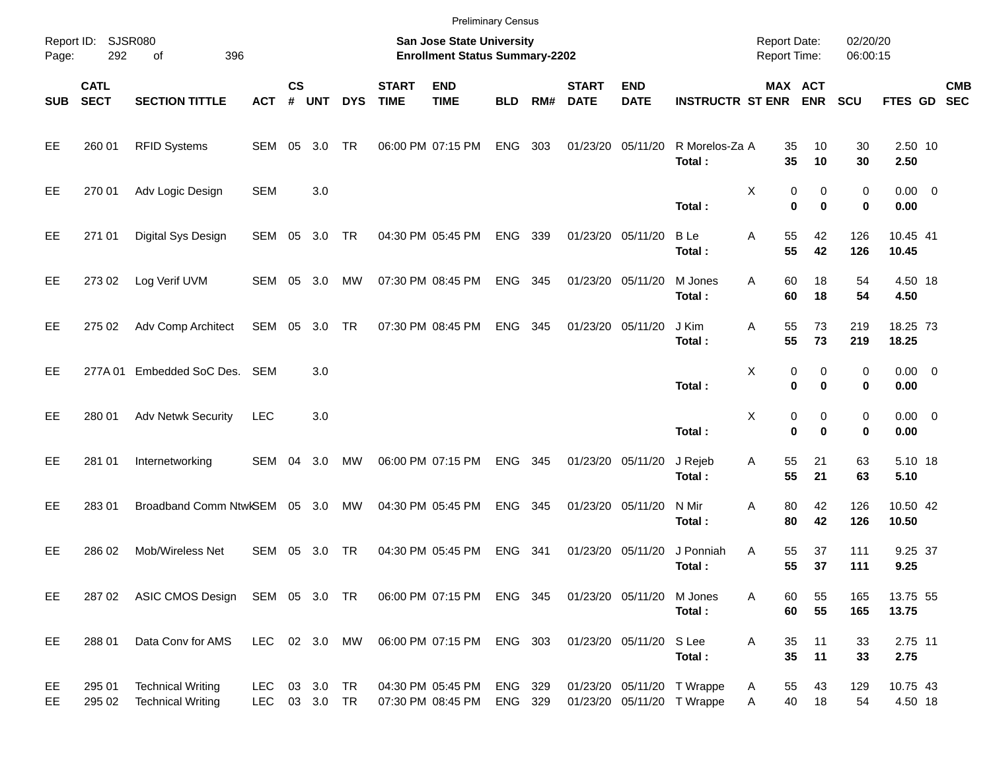|            |                            |                                                      |                          |               |                     |            |                             | <b>Preliminary Census</b>                                          |                    |       |                             |                           |                                                          |                                     |                       |                      |                     |            |
|------------|----------------------------|------------------------------------------------------|--------------------------|---------------|---------------------|------------|-----------------------------|--------------------------------------------------------------------|--------------------|-------|-----------------------------|---------------------------|----------------------------------------------------------|-------------------------------------|-----------------------|----------------------|---------------------|------------|
| Page:      | Report ID: SJSR080<br>292  | 396<br>of                                            |                          |               |                     |            |                             | San Jose State University<br><b>Enrollment Status Summary-2202</b> |                    |       |                             |                           |                                                          | <b>Report Date:</b><br>Report Time: |                       | 02/20/20<br>06:00:15 |                     |            |
| <b>SUB</b> | <b>CATL</b><br><b>SECT</b> | <b>SECTION TITTLE</b>                                | <b>ACT</b>               | $\mathsf{cs}$ | # UNT               | <b>DYS</b> | <b>START</b><br><b>TIME</b> | <b>END</b><br><b>TIME</b>                                          | <b>BLD</b>         | RM#   | <b>START</b><br><b>DATE</b> | <b>END</b><br><b>DATE</b> | <b>INSTRUCTR ST ENR</b>                                  |                                     | MAX ACT<br><b>ENR</b> | <b>SCU</b>           | FTES GD SEC         | <b>CMB</b> |
| EE.        | 260 01                     | <b>RFID Systems</b>                                  | SEM 05                   |               | 3.0                 | <b>TR</b>  |                             | 06:00 PM 07:15 PM                                                  | <b>ENG</b>         | 303   |                             | 01/23/20 05/11/20         | R Morelos-Za A<br>Total:                                 | 35<br>35                            | 10<br>10              | 30<br>30             | 2.50 10<br>2.50     |            |
| EE         | 270 01                     | Adv Logic Design                                     | <b>SEM</b>               |               | 3.0                 |            |                             |                                                                    |                    |       |                             |                           | Total:                                                   | Χ<br>0<br>$\bf{0}$                  | 0<br>$\mathbf 0$      | 0<br>0               | $0.00 \t 0$<br>0.00 |            |
| EE         | 271 01                     | Digital Sys Design                                   | SEM                      | 05            | 3.0                 | TR         |                             | 04:30 PM 05:45 PM                                                  | <b>ENG</b>         | 339   |                             | 01/23/20 05/11/20         | <b>B</b> Le<br>Total:                                    | 55<br>Α<br>55                       | 42<br>42              | 126<br>126           | 10.45 41<br>10.45   |            |
| EЕ         | 27302                      | Log Verif UVM                                        | SEM 05 3.0               |               |                     | MW         |                             | 07:30 PM 08:45 PM                                                  | ENG                | 345   | 01/23/20 05/11/20           |                           | M Jones<br>Total:                                        | A<br>60<br>60                       | 18<br>18              | 54<br>54             | 4.50 18<br>4.50     |            |
| EЕ         | 275 02                     | <b>Adv Comp Architect</b>                            | SEM 05 3.0               |               |                     | TR         |                             | 07:30 PM 08:45 PM                                                  | <b>ENG</b>         | 345   | 01/23/20 05/11/20           |                           | J Kim<br>Total:                                          | Α<br>55<br>55                       | 73<br>73              | 219<br>219           | 18.25 73<br>18.25   |            |
| EЕ         | 277A 01                    | Embedded SoC Des. SEM                                |                          |               | 3.0                 |            |                             |                                                                    |                    |       |                             |                           | Total:                                                   | Χ<br>0<br>$\bf{0}$                  | 0<br>$\mathbf 0$      | 0<br>0               | $0.00 \t 0$<br>0.00 |            |
| EЕ         | 280 01                     | Adv Netwk Security                                   | <b>LEC</b>               |               | 3.0                 |            |                             |                                                                    |                    |       |                             |                           | Total:                                                   | Χ<br>0<br>$\bf{0}$                  | 0<br>$\mathbf 0$      | 0<br>0               | $0.00 \t 0$<br>0.00 |            |
| EE         | 281 01                     | Internetworking                                      | SEM                      | 04            | 3.0                 | MW         |                             | 06:00 PM 07:15 PM                                                  | ENG 345            |       | 01/23/20 05/11/20           |                           | J Rejeb<br>Total:                                        | 55<br>Α<br>55                       | 21<br>21              | 63<br>63             | 5.10 18<br>5.10     |            |
| EE         | 28301                      | Broadband Comm NtwISEM 05 3.0                        |                          |               |                     | MW         |                             | 04:30 PM 05:45 PM                                                  | ENG                | - 345 |                             | 01/23/20 05/11/20         | N Mir<br>Total:                                          | 80<br>Α<br>80                       | 42<br>42              | 126<br>126           | 10.50 42<br>10.50   |            |
| EЕ         | 286 02                     | Mob/Wireless Net                                     | SEM                      | 05            | 3.0                 | <b>TR</b>  |                             | 04:30 PM 05:45 PM                                                  | <b>ENG</b>         | 341   | 01/23/20 05/11/20           |                           | J Ponniah<br>Total:                                      | 55<br>Α<br>55                       | 37<br>37              | 111<br>111           | 9.25 37<br>9.25     |            |
| EE         |                            | 287 02 ASIC CMOS Design SEM 05 3.0 TR                |                          |               |                     |            |                             | 06:00 PM 07:15 PM ENG 345                                          |                    |       |                             | 01/23/20 05/11/20 M Jones | Total:                                                   | 60<br>Α<br>60                       | 55<br>55              | 165<br>165           | 13.75 55<br>13.75   |            |
| EE         | 288 01                     | Data Conv for AMS                                    | LEC 02 3.0 MW            |               |                     |            |                             | 06:00 PM 07:15 PM ENG 303                                          |                    |       |                             | 01/23/20 05/11/20         | S Lee<br>Total:                                          | 35<br>Α<br>35                       | 11<br>11              | 33<br>33             | 2.75 11<br>2.75     |            |
| EE<br>EE.  | 295 01<br>295 02           | <b>Technical Writing</b><br><b>Technical Writing</b> | <b>LEC</b><br><b>LEC</b> |               | 03 3.0<br>03 3.0 TR | <b>TR</b>  |                             | 04:30 PM 05:45 PM<br>07:30 PM 08:45 PM                             | ENG 329<br>ENG 329 |       |                             |                           | 01/23/20 05/11/20 T Wrappe<br>01/23/20 05/11/20 T Wrappe | 55<br>A<br>40<br>Α                  | 43<br>18              | 129<br>54            | 10.75 43<br>4.50 18 |            |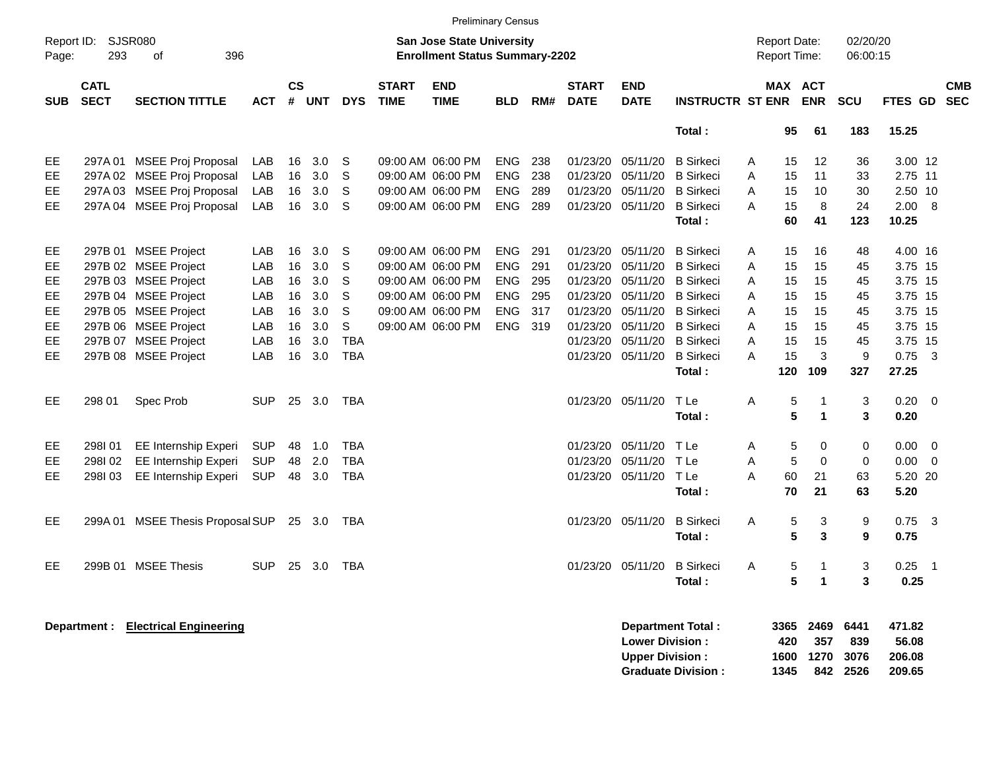|                     |                            |                                         |            |            |        |            |                             |                                                                    | <b>Preliminary Census</b> |       |                             |                                                  |                          |                                            |                     |                       |                      |                           |                         |                          |
|---------------------|----------------------------|-----------------------------------------|------------|------------|--------|------------|-----------------------------|--------------------------------------------------------------------|---------------------------|-------|-----------------------------|--------------------------------------------------|--------------------------|--------------------------------------------|---------------------|-----------------------|----------------------|---------------------------|-------------------------|--------------------------|
| Report ID:<br>Page: | 293                        | <b>SJSR080</b><br>396<br>of             |            |            |        |            |                             | San Jose State University<br><b>Enrollment Status Summary-2202</b> |                           |       |                             |                                                  |                          | <b>Report Date:</b><br><b>Report Time:</b> |                     |                       | 02/20/20<br>06:00:15 |                           |                         |                          |
| <b>SUB</b>          | <b>CATL</b><br><b>SECT</b> | <b>SECTION TITTLE</b>                   | ACT        | CS<br>$\#$ | UNT    | <b>DYS</b> | <b>START</b><br><b>TIME</b> | <b>END</b><br><b>TIME</b>                                          | <b>BLD</b>                | RM#   | <b>START</b><br><b>DATE</b> | <b>END</b><br><b>DATE</b>                        | <b>INSTRUCTR ST ENR</b>  |                                            |                     | MAX ACT<br><b>ENR</b> | <b>SCU</b>           | <b>FTES GD</b>            |                         | <b>CMB</b><br><b>SEC</b> |
|                     |                            |                                         |            |            |        |            |                             |                                                                    |                           |       |                             |                                                  | Total:                   |                                            | 95                  | 61                    | 183                  | 15.25                     |                         |                          |
| EE.                 |                            | 297A 01 MSEE Proj Proposal              | LAB        | 16         | 3.0    | S          |                             | 09:00 AM 06:00 PM                                                  | <b>ENG</b>                | 238   |                             | 01/23/20 05/11/20                                | <b>B</b> Sirkeci         | A                                          | 15                  | 12                    | 36                   | 3.00 12                   |                         |                          |
| EE.                 |                            | 297A 02 MSEE Proj Proposal              | LAB        | 16         | 3.0    | S          |                             | 09:00 AM 06:00 PM                                                  | <b>ENG</b>                | 238   |                             | 01/23/20 05/11/20                                | <b>B</b> Sirkeci         | A                                          | 15                  | 11                    | 33                   | 2.75 11                   |                         |                          |
| EE.                 |                            | 297A 03 MSEE Proj Proposal              | LAB        | 16         | 3.0    | S          |                             | 09:00 AM 06:00 PM                                                  | <b>ENG</b>                | 289   |                             | 01/23/20 05/11/20                                | <b>B</b> Sirkeci         | A                                          | 15                  | 10                    | 30                   | 2.50 10                   |                         |                          |
| EE                  |                            | 297A 04 MSEE Proj Proposal              | LAB        | 16         | 3.0    | S          |                             | 09:00 AM 06:00 PM                                                  | <b>ENG</b>                | 289   |                             | 01/23/20 05/11/20                                | <b>B</b> Sirkeci         | A                                          | 15                  | 8                     | 24                   | 2.00                      | - 8                     |                          |
|                     |                            |                                         |            |            |        |            |                             |                                                                    |                           |       |                             |                                                  | Total:                   |                                            | 60                  | 41                    | 123                  | 10.25                     |                         |                          |
| EE                  |                            | 297B 01 MSEE Project                    | LAB        | 16         | 3.0    | S          |                             | 09:00 AM 06:00 PM                                                  | <b>ENG</b>                | 291   |                             | 01/23/20 05/11/20                                | <b>B</b> Sirkeci         | A                                          | 15                  | 16                    | 48                   | 4.00 16                   |                         |                          |
| EE                  |                            | 297B 02 MSEE Project                    | LAB        | 16         | 3.0    | S          |                             | 09:00 AM 06:00 PM                                                  | <b>ENG</b>                | 291   |                             | 01/23/20 05/11/20                                | <b>B</b> Sirkeci         | A                                          | 15                  | 15                    | 45                   | 3.75 15                   |                         |                          |
| EE.                 |                            | 297B 03 MSEE Project                    | LAB        | 16         | 3.0    | S          |                             | 09:00 AM 06:00 PM                                                  | <b>ENG</b>                | 295   |                             | 01/23/20 05/11/20                                | <b>B</b> Sirkeci         | А                                          | 15                  | 15                    | 45                   | 3.75 15                   |                         |                          |
| EE                  |                            | 297B 04 MSEE Project                    | LAB        | 16         | 3.0    | S          |                             | 09:00 AM 06:00 PM                                                  | <b>ENG</b>                | 295   |                             | 01/23/20 05/11/20                                | <b>B</b> Sirkeci         | A                                          | 15                  | 15                    | 45                   | 3.75 15                   |                         |                          |
| EE                  |                            | 297B 05 MSEE Project                    | LAB        | 16         | 3.0    | S          |                             | 09:00 AM 06:00 PM                                                  | <b>ENG</b>                | 317   |                             | 01/23/20 05/11/20                                | <b>B</b> Sirkeci         | A                                          | 15                  | 15                    | 45                   | 3.75 15                   |                         |                          |
| EE.                 |                            | 297B 06 MSEE Project                    | LAB        | 16         | 3.0    | S          |                             | 09:00 AM 06:00 PM                                                  | <b>ENG</b>                | - 319 |                             | 01/23/20 05/11/20                                | <b>B</b> Sirkeci         | A                                          | 15                  | 15                    | 45                   | 3.75 15                   |                         |                          |
| EE.                 |                            | 297B 07 MSEE Project                    | LAB        | 16         | 3.0    | <b>TBA</b> |                             |                                                                    |                           |       |                             | 01/23/20 05/11/20                                | <b>B</b> Sirkeci         | A                                          | 15                  | 15                    | 45                   | 3.75 15                   |                         |                          |
| EE.                 |                            | 297B 08 MSEE Project                    | LAB        | 16         | 3.0    | <b>TBA</b> |                             |                                                                    |                           |       |                             | 01/23/20 05/11/20                                | <b>B</b> Sirkeci         | A                                          | 15                  | 3                     | 9                    | 0.75                      | $\overline{\mathbf{3}}$ |                          |
|                     |                            |                                         |            |            |        |            |                             |                                                                    |                           |       |                             |                                                  | Total:                   |                                            | 120                 | 109                   | 327                  | 27.25                     |                         |                          |
| EE                  | 298 01                     | Spec Prob                               | <b>SUP</b> | 25         | 3.0    | TBA        |                             |                                                                    |                           |       |                             | 01/23/20 05/11/20                                | T Le                     | Α                                          | 5                   | -1                    | 3                    | 0.20                      | $\overline{\mathbf{0}}$ |                          |
|                     |                            |                                         |            |            |        |            |                             |                                                                    |                           |       |                             |                                                  | Total:                   |                                            | 5                   | $\blacktriangleleft$  | 3                    | 0.20                      |                         |                          |
| EE                  | 298101                     | EE Internship Experi                    | <b>SUP</b> | 48         | 1.0    | <b>TBA</b> |                             |                                                                    |                           |       |                             | 01/23/20 05/11/20                                | T Le                     | Α                                          | 5                   | 0                     | 0                    | 0.00                      | $\mathbf 0$             |                          |
| EE.                 | 298102                     | EE Internship Experi                    | <b>SUP</b> | 48         | 2.0    | <b>TBA</b> |                             |                                                                    |                           |       |                             | 01/23/20 05/11/20                                | T Le                     | Α                                          | 5                   | $\Omega$              | $\mathbf 0$          | 0.00                      | $\overline{0}$          |                          |
| EE.                 | 298I03                     | EE Internship Experi                    | <b>SUP</b> | 48         | 3.0    | <b>TBA</b> |                             |                                                                    |                           |       |                             | 01/23/20 05/11/20                                | TLe                      | А                                          | 60                  | 21                    | 63                   | 5.20 20                   |                         |                          |
|                     |                            |                                         |            |            |        |            |                             |                                                                    |                           |       |                             |                                                  | Total:                   |                                            | 70                  | 21                    | 63                   | 5.20                      |                         |                          |
| EE.                 |                            | 299A 01 MSEE Thesis Proposal SUP 25 3.0 |            |            |        | TBA        |                             |                                                                    |                           |       |                             | 01/23/20 05/11/20                                | <b>B</b> Sirkeci         | Α                                          | 5                   | 3                     | 9                    | 0.75                      | $\overline{\mathbf{3}}$ |                          |
|                     |                            |                                         |            |            |        |            |                             |                                                                    |                           |       |                             |                                                  | Total:                   |                                            | 5                   | 3                     | 9                    | 0.75                      |                         |                          |
| EE.                 |                            | 299B 01 MSEE Thesis                     | <b>SUP</b> |            | 25 3.0 | TBA        |                             |                                                                    |                           |       |                             | 01/23/20 05/11/20                                | <b>B</b> Sirkeci         | A                                          | 5                   | -1                    | 3                    | $0.25 - 1$                |                         |                          |
|                     |                            |                                         |            |            |        |            |                             |                                                                    |                           |       |                             |                                                  | Total:                   |                                            | 5                   | $\blacktriangleleft$  | $\mathbf{3}$         | 0.25                      |                         |                          |
|                     | Department :               | <b>Electrical Engineering</b>           |            |            |        |            |                             |                                                                    |                           |       |                             | <b>Lower Division:</b><br><b>Upper Division:</b> | <b>Department Total:</b> |                                            | 3365<br>420<br>1600 | 2469<br>357<br>1270   | 6441<br>839<br>3076  | 471.82<br>56.08<br>206.08 |                         |                          |

**Graduate Division : 1345 842 2526 209.65**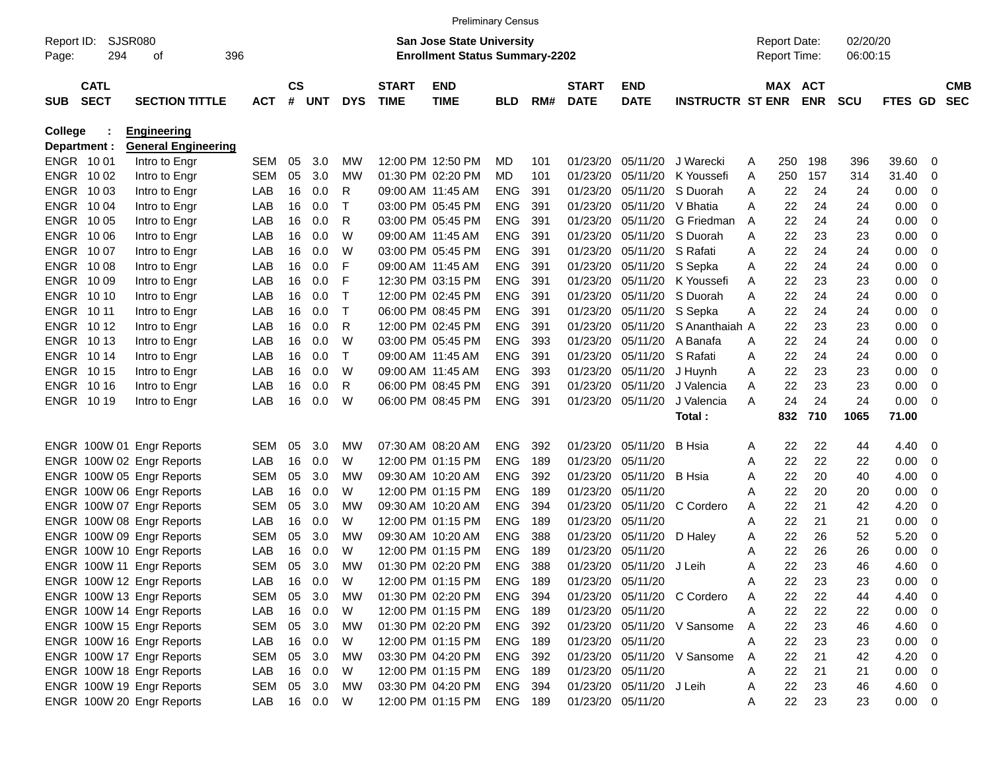|             |                  |                            |            |                        |        |            |              | <b>Preliminary Census</b>             |                |     |              |                          |                             |   |                     |            |            |                |                         |            |
|-------------|------------------|----------------------------|------------|------------------------|--------|------------|--------------|---------------------------------------|----------------|-----|--------------|--------------------------|-----------------------------|---|---------------------|------------|------------|----------------|-------------------------|------------|
| Report ID:  |                  | SJSR080                    |            |                        |        |            |              | <b>San Jose State University</b>      |                |     |              |                          |                             |   | <b>Report Date:</b> |            | 02/20/20   |                |                         |            |
| Page:       | 294              | οf                         | 396        |                        |        |            |              | <b>Enrollment Status Summary-2202</b> |                |     |              |                          |                             |   | <b>Report Time:</b> |            | 06:00:15   |                |                         |            |
|             | <b>CATL</b>      |                            |            | $\mathbf{c}\mathbf{s}$ |        |            | <b>START</b> | <b>END</b>                            |                |     | <b>START</b> | <b>END</b>               |                             |   | MAX ACT             |            |            |                |                         | <b>CMB</b> |
| <b>SUB</b>  | <b>SECT</b>      | <b>SECTION TITTLE</b>      | <b>ACT</b> |                        | # UNT  | <b>DYS</b> | <b>TIME</b>  | <b>TIME</b>                           | <b>BLD</b>     | RM# | <b>DATE</b>  | <b>DATE</b>              | <b>INSTRUCTR ST ENR</b>     |   |                     | <b>ENR</b> | <b>SCU</b> | <b>FTES GD</b> |                         | <b>SEC</b> |
| College     |                  | <b>Engineering</b>         |            |                        |        |            |              |                                       |                |     |              |                          |                             |   |                     |            |            |                |                         |            |
|             | Department :     | <b>General Engineering</b> |            |                        |        |            |              |                                       |                |     |              |                          |                             |   |                     |            |            |                |                         |            |
|             | ENGR 1001        | Intro to Engr              | SEM        | 05                     | 3.0    | МW         |              | 12:00 PM 12:50 PM                     | MD             | 101 | 01/23/20     | 05/11/20                 | J Warecki                   | A | 250                 | 198        | 396        | 39.60          | 0                       |            |
|             | ENGR 1002        | Intro to Engr              | SEM        | 05                     | 3.0    | МW         |              | 01:30 PM 02:20 PM                     | MD             | 101 | 01/23/20     | 05/11/20                 | K Youssefi                  | A | 250                 | 157        | 314        | 31.40          | 0                       |            |
|             | ENGR 1003        | Intro to Engr              | LAB        | 16                     | 0.0    | R          |              | 09:00 AM 11:45 AM                     | <b>ENG</b>     | 391 | 01/23/20     | 05/11/20                 | S Duorah                    | A | 22                  | 24         | 24         | 0.00           | 0                       |            |
|             | ENGR 1004        | Intro to Engr              | LAB        | 16                     | 0.0    | т          |              | 03:00 PM 05:45 PM                     | <b>ENG</b>     | 391 | 01/23/20     | 05/11/20                 | V Bhatia                    | A | 22                  | 24         | 24         | 0.00           | 0                       |            |
|             | ENGR 1005        | Intro to Engr              | LAB        | 16                     | 0.0    | R          |              | 03:00 PM 05:45 PM                     | <b>ENG</b>     | 391 | 01/23/20     | 05/11/20                 | G Friedman                  | A | 22                  | 24         | 24         | 0.00           | 0                       |            |
| <b>ENGR</b> | 10 06            | Intro to Engr              | LAB        | 16                     | 0.0    | W          |              | 09:00 AM 11:45 AM                     | <b>ENG</b>     | 391 | 01/23/20     | 05/11/20                 | S Duorah                    | A | 22                  | 23         | 23         | 0.00           | 0                       |            |
|             | ENGR 1007        | Intro to Engr              | LAB        | 16                     | 0.0    | W          |              | 03:00 PM 05:45 PM                     | <b>ENG</b>     | 391 | 01/23/20     | 05/11/20                 | S Rafati                    | A | 22                  | 24         | 24         | 0.00           | 0                       |            |
|             | ENGR 1008        | Intro to Engr              | LAB        | 16                     | 0.0    | F          |              | 09:00 AM 11:45 AM                     | <b>ENG</b>     | 391 | 01/23/20     | 05/11/20                 | S Sepka                     | A | 22                  | 24         | 24         | 0.00           | 0                       |            |
|             | ENGR 1009        | Intro to Engr              | LAB        | 16                     | 0.0    | F          |              | 12:30 PM 03:15 PM                     | <b>ENG</b>     | 391 | 01/23/20     | 05/11/20                 | K Youssefi                  | A | 22                  | 23         | 23         | 0.00           | 0                       |            |
|             | <b>ENGR 1010</b> | Intro to Engr              | LAB        | 16                     | 0.0    | $\top$     |              | 12:00 PM 02:45 PM                     | <b>ENG</b>     | 391 | 01/23/20     | 05/11/20                 | S Duorah                    | A | 22                  | 24         | 24         | 0.00           | 0                       |            |
| ENGR 1011   |                  | Intro to Engr              | LAB        | 16                     | 0.0    | Т          |              | 06:00 PM 08:45 PM                     | <b>ENG</b>     | 391 | 01/23/20     | 05/11/20                 | S Sepka                     | A | 22                  | 24         | 24         | 0.00           | 0                       |            |
|             | <b>ENGR 1012</b> | Intro to Engr              | LAB        | 16                     | 0.0    | R          |              | 12:00 PM 02:45 PM                     | <b>ENG</b>     | 391 | 01/23/20     | 05/11/20                 | S Ananthaiah A              |   | 22                  | 23         | 23         | 0.00           | 0                       |            |
|             | <b>ENGR 1013</b> | Intro to Engr              | LAB        | 16                     | 0.0    | W          |              | 03:00 PM 05:45 PM                     | <b>ENG</b>     | 393 | 01/23/20     | 05/11/20                 | A Banafa                    | A | 22                  | 24         | 24         | 0.00           | 0                       |            |
|             | ENGR 1014        | Intro to Engr              | LAB        | 16                     | 0.0    | Т          |              | 09:00 AM 11:45 AM                     | <b>ENG</b>     | 391 | 01/23/20     | 05/11/20                 | S Rafati                    | A | 22                  | 24         | 24         | 0.00           | 0                       |            |
|             | <b>ENGR 1015</b> | Intro to Engr              | LAB        | 16                     | 0.0    | W          |              | 09:00 AM 11:45 AM                     | <b>ENG</b>     | 393 | 01/23/20     | 05/11/20                 | J Huynh                     | A | 22                  | 23         | 23         | 0.00           | 0                       |            |
|             | <b>ENGR 1016</b> | Intro to Engr              | LAB        | 16                     | 0.0    | R          |              | 06:00 PM 08:45 PM                     | <b>ENG</b>     | 391 | 01/23/20     | 05/11/20                 | J Valencia                  | A | 22                  | 23         | 23         | 0.00           | 0                       |            |
|             | ENGR 1019        | Intro to Engr              | LAB        | 16                     | 0.0    | W          |              | 06:00 PM 08:45 PM                     | <b>ENG</b>     | 391 | 01/23/20     | 05/11/20                 | J Valencia                  | A | 24                  | 24         | 24         | 0.00           | - 0                     |            |
|             |                  |                            |            |                        |        |            |              |                                       |                |     |              |                          | Total:                      |   | 832                 | 710        | 1065       | 71.00          |                         |            |
|             |                  | ENGR 100W 01 Engr Reports  | SEM        | 05                     | 3.0    | МW         |              | 07:30 AM 08:20 AM                     | <b>ENG</b>     | 392 | 01/23/20     | 05/11/20                 | <b>B</b> Hsia               | A | 22                  | 22         | 44         | 4.40           | - 0                     |            |
|             |                  | ENGR 100W 02 Engr Reports  | LAB        | 16                     | 0.0    | W          |              | 12:00 PM 01:15 PM                     | <b>ENG</b>     | 189 | 01/23/20     | 05/11/20                 |                             | A | 22                  | 22         | 22         | 0.00           | 0                       |            |
|             |                  | ENGR 100W 05 Engr Reports  | SEM        | 05                     | 3.0    | МW         |              | 09:30 AM 10:20 AM                     | <b>ENG</b>     | 392 | 01/23/20     | 05/11/20                 | <b>B</b> Hsia               | A | 22                  | 20         | 40         | 4.00           | 0                       |            |
|             |                  | ENGR 100W 06 Engr Reports  | LAB        | 16                     | 0.0    | W          |              | 12:00 PM 01:15 PM                     | <b>ENG</b>     | 189 | 01/23/20     | 05/11/20                 |                             | Α | 22                  | 20         | 20         | 0.00           | 0                       |            |
|             |                  | ENGR 100W 07 Engr Reports  | SEM        | 05                     | 3.0    | МW         |              | 09:30 AM 10:20 AM                     | <b>ENG</b>     | 394 | 01/23/20     | 05/11/20                 | C Cordero                   | A | 22                  | 21         | 42         | 4.20           | 0                       |            |
|             |                  | ENGR 100W 08 Engr Reports  | LAB        | 16                     | 0.0    | W          |              | 12:00 PM 01:15 PM                     | <b>ENG</b>     | 189 | 01/23/20     | 05/11/20                 |                             | A | 22                  | 21         | 21         | 0.00           | 0                       |            |
|             |                  | ENGR 100W 09 Engr Reports  | SEM        | 05                     | 3.0    | МW         |              | 09:30 AM 10:20 AM                     | <b>ENG</b>     | 388 | 01/23/20     | 05/11/20                 | D Haley                     | A | 22                  | 26         | 52         | 5.20           | 0                       |            |
|             |                  | ENGR 100W 10 Engr Reports  | LAB        | 16                     | 0.0    | W          |              | 12:00 PM 01:15 PM                     | <b>ENG</b>     | 189 | 01/23/20     | 05/11/20                 |                             | A | 22                  | 26         | 26         | 0.00           | 0                       |            |
|             |                  | ENGR 100W 11 Engr Reports  | SEM        | 05                     | 3.0    | МW         |              | 01:30 PM 02:20 PM                     | <b>ENG</b>     | 388 | 01/23/20     | 05/11/20                 | J Leih                      | A | 22                  | 23         | 46         | 4.60           | 0                       |            |
|             |                  | ENGR 100W 12 Engr Reports  | LAB        | 16                     | 0.0    | W          |              | 12:00 PM 01:15 PM                     | ENG            | 189 |              | 01/23/20 05/11/20        |                             | A | 22                  | 23         | 23         | 0.00           | $\overline{\mathbf{0}}$ |            |
|             |                  | ENGR 100W 13 Engr Reports  | SEM        | 05                     | 3.0    | МW         |              | 01:30 PM 02:20 PM                     | ENG            | 394 |              |                          | 01/23/20 05/11/20 C Cordero | Α | 22                  | 22         | 44         | 4.40           | - 0                     |            |
|             |                  | ENGR 100W 14 Engr Reports  | LAB        |                        | 16 0.0 | W          |              | 12:00 PM 01:15 PM                     | <b>ENG 189</b> |     |              | 01/23/20 05/11/20        |                             | A | 22                  | 22         | 22         | $0.00 \t 0$    |                         |            |
|             |                  | ENGR 100W 15 Engr Reports  | SEM        | 05                     | 3.0    | МW         |              | 01:30 PM 02:20 PM                     | ENG 392        |     |              |                          | 01/23/20 05/11/20 V Sansome | A | 22                  | 23         | 46         | 4.60 0         |                         |            |
|             |                  | ENGR 100W 16 Engr Reports  | LAB        | 16                     | 0.0    | W          |              | 12:00 PM 01:15 PM                     | ENG            | 189 |              | 01/23/20 05/11/20        |                             | A | 22                  | 23         | 23         | $0.00 \t 0$    |                         |            |
|             |                  | ENGR 100W 17 Engr Reports  | SEM        | 05                     | 3.0    | MW         |              | 03:30 PM 04:20 PM                     | ENG            | 392 |              |                          | 01/23/20 05/11/20 V Sansome | A | 22                  | 21         | 42         | 4.20 0         |                         |            |
|             |                  | ENGR 100W 18 Engr Reports  | LAB        |                        | 16 0.0 | W          |              | 12:00 PM 01:15 PM                     | <b>ENG 189</b> |     |              | 01/23/20 05/11/20        |                             | A | 22                  | 21         | 21         | $0.00 \t 0$    |                         |            |
|             |                  | ENGR 100W 19 Engr Reports  | SEM        | 05                     | 3.0    | МW         |              | 03:30 PM 04:20 PM                     | ENG            | 394 |              | 01/23/20 05/11/20 J Leih |                             | A | 22                  | 23         | 46         | 4.60 0         |                         |            |
|             |                  | ENGR 100W 20 Engr Reports  | LAB        |                        | 16 0.0 | W          |              | 12:00 PM 01:15 PM                     | ENG 189        |     |              | 01/23/20 05/11/20        |                             | A | 22                  | 23         | 23         | $0.00 \t 0$    |                         |            |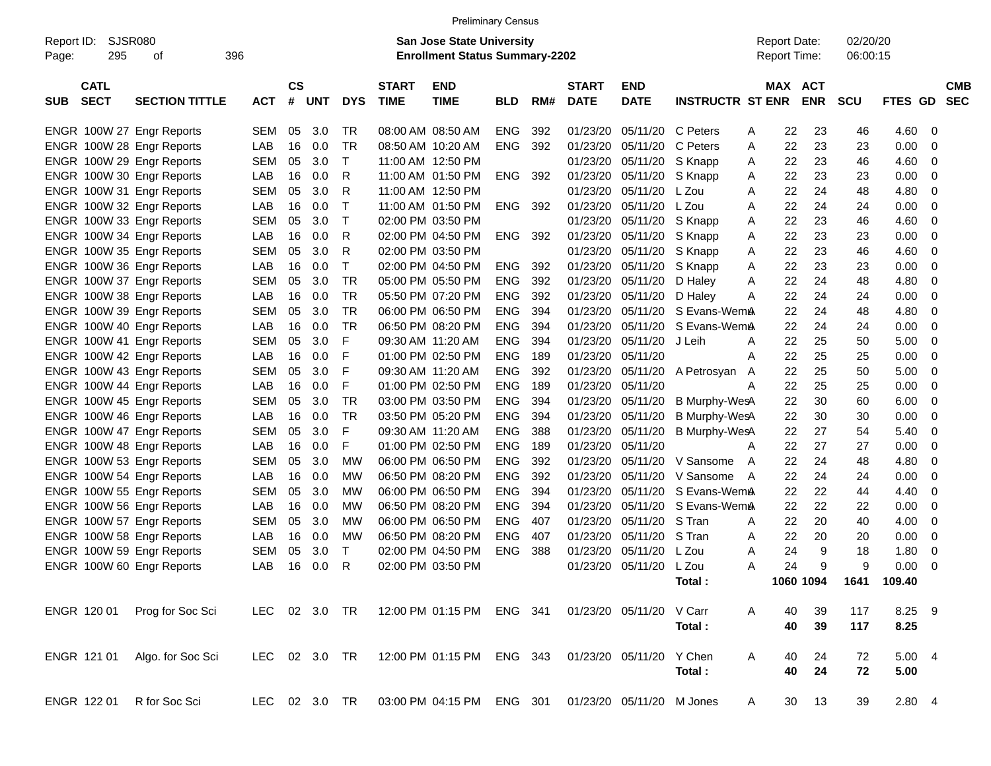|                                          |                       |               |                |            |              |                             | <b>Preliminary Census</b>                                                 |            |     |                             |                           |                         |                                            |            |                      |         |     |                          |
|------------------------------------------|-----------------------|---------------|----------------|------------|--------------|-----------------------------|---------------------------------------------------------------------------|------------|-----|-----------------------------|---------------------------|-------------------------|--------------------------------------------|------------|----------------------|---------|-----|--------------------------|
| Report ID:<br>295<br>Page:               | SJSR080<br>396<br>οf  |               |                |            |              |                             | <b>San Jose State University</b><br><b>Enrollment Status Summary-2202</b> |            |     |                             |                           |                         | <b>Report Date:</b><br><b>Report Time:</b> |            | 02/20/20<br>06:00:15 |         |     |                          |
| <b>CATL</b><br><b>SECT</b><br><b>SUB</b> | <b>SECTION TITTLE</b> | <b>ACT</b>    | <b>CS</b><br># | <b>UNT</b> | <b>DYS</b>   | <b>START</b><br><b>TIME</b> | <b>END</b><br><b>TIME</b>                                                 | <b>BLD</b> | RM# | <b>START</b><br><b>DATE</b> | <b>END</b><br><b>DATE</b> | <b>INSTRUCTR ST ENR</b> | MAX ACT                                    | <b>ENR</b> | <b>SCU</b>           | FTES GD |     | <b>CMB</b><br><b>SEC</b> |
| ENGR 100W 27 Engr Reports                |                       | <b>SEM</b>    | 05             | 3.0        | TR           |                             | 08:00 AM 08:50 AM                                                         | <b>ENG</b> | 392 | 01/23/20                    | 05/11/20                  | C Peters                | 22<br>Α                                    | 23         | 46                   | 4.60    | - 0 |                          |
| ENGR 100W 28 Engr Reports                |                       | LAB           | 16             | 0.0        | <b>TR</b>    |                             | 08:50 AM 10:20 AM                                                         | <b>ENG</b> | 392 | 01/23/20                    | 05/11/20                  | C Peters                | 22<br>Α                                    | 23         | 23                   | 0.00    | - 0 |                          |
| ENGR 100W 29 Engr Reports                |                       | <b>SEM</b>    | 05             | 3.0        | $\top$       |                             | 11:00 AM 12:50 PM                                                         |            |     | 01/23/20                    | 05/11/20                  | S Knapp                 | 22<br>Α                                    | 23         | 46                   | 4.60    | - 0 |                          |
| ENGR 100W 30 Engr Reports                |                       | LAB           | 16             | 0.0        | $\mathsf{R}$ |                             | 11:00 AM 01:50 PM                                                         | <b>ENG</b> | 392 | 01/23/20                    | 05/11/20                  | S Knapp                 | 22<br>Α                                    | 23         | 23                   | 0.00    | - 0 |                          |
| ENGR 100W 31 Engr Reports                |                       | <b>SEM</b>    | 05             | 3.0        | R            |                             | 11:00 AM 12:50 PM                                                         |            |     | 01/23/20                    | 05/11/20                  | L Zou                   | 22<br>Α                                    | 24         | 48                   | 4.80    | - 0 |                          |
| ENGR 100W 32 Engr Reports                |                       | LAB           | 16             | 0.0        | $\top$       |                             | 11:00 AM 01:50 PM                                                         | <b>ENG</b> | 392 | 01/23/20                    | 05/11/20                  | L Zou                   | 22<br>Α                                    | 24         | 24                   | 0.00    | - 0 |                          |
| ENGR 100W 33 Engr Reports                |                       | <b>SEM</b>    | 05             | 3.0        | $\mathsf{T}$ |                             | 02:00 PM 03:50 PM                                                         |            |     | 01/23/20                    | 05/11/20                  | S Knapp                 | 22<br>Α                                    | 23         | 46                   | 4.60    | - 0 |                          |
| ENGR 100W 34 Engr Reports                |                       | LAB           | 16             | 0.0        | $\mathsf{R}$ |                             | 02:00 PM 04:50 PM                                                         | <b>ENG</b> | 392 | 01/23/20                    | 05/11/20                  | S Knapp                 | 22<br>Α                                    | 23         | 23                   | 0.00    | 0   |                          |
| ENGR 100W 35 Engr Reports                |                       | <b>SEM</b>    | 05             | 3.0        | $\mathsf{R}$ |                             | 02:00 PM 03:50 PM                                                         |            |     | 01/23/20                    | 05/11/20                  | S Knapp                 | 22<br>Α                                    | 23         | 46                   | 4.60    | - 0 |                          |
| ENGR 100W 36 Engr Reports                |                       | LAB           | 16             | 0.0        | $\top$       |                             | 02:00 PM 04:50 PM                                                         | <b>ENG</b> | 392 | 01/23/20                    | 05/11/20                  | S Knapp                 | 22<br>Α                                    | 23         | 23                   | 0.00    | - 0 |                          |
| ENGR 100W 37 Engr Reports                |                       | <b>SEM</b>    | 05             | 3.0        | <b>TR</b>    |                             | 05:00 PM 05:50 PM                                                         | <b>ENG</b> | 392 | 01/23/20                    | 05/11/20                  | D Haley                 | 22<br>Α                                    | 24         | 48                   | 4.80    | - 0 |                          |
| ENGR 100W 38 Engr Reports                |                       | LAB           | 16             | 0.0        | <b>TR</b>    |                             | 05:50 PM 07:20 PM                                                         | <b>ENG</b> | 392 | 01/23/20                    | 05/11/20                  | D Haley                 | 22<br>Α                                    | 24         | 24                   | 0.00    | 0   |                          |
| ENGR 100W 39 Engr Reports                |                       | <b>SEM</b>    | 05             | 3.0        | <b>TR</b>    |                             | 06:00 PM 06:50 PM                                                         | <b>ENG</b> | 394 | 01/23/20                    | 05/11/20                  | S Evans-WemA            | 22                                         | 24         | 48                   | 4.80    | - 0 |                          |
| ENGR 100W 40 Engr Reports                |                       | LAB           | 16             | 0.0        | <b>TR</b>    |                             | 06:50 PM 08:20 PM                                                         | <b>ENG</b> | 394 | 01/23/20                    | 05/11/20                  | S Evans-WemA            | 22                                         | 24         | 24                   | 0.00    | - 0 |                          |
| ENGR 100W 41 Engr Reports                |                       | <b>SEM</b>    | 05             | 3.0        | F            |                             | 09:30 AM 11:20 AM                                                         | <b>ENG</b> | 394 | 01/23/20                    | 05/11/20                  | J Leih                  | 22<br>Α                                    | 25         | 50                   | 5.00    | - 0 |                          |
| ENGR 100W 42 Engr Reports                |                       | LAB           | 16             | 0.0        | F            |                             | 01:00 PM 02:50 PM                                                         | <b>ENG</b> | 189 | 01/23/20                    | 05/11/20                  |                         | 22<br>Α                                    | 25         | 25                   | 0.00    | - 0 |                          |
| ENGR 100W 43 Engr Reports                |                       | <b>SEM</b>    | 05             | 3.0        | F            |                             | 09:30 AM 11:20 AM                                                         | <b>ENG</b> | 392 | 01/23/20                    | 05/11/20                  | A Petrosyan<br>A        | 22                                         | 25         | 50                   | 5.00    | - 0 |                          |
| ENGR 100W 44 Engr Reports                |                       | LAB           | 16             | 0.0        | F            |                             | 01:00 PM 02:50 PM                                                         | <b>ENG</b> | 189 | 01/23/20                    | 05/11/20                  |                         | A<br>22                                    | 25         | 25                   | 0.00    | 0   |                          |
| ENGR 100W 45 Engr Reports                |                       | <b>SEM</b>    | 05             | 3.0        | <b>TR</b>    |                             | 03:00 PM 03:50 PM                                                         | <b>ENG</b> | 394 | 01/23/20                    | 05/11/20                  | B Murphy-WesA           | 22                                         | 30         | 60                   | 6.00    | - 0 |                          |
| ENGR 100W 46 Engr Reports                |                       | LAB           | 16             | 0.0        | <b>TR</b>    |                             | 03:50 PM 05:20 PM                                                         | <b>ENG</b> | 394 | 01/23/20                    | 05/11/20                  | B Murphy-WesA           | 22                                         | 30         | 30                   | 0.00    | - 0 |                          |
| ENGR 100W 47 Engr Reports                |                       | <b>SEM</b>    | 05             | 3.0        | F            |                             | 09:30 AM 11:20 AM                                                         | <b>ENG</b> | 388 | 01/23/20                    | 05/11/20                  | B Murphy-WesA           | 22                                         | 27         | 54                   | 5.40    | - 0 |                          |
| ENGR 100W 48 Engr Reports                |                       | LAB           | 16             | 0.0        | F            |                             | 01:00 PM 02:50 PM                                                         | <b>ENG</b> | 189 | 01/23/20                    | 05/11/20                  |                         | 22<br>Α                                    | 27         | 27                   | 0.00    | 0   |                          |
| ENGR 100W 53 Engr Reports                |                       | <b>SEM</b>    | 05             | 3.0        | МW           |                             | 06:00 PM 06:50 PM                                                         | <b>ENG</b> | 392 | 01/23/20                    | 05/11/20                  | V Sansome<br>A          | 22                                         | 24         | 48                   | 4.80    | - 0 |                          |
| ENGR 100W 54 Engr Reports                |                       | LAB           | 16             | 0.0        | МW           |                             | 06:50 PM 08:20 PM                                                         | <b>ENG</b> | 392 | 01/23/20                    | 05/11/20                  | V Sansome<br>A          | 22                                         | 24         | 24                   | 0.00    | 0   |                          |
| ENGR 100W 55 Engr Reports                |                       | <b>SEM</b>    | 05             | 3.0        | МW           |                             | 06:00 PM 06:50 PM                                                         | <b>ENG</b> | 394 | 01/23/20                    | 05/11/20                  | S Evans-WemA            | 22                                         | 22         | 44                   | 4.40    | 0   |                          |
| ENGR 100W 56 Engr Reports                |                       | LAB           | 16             | 0.0        | МW           |                             | 06:50 PM 08:20 PM                                                         | <b>ENG</b> | 394 | 01/23/20                    | 05/11/20                  | S Evans-WemA            | 22                                         | 22         | 22                   | 0.00    | - 0 |                          |
| ENGR 100W 57 Engr Reports                |                       | <b>SEM</b>    | 05             | 3.0        | МW           |                             | 06:00 PM 06:50 PM                                                         | <b>ENG</b> | 407 | 01/23/20                    | 05/11/20                  | S Tran                  | 22<br>A                                    | 20         | 40                   | 4.00    | - 0 |                          |
| ENGR 100W 58 Engr Reports                |                       | LAB           | 16             | 0.0        | МW           |                             | 06:50 PM 08:20 PM                                                         | <b>ENG</b> | 407 | 01/23/20                    | 05/11/20                  | S Tran                  | 22<br>Α                                    | 20         | 20                   | 0.00    | 0   |                          |
| ENGR 100W 59 Engr Reports                |                       | <b>SEM</b>    | 05             | 3.0        | $\top$       |                             | 02:00 PM 04:50 PM                                                         | <b>ENG</b> | 388 | 01/23/20                    | 05/11/20                  | L Zou                   | 24<br>Α                                    | 9          | 18                   | 1.80    | - 0 |                          |
| ENGR 100W 60 Engr Reports                |                       | LAB           | 16             | 0.0        | R            |                             | 02:00 PM 03:50 PM                                                         |            |     | 01/23/20                    | 05/11/20                  | L Zou                   | A<br>24                                    | 9          | 9                    | 0.00    | - 0 |                          |
|                                          |                       |               |                |            |              |                             |                                                                           |            |     |                             |                           | Total:                  |                                            | 1060 1094  | 1641                 | 109.40  |     |                          |
| ENGR 120 01                              | Prog for Soc Sci      | <b>LEC</b>    |                | 02 3.0 TR  |              |                             | 12:00 PM 01:15 PM                                                         | ENG 341    |     |                             | 01/23/20 05/11/20         | V Carr                  | 40<br>A                                    | 39         | 117                  | 8.25 9  |     |                          |
|                                          |                       |               |                |            |              |                             |                                                                           |            |     |                             |                           | Total:                  | 40                                         | 39         | 117                  | 8.25    |     |                          |
| ENGR 121 01                              | Algo. for Soc Sci     | <b>LEC</b>    |                | 02 3.0 TR  |              |                             | 12:00 PM 01:15 PM                                                         | ENG 343    |     |                             | 01/23/20 05/11/20         | Y Chen                  | 40<br>A                                    | 24         | 72                   | 5.00 4  |     |                          |
|                                          |                       |               |                |            |              |                             |                                                                           |            |     |                             |                           | Total:                  | 40                                         | 24         | 72                   | 5.00    |     |                          |
| ENGR 122 01                              | R for Soc Sci         | LEC 02 3.0 TR |                |            |              |                             | 03:00 PM 04:15 PM ENG 301                                                 |            |     |                             | 01/23/20 05/11/20 M Jones |                         | 30<br>A                                    | 13         | 39                   | 2.80 4  |     |                          |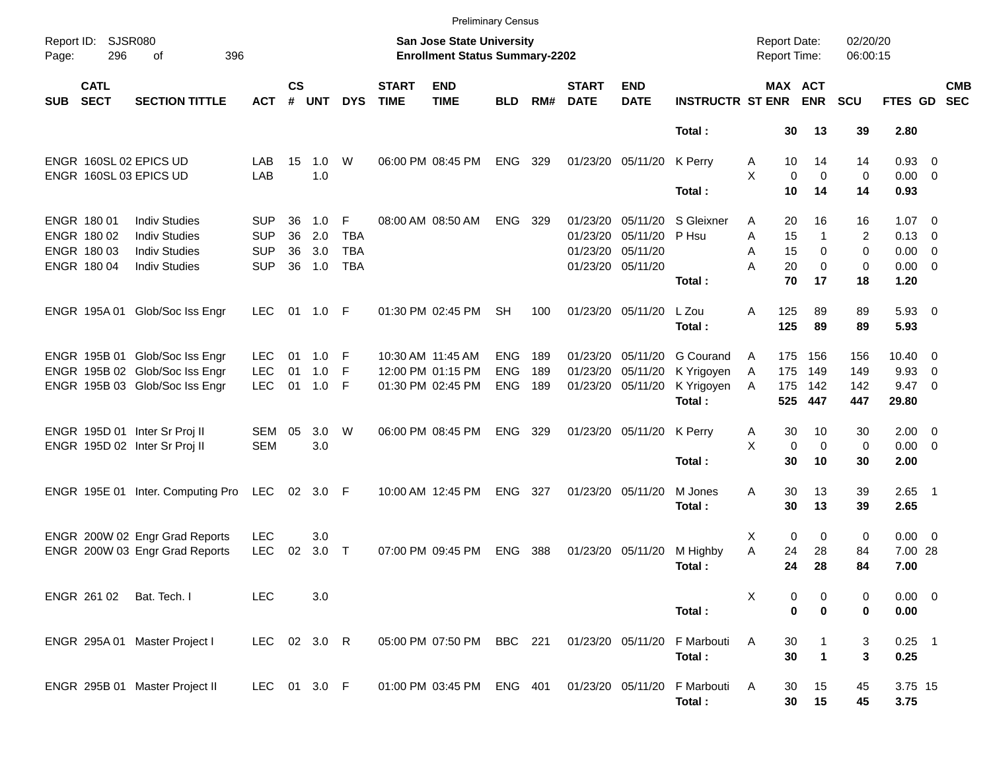|                     |                                           |                                                                      |                                        |                    |                   |                               |                             | <b>Preliminary Census</b>                                                 |                          |            |                             |                                        |                         |                                     |                                   |                      |                                              |                          |                          |
|---------------------|-------------------------------------------|----------------------------------------------------------------------|----------------------------------------|--------------------|-------------------|-------------------------------|-----------------------------|---------------------------------------------------------------------------|--------------------------|------------|-----------------------------|----------------------------------------|-------------------------|-------------------------------------|-----------------------------------|----------------------|----------------------------------------------|--------------------------|--------------------------|
| Report ID:<br>Page: | <b>SJSR080</b><br>296                     | 396<br>оf                                                            |                                        |                    |                   |                               |                             | <b>San Jose State University</b><br><b>Enrollment Status Summary-2202</b> |                          |            |                             |                                        |                         | <b>Report Date:</b><br>Report Time: |                                   | 02/20/20<br>06:00:15 |                                              |                          |                          |
| <b>SUB</b>          | <b>CATL</b><br><b>SECT</b>                | <b>SECTION TITTLE</b>                                                | <b>ACT</b>                             | $\mathsf{cs}$<br># | <b>UNT</b>        | <b>DYS</b>                    | <b>START</b><br><b>TIME</b> | <b>END</b><br><b>TIME</b>                                                 | <b>BLD</b>               | RM#        | <b>START</b><br><b>DATE</b> | <b>END</b><br><b>DATE</b>              | <b>INSTRUCTR ST ENR</b> |                                     | MAX ACT<br><b>ENR</b>             | <b>SCU</b>           | <b>FTES GD</b>                               |                          | <b>CMB</b><br><b>SEC</b> |
|                     |                                           |                                                                      |                                        |                    |                   |                               |                             |                                                                           |                          |            |                             |                                        | Total:                  |                                     | 30<br>13                          | 39                   | 2.80                                         |                          |                          |
|                     |                                           | ENGR 160SL 02 EPICS UD<br>ENGR 160SL 03 EPICS UD                     | LAB<br>LAB                             | 15                 | 1.0<br>1.0        | W                             |                             | 06:00 PM 08:45 PM                                                         | <b>ENG</b>               | 329        |                             | 01/23/20 05/11/20                      | K Perry                 | 10<br>Α<br>X                        | 14<br>$\mathbf 0$<br>$\mathbf 0$  | 14<br>$\mathbf 0$    | 0.93 0<br>$0.00 \t 0$                        |                          |                          |
|                     |                                           |                                                                      |                                        |                    |                   |                               |                             |                                                                           |                          |            |                             |                                        | Total:                  | 10                                  | 14                                | 14                   | 0.93                                         |                          |                          |
|                     | ENGR 180 01<br>ENGR 180 02<br>ENGR 180 03 | <b>Indiv Studies</b><br><b>Indiv Studies</b><br><b>Indiv Studies</b> | <b>SUP</b><br><b>SUP</b><br><b>SUP</b> | 36<br>36<br>36     | 1.0<br>2.0<br>3.0 | F<br><b>TBA</b><br><b>TBA</b> |                             | 08:00 AM 08:50 AM                                                         | <b>ENG</b>               | - 329      | 01/23/20 05/11/20           | 01/23/20 05/11/20<br>01/23/20 05/11/20 | S Gleixner<br>P Hsu     | 20<br>A<br>A<br>15<br>15<br>Α       | 16<br>1<br>0                      | 16<br>2<br>0         | $1.07 \t 0$<br>$0.13 \quad 0$<br>$0.00 \t 0$ |                          |                          |
|                     | ENGR 180 04                               | <b>Indiv Studies</b>                                                 | <b>SUP</b>                             | 36                 | 1.0               | <b>TBA</b>                    |                             |                                                                           |                          |            |                             | 01/23/20 05/11/20                      | Total:                  | А<br>20<br>70                       | $\Omega$<br>17                    | 0<br>18              | $0.00 \t 0$<br>1.20                          |                          |                          |
|                     | ENGR 195A 01                              | Glob/Soc Iss Engr                                                    | <b>LEC</b>                             | 01                 | 1.0 F             |                               |                             | 01:30 PM 02:45 PM                                                         | SН                       | 100        |                             | 01/23/20 05/11/20                      | L Zou<br>Total:         | 125<br>A<br>125                     | 89<br>89                          | 89<br>89             | $5.93$ 0<br>5.93                             |                          |                          |
|                     |                                           | ENGR 195B 01 Glob/Soc Iss Engr<br>ENGR 195B 02 Glob/Soc Iss Engr     | <b>LEC</b><br><b>LEC</b>               | 01<br>01           | 1.0<br>1.0        | F<br>F                        |                             | 10:30 AM 11:45 AM<br>12:00 PM 01:15 PM                                    | <b>ENG</b><br><b>ENG</b> | 189<br>189 |                             | 01/23/20 05/11/20<br>01/23/20 05/11/20 | G Courand<br>K Yrigoyen | 175<br>A<br>175<br>A                | 156<br>149                        | 156<br>149           | $10.40 \quad 0$<br>9.93                      | $\overline{\phantom{0}}$ |                          |
|                     |                                           | ENGR 195B 03 Glob/Soc Iss Engr                                       | <b>LEC</b>                             | 01                 | 1.0               | F                             |                             | 01:30 PM 02:45 PM                                                         | <b>ENG</b>               | 189        |                             | 01/23/20 05/11/20                      | K Yrigoyen<br>Total:    | 175<br>A<br>525                     | 142<br>447                        | 142<br>447           | $9.47 \quad 0$<br>29.80                      |                          |                          |
|                     |                                           | ENGR 195D 01 Inter Sr Proj II<br>ENGR 195D 02 Inter Sr Proj II       | SEM<br><b>SEM</b>                      | 05                 | 3.0<br>3.0        | W                             |                             | 06:00 PM 08:45 PM                                                         | <b>ENG</b>               | 329        |                             | 01/23/20 05/11/20                      | K Perry                 | 30<br>Α<br>X                        | 10<br>$\mathbf 0$<br>$\mathbf 0$  | 30<br>$\mathbf 0$    | $2.00 \t 0$<br>$0.00 \t 0$                   |                          |                          |
|                     |                                           |                                                                      |                                        |                    |                   |                               |                             |                                                                           |                          |            |                             |                                        | Total:                  | 30                                  | 10                                | 30                   | 2.00                                         |                          |                          |
|                     |                                           | ENGR 195E 01 Inter. Computing Pro                                    | LEC                                    | 02 <sub>o</sub>    | 3.0 F             |                               |                             | 10:00 AM 12:45 PM                                                         | <b>ENG</b>               | - 327      |                             | 01/23/20 05/11/20                      | M Jones<br>Total:       | 30<br>Α<br>30                       | 13<br>13                          | 39<br>39             | $2.65$ 1<br>2.65                             |                          |                          |
|                     |                                           | ENGR 200W 02 Engr Grad Reports<br>ENGR 200W 03 Engr Grad Reports     | <b>LEC</b><br><b>LEC</b>               | 02                 | 3.0<br>3.0        | $\top$                        |                             | 07:00 PM 09:45 PM                                                         | <b>ENG</b>               | 388        |                             | 01/23/20 05/11/20                      | M Highby<br>Total:      | X<br>A<br>24<br>24                  | $\mathbf 0$<br>0<br>28<br>28      | 0<br>84<br>84        | $0.00 \t 0$<br>7.00 28<br>7.00               |                          |                          |
|                     | ENGR 261 02                               | Bat. Tech. I                                                         | <b>LEC</b>                             |                    | 3.0               |                               |                             |                                                                           |                          |            |                             |                                        | Total:                  | Χ                                   | 0<br>0<br>$\bf{0}$<br>$\mathbf 0$ | 0<br>0               | $0.00 \t 0$<br>0.00                          |                          |                          |
|                     |                                           | ENGR 295A 01 Master Project I                                        | LEC 02 3.0 R                           |                    |                   |                               |                             | 05:00 PM 07:50 PM BBC 221                                                 |                          |            |                             | 01/23/20 05/11/20                      | F Marbouti<br>Total:    | Α<br>30                             | 30<br>$\mathbf{1}$                | 3<br>3               | $0.25$ 1<br>0.25                             |                          |                          |
|                     |                                           | ENGR 295B 01 Master Project II                                       | LEC 01 3.0 F                           |                    |                   |                               |                             | 01:00 PM 03:45 PM                                                         | ENG 401                  |            |                             | 01/23/20 05/11/20                      | F Marbouti<br>Total:    | A                                   | 30<br>15<br>30<br>15              | 45<br>45             | 3.75 15<br>3.75                              |                          |                          |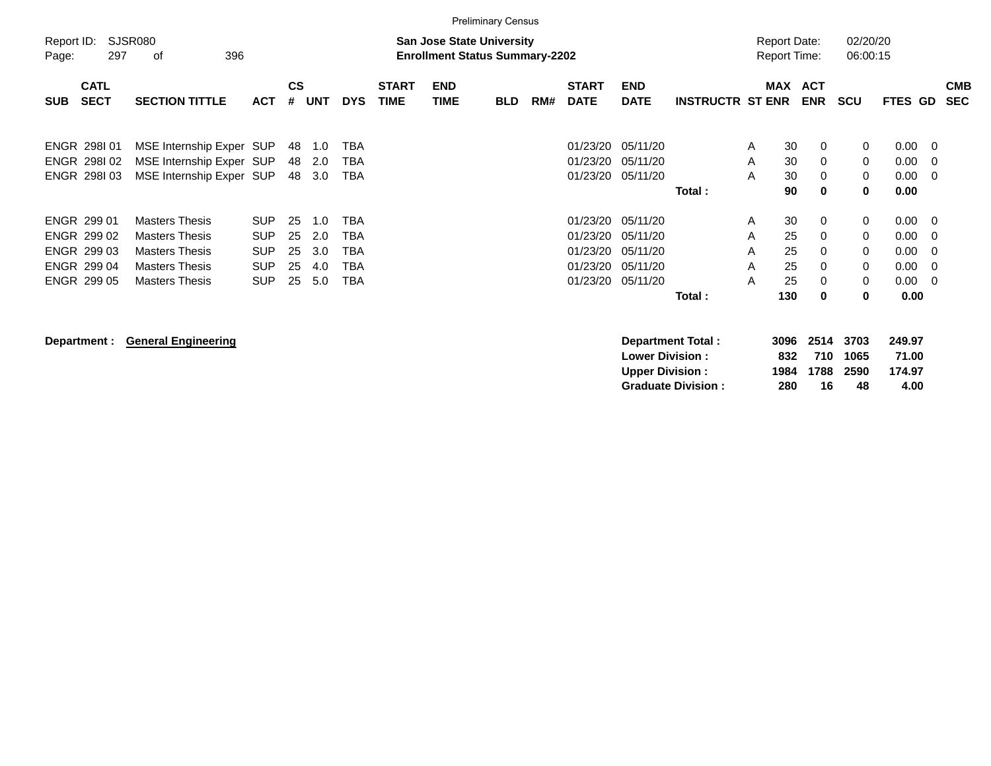|                     |                                                                                       |                                                                                                                           |                                                                    |                            |                                 |                                                                    |                             |                                                                           | <b>Preliminary Census</b> |     |                                                          |                                                          |                         |                                            |                                   |                                                               |                                      |                                              |                                                                         |                          |
|---------------------|---------------------------------------------------------------------------------------|---------------------------------------------------------------------------------------------------------------------------|--------------------------------------------------------------------|----------------------------|---------------------------------|--------------------------------------------------------------------|-----------------------------|---------------------------------------------------------------------------|---------------------------|-----|----------------------------------------------------------|----------------------------------------------------------|-------------------------|--------------------------------------------|-----------------------------------|---------------------------------------------------------------|--------------------------------------|----------------------------------------------|-------------------------------------------------------------------------|--------------------------|
| Report ID:<br>Page: | 297                                                                                   | <b>SJSR080</b><br>396<br>оf                                                                                               |                                                                    |                            |                                 |                                                                    |                             | <b>San Jose State University</b><br><b>Enrollment Status Summary-2202</b> |                           |     |                                                          |                                                          |                         | <b>Report Date:</b><br><b>Report Time:</b> |                                   |                                                               | 02/20/20<br>06:00:15                 |                                              |                                                                         |                          |
| <b>SUB</b>          | <b>CATL</b><br><b>SECT</b>                                                            | <b>SECTION TITTLE</b>                                                                                                     | <b>ACT</b>                                                         | <b>CS</b><br>#             | <b>UNT</b>                      | <b>DYS</b>                                                         | <b>START</b><br><b>TIME</b> | <b>END</b><br><b>TIME</b>                                                 | <b>BLD</b>                | RM# | <b>START</b><br><b>DATE</b>                              | <b>END</b><br><b>DATE</b>                                | <b>INSTRUCTR ST ENR</b> | <b>MAX</b>                                 | <b>ACT</b><br><b>ENR</b>          |                                                               | <b>SCU</b>                           | FTES GD                                      |                                                                         | <b>CMB</b><br><b>SEC</b> |
|                     | ENGR 298101<br>ENGR 298102<br>ENGR 298103                                             | MSE Internship Exper SUP<br>MSE Internship Exper SUP<br>MSE Internship Exper SUP                                          |                                                                    | 48<br>48<br>48             | 1.0<br>2.0<br>3.0               | <b>TBA</b><br><b>TBA</b><br><b>TBA</b>                             |                             |                                                                           |                           |     | 01/23/20<br>01/23/20<br>01/23/20                         | 05/11/20<br>05/11/20<br>05/11/20                         | Total:                  | A<br>A<br>A                                | 30<br>30<br>30<br>90              | 0<br>$\mathbf 0$<br>0<br>$\bf{0}$                             | 0<br>$\mathbf 0$<br>$\mathbf 0$<br>0 | 0.00<br>0.00<br>0.00<br>0.00                 | - 0<br>- 0<br>- 0                                                       |                          |
|                     | ENGR 299 01<br>ENGR 299 02<br><b>ENGR 299 03</b><br><b>ENGR 299 04</b><br>ENGR 299 05 | <b>Masters Thesis</b><br><b>Masters Thesis</b><br><b>Masters Thesis</b><br><b>Masters Thesis</b><br><b>Masters Thesis</b> | <b>SUP</b><br><b>SUP</b><br><b>SUP</b><br><b>SUP</b><br><b>SUP</b> | 25<br>25<br>25<br>25<br>25 | 1.0<br>2.0<br>3.0<br>4.0<br>5.0 | <b>TBA</b><br><b>TBA</b><br><b>TBA</b><br><b>TBA</b><br><b>TBA</b> |                             |                                                                           |                           |     | 01/23/20<br>01/23/20<br>01/23/20<br>01/23/20<br>01/23/20 | 05/11/20<br>05/11/20<br>05/11/20<br>05/11/20<br>05/11/20 | Total:                  | A<br>A<br>A<br>A<br>A                      | 30<br>25<br>25<br>25<br>25<br>130 | $\mathbf{0}$<br>$\Omega$<br>0<br>$\mathbf 0$<br>0<br>$\bf{0}$ | 0<br>0<br>0<br>$\mathbf 0$<br>0<br>0 | 0.00<br>0.00<br>0.00<br>0.00<br>0.00<br>0.00 | $\overline{\mathbf{0}}$<br>- 0<br>- 0<br>- 0<br>$\overline{\mathbf{0}}$ |                          |

**Department : General Engineering Department Total : 3096 2514 3703 249.97 Lower Division : 832 710 1065 71.00<br>
Upper Division : 884 1788 2590 174.97 Upper Division : 1984 1788 2590 174.97 Graduate Division :**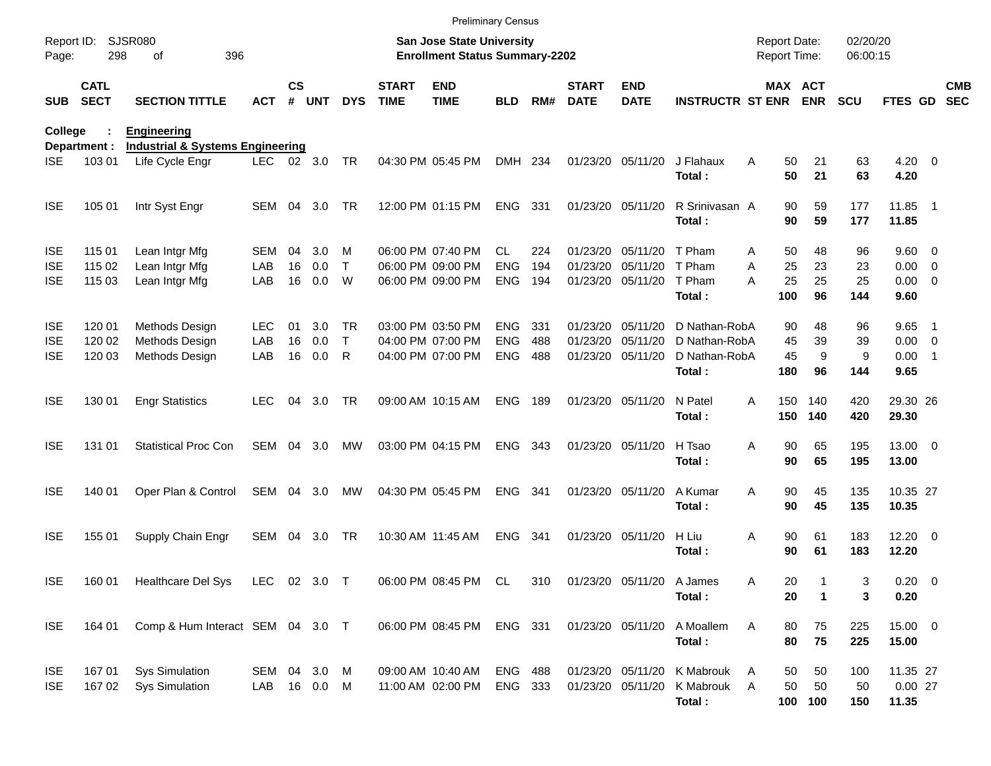|                     |                            |                                             |              |                    |            |            |                             | <b>Preliminary Census</b>                                                 |                |      |                             |                               |                               |                                     |          |             |                      |                    |                  |                          |
|---------------------|----------------------------|---------------------------------------------|--------------|--------------------|------------|------------|-----------------------------|---------------------------------------------------------------------------|----------------|------|-----------------------------|-------------------------------|-------------------------------|-------------------------------------|----------|-------------|----------------------|--------------------|------------------|--------------------------|
| Report ID:<br>Page: | 298                        | <b>SJSR080</b><br>396<br>οf                 |              |                    |            |            |                             | <b>San Jose State University</b><br><b>Enrollment Status Summary-2202</b> |                |      |                             |                               |                               | <b>Report Date:</b><br>Report Time: |          |             | 02/20/20<br>06:00:15 |                    |                  |                          |
| <b>SUB</b>          | <b>CATL</b><br><b>SECT</b> | <b>SECTION TITTLE</b>                       | ACT          | $\mathsf{cs}$<br># | <b>UNT</b> | <b>DYS</b> | <b>START</b><br><b>TIME</b> | <b>END</b><br><b>TIME</b>                                                 | <b>BLD</b>     | RM#  | <b>START</b><br><b>DATE</b> | <b>END</b><br><b>DATE</b>     | <b>INSTRUCTR ST ENR ENR</b>   |                                     |          | MAX ACT     | <b>SCU</b>           | FTES GD            |                  | <b>CMB</b><br><b>SEC</b> |
| College             |                            | <b>Engineering</b>                          |              |                    |            |            |                             |                                                                           |                |      |                             |                               |                               |                                     |          |             |                      |                    |                  |                          |
|                     | Department :               | <b>Industrial &amp; Systems Engineering</b> |              |                    |            |            |                             |                                                                           |                |      |                             |                               |                               |                                     |          |             |                      |                    |                  |                          |
| <b>ISE</b>          | 103 01                     | Life Cycle Engr                             | LEC.         |                    | 02 3.0     | <b>TR</b>  |                             | 04:30 PM 05:45 PM                                                         | DMH 234        |      |                             | 01/23/20 05/11/20             | J Flahaux<br>Total:           | A                                   | 50<br>50 | 21<br>21    | 63<br>63             | $4.20 \ 0$<br>4.20 |                  |                          |
| <b>ISE</b>          | 105 01                     | Intr Syst Engr                              | SEM          | - 04               | 3.0        | TR         |                             | 12:00 PM 01:15 PM                                                         | ENG 331        |      |                             | 01/23/20 05/11/20             | R Srinivasan A                |                                     | 90       | 59          | 177                  | 11.85              | $\blacksquare$ 1 |                          |
|                     |                            |                                             |              |                    |            |            |                             |                                                                           |                |      |                             |                               | Total:                        |                                     | 90       | 59          | 177                  | 11.85              |                  |                          |
| <b>ISE</b>          | 115 01                     | Lean Intgr Mfg                              | SEM          | 04                 | 3.0        | М          |                             | 06:00 PM 07:40 PM                                                         | CL.            | 224  | 01/23/20                    | 05/11/20                      | T Pham                        | A                                   | 50       | 48          | 96                   | 9.60 0             |                  |                          |
| <b>ISE</b>          | 115 02                     | Lean Intgr Mfg                              | LAB          | 16                 | 0.0        | Τ          |                             | 06:00 PM 09:00 PM                                                         | <b>ENG</b>     | 194  | 01/23/20                    | 05/11/20 T Pham               |                               | Α                                   | 25       | 23          | 23                   | $0.00 \t 0$        |                  |                          |
| <b>ISE</b>          | 115 03                     | Lean Intgr Mfg                              | LAB          | 16                 | 0.0        | W          |                             | 06:00 PM 09:00 PM                                                         | <b>ENG</b>     | 194  |                             | 01/23/20 05/11/20             | T Pham                        | A                                   | 25       | 25          | 25                   | $0.00 \t 0$        |                  |                          |
|                     |                            |                                             |              |                    |            |            |                             |                                                                           |                |      |                             |                               | Total:                        |                                     | 100      | 96          | 144                  | 9.60               |                  |                          |
| <b>ISE</b>          | 120 01                     | Methods Design                              | <b>LEC</b>   | 01                 | 3.0        | TR.        |                             | 03:00 PM 03:50 PM                                                         | ENG.           | 331  | 01/23/20                    | 05/11/20                      | D Nathan-RobA                 |                                     | 90       | 48          | 96                   | 9.65               | - 1              |                          |
| <b>ISE</b>          | 120 02                     | Methods Design                              | LAB          | 16                 | 0.0        | Τ          |                             | 04:00 PM 07:00 PM                                                         | <b>ENG</b>     | 488  | 01/23/20                    | 05/11/20                      | D Nathan-RobA                 |                                     | 45       | 39          | 39                   | $0.00 \t 0$        |                  |                          |
| <b>ISE</b>          | 120 03                     | Methods Design                              | LAB          | 16                 | 0.0        | R          |                             | 04:00 PM 07:00 PM                                                         | <b>ENG</b>     | 488  |                             | 01/23/20 05/11/20             | D Nathan-RobA                 |                                     | 45       | 9           | 9                    | $0.00$ 1           |                  |                          |
|                     |                            |                                             |              |                    |            |            |                             |                                                                           |                |      |                             |                               | Total:                        |                                     | 180      | 96          | 144                  | 9.65               |                  |                          |
| <b>ISE</b>          | 130 01                     | <b>Engr Statistics</b>                      | <b>LEC</b>   | 04                 | 3.0        | TR.        |                             | 09:00 AM 10:15 AM                                                         | <b>ENG</b>     | 189  |                             | 01/23/20 05/11/20             | N Patel                       | A                                   | 150      | 140         | 420                  | 29.30 26           |                  |                          |
|                     |                            |                                             |              |                    |            |            |                             |                                                                           |                |      |                             |                               | Total:                        |                                     | 150      | 140         | 420                  | 29.30              |                  |                          |
| <b>ISE</b>          | 131 01                     | <b>Statistical Proc Con</b>                 | SEM          | 04                 | 3.0        | МW         |                             | 03:00 PM 04:15 PM                                                         | ENG            | 343  |                             | 01/23/20 05/11/20             | H Tsao                        | Α                                   | 90       | 65          | 195                  | 13.00 0            |                  |                          |
|                     |                            |                                             |              |                    |            |            |                             |                                                                           |                |      |                             |                               | Total:                        |                                     | 90       | 65          | 195                  | 13.00              |                  |                          |
| <b>ISE</b>          | 140 01                     | Oper Plan & Control                         | SEM          | 04                 | 3.0        | MW         |                             | 04:30 PM 05:45 PM                                                         | <b>ENG</b>     | -341 |                             | 01/23/20 05/11/20             | A Kumar                       | A                                   | 90       | 45          | 135                  | 10.35 27           |                  |                          |
|                     |                            |                                             |              |                    |            |            |                             |                                                                           |                |      |                             |                               | Total:                        |                                     | 90       | 45          | 135                  | 10.35              |                  |                          |
| <b>ISE</b>          | 155 01                     | Supply Chain Engr                           | SEM 04       |                    | 3.0        | TR         | 10:30 AM 11:45 AM           |                                                                           | <b>ENG</b>     | -341 |                             | 01/23/20 05/11/20             | H Liu                         | Α                                   | 90       | 61          | 183                  | $12.20 \t 0$       |                  |                          |
|                     |                            |                                             |              |                    |            |            |                             |                                                                           |                |      |                             |                               | Total:                        |                                     | 90       | 61          | 183                  | 12.20              |                  |                          |
| <b>ISE</b>          |                            | 160 01 Healthcare Del Sys                   | LEC 02 3.0 T |                    |            |            |                             | 06:00 PM 08:45 PM CL                                                      |                |      |                             | 310 01/23/20 05/11/20 A James |                               | Α                                   | 20       |             | 3                    | $0.20 \ 0$         |                  |                          |
|                     |                            |                                             |              |                    |            |            |                             |                                                                           |                |      |                             |                               | Total:                        |                                     | 20       | $\mathbf 1$ | 3                    | 0.20               |                  |                          |
| <b>ISE</b>          | 164 01                     | Comp & Hum Interact SEM 04 3.0 T            |              |                    |            |            |                             | 06:00 PM 08:45 PM                                                         | ENG 331        |      |                             | 01/23/20 05/11/20             | A Moallem                     | Α                                   | 80       | 75          | 225                  | 15.00 0            |                  |                          |
|                     |                            |                                             |              |                    |            |            |                             |                                                                           |                |      |                             |                               | Total:                        |                                     | 80       | 75          | 225                  | 15.00              |                  |                          |
| <b>ISE</b>          | 167 01                     | <b>Sys Simulation</b>                       | SEM 04 3.0 M |                    |            |            |                             | 09:00 AM 10:40 AM                                                         | <b>ENG 488</b> |      |                             |                               | 01/23/20 05/11/20 K Mabrouk   | A                                   | 50       | 50          | 100                  | 11.35 27           |                  |                          |
| <b>ISE</b>          | 16702                      | <b>Sys Simulation</b>                       | LAB 16 0.0 M |                    |            |            |                             | 11:00 AM 02:00 PM                                                         | ENG 333        |      |                             |                               | 01/23/20 05/11/20 K Mabrouk A |                                     | 50       | 50          | 50                   | $0.00$ 27          |                  |                          |
|                     |                            |                                             |              |                    |            |            |                             |                                                                           |                |      |                             |                               | Total:                        |                                     |          | 100 100     | 150                  | 11.35              |                  |                          |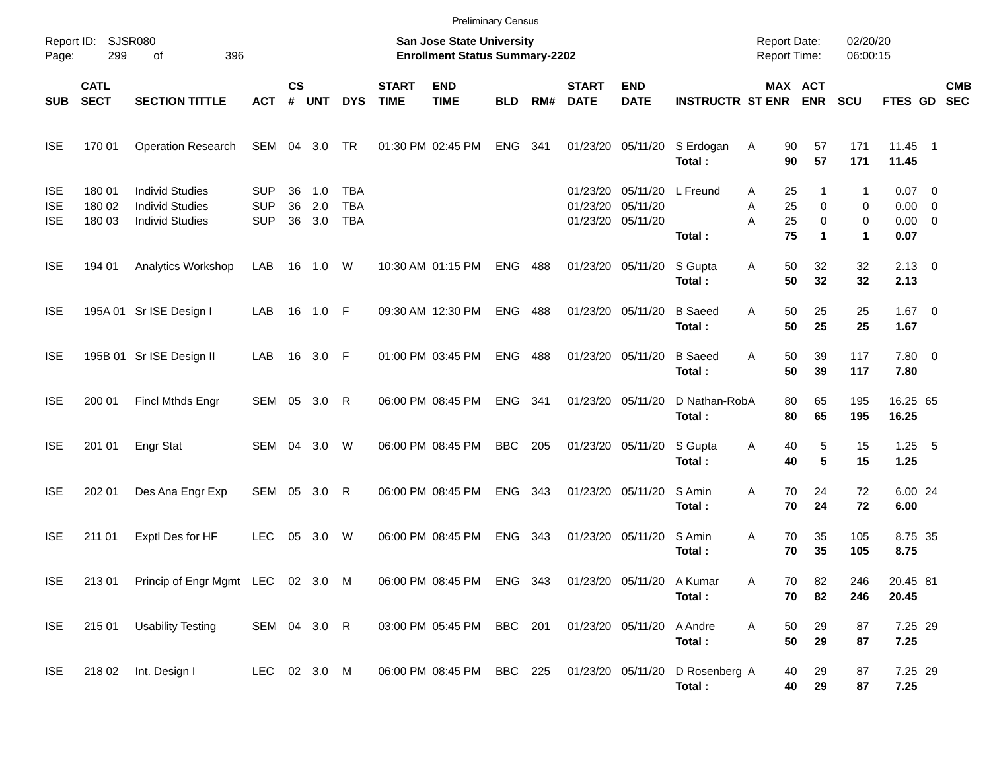|                                        |                            |                                                                            |                                        |                    |                   |                                        |                             | <b>Preliminary Census</b>                                          |            |     |                               |                               |                          |                                            |                                                                       |                             |                                                |                          |
|----------------------------------------|----------------------------|----------------------------------------------------------------------------|----------------------------------------|--------------------|-------------------|----------------------------------------|-----------------------------|--------------------------------------------------------------------|------------|-----|-------------------------------|-------------------------------|--------------------------|--------------------------------------------|-----------------------------------------------------------------------|-----------------------------|------------------------------------------------|--------------------------|
| Page:                                  | Report ID: SJSR080<br>299  | 396<br>of                                                                  |                                        |                    |                   |                                        |                             | San Jose State University<br><b>Enrollment Status Summary-2202</b> |            |     |                               |                               |                          | <b>Report Date:</b><br><b>Report Time:</b> |                                                                       | 02/20/20<br>06:00:15        |                                                |                          |
| <b>SUB</b>                             | <b>CATL</b><br><b>SECT</b> | <b>SECTION TITTLE</b>                                                      | <b>ACT</b>                             | $\mathsf{cs}$<br># | <b>UNT</b>        | <b>DYS</b>                             | <b>START</b><br><b>TIME</b> | <b>END</b><br><b>TIME</b>                                          | <b>BLD</b> | RM# | <b>START</b><br><b>DATE</b>   | <b>END</b><br><b>DATE</b>     | <b>INSTRUCTR ST ENR</b>  |                                            | MAX ACT<br><b>ENR</b>                                                 | <b>SCU</b>                  | <b>FTES GD</b>                                 | <b>CMB</b><br><b>SEC</b> |
| <b>ISE</b>                             | 170 01                     | <b>Operation Research</b>                                                  | SEM 04 3.0                             |                    |                   | <b>TR</b>                              |                             | 01:30 PM 02:45 PM                                                  | <b>ENG</b> | 341 |                               | 01/23/20 05/11/20             | S Erdogan<br>Total:      | Α                                          | 57<br>90<br>57<br>90                                                  | 171<br>171                  | 11.45 1<br>11.45                               |                          |
| <b>ISE</b><br><b>ISE</b><br><b>ISE</b> | 180 01<br>180 02<br>180 03 | <b>Individ Studies</b><br><b>Individ Studies</b><br><b>Individ Studies</b> | <b>SUP</b><br><b>SUP</b><br><b>SUP</b> | 36<br>36<br>36     | 1.0<br>2.0<br>3.0 | <b>TBA</b><br><b>TBA</b><br><b>TBA</b> |                             |                                                                    |            |     | 01/23/20<br>01/23/20 05/11/20 | 05/11/20<br>01/23/20 05/11/20 | L Freund<br>Total:       | Α<br>Α<br>A                                | 25<br>1<br>25<br>0<br>25<br>$\mathbf 0$<br>75<br>$\blacktriangleleft$ | 1<br>0<br>0<br>$\mathbf{1}$ | $0.07$ 0<br>$0.00 \t 0$<br>$0.00 \t 0$<br>0.07 |                          |
| <b>ISE</b>                             | 194 01                     | Analytics Workshop                                                         | LAB                                    |                    | 16  1.0           | W                                      |                             | 10:30 AM 01:15 PM                                                  | <b>ENG</b> | 488 |                               | 01/23/20 05/11/20             | S Gupta<br>Total:        | Α                                          | 50<br>32<br>50<br>32                                                  | 32<br>32                    | $2.13 \quad 0$<br>2.13                         |                          |
| <b>ISE</b>                             |                            | 195A 01 Sr ISE Design I                                                    | LAB                                    |                    | 16 1.0 F          |                                        |                             | 09:30 AM 12:30 PM                                                  | <b>ENG</b> | 488 | 01/23/20 05/11/20             |                               | <b>B</b> Saeed<br>Total: | A                                          | 50<br>25<br>50<br>25                                                  | 25<br>25                    | $1.67$ 0<br>1.67                               |                          |
| <b>ISE</b>                             |                            | 195B 01 Sr ISE Design II                                                   | LAB                                    |                    | 16 3.0 F          |                                        |                             | 01:00 PM 03:45 PM                                                  | <b>ENG</b> | 488 | 01/23/20 05/11/20             |                               | <b>B</b> Saeed<br>Total: | A                                          | 50<br>39<br>50<br>39                                                  | 117<br>117                  | 7.80 0<br>7.80                                 |                          |
| <b>ISE</b>                             | 200 01                     | Fincl Mthds Engr                                                           | SEM 05 3.0 R                           |                    |                   |                                        |                             | 06:00 PM 08:45 PM                                                  | <b>ENG</b> | 341 | 01/23/20 05/11/20             |                               | D Nathan-RobA<br>Total:  |                                            | 80<br>65<br>80<br>65                                                  | 195<br>195                  | 16.25 65<br>16.25                              |                          |
| <b>ISE</b>                             | 201 01                     | Engr Stat                                                                  | SEM 04 3.0                             |                    |                   | W                                      |                             | 06:00 PM 08:45 PM                                                  | <b>BBC</b> | 205 | 01/23/20 05/11/20             |                               | S Gupta<br>Total:        | Α                                          | 40<br>5<br>$5\phantom{1}$<br>40                                       | 15<br>15                    | $1.25$ 5<br>1.25                               |                          |
| <b>ISE</b>                             | 202 01                     | Des Ana Engr Exp                                                           | SEM                                    | 05                 | 3.0               | - R                                    |                             | 06:00 PM 08:45 PM                                                  | <b>ENG</b> | 343 | 01/23/20 05/11/20             |                               | S Amin<br>Total:         | A                                          | 70<br>24<br>70<br>24                                                  | 72<br>72                    | 6.00 24<br>6.00                                |                          |
| <b>ISE</b>                             | 211 01                     | Exptl Des for HF                                                           | <b>LEC</b>                             | 05                 | 3.0               | W                                      |                             | 06:00 PM 08:45 PM                                                  | <b>ENG</b> | 343 |                               | 01/23/20 05/11/20             | S Amin<br>Total:         | Α                                          | 35<br>70<br>35<br>70                                                  | 105<br>105                  | 8.75 35<br>8.75                                |                          |
| <b>ISE</b>                             |                            | 213 01 Princip of Engr Mgmt LEC 02 3.0 M                                   |                                        |                    |                   |                                        |                             | 06:00 PM 08:45 PM ENG 343 01/23/20 05/11/20 A Kumar                |            |     |                               |                               | Total:                   | Α                                          | 70<br>82<br>70<br>82                                                  | 246<br>246                  | 20.45 81<br>20.45                              |                          |
| <b>ISE</b>                             | 215 01                     | <b>Usability Testing</b>                                                   | SEM 04 3.0 R                           |                    |                   |                                        |                             | 03:00 PM 05:45 PM BBC 201                                          |            |     | 01/23/20 05/11/20             |                               | A Andre<br>Total:        | Α                                          | 29<br>50<br>50<br>29                                                  | 87<br>87                    | 7.25 29<br>7.25                                |                          |
| <b>ISE</b>                             | 218 02                     | Int. Design I                                                              | LEC 02 3.0 M                           |                    |                   |                                        |                             | 06:00 PM 08:45 PM BBC 225                                          |            |     | 01/23/20 05/11/20             |                               | D Rosenberg A<br>Total:  |                                            | 40<br>29<br>40<br>29                                                  | 87<br>87                    | 7.25 29<br>7.25                                |                          |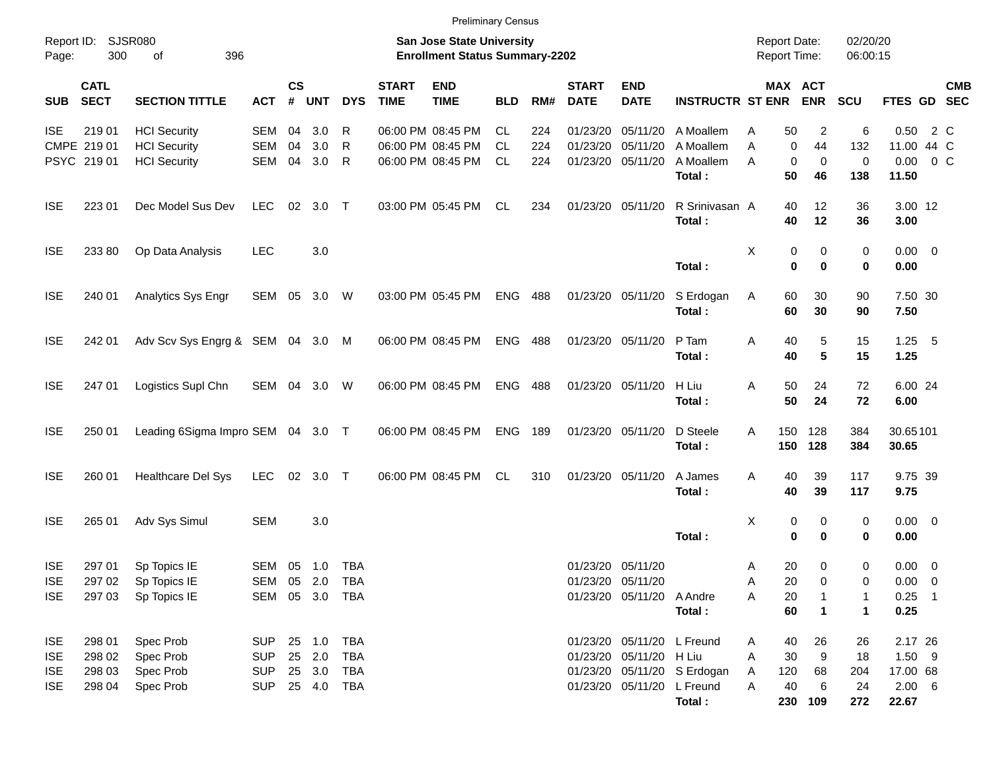|                     |                            |                                   |                |                    |                |            |                             | <b>Preliminary Census</b>                                          |            |     |                             |                            |                             |                                            |                                   |                      |                     |     |            |
|---------------------|----------------------------|-----------------------------------|----------------|--------------------|----------------|------------|-----------------------------|--------------------------------------------------------------------|------------|-----|-----------------------------|----------------------------|-----------------------------|--------------------------------------------|-----------------------------------|----------------------|---------------------|-----|------------|
| Report ID:<br>Page: | 300                        | SJSR080<br>396<br>of              |                |                    |                |            |                             | San Jose State University<br><b>Enrollment Status Summary-2202</b> |            |     |                             |                            |                             | <b>Report Date:</b><br><b>Report Time:</b> |                                   | 02/20/20<br>06:00:15 |                     |     |            |
| <b>SUB</b>          | <b>CATL</b><br><b>SECT</b> | <b>SECTION TITTLE</b>             | <b>ACT</b>     | $\mathsf{cs}$<br># | <b>UNT</b>     | <b>DYS</b> | <b>START</b><br><b>TIME</b> | <b>END</b><br><b>TIME</b>                                          | <b>BLD</b> | RM# | <b>START</b><br><b>DATE</b> | <b>END</b><br><b>DATE</b>  | <b>INSTRUCTR ST ENR</b>     |                                            | MAX ACT<br><b>ENR</b>             | SCU                  | FTES GD SEC         |     | <b>CMB</b> |
| <b>ISE</b>          | 21901                      | <b>HCI</b> Security               | SEM            | 04                 | 3.0            | R          | 06:00 PM 08:45 PM           |                                                                    | CL.        | 224 | 01/23/20                    | 05/11/20                   | A Moallem                   | 50<br>Α                                    | 2                                 | 6                    | 0.50                | 2 C |            |
|                     | CMPE 219 01                | <b>HCI</b> Security               | SEM            | 04                 | 3.0            | R          | 06:00 PM 08:45 PM           |                                                                    | CL.        | 224 | 01/23/20                    | 05/11/20                   | A Moallem                   | A                                          | 0<br>44                           | 132                  | 11.00 44 C          |     |            |
|                     | PSYC 219 01                | <b>HCI</b> Security               | SEM            | 04                 | 3.0            | R          |                             | 06:00 PM 08:45 PM                                                  | CL.        | 224 | 01/23/20                    | 05/11/20                   | A Moallem                   | A                                          | 0<br>0                            | 0                    | $0.00 \t 0 C$       |     |            |
|                     |                            |                                   |                |                    |                |            |                             |                                                                    |            |     |                             |                            | Total:                      | 50                                         | 46                                | 138                  | 11.50               |     |            |
| <b>ISE</b>          | 223 01                     | Dec Model Sus Dev                 | <b>LEC</b>     |                    | 02 3.0         | $\top$     |                             | 03:00 PM 05:45 PM                                                  | CL         | 234 | 01/23/20 05/11/20           |                            | R Srinivasan A              | 40                                         | 12                                | 36                   | 3.00 12             |     |            |
|                     |                            |                                   |                |                    |                |            |                             |                                                                    |            |     |                             |                            | Total:                      | 40                                         | 12                                | 36                   | 3.00                |     |            |
| <b>ISE</b>          | 233 80                     | Op Data Analysis                  | <b>LEC</b>     |                    | 3.0            |            |                             |                                                                    |            |     |                             |                            | Total:                      | Χ                                          | 0<br>0<br>$\mathbf 0$<br>$\bf{0}$ | 0<br>0               | $0.00 \t 0$<br>0.00 |     |            |
| <b>ISE</b>          | 240 01                     | Analytics Sys Engr                | SEM 05 3.0     |                    |                | W          | 03:00 PM 05:45 PM           |                                                                    | <b>ENG</b> | 488 |                             | 01/23/20 05/11/20          | S Erdogan<br>Total:         | Α<br>60<br>60                              | 30<br>30                          | 90<br>90             | 7.50 30<br>7.50     |     |            |
| <b>ISE</b>          | 242 01                     | Adv Scv Sys Engrg & SEM 04 3.0 M  |                |                    |                |            | 06:00 PM 08:45 PM           |                                                                    | <b>ENG</b> | 488 |                             | 01/23/20 05/11/20          | P Tam<br>Total:             | Α<br>40<br>40                              | 5<br>5                            | 15<br>15             | $1.25$ 5<br>1.25    |     |            |
| <b>ISE</b>          | 247 01                     | Logistics Supl Chn                | SEM 04 3.0     |                    |                | W          | 06:00 PM 08:45 PM           |                                                                    | <b>ENG</b> | 488 |                             | 01/23/20 05/11/20          | H Liu<br>Total:             | 50<br>Α<br>50                              | 24<br>24                          | 72<br>72             | 6.00 24<br>6.00     |     |            |
| <b>ISE</b>          | 250 01                     | Leading 6Sigma Impro SEM 04 3.0 T |                |                    |                |            | 06:00 PM 08:45 PM           |                                                                    | <b>ENG</b> | 189 |                             | 01/23/20 05/11/20          | D Steele<br>Total:          | 150<br>Α<br>150                            | 128<br>128                        | 384<br>384           | 30.65101<br>30.65   |     |            |
| <b>ISE</b>          | 260 01                     | Healthcare Del Sys                | <b>LEC</b>     |                    | 02 3.0         | $\top$     |                             | 06:00 PM 08:45 PM                                                  | CL.        | 310 |                             | 01/23/20 05/11/20          | A James<br>Total:           | Α<br>40<br>40                              | 39<br>39                          | 117<br>117           | 9.75 39<br>9.75     |     |            |
| <b>ISE</b>          | 265 01                     | Adv Sys Simul                     | <b>SEM</b>     |                    | 3.0            |            |                             |                                                                    |            |     |                             |                            | Total:                      | X                                          | 0<br>0<br>0<br>0                  | 0<br>0               | $0.00 \t 0$<br>0.00 |     |            |
| <b>ISE</b>          | 297 01                     | Sp Topics IE                      | SEM 05 1.0     |                    |                | TBA        |                             |                                                                    |            |     | 01/23/20 05/11/20           |                            |                             | 20<br>A                                    | 0                                 | 0                    | $0.00 \t 0$         |     |            |
| <b>ISE</b>          | 297 02                     | Sp Topics IE                      |                |                    | SEM 05 2.0 TBA |            |                             |                                                                    |            |     |                             | 01/23/20 05/11/20          |                             | 20<br>Α                                    | 0                                 | 0                    | $0.00 \t 0$         |     |            |
| <b>ISE</b>          | 297 03                     | Sp Topics IE                      | SEM 05 3.0 TBA |                    |                |            |                             |                                                                    |            |     |                             | 01/23/20 05/11/20 A Andre  |                             | 20<br>Α                                    |                                   | 1                    | $0.25$ 1            |     |            |
|                     |                            |                                   |                |                    |                |            |                             |                                                                    |            |     |                             |                            | Total:                      | 60                                         | $\mathbf 1$                       | 1                    | 0.25                |     |            |
| <b>ISE</b>          | 298 01                     | Spec Prob                         | <b>SUP</b>     |                    | 25 1.0         | TBA        |                             |                                                                    |            |     |                             | 01/23/20 05/11/20 L Freund |                             | 40<br>A                                    | 26                                | 26                   | 2.17 26             |     |            |
| <b>ISE</b>          | 298 02                     | Spec Prob                         | <b>SUP</b>     |                    | 25 2.0         | <b>TBA</b> |                             |                                                                    |            |     |                             | 01/23/20 05/11/20 H Liu    |                             | 30<br>A                                    | 9                                 | 18                   | $1.50$ 9            |     |            |
| <b>ISE</b>          | 298 03                     | Spec Prob                         | <b>SUP</b>     |                    | 25 3.0         | TBA        |                             |                                                                    |            |     |                             |                            | 01/23/20 05/11/20 S Erdogan | 120<br>A                                   | 68                                | 204                  | 17.00 68            |     |            |
| <b>ISE</b>          | 298 04                     | Spec Prob                         | <b>SUP</b>     |                    |                |            |                             |                                                                    |            |     |                             | 01/23/20 05/11/20 L Freund |                             | 40<br>A                                    | 6                                 | 24                   | $2.00\quad 6$       |     |            |
|                     |                            |                                   |                |                    |                |            |                             |                                                                    |            |     |                             |                            | Total:                      | 230                                        | 109                               | 272                  | 22.67               |     |            |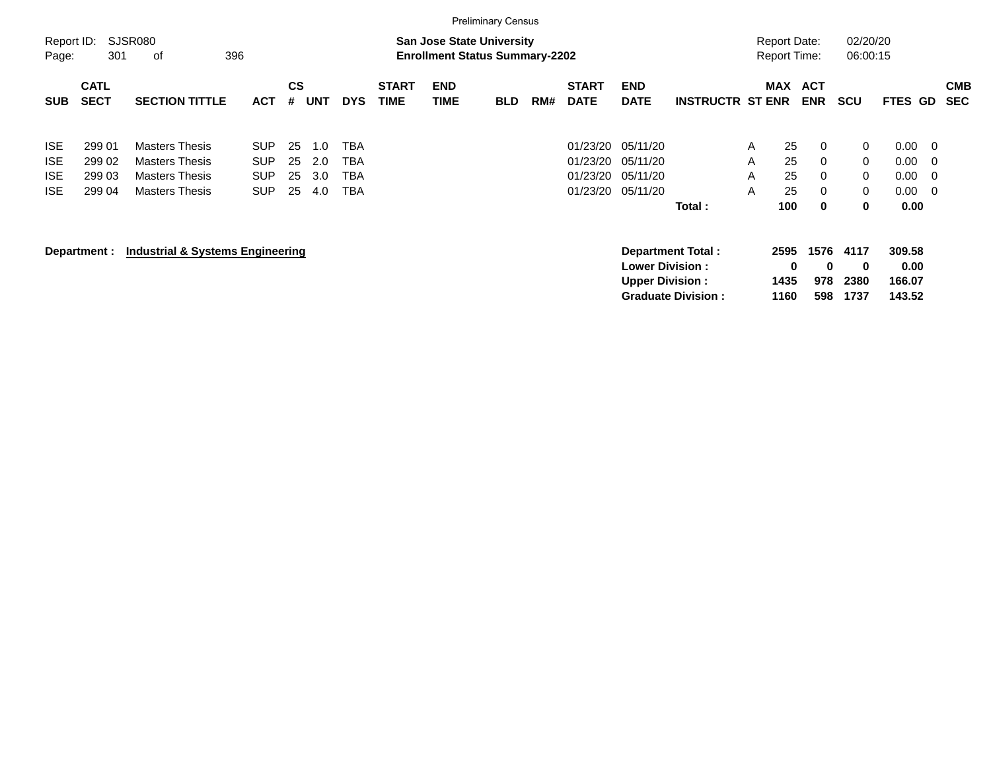|                                                      |                                      |                                                                                                  |                                                      |                      |                          |                                        |                             |                                                                           | <b>Preliminary Census</b> |     |                                              |                                                  |                                                       |                             |                                            |                              |                                  |                                      |                                     |                          |
|------------------------------------------------------|--------------------------------------|--------------------------------------------------------------------------------------------------|------------------------------------------------------|----------------------|--------------------------|----------------------------------------|-----------------------------|---------------------------------------------------------------------------|---------------------------|-----|----------------------------------------------|--------------------------------------------------|-------------------------------------------------------|-----------------------------|--------------------------------------------|------------------------------|----------------------------------|--------------------------------------|-------------------------------------|--------------------------|
| Report ID:<br>Page:                                  | 301                                  | SJSR080<br>396<br>оf                                                                             |                                                      |                      |                          |                                        |                             | <b>San Jose State University</b><br><b>Enrollment Status Summary-2202</b> |                           |     |                                              |                                                  |                                                       |                             | <b>Report Date:</b><br><b>Report Time:</b> |                              | 02/20/20<br>06:00:15             |                                      |                                     |                          |
| <b>SUB</b>                                           | <b>CATL</b><br><b>SECT</b>           | <b>SECTION TITTLE</b>                                                                            | <b>ACT</b>                                           | <b>CS</b><br>#       | <b>UNT</b>               | <b>DYS</b>                             | <b>START</b><br><b>TIME</b> | <b>END</b><br><b>TIME</b>                                                 | <b>BLD</b>                | RM# | <b>START</b><br><b>DATE</b>                  | <b>END</b><br><b>DATE</b>                        | <b>INSTRUCTR ST ENR</b>                               |                             | MAX                                        | <b>ACT</b><br><b>ENR</b>     | <b>SCU</b>                       | <b>FTES</b>                          | GD                                  | <b>CMB</b><br><b>SEC</b> |
| <b>ISE</b><br><b>ISE</b><br><b>ISE</b><br><b>ISE</b> | 299 01<br>299 02<br>299 03<br>299 04 | <b>Masters Thesis</b><br><b>Masters Thesis</b><br><b>Masters Thesis</b><br><b>Masters Thesis</b> | <b>SUP</b><br><b>SUP</b><br><b>SUP</b><br><b>SUP</b> | 25<br>25<br>25<br>25 | 1.0<br>2.0<br>3.0<br>4.0 | <b>TBA</b><br><b>TBA</b><br>TBA<br>TBA |                             |                                                                           |                           |     | 01/23/20<br>01/23/20<br>01/23/20<br>01/23/20 | 05/11/20<br>05/11/20<br>05/11/20<br>05/11/20     | Total:                                                | $\mathsf{A}$<br>A<br>A<br>A | 25<br>25<br>25<br>25<br>100                | $\Omega$<br>0<br>0<br>0<br>0 | 0<br>0<br>0<br>0<br>0            | 0.00<br>0.00<br>0.00<br>0.00<br>0.00 | $\overline{0}$<br>- 0<br>- 0<br>- 0 |                          |
|                                                      | Department :                         | <b>Industrial &amp; Systems Engineering</b>                                                      |                                                      |                      |                          |                                        |                             |                                                                           |                           |     |                                              | <b>Lower Division:</b><br><b>Upper Division:</b> | <b>Department Total:</b><br><b>Graduate Division:</b> |                             | 2595<br>0<br>1435<br>1160                  | 1576<br>0<br>978<br>598      | 4117<br>$\bf{0}$<br>2380<br>1737 | 309.58<br>0.00<br>166.07<br>143.52   |                                     |                          |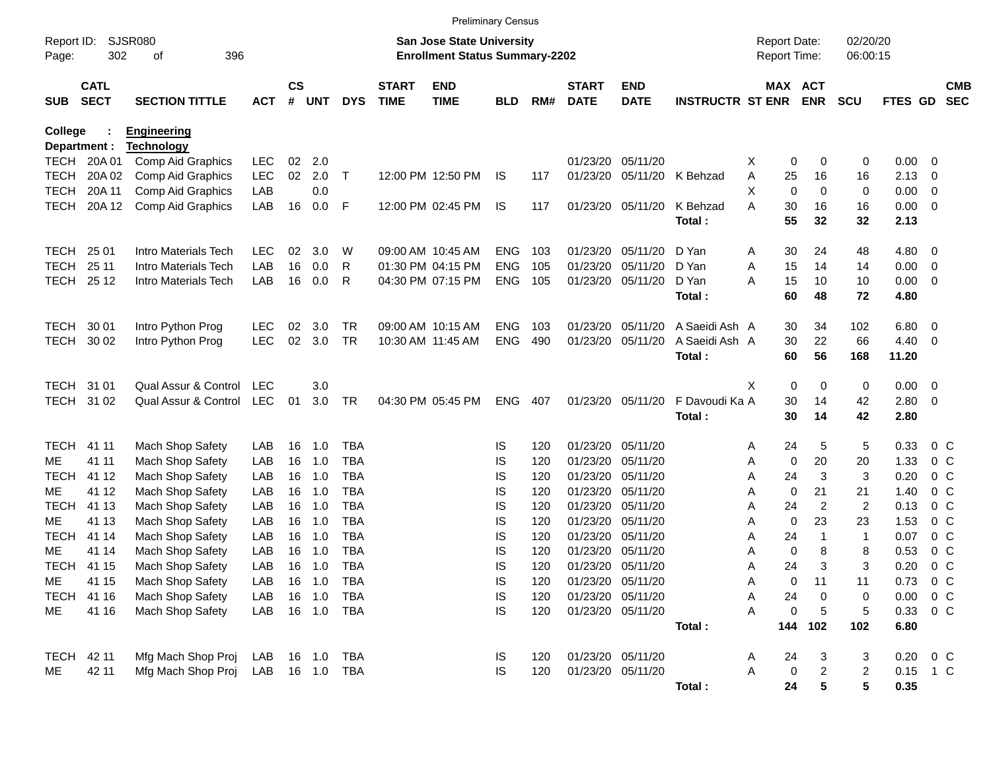|                                |                            |                                        |            |                |            |              |                             | <b>Preliminary Census</b>                                                 |            |     |                             |                           |                         |                                     |     |                         |                      |          |                |                          |
|--------------------------------|----------------------------|----------------------------------------|------------|----------------|------------|--------------|-----------------------------|---------------------------------------------------------------------------|------------|-----|-----------------------------|---------------------------|-------------------------|-------------------------------------|-----|-------------------------|----------------------|----------|----------------|--------------------------|
| Report ID:<br>Page:            | 302                        | SJSR080<br>396<br>οf                   |            |                |            |              |                             | <b>San Jose State University</b><br><b>Enrollment Status Summary-2202</b> |            |     |                             |                           |                         | <b>Report Date:</b><br>Report Time: |     |                         | 02/20/20<br>06:00:15 |          |                |                          |
| <b>SUB</b>                     | <b>CATL</b><br><b>SECT</b> | <b>SECTION TITTLE</b>                  | <b>ACT</b> | <b>CS</b><br># | <b>UNT</b> | <b>DYS</b>   | <b>START</b><br><b>TIME</b> | <b>END</b><br><b>TIME</b>                                                 | <b>BLD</b> | RM# | <b>START</b><br><b>DATE</b> | <b>END</b><br><b>DATE</b> | <b>INSTRUCTR ST ENR</b> | MAX ACT                             |     | <b>ENR</b>              | <b>SCU</b>           | FTES GD  |                | <b>CMB</b><br><b>SEC</b> |
| <b>College</b><br>Department : |                            | <b>Engineering</b>                     |            |                |            |              |                             |                                                                           |            |     |                             |                           |                         |                                     |     |                         |                      |          |                |                          |
| TECH                           | 20A 01                     | <b>Technology</b><br>Comp Aid Graphics | <b>LEC</b> | 02             | 2.0        |              |                             |                                                                           |            |     | 01/23/20 05/11/20           |                           |                         | X                                   | 0   | 0                       | 0                    | 0.00     | 0              |                          |
| <b>TECH</b>                    | 20A 02                     | Comp Aid Graphics                      | <b>LEC</b> | 02             | 2.0        | $\mathsf{T}$ |                             | 12:00 PM 12:50 PM                                                         | IS         | 117 | 01/23/20                    | 05/11/20                  | K Behzad                | Α                                   | 25  | 16                      | 16                   | 2.13     | 0              |                          |
| <b>TECH</b>                    | 20A 11                     | Comp Aid Graphics                      | LAB        |                | 0.0        |              |                             |                                                                           |            |     |                             |                           |                         | X                                   | 0   | $\mathbf 0$             | 0                    | 0.00     | 0              |                          |
| <b>TECH</b>                    | 20A 12                     | Comp Aid Graphics                      | LAB        | 16             | 0.0        | F            |                             | 12:00 PM 02:45 PM                                                         | IS         | 117 |                             | 01/23/20 05/11/20         | K Behzad                | Α                                   | 30  | 16                      | 16                   | 0.00     | 0              |                          |
|                                |                            |                                        |            |                |            |              |                             |                                                                           |            |     |                             |                           | Total:                  |                                     | 55  | 32                      | 32                   | 2.13     |                |                          |
| <b>TECH</b>                    | 25 01                      | Intro Materials Tech                   | <b>LEC</b> | 02             | 3.0        | W            |                             | 09:00 AM 10:45 AM                                                         | <b>ENG</b> | 103 | 01/23/20                    | 05/11/20                  | D Yan                   | A                                   | 30  | 24                      | 48                   | 4.80     | 0              |                          |
| <b>TECH</b>                    | 25 11                      | Intro Materials Tech                   | LAB        | 16             | 0.0        | R            |                             | 01:30 PM 04:15 PM                                                         | <b>ENG</b> | 105 | 01/23/20                    | 05/11/20                  | D Yan                   | Α                                   | 15  | 14                      | 14                   | 0.00     | 0              |                          |
| <b>TECH</b>                    | 25 12                      | Intro Materials Tech                   | LAB        | 16             | 0.0        | R            |                             | 04:30 PM 07:15 PM                                                         | <b>ENG</b> | 105 | 01/23/20                    | 05/11/20                  | D Yan                   | Α                                   | 15  | 10                      | 10                   | 0.00     | 0              |                          |
|                                |                            |                                        |            |                |            |              |                             |                                                                           |            |     |                             |                           | Total:                  |                                     | 60  | 48                      | 72                   | 4.80     |                |                          |
| <b>TECH</b>                    | 30 01                      | Intro Python Prog                      | <b>LEC</b> | 02             | 3.0        | TR           |                             | 09:00 AM 10:15 AM                                                         | <b>ENG</b> | 103 | 01/23/20                    | 05/11/20                  | A Saeidi Ash A          |                                     | 30  | 34                      | 102                  | 6.80     | 0              |                          |
| <b>TECH</b>                    | 30 02                      | Intro Python Prog                      | <b>LEC</b> | 02             | 3.0        | <b>TR</b>    |                             | 10:30 AM 11:45 AM                                                         | <b>ENG</b> | 490 | 01/23/20                    | 05/11/20                  | A Saeidi Ash A          |                                     | 30  | 22                      | 66                   | 4.40     | 0              |                          |
|                                |                            |                                        |            |                |            |              |                             |                                                                           |            |     |                             |                           | Total:                  |                                     | 60  | 56                      | 168                  | 11.20    |                |                          |
| <b>TECH</b>                    | 31 01                      | Qual Assur & Control                   | LEC        |                | 3.0        |              |                             |                                                                           |            |     |                             |                           |                         | Χ                                   | 0   | 0                       | 0                    | 0.00     | 0              |                          |
| <b>TECH</b>                    | 31 02                      | Qual Assur & Control                   | <b>LEC</b> | 01             | 3.0        | <b>TR</b>    |                             | 04:30 PM 05:45 PM                                                         | <b>ENG</b> | 407 |                             | 01/23/20 05/11/20         | F Davoudi Ka A          |                                     | 30  | 14                      | 42                   | 2.80     | $\mathbf 0$    |                          |
|                                |                            |                                        |            |                |            |              |                             |                                                                           |            |     |                             |                           | Total:                  |                                     | 30  | 14                      | 42                   | 2.80     |                |                          |
| <b>TECH</b>                    | 41 11                      | Mach Shop Safety                       | LAB        | 16             | 1.0        | <b>TBA</b>   |                             |                                                                           | IS         | 120 | 01/23/20 05/11/20           |                           |                         | Α                                   | 24  | 5                       | 5                    | 0.33     | $0\,C$         |                          |
| ME                             | 41 11                      | Mach Shop Safety                       | LAB        | 16             | 1.0        | <b>TBA</b>   |                             |                                                                           | IS         | 120 | 01/23/20                    | 05/11/20                  |                         | Α                                   | 0   | 20                      | 20                   | 1.33     | 0 <sub>C</sub> |                          |
| <b>TECH</b>                    | 41 12                      | Mach Shop Safety                       | LAB        | 16             | 1.0        | <b>TBA</b>   |                             |                                                                           | IS         | 120 | 01/23/20                    | 05/11/20                  |                         | Α                                   | 24  | 3                       | 3                    | 0.20     | 0 <sub>C</sub> |                          |
| MЕ                             | 41 12                      | Mach Shop Safety                       | LAB        | 16             | 1.0        | <b>TBA</b>   |                             |                                                                           | IS         | 120 | 01/23/20                    | 05/11/20                  |                         | Α                                   | 0   | 21                      | 21                   | 1.40     | 0 <sub>C</sub> |                          |
| <b>TECH</b>                    | 41 13                      | Mach Shop Safety                       | LAB        | 16             | 1.0        | <b>TBA</b>   |                             |                                                                           | IS         | 120 | 01/23/20                    | 05/11/20                  |                         | Α                                   | 24  | $\overline{c}$          | $\overline{c}$       | 0.13     | 0 <sub>C</sub> |                          |
| ME                             | 41 13                      | Mach Shop Safety                       | LAB        | 16             | 1.0        | <b>TBA</b>   |                             |                                                                           | IS         | 120 | 01/23/20                    | 05/11/20                  |                         | Α                                   | 0   | 23                      | 23                   | 1.53     | 0 <sub>C</sub> |                          |
| <b>TECH</b>                    | 41 14                      | Mach Shop Safety                       | LAB        | 16             | 1.0        | <b>TBA</b>   |                             |                                                                           | IS         | 120 | 01/23/20                    | 05/11/20                  |                         | Α                                   | 24  | -1                      | $\overline{1}$       | 0.07     | 0 <sub>C</sub> |                          |
| ME                             | 41 14                      | Mach Shop Safety                       | LAB        | 16             | 1.0        | <b>TBA</b>   |                             |                                                                           | IS         | 120 | 01/23/20                    | 05/11/20                  |                         | Α                                   | 0   | 8                       | 8                    | 0.53     | 0 <sub>C</sub> |                          |
| <b>TECH</b>                    | 41 15                      | Mach Shop Safety                       | LAB        | 16             | 1.0        | <b>TBA</b>   |                             |                                                                           | IS         | 120 | 01/23/20 05/11/20           |                           |                         | Α                                   | 24  | 3                       | 3                    | 0.20     | 0 <sub>C</sub> |                          |
| ME                             | 41 15                      | Mach Shop Safety                       | LAB        | 16             | 1.0        | TBA          |                             |                                                                           | IS         | 120 | 01/23/20 05/11/20           |                           |                         | А                                   | 0   | 11                      | 11                   | 0.73     | 0 <sup>o</sup> |                          |
| <b>TECH</b>                    | 41 16                      | Mach Shop Safety                       | LAB        | 16             | 1.0        | <b>TBA</b>   |                             |                                                                           | <b>IS</b>  | 120 | 01/23/20 05/11/20           |                           |                         | Α                                   | 24  | 0                       | 0                    | 0.00     | $0\,C$         |                          |
| ME                             | 41 16                      | Mach Shop Safety                       | LAB        |                | 16 1.0     | TBA          |                             |                                                                           | IS         | 120 | 01/23/20 05/11/20           |                           |                         | Α                                   | 0   | 5                       | 5                    | 0.33     | $0\,C$         |                          |
|                                |                            |                                        |            |                |            |              |                             |                                                                           |            |     |                             |                           | Total:                  |                                     | 144 | 102                     | 102                  | 6.80     |                |                          |
| TECH                           | 42 11                      | Mfg Mach Shop Proj                     | LAB        |                | 16 1.0     | TBA          |                             |                                                                           | IS         | 120 | 01/23/20 05/11/20           |                           |                         | Α                                   | 24  | 3                       | 3                    | 0.20     | $0\,C$         |                          |
| ME                             | 42 11                      | Mfg Mach Shop Proj                     | LAB        |                | 16  1.0    | TBA          |                             |                                                                           | IS         | 120 | 01/23/20 05/11/20           |                           |                         | Α                                   | 0   | $\overline{\mathbf{c}}$ | $\overline{2}$       | 0.15 1 C |                |                          |
|                                |                            |                                        |            |                |            |              |                             |                                                                           |            |     |                             |                           | Total:                  |                                     | 24  | 5                       | 5                    | 0.35     |                |                          |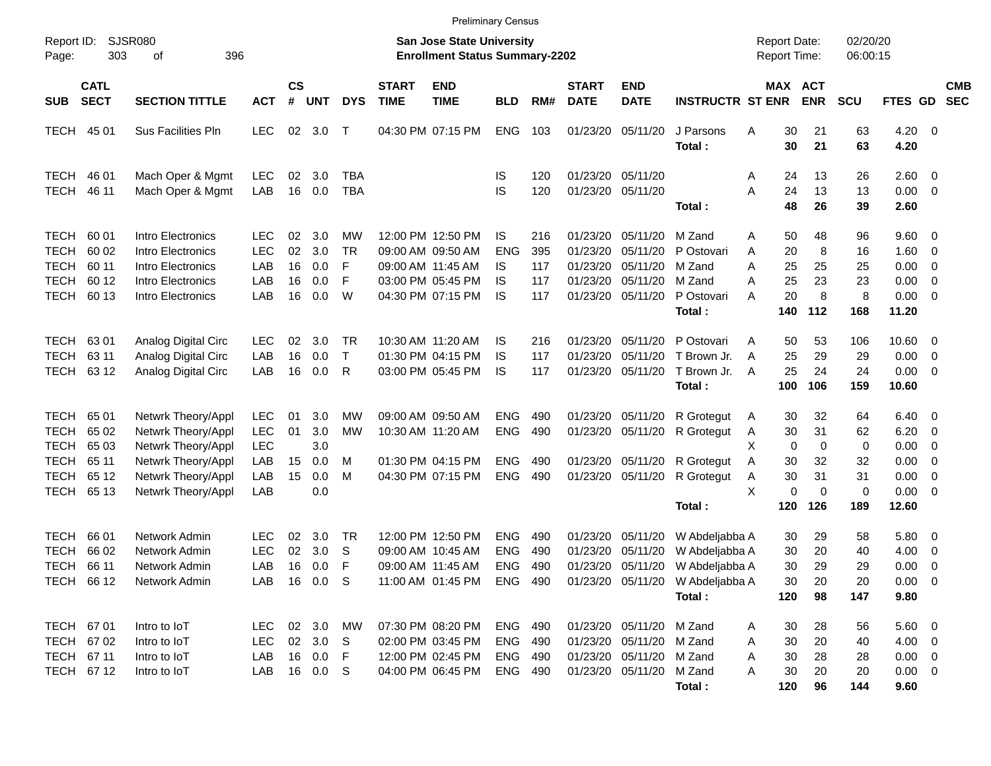|                                                            |                                                    |                                                                                                                                  |                                                             |                            |                                                   |                                |                             | <b>Preliminary Census</b>                                                                             |                                                      |                                 |                                              |                                                                                                       |                                                                                                                                      |                                                                        |                                   |                                    |                                                               |                                                                                                  |                          |
|------------------------------------------------------------|----------------------------------------------------|----------------------------------------------------------------------------------------------------------------------------------|-------------------------------------------------------------|----------------------------|---------------------------------------------------|--------------------------------|-----------------------------|-------------------------------------------------------------------------------------------------------|------------------------------------------------------|---------------------------------|----------------------------------------------|-------------------------------------------------------------------------------------------------------|--------------------------------------------------------------------------------------------------------------------------------------|------------------------------------------------------------------------|-----------------------------------|------------------------------------|---------------------------------------------------------------|--------------------------------------------------------------------------------------------------|--------------------------|
| Report ID:<br>Page:                                        | 303                                                | <b>SJSR080</b><br>396<br>οf                                                                                                      |                                                             |                            |                                                   |                                |                             | <b>San Jose State University</b><br><b>Enrollment Status Summary-2202</b>                             |                                                      |                                 |                                              |                                                                                                       |                                                                                                                                      | <b>Report Date:</b><br><b>Report Time:</b>                             |                                   | 02/20/20<br>06:00:15               |                                                               |                                                                                                  |                          |
| <b>SUB</b>                                                 | <b>CATL</b><br><b>SECT</b>                         | <b>SECTION TITTLE</b>                                                                                                            | <b>ACT</b>                                                  | <b>CS</b><br>#             | <b>UNT</b>                                        | <b>DYS</b>                     | <b>START</b><br><b>TIME</b> | <b>END</b><br><b>TIME</b>                                                                             | <b>BLD</b>                                           | RM#                             | <b>START</b><br><b>DATE</b>                  | <b>END</b><br><b>DATE</b>                                                                             | <b>INSTRUCTR ST ENR</b>                                                                                                              | MAX ACT                                                                | <b>ENR</b>                        | <b>SCU</b>                         | FTES GD                                                       |                                                                                                  | <b>CMB</b><br><b>SEC</b> |
| <b>TECH</b>                                                | 45 01                                              | <b>Sus Facilities Pln</b>                                                                                                        | <b>LEC</b>                                                  | 02                         | 3.0                                               | $\top$                         |                             | 04:30 PM 07:15 PM                                                                                     | <b>ENG</b>                                           | 103                             | 01/23/20                                     | 05/11/20                                                                                              | J Parsons<br>Total:                                                                                                                  | 30<br>Α<br>30                                                          | 21<br>21                          | 63<br>63                           | $4.20 \ 0$<br>4.20                                            |                                                                                                  |                          |
| TECH<br><b>TECH</b>                                        | 46 01<br>46 11                                     | Mach Oper & Mgmt<br>Mach Oper & Mgmt                                                                                             | <b>LEC</b><br>LAB                                           | 02<br>16                   | 3.0<br>0.0                                        | <b>TBA</b><br><b>TBA</b>       |                             |                                                                                                       | IS<br>IS                                             | 120<br>120                      |                                              | 01/23/20 05/11/20<br>01/23/20 05/11/20                                                                | Total:                                                                                                                               | 24<br>A<br>Α<br>24<br>48                                               | 13<br>13<br>26                    | 26<br>13<br>39                     | 2.60 0<br>$0.00 \t 0$<br>2.60                                 |                                                                                                  |                          |
| TECH<br><b>TECH</b><br>TECH<br>TECH<br><b>TECH</b>         | 60 01<br>60 02<br>60 11<br>60 12<br>60 13          | Intro Electronics<br>Intro Electronics<br>Intro Electronics<br>Intro Electronics<br>Intro Electronics                            | <b>LEC</b><br><b>LEC</b><br>LAB<br>LAB<br>LAB               | 02<br>02<br>16<br>16<br>16 | 3.0<br>3.0<br>0.0<br>0.0<br>0.0                   | МW<br><b>TR</b><br>F<br>F<br>W |                             | 12:00 PM 12:50 PM<br>09:00 AM 09:50 AM<br>09:00 AM 11:45 AM<br>03:00 PM 05:45 PM<br>04:30 PM 07:15 PM | IS<br><b>ENG</b><br>IS<br>IS<br>IS                   | 216<br>395<br>117<br>117<br>117 | 01/23/20<br>01/23/20<br>01/23/20<br>01/23/20 | 05/11/20<br>05/11/20<br>05/11/20<br>05/11/20<br>01/23/20 05/11/20                                     | M Zand<br>P Ostovari<br>M Zand<br>M Zand<br>P Ostovari<br>Total:                                                                     | 50<br>Α<br>20<br>Α<br>25<br>Α<br>25<br>Α<br>20<br>Α<br>140             | 48<br>8<br>25<br>23<br>8<br>112   | 96<br>16<br>25<br>23<br>8<br>168   | 9.60 0<br>$1.60 \t 0$<br>0.00<br>0.00<br>$0.00 \t 0$<br>11.20 | $\overline{\phantom{0}}$<br>$\overline{\mathbf{0}}$                                              |                          |
| <b>TECH</b><br><b>TECH</b><br><b>TECH</b>                  | 6301<br>63 11<br>63 12                             | Analog Digital Circ<br>Analog Digital Circ<br>Analog Digital Circ                                                                | <b>LEC</b><br>LAB<br>LAB                                    | 02<br>16<br>16             | 3.0<br>0.0<br>0.0                                 | <b>TR</b><br>$\top$<br>R       |                             | 10:30 AM 11:20 AM<br>01:30 PM 04:15 PM<br>03:00 PM 05:45 PM                                           | IS<br>IS<br>IS                                       | 216<br>117<br>117               | 01/23/20<br>01/23/20<br>01/23/20             | 05/11/20<br>05/11/20<br>05/11/20                                                                      | P Ostovari<br>T Brown Jr.<br>T Brown Jr.<br>Total:                                                                                   | 50<br>Α<br>25<br>A<br>25<br>A<br>100                                   | 53<br>29<br>24<br>106             | 106<br>29<br>24<br>159             | $10.60 \t 0$<br>0.00<br>$0.00 \t 0$<br>10.60                  | $\overline{\phantom{0}}$                                                                         |                          |
| TECH<br>TECH<br><b>TECH</b><br>TECH<br>TECH<br><b>TECH</b> | 65 01<br>65 02<br>65 03<br>65 11<br>65 12<br>65 13 | Netwrk Theory/Appl<br>Netwrk Theory/Appl<br>Netwrk Theory/Appl<br>Netwrk Theory/Appl<br>Netwrk Theory/Appl<br>Netwrk Theory/Appl | <b>LEC</b><br><b>LEC</b><br><b>LEC</b><br>LAB<br>LAB<br>LAB | 01<br>01<br>15<br>15       | 3.0<br>3.0<br>3.0<br>0.0<br>0.0<br>0.0            | МW<br>МW<br>м<br>M             |                             | 09:00 AM 09:50 AM<br>10:30 AM 11:20 AM<br>01:30 PM 04:15 PM<br>04:30 PM 07:15 PM                      | <b>ENG</b><br><b>ENG</b><br><b>ENG</b><br><b>ENG</b> | 490<br>490<br>490<br>490        | 01/23/20<br>01/23/20<br>01/23/20             | 05/11/20<br>05/11/20<br>05/11/20<br>01/23/20 05/11/20                                                 | R Grotegut<br>R Grotegut<br>R Grotegut<br>R Grotegut                                                                                 | 30<br>A<br>30<br>A<br>X<br>$\mathbf 0$<br>Α<br>30<br>30<br>Α<br>X<br>0 | 32<br>31<br>0<br>32<br>31<br>0    | 64<br>62<br>0<br>32<br>31<br>0     | $6.40 \quad 0$<br>6.20<br>0.00<br>0.00<br>0.00<br>$0.00 \t 0$ | $\overline{\phantom{0}}$<br>$\overline{\mathbf{0}}$<br>$\overline{\mathbf{0}}$<br>$\overline{0}$ |                          |
| TECH<br>TECH<br><b>TECH</b>                                | 66 01<br>66 02<br>66 11<br>TECH 66 12              | Network Admin<br>Network Admin<br>Network Admin<br>Network Admin                                                                 | <b>LEC</b><br><b>LEC</b><br>LAB<br>LAB                      | 02<br>02<br>16             | 3.0<br>3.0<br>0.0<br>16 0.0 S                     | TR<br>S<br>F                   |                             | 12:00 PM 12:50 PM<br>09:00 AM 10:45 AM<br>09:00 AM 11:45 AM                                           | <b>ENG</b><br><b>ENG</b><br><b>ENG</b>               | 490<br>490<br>490               | 01/23/20<br>01/23/20                         | 05/11/20<br>05/11/20<br>01/23/20 05/11/20                                                             | Total:<br>W Abdeljabba A<br>W Abdeljabba A<br>W Abdeljabba A<br>11:00 AM 01:45 PM ENG 490 01/23/20 05/11/20 W Abdeljabba A<br>Total: | 120<br>30<br>30<br>30<br>30<br>120                                     | 126<br>29<br>20<br>29<br>20<br>98 | 189<br>58<br>40<br>29<br>20<br>147 | 12.60<br>5.80 0<br>4.00<br>0.00<br>$0.00 \t 0$<br>9.80        | $\overline{\mathbf{0}}$<br>$\overline{\mathbf{0}}$                                               |                          |
| TECH 67 01<br>TECH 67 11                                   | TECH 67 02<br>TECH 67 12                           | Intro to IoT<br>Intro to IoT<br>Intro to IoT<br>Intro to IoT                                                                     | <b>LEC</b><br>LEC<br>LAB<br>LAB                             |                            | 02 3.0 MW<br>02 3.0 S<br>16  0.0  F<br>16  0.0  S |                                |                             | 07:30 PM 08:20 PM<br>02:00 PM 03:45 PM<br>12:00 PM 02:45 PM<br>04:00 PM 06:45 PM                      | ENG 490<br>ENG<br>ENG<br>ENG 490                     | 490<br>490                      |                                              | 01/23/20 05/11/20 M Zand<br>01/23/20 05/11/20 M Zand<br>01/23/20 05/11/20 M Zand<br>01/23/20 05/11/20 | M Zand<br>Total:                                                                                                                     | 30<br>A<br>30<br>A<br>30<br>A<br>30<br>A<br>120                        | 28<br>20<br>28<br>20<br>96        | 56<br>40<br>28<br>20<br>144        | 5.60 0<br>$4.00 \ 0$<br>$0.00 \t 0$<br>$0.00 \t 0$<br>9.60    |                                                                                                  |                          |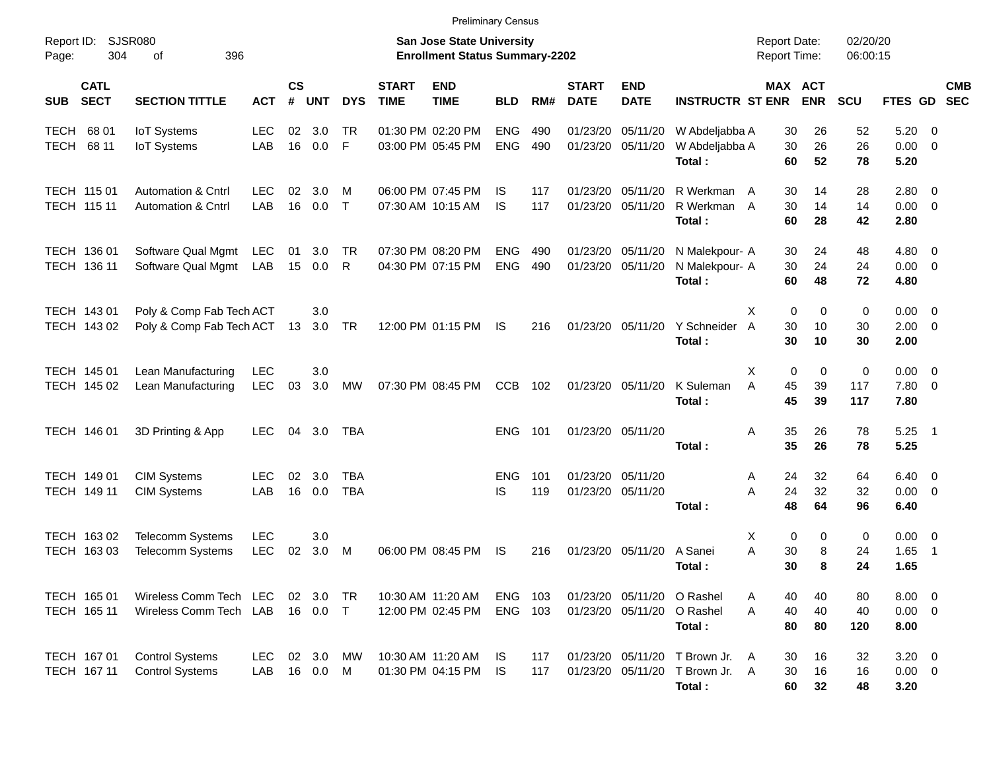|                                          |                                                                |                   |                    |                      |                          |                             | <b>Preliminary Census</b>                                                 |                          |            |                             |                           |                                                                            |                                                |                         |                         |                                       |                |            |
|------------------------------------------|----------------------------------------------------------------|-------------------|--------------------|----------------------|--------------------------|-----------------------------|---------------------------------------------------------------------------|--------------------------|------------|-----------------------------|---------------------------|----------------------------------------------------------------------------|------------------------------------------------|-------------------------|-------------------------|---------------------------------------|----------------|------------|
| Report ID:<br>304<br>Page:               | SJSR080<br>396<br>οf                                           |                   |                    |                      |                          |                             | <b>San Jose State University</b><br><b>Enrollment Status Summary-2202</b> |                          |            |                             |                           |                                                                            | <b>Report Date:</b><br><b>Report Time:</b>     |                         | 02/20/20<br>06:00:15    |                                       |                |            |
| <b>CATL</b><br><b>SECT</b><br><b>SUB</b> | <b>SECTION TITTLE</b>                                          | <b>ACT</b>        | $\mathsf{cs}$<br># | <b>UNT</b>           | <b>DYS</b>               | <b>START</b><br><b>TIME</b> | <b>END</b><br><b>TIME</b>                                                 | <b>BLD</b>               | RM#        | <b>START</b><br><b>DATE</b> | <b>END</b><br><b>DATE</b> | <b>INSTRUCTR ST ENR</b>                                                    |                                                | MAX ACT<br><b>ENR</b>   | <b>SCU</b>              | FTES GD SEC                           |                | <b>CMB</b> |
| 68 01<br><b>TECH</b><br>TECH 68 11       | <b>IoT</b> Systems<br><b>IoT Systems</b>                       | <b>LEC</b><br>LAB | 02<br>16           | 3.0<br>0.0           | TR<br>E                  |                             | 01:30 PM 02:20 PM<br>03:00 PM 05:45 PM                                    | <b>ENG</b><br><b>ENG</b> | 490<br>490 | 01/23/20<br>01/23/20        | 05/11/20<br>05/11/20      | W Abdeljabba A<br>W Abdeljabba A<br>Total:                                 | 30<br>30<br>60                                 | 26<br>26<br>52          | 52<br>26<br>78          | 5.20<br>$0.00 \t 0$<br>5.20           | - 0            |            |
| TECH 115 01<br>TECH 115 11               | <b>Automation &amp; Cntrl</b><br><b>Automation &amp; Cntrl</b> | <b>LEC</b><br>LAB | 02<br>16           | 3.0<br>0.0           | M<br>$\top$              |                             | 06:00 PM 07:45 PM<br>07:30 AM 10:15 AM                                    | IS<br>IS                 | 117<br>117 | 01/23/20<br>01/23/20        | 05/11/20<br>05/11/20      | R Werkman<br>R Werkman<br>Total:                                           | 30<br>A<br>30<br>A<br>60                       | 14<br>14<br>28          | 28<br>14<br>42          | 2.80 0<br>$0.00 \t 0$<br>2.80         |                |            |
| TECH 136 01<br>TECH 136 11               | Software Qual Mgmt LEC<br>Software Qual Mgmt LAB               |                   | 01<br>15           | 3.0<br>0.0           | TR<br>R                  |                             | 07:30 PM 08:20 PM<br>04:30 PM 07:15 PM                                    | <b>ENG</b><br><b>ENG</b> | 490<br>490 | 01/23/20<br>01/23/20        | 05/11/20<br>05/11/20      | N Malekpour- A<br>N Malekpour- A<br>Total:                                 | 30<br>30<br>60                                 | 24<br>24<br>48          | 48<br>24<br>72          | $4.80\ 0$<br>$0.00 \t 0$<br>4.80      |                |            |
| TECH 143 01<br>TECH 143 02               | Poly & Comp Fab Tech ACT<br>Poly & Comp Fab Tech ACT 13        |                   |                    | 3.0<br>3.0 TR        |                          |                             | 12:00 PM 01:15 PM                                                         | IS                       | 216        |                             | 01/23/20 05/11/20         | Y Schneider<br>Total:                                                      | $\mathbf 0$<br>X<br>$\overline{A}$<br>30<br>30 | $\mathbf 0$<br>10<br>10 | $\mathbf 0$<br>30<br>30 | $0.00 \t 0$<br>$2.00 \t 0$<br>2.00    |                |            |
| TECH 145 01<br>TECH 145 02               | Lean Manufacturing<br>Lean Manufacturing                       | <b>LEC</b><br>LEC | 03                 | 3.0<br>3.0           | <b>MW</b>                |                             | 07:30 PM 08:45 PM                                                         | <b>CCB</b>               | 102        |                             | 01/23/20 05/11/20         | K Suleman<br>Total:                                                        | Χ<br>$\mathbf 0$<br>A<br>45<br>45              | $\mathbf 0$<br>39<br>39 | 0<br>117<br>117         | $0.00 \t 0$<br>7.80 0<br>7.80         |                |            |
| TECH 146 01                              | 3D Printing & App                                              | <b>LEC</b>        | 04                 | 3.0                  | TBA                      |                             |                                                                           | <b>ENG</b>               | 101        |                             | 01/23/20 05/11/20         | Total:                                                                     | 35<br>Α<br>35                                  | 26<br>26                | 78<br>78                | $5.25$ 1<br>5.25                      |                |            |
| TECH 149 01<br>TECH 149 11               | <b>CIM Systems</b><br><b>CIM Systems</b>                       | <b>LEC</b><br>LAB | 02<br>16           | 3.0<br>0.0           | <b>TBA</b><br><b>TBA</b> |                             |                                                                           | ENG<br>IS                | 101<br>119 | 01/23/20<br>01/23/20        | 05/11/20<br>05/11/20      | Total:                                                                     | 24<br>Α<br>A<br>24<br>48                       | 32<br>32<br>64          | 64<br>32<br>96          | $6.40 \quad 0$<br>$0.00 \t 0$<br>6.40 |                |            |
| TECH 163 02<br>TECH 163 03               | Telecomm Systems<br><b>Telecomm Systems</b>                    | <b>LEC</b><br>LEC | 02                 | 3.0<br>3.0           | M                        |                             | 06:00 PM 08:45 PM                                                         | IS                       | 216        | 01/23/20                    | 05/11/20                  | A Sanei<br>Total:                                                          | 0<br>X<br>A<br>30<br>30                        | 0<br>8<br>8             | 0<br>24<br>24           | $0.00 \t 0$<br>1.65<br>1.65           | $\overline{1}$ |            |
| TECH 165 01<br>TECH 165 11               | Wireless Comm Tech LEC<br>Wireless Comm Tech LAB               |                   |                    | 02 3.0<br>16  0.0  T | - TR                     |                             | 10:30 AM 11:20 AM<br>12:00 PM 02:45 PM                                    | <b>ENG</b><br>ENG 103    | 103        | 01/23/20<br>01/23/20        | 05/11/20                  | 05/11/20 O Rashel<br>O Rashel<br>Total:                                    | 40<br>Α<br>40<br>A<br>80                       | 40<br>40<br>80          | 80<br>40<br>120         | $8.00 \t 0$<br>$0.00 \t 0$<br>8.00    |                |            |
| TECH 167 01<br>TECH 167 11               | <b>Control Systems</b><br><b>Control Systems</b>               | LEC<br>LAB        |                    | 02 3.0<br>16 0.0     | МW<br>M                  |                             | 10:30 AM 11:20 AM<br>01:30 PM 04:15 PM                                    | IS.<br>IS.               | 117<br>117 |                             |                           | 01/23/20 05/11/20 T Brown Jr.<br>01/23/20 05/11/20 T Brown Jr. A<br>Total: | 30<br>A<br>30<br>60                            | 16<br>16<br>32          | 32<br>16<br>48          | $3.20 \ 0$<br>$0.00 \t 0$<br>3.20     |                |            |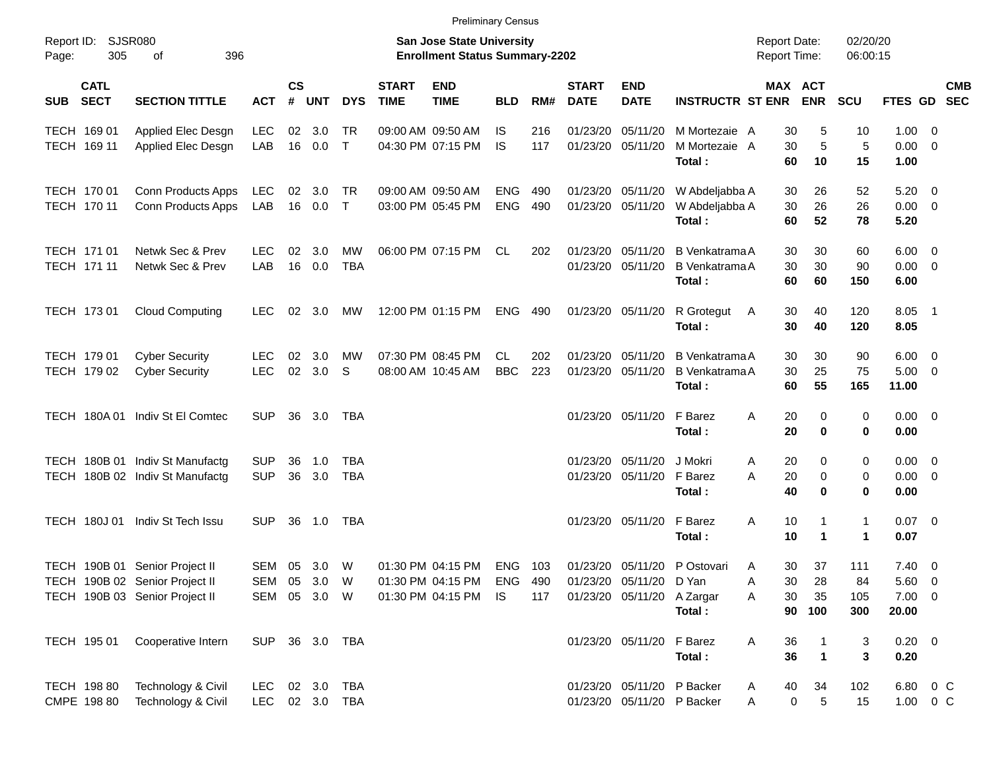|                                          |                                                                                                    |                                      |                    |            |                          |                             |                                                                    | <b>Preliminary Census</b> |            |                             |                                                                            |                                                          |                                            |                              |                         |                                                  |                      |            |
|------------------------------------------|----------------------------------------------------------------------------------------------------|--------------------------------------|--------------------|------------|--------------------------|-----------------------------|--------------------------------------------------------------------|---------------------------|------------|-----------------------------|----------------------------------------------------------------------------|----------------------------------------------------------|--------------------------------------------|------------------------------|-------------------------|--------------------------------------------------|----------------------|------------|
| Report ID:<br>305<br>Page:               | <b>SJSR080</b><br>396<br>οf                                                                        |                                      |                    |            |                          |                             | San Jose State University<br><b>Enrollment Status Summary-2202</b> |                           |            |                             |                                                                            |                                                          | <b>Report Date:</b><br><b>Report Time:</b> |                              | 02/20/20<br>06:00:15    |                                                  |                      |            |
| <b>CATL</b><br><b>SECT</b><br><b>SUB</b> | <b>SECTION TITTLE</b>                                                                              | <b>ACT</b>                           | $\mathsf{cs}$<br># | <b>UNT</b> | <b>DYS</b>               | <b>START</b><br><b>TIME</b> | <b>END</b><br><b>TIME</b>                                          | <b>BLD</b>                | RM#        | <b>START</b><br><b>DATE</b> | <b>END</b><br><b>DATE</b>                                                  | <b>INSTRUCTR ST ENR</b>                                  |                                            | <b>MAX ACT</b><br><b>ENR</b> | <b>SCU</b>              | FTES GD SEC                                      |                      | <b>CMB</b> |
| TECH 169 01<br>TECH 169 11               | Applied Elec Desgn<br>Applied Elec Desgn                                                           | <b>LEC</b><br>LAB                    | 02<br>16           | 3.0<br>0.0 | . TR<br>$\top$           |                             | 09:00 AM 09:50 AM<br>04:30 PM 07:15 PM                             | IS.<br><b>IS</b>          | 216<br>117 | 01/23/20<br>01/23/20        | 05/11/20<br>05/11/20                                                       | M Mortezaie A<br>M Mortezaie A<br>Total:                 | 30<br>30<br>60                             | 5<br>5<br>10                 | 10<br>5<br>15           | $1.00 \t 0$<br>$0.00 \t 0$<br>1.00               |                      |            |
| TECH 170 01<br>TECH 170 11               | Conn Products Apps<br>Conn Products Apps                                                           | <b>LEC</b><br>LAB                    | 02<br>16           | 3.0<br>0.0 | TR<br>$\top$             |                             | 09:00 AM 09:50 AM<br>03:00 PM 05:45 PM                             | <b>ENG</b><br><b>ENG</b>  | 490<br>490 | 01/23/20<br>01/23/20        | 05/11/20<br>05/11/20                                                       | W Abdeljabba A<br>W Abdeljabba A<br>Total:               | 30<br>30<br>60                             | 26<br>26<br>52               | 52<br>26<br>78          | $5.20 \ 0$<br>$0.00 \t 0$<br>5.20                |                      |            |
| TECH 171 01<br>TECH 171 11               | Netwk Sec & Prev<br>Netwk Sec & Prev                                                               | <b>LEC</b><br>LAB                    | 02<br>16           | 3.0<br>0.0 | <b>MW</b><br><b>TBA</b>  |                             | 06:00 PM 07:15 PM                                                  | CL                        | 202        | 01/23/20<br>01/23/20        | 05/11/20<br>05/11/20                                                       | B Venkatrama A<br><b>B</b> Venkatrama A<br>Total:        | 30<br>30<br>60                             | 30<br>30<br>60               | 60<br>90<br>150         | $6.00 \quad 0$<br>$0.00 \t 0$<br>6.00            |                      |            |
| TECH 173 01                              | <b>Cloud Computing</b>                                                                             | <b>LEC</b>                           | 02                 | 3.0        | MW                       |                             | 12:00 PM 01:15 PM                                                  | <b>ENG</b>                | 490        | 01/23/20 05/11/20           |                                                                            | R Grotegut<br>Total:                                     | 30<br>A<br>30                              | 40<br>40                     | 120<br>120              | $8.05$ 1<br>8.05                                 |                      |            |
| TECH 179 01<br>TECH 179 02               | <b>Cyber Security</b><br><b>Cyber Security</b>                                                     | LEC<br><b>LEC</b>                    | 02<br>02           | 3.0<br>3.0 | МW<br>S                  |                             | 07:30 PM 08:45 PM<br>08:00 AM 10:45 AM                             | CL.<br><b>BBC</b>         | 202<br>223 | 01/23/20<br>01/23/20        | 05/11/20<br>05/11/20                                                       | B Venkatrama A<br><b>B</b> Venkatrama A<br>Total:        | 30<br>30<br>60                             | 30<br>25<br>55               | 90<br>75<br>165         | $6.00 \quad 0$<br>$5.00 \t 0$<br>11.00           |                      |            |
| <b>TECH 180A01</b>                       | Indiv St El Comtec                                                                                 | <b>SUP</b>                           | 36                 | 3.0        | TBA                      |                             |                                                                    |                           |            |                             | 01/23/20 05/11/20                                                          | F Barez<br>Total:                                        | 20<br>Α<br>20                              | 0<br>0                       | 0<br>0                  | $0.00 \t 0$<br>0.00                              |                      |            |
|                                          | TECH 180B 01 Indiv St Manufactg<br>TECH 180B 02 Indiv St Manufactg                                 | <b>SUP</b><br><b>SUP</b>             | 36<br>36           | 1.0<br>3.0 | <b>TBA</b><br><b>TBA</b> |                             |                                                                    |                           |            | 01/23/20<br>01/23/20        | 05/11/20<br>05/11/20                                                       | J Mokri<br>F Barez<br>Total:                             | 20<br>Α<br>A<br>20<br>40                   | 0<br>$\mathbf 0$<br>$\bf{0}$ | 0<br>0<br>0             | $0.00 \t 0$<br>$0.00 \t 0$<br>0.00               |                      |            |
| <b>TECH 180J01</b>                       | Indiv St Tech Issu                                                                                 | SUP.                                 | 36                 | 1.0        | TBA                      |                             |                                                                    |                           |            | 01/23/20                    | 05/11/20                                                                   | F Barez<br>Total:                                        | Α<br>10<br>10                              | 1                            | 1<br>1                  | $0.07$ 0<br>0.07                                 |                      |            |
|                                          | TECH 190B 01 Senior Project II<br>TECH 190B 02 Senior Project II<br>TECH 190B 03 Senior Project II | SEM 05<br>SEM 05 3.0<br>SEM 05 3.0 W |                    | 3.0        | W<br>W                   |                             | 01:30 PM 04:15 PM<br>01:30 PM 04:15 PM ENG<br>01:30 PM 04:15 PM    | ENG 103<br>IS.            | 490<br>117 |                             | 01/23/20 05/11/20<br>01/23/20 05/11/20 D Yan<br>01/23/20 05/11/20 A Zargar | P Ostovari<br>Total:                                     | 30<br>Α<br>30<br>Α<br>30<br>Α<br>90        | 37<br>28<br>35<br>100        | 111<br>84<br>105<br>300 | $7.40 \quad 0$<br>5.60 0<br>$7.00 \t 0$<br>20.00 |                      |            |
| TECH 195 01                              | Cooperative Intern                                                                                 | SUP                                  |                    |            | 36 3.0 TBA               |                             |                                                                    |                           |            |                             | 01/23/20 05/11/20                                                          | F Barez<br>Total:                                        | Α<br>36<br>36                              | $\mathbf{1}$                 | 3<br>3                  | $0.20 \ 0$<br>0.20                               |                      |            |
| TECH 198 80<br>CMPE 198 80               | Technology & Civil<br>Technology & Civil                                                           | <b>LEC</b><br><b>LEC</b>             |                    |            | 02 3.0 TBA<br>02 3.0 TBA |                             |                                                                    |                           |            |                             |                                                                            | 01/23/20 05/11/20 P Backer<br>01/23/20 05/11/20 P Backer | 40<br>A<br>$\pmb{0}$<br>Α                  | 34<br>$\sqrt{5}$             | 102<br>15               |                                                  | 6.80 0 C<br>1.00 0 C |            |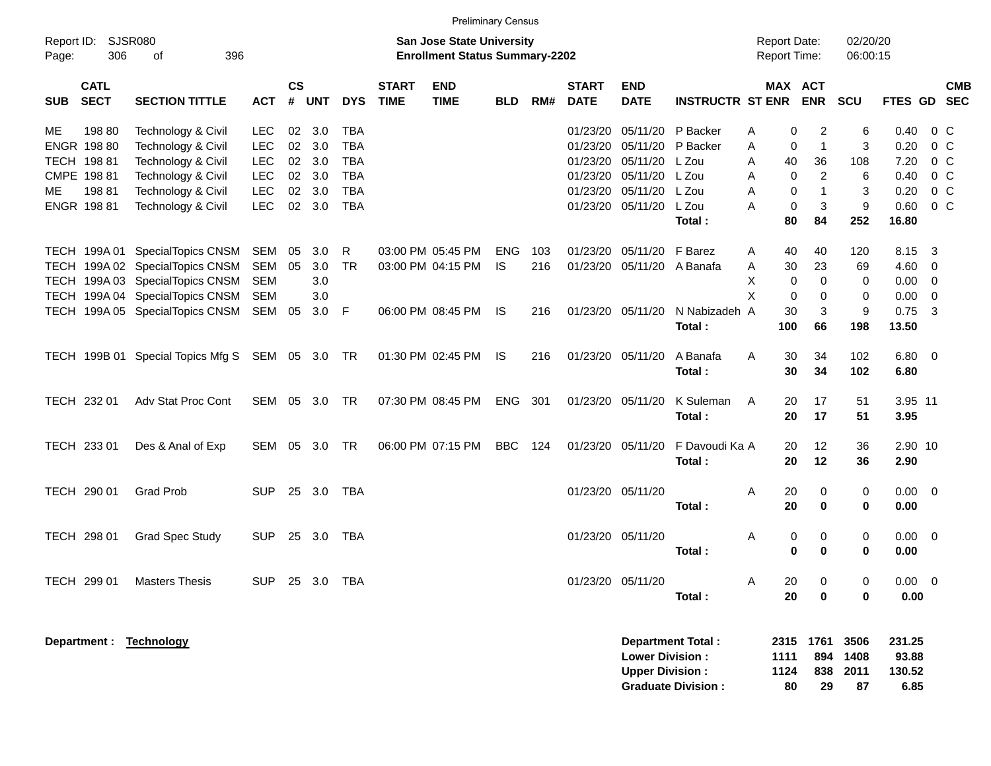|                     |                                     |                                                                                                                                          |                                        |                |                          |                                        |                             | <b>Preliminary Census</b>                                                 |                         |            |                                  |                                                  |                          |                                            |                                                            |                          |                              |                                                                   |
|---------------------|-------------------------------------|------------------------------------------------------------------------------------------------------------------------------------------|----------------------------------------|----------------|--------------------------|----------------------------------------|-----------------------------|---------------------------------------------------------------------------|-------------------------|------------|----------------------------------|--------------------------------------------------|--------------------------|--------------------------------------------|------------------------------------------------------------|--------------------------|------------------------------|-------------------------------------------------------------------|
| Report ID:<br>Page: | 306                                 | <b>SJSR080</b><br>396<br>of                                                                                                              |                                        |                |                          |                                        |                             | <b>San Jose State University</b><br><b>Enrollment Status Summary-2202</b> |                         |            |                                  |                                                  |                          | <b>Report Date:</b><br><b>Report Time:</b> |                                                            | 02/20/20<br>06:00:15     |                              |                                                                   |
| <b>SUB</b>          | <b>CATL</b><br><b>SECT</b>          | <b>SECTION TITTLE</b>                                                                                                                    | <b>ACT</b>                             | <b>CS</b><br># | <b>UNT</b>               | <b>DYS</b>                             | <b>START</b><br><b>TIME</b> | <b>END</b><br><b>TIME</b>                                                 | <b>BLD</b>              | RM#        | <b>START</b><br><b>DATE</b>      | <b>END</b><br><b>DATE</b>                        | <b>INSTRUCTR ST ENR</b>  |                                            | MAX ACT<br><b>ENR</b>                                      | SCU                      |                              | <b>CMB</b><br>FTES GD SEC                                         |
| <b>ME</b>           | 198 80<br>ENGR 198 80               | Technology & Civil<br>Technology & Civil                                                                                                 | <b>LEC</b><br><b>LEC</b>               | 02<br>02       | 3.0<br>3.0               | <b>TBA</b><br><b>TBA</b>               |                             |                                                                           |                         |            | 01/23/20<br>01/23/20             | 05/11/20<br>05/11/20                             | P Backer<br>P Backer     | Α<br>A                                     | 0<br>2<br>$\overline{1}$<br>0                              | 6<br>3                   | 0.40<br>0.20                 | $0\,C$<br>0 <sup>C</sup>                                          |
| МE                  | TECH 198 81<br>CMPE 198 81<br>19881 | Technology & Civil<br>Technology & Civil<br>Technology & Civil                                                                           | <b>LEC</b><br><b>LEC</b><br><b>LEC</b> | 02<br>02<br>02 | 3.0<br>3.0<br>3.0        | <b>TBA</b><br><b>TBA</b><br><b>TBA</b> |                             |                                                                           |                         |            | 01/23/20<br>01/23/20<br>01/23/20 | 05/11/20<br>05/11/20<br>05/11/20                 | L Zou<br>L Zou<br>L Zou  | 40<br>A<br>A<br>A                          | 36<br>$\overline{c}$<br>$\mathbf 0$<br>$\mathbf{1}$<br>0   | 108<br>6<br>3            | 7.20<br>0.40<br>0.20         | 0 <sup>C</sup><br>$0\,C$<br>$0\,C$                                |
|                     | ENGR 198 81                         | Technology & Civil                                                                                                                       | <b>LEC</b>                             | 02             | 3.0                      | <b>TBA</b>                             |                             |                                                                           |                         |            | 01/23/20                         | 05/11/20                                         | L Zou<br>Total:          | A<br>80                                    | $\mathbf{3}$<br>0<br>84                                    | 9<br>252                 | 0.60<br>16.80                | $0\,C$                                                            |
|                     |                                     | TECH 199A 01 SpecialTopics CNSM<br>TECH 199A 02 SpecialTopics CNSM<br>TECH 199A 03 SpecialTopics CNSM<br>TECH 199A 04 SpecialTopics CNSM | SEM<br>SEM<br><b>SEM</b><br><b>SEM</b> | 05<br>05       | 3.0<br>3.0<br>3.0<br>3.0 | R<br><b>TR</b>                         |                             | 03:00 PM 05:45 PM<br>03:00 PM 04:15 PM                                    | <b>ENG</b><br><b>IS</b> | 103<br>216 | 01/23/20<br>01/23/20             | 05/11/20<br>05/11/20                             | F Barez<br>A Banafa      | A<br>40<br>30<br>A<br>X<br>X               | 40<br>23<br>$\mathbf 0$<br>$\mathbf 0$<br>$\mathbf 0$<br>0 | 120<br>69<br>0<br>0      | 8.15<br>4.60<br>0.00<br>0.00 | -3<br>$\overline{0}$<br>$\overline{\mathbf{0}}$<br>$\overline{0}$ |
|                     |                                     | TECH 199A 05 SpecialTopics CNSM                                                                                                          | SEM                                    | 05             | 3.0                      | F                                      |                             | 06:00 PM 08:45 PM                                                         | 1S                      | 216        |                                  | 01/23/20 05/11/20                                | N Nabizadeh A<br>Total:  | 30<br>100                                  | 3<br>66                                                    | 9<br>198                 | 0.75<br>13.50                | $\overline{\mathbf{3}}$                                           |
|                     |                                     | TECH 199B 01 Special Topics Mfg S SEM 05 3.0 TR                                                                                          |                                        |                |                          |                                        |                             | 01:30 PM 02:45 PM                                                         | IS                      | 216        |                                  | 01/23/20 05/11/20                                | A Banafa<br>Total:       | 30<br>A<br>30                              | 34<br>34                                                   | 102<br>102               | 6.80 0<br>6.80               |                                                                   |
|                     | TECH 232 01                         | Adv Stat Proc Cont                                                                                                                       | SEM                                    |                | 05 3.0                   | <b>TR</b>                              |                             | 07:30 PM 08:45 PM                                                         | ENG                     | 301        |                                  | 01/23/20 05/11/20                                | K Suleman<br>Total:      | 20<br>A<br>20                              | 17<br>17                                                   | 51<br>51                 | 3.95 11<br>3.95              |                                                                   |
|                     | TECH 233 01                         | Des & Anal of Exp                                                                                                                        | SEM                                    | 05             | 3.0                      | <b>TR</b>                              |                             | 06:00 PM 07:15 PM                                                         | <b>BBC</b>              | 124        |                                  | 01/23/20 05/11/20                                | F Davoudi Ka A<br>Total: | 20<br>20                                   | 12<br>12                                                   | 36<br>36                 | 2.90 10<br>2.90              |                                                                   |
|                     | TECH 290 01                         | <b>Grad Prob</b>                                                                                                                         | <b>SUP</b>                             | 25             | 3.0                      | TBA                                    |                             |                                                                           |                         |            |                                  | 01/23/20 05/11/20                                | Total:                   | A<br>20<br>20                              | 0<br>$\bf{0}$                                              | 0<br>0                   | $0.00 \t 0$<br>0.00          |                                                                   |
|                     | TECH 298 01                         | <b>Grad Spec Study</b>                                                                                                                   | <b>SUP</b>                             | 25             | 3.0                      | TBA                                    |                             |                                                                           |                         |            | 01/23/20 05/11/20                |                                                  | Total:                   | Α                                          | 0<br>0<br>0<br>0                                           | 0<br>$\bf{0}$            | 0.00<br>0.00                 | $\overline{\phantom{0}}$                                          |
|                     | TECH 299 01                         | <b>Masters Thesis</b>                                                                                                                    | <b>SUP</b>                             |                | 25 3.0 TBA               |                                        |                             |                                                                           |                         |            |                                  | 01/23/20 05/11/20                                | Total:                   | Α<br>20<br>20                              | 0<br>0                                                     | 0<br>0                   | $0.00 \t 0$<br>0.00          |                                                                   |
|                     |                                     | Department: Technology                                                                                                                   |                                        |                |                          |                                        |                             |                                                                           |                         |            |                                  | <b>Lower Division:</b><br><b>Upper Division:</b> | <b>Department Total:</b> | 1111<br>1124                               | 2315 1761<br>894                                           | 3506<br>1408<br>838 2011 | 231.25<br>93.88<br>130.52    |                                                                   |

**Graduate Division : 80 29 87 6.85**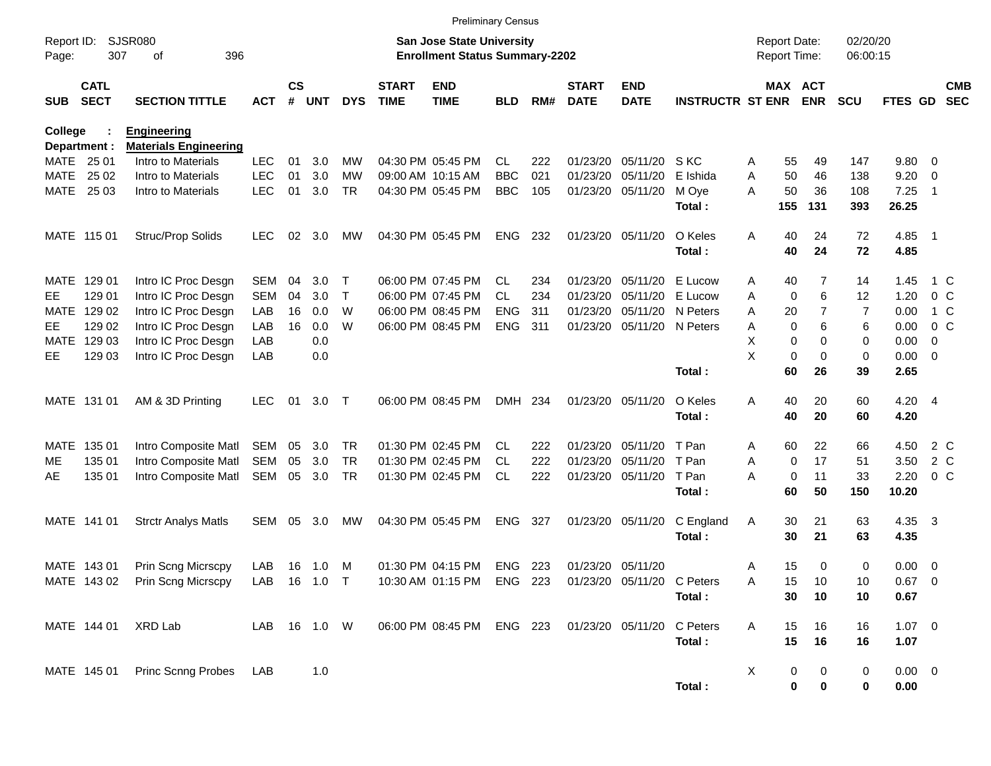|                     |                            |                                |              |               |       |            |                             | <b>Preliminary Census</b>                                                 |            |     |                             |                           |                         |   |                                     |                |                      |                  |                |                          |
|---------------------|----------------------------|--------------------------------|--------------|---------------|-------|------------|-----------------------------|---------------------------------------------------------------------------|------------|-----|-----------------------------|---------------------------|-------------------------|---|-------------------------------------|----------------|----------------------|------------------|----------------|--------------------------|
| Report ID:<br>Page: | 307                        | SJSR080<br>396<br>οf           |              |               |       |            |                             | <b>San Jose State University</b><br><b>Enrollment Status Summary-2202</b> |            |     |                             |                           |                         |   | <b>Report Date:</b><br>Report Time: |                | 02/20/20<br>06:00:15 |                  |                |                          |
| <b>SUB</b>          | <b>CATL</b><br><b>SECT</b> | <b>SECTION TITTLE</b>          | <b>ACT</b>   | $\mathsf{cs}$ | # UNT | <b>DYS</b> | <b>START</b><br><b>TIME</b> | <b>END</b><br><b>TIME</b>                                                 | <b>BLD</b> | RM# | <b>START</b><br><b>DATE</b> | <b>END</b><br><b>DATE</b> | <b>INSTRUCTR ST ENR</b> |   | MAX ACT                             | <b>ENR</b>     | <b>SCU</b>           | <b>FTES GD</b>   |                | <b>CMB</b><br><b>SEC</b> |
| <b>College</b>      |                            | <b>Engineering</b>             |              |               |       |            |                             |                                                                           |            |     |                             |                           |                         |   |                                     |                |                      |                  |                |                          |
| Department :        |                            | <b>Materials Engineering</b>   |              |               |       |            |                             |                                                                           |            |     |                             |                           |                         |   |                                     |                |                      |                  |                |                          |
| MATE 25 01          |                            | Intro to Materials             | <b>LEC</b>   | 01            | 3.0   | МW         |                             | 04:30 PM 05:45 PM                                                         | <b>CL</b>  | 222 | 01/23/20                    | 05/11/20                  | S KC                    | A | 55                                  | 49             | 147                  | 9.80             | - 0            |                          |
| MATE                | 25 02                      | Intro to Materials             | <b>LEC</b>   | 01            | 3.0   | <b>MW</b>  | 09:00 AM 10:15 AM           |                                                                           | <b>BBC</b> | 021 | 01/23/20                    | 05/11/20                  | E Ishida                | A | 50                                  | 46             | 138                  | 9.20             | 0              |                          |
| MATE 25 03          |                            | Intro to Materials             | <b>LEC</b>   | 01            | 3.0   | <b>TR</b>  |                             | 04:30 PM 05:45 PM                                                         | <b>BBC</b> | 105 | 01/23/20                    | 05/11/20                  | M Oye<br>Total:         | A | 50<br>155                           | 36<br>131      | 108<br>393           | 7.25<br>26.25    | $\overline{1}$ |                          |
| MATE 115 01         |                            | Struc/Prop Solids              | <b>LEC</b>   | 02            | 3.0   | MW         |                             | 04:30 PM 05:45 PM                                                         | <b>ENG</b> | 232 | 01/23/20                    | 05/11/20                  | O Keles                 | Α | 40                                  | 24             | 72                   | 4.85 1           |                |                          |
|                     |                            |                                |              |               |       |            |                             |                                                                           |            |     |                             |                           | Total:                  |   | 40                                  | 24             | 72                   | 4.85             |                |                          |
| MATE 129 01         |                            | Intro IC Proc Desgn            | SEM          | 04            | 3.0   | Т          |                             | 06:00 PM 07:45 PM                                                         | CL.        | 234 | 01/23/20                    | 05/11/20                  | E Lucow                 | A | 40                                  | $\overline{7}$ | 14                   | 1.45             | 1 C            |                          |
| EE                  | 129 01                     | Intro IC Proc Desgn            | <b>SEM</b>   | 04            | 3.0   | Т          |                             | 06:00 PM 07:45 PM                                                         | <b>CL</b>  | 234 | 01/23/20                    | 05/11/20                  | E Lucow                 | Α | $\mathbf 0$                         | 6              | 12                   | 1.20             | 0 <sup>C</sup> |                          |
| MATE                | 129 02                     | Intro IC Proc Desgn            | LAB          | 16            | 0.0   | W          |                             | 06:00 PM 08:45 PM                                                         | <b>ENG</b> | 311 | 01/23/20                    | 05/11/20                  | N Peters                | A | 20                                  | 7              | $\overline{7}$       | 0.00             | 1 C            |                          |
| EE.                 | 129 02                     | Intro IC Proc Desgn            | LAB          | 16            | 0.0   | W          |                             | 06:00 PM 08:45 PM                                                         | <b>ENG</b> | 311 | 01/23/20                    | 05/11/20                  | N Peters                | Α | $\mathbf 0$                         | 6              | 6                    | 0.00             | 0 <sup>C</sup> |                          |
| MATE                | 129 03                     | Intro IC Proc Desgn            | LAB          |               | 0.0   |            |                             |                                                                           |            |     |                             |                           |                         | X | $\mathbf 0$                         | $\Omega$       | 0                    | 0.00             | $\mathbf 0$    |                          |
| EE                  | 129 03                     | Intro IC Proc Desgn            | LAB          |               | 0.0   |            |                             |                                                                           |            |     |                             |                           |                         | X | $\mathbf 0$                         | $\Omega$       | $\mathbf 0$          | 0.00             | - 0            |                          |
|                     |                            |                                |              |               |       |            |                             |                                                                           |            |     |                             |                           | Total:                  |   | 60                                  | 26             | 39                   | 2.65             |                |                          |
|                     | MATE 131 01                | AM & 3D Printing               | <b>LEC</b>   | 01            | 3.0   | $\top$     |                             | 06:00 PM 08:45 PM                                                         | DMH        | 234 | 01/23/20 05/11/20           |                           | O Keles<br>Total:       | Α | 40<br>40                            | 20<br>20       | 60<br>60             | $4.20$ 4<br>4.20 |                |                          |
|                     |                            |                                |              |               |       |            |                             |                                                                           |            |     |                             |                           |                         |   |                                     |                |                      |                  |                |                          |
| MATE                | 135 01                     | Intro Composite Matl           | SEM          | 05            | 3.0   | TR         |                             | 01:30 PM 02:45 PM                                                         | CL.        | 222 | 01/23/20                    | 05/11/20                  | T Pan                   | A | 60                                  | 22             | 66                   | 4.50             | 2 C            |                          |
| ME.                 | 135 01                     | Intro Composite Matl           | <b>SEM</b>   | 05            | 3.0   | <b>TR</b>  |                             | 01:30 PM 02:45 PM                                                         | <b>CL</b>  | 222 | 01/23/20                    | 05/11/20                  | T Pan                   | A | $\mathbf 0$                         | 17             | 51                   | 3.50             | 2 C            |                          |
| AE                  | 135 01                     | Intro Composite Matl           | SEM          | 05            | 3.0   | <b>TR</b>  |                             | 01:30 PM 02:45 PM                                                         | CL.        | 222 | 01/23/20                    | 05/11/20                  | T Pan                   | A | $\mathbf 0$                         | 11             | 33                   | 2.20             | 0 <sup>C</sup> |                          |
|                     |                            |                                |              |               |       |            |                             |                                                                           |            |     |                             |                           | Total:                  |   | 60                                  | 50             | 150                  | 10.20            |                |                          |
|                     | MATE 141 01                | <b>Strctr Analys Matls</b>     | SEM          | 05            | 3.0   | МW         |                             | 04:30 PM 05:45 PM                                                         | <b>ENG</b> | 327 | 01/23/20                    | 05/11/20                  | C England               | Α | 30                                  | 21             | 63                   | 4.35 3           |                |                          |
|                     |                            |                                |              |               |       |            |                             |                                                                           |            |     |                             |                           | Total:                  |   | 30                                  | 21             | 63                   | 4.35             |                |                          |
|                     | MATE 143 01                | Prin Scng Micrscpy             | LAB          |               |       | M          |                             | 01:30 PM 04:15 PM                                                         | ENG        | 223 | 01/23/20 05/11/20           |                           |                         | A | 15                                  | 0              | 0                    | $0.00 \t 0$      |                |                          |
|                     |                            | MATE 143 02 Prin Scng Micrscpy | LAB 16 1.0 T |               |       |            |                             | 10:30 AM 01:15 PM ENG 223 01/23/20 05/11/20 C Peters                      |            |     |                             |                           |                         | Α | 15                                  | 10             | 10                   | $0.67$ 0         |                |                          |
|                     |                            |                                |              |               |       |            |                             |                                                                           |            |     |                             |                           | Total:                  |   | 30                                  | 10             | 10                   | 0.67             |                |                          |
|                     |                            | MATE 144 01 XRD Lab            | LAB 16 1.0 W |               |       |            |                             | 06:00 PM 08:45 PM ENG 223 01/23/20 05/11/20                               |            |     |                             |                           | C Peters                | A | 15                                  | 16             | 16                   | 1.07 0           |                |                          |
|                     |                            |                                |              |               |       |            |                             |                                                                           |            |     |                             |                           | Total:                  |   | 15                                  | 16             | 16                   | 1.07             |                |                          |
|                     |                            |                                |              |               |       |            |                             |                                                                           |            |     |                             |                           |                         |   |                                     |                |                      |                  |                |                          |
|                     |                            | MATE 145 01 Princ Scnng Probes | LAB          |               | 1.0   |            |                             |                                                                           |            |     |                             |                           |                         | X | 0                                   | 0              | 0                    | $0.00 \t 0$      |                |                          |
|                     |                            |                                |              |               |       |            |                             |                                                                           |            |     |                             |                           | Total:                  |   | 0                                   | 0              | 0                    | 0.00             |                |                          |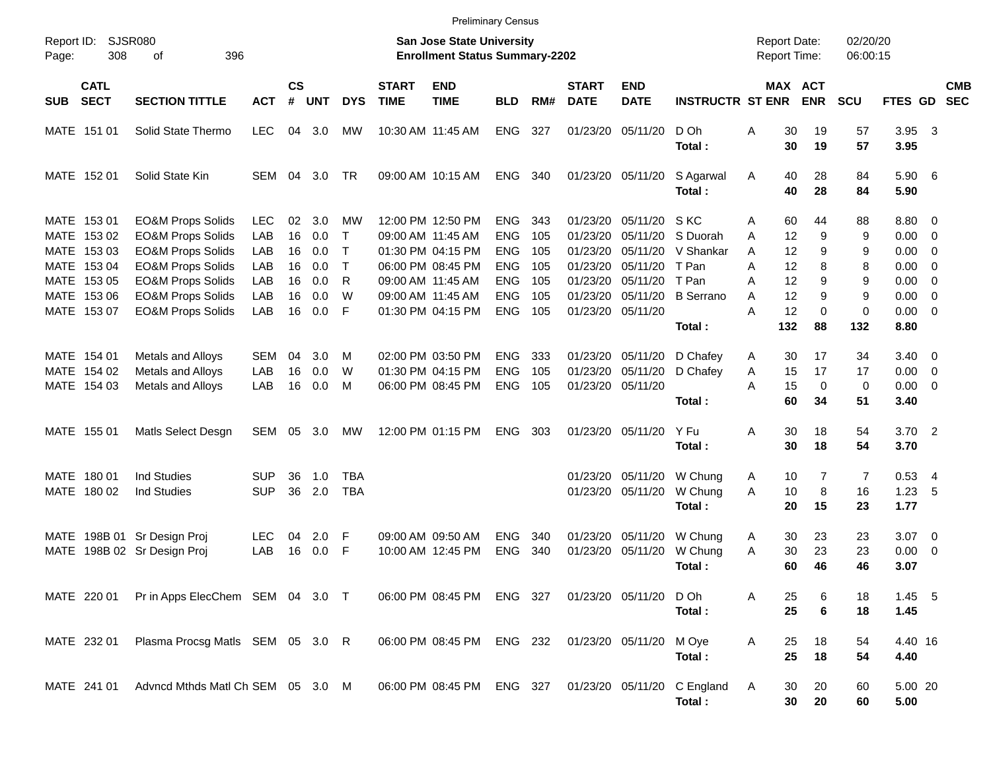|                                          |                                                              |                   |                |            |              |                             |                                                                           | <b>Preliminary Census</b> |            |                             |                           |                                                       |                                            |                       |                      |                       |                          |                          |
|------------------------------------------|--------------------------------------------------------------|-------------------|----------------|------------|--------------|-----------------------------|---------------------------------------------------------------------------|---------------------------|------------|-----------------------------|---------------------------|-------------------------------------------------------|--------------------------------------------|-----------------------|----------------------|-----------------------|--------------------------|--------------------------|
| Report ID:<br>308<br>Page:               | <b>SJSR080</b><br>396<br>οf                                  |                   |                |            |              |                             | <b>San Jose State University</b><br><b>Enrollment Status Summary-2202</b> |                           |            |                             |                           |                                                       | <b>Report Date:</b><br><b>Report Time:</b> |                       | 02/20/20<br>06:00:15 |                       |                          |                          |
| <b>CATL</b><br><b>SECT</b><br><b>SUB</b> | <b>SECTION TITTLE</b>                                        | <b>ACT</b>        | <b>CS</b><br># | <b>UNT</b> | <b>DYS</b>   | <b>START</b><br><b>TIME</b> | <b>END</b><br><b>TIME</b>                                                 | <b>BLD</b>                | RM#        | <b>START</b><br><b>DATE</b> | <b>END</b><br><b>DATE</b> | <b>INSTRUCTR ST ENR</b>                               |                                            | MAX ACT<br><b>ENR</b> | <b>SCU</b>           | <b>FTES GD</b>        |                          | <b>CMB</b><br><b>SEC</b> |
| MATE 151 01                              | Solid State Thermo                                           | <b>LEC</b>        | 04             | 3.0        | МW           |                             | 10:30 AM 11:45 AM                                                         | <b>ENG</b>                | 327        | 01/23/20                    | 05/11/20                  | D Oh<br>Total:                                        | 30<br>Α<br>30                              | 19<br>19              | 57<br>57             | 3.95<br>3.95          | $\overline{\mathbf{3}}$  |                          |
| MATE 152 01                              | Solid State Kin                                              | SEM               | 04             | 3.0        | TR           |                             | 09:00 AM 10:15 AM                                                         | <b>ENG</b>                | 340        |                             | 01/23/20 05/11/20         | S Agarwal<br>Total:                                   | 40<br>A<br>40                              | 28<br>28              | 84<br>84             | 5.90 6<br>5.90        |                          |                          |
| MATE 153 01<br>MATE 153 02               | <b>EO&amp;M Props Solids</b><br><b>EO&amp;M Props Solids</b> | <b>LEC</b><br>LAB | 02<br>16       | 3.0<br>0.0 | МW<br>$\top$ |                             | 12:00 PM 12:50 PM<br>09:00 AM 11:45 AM                                    | <b>ENG</b><br><b>ENG</b>  | 343<br>105 | 01/23/20<br>01/23/20        | 05/11/20<br>05/11/20      | S KC<br>S Duorah                                      | 60<br>Α<br>12<br>A                         | 44<br>9               | 88<br>9              | 8.80 0<br>$0.00 \t 0$ |                          |                          |
| MATE 153 03                              | <b>EO&amp;M Props Solids</b>                                 | LAB               | 16             | 0.0        | $\top$       |                             | 01:30 PM 04:15 PM                                                         | <b>ENG</b>                | 105        | 01/23/20                    | 05/11/20                  | V Shankar                                             | 12<br>A                                    | 9                     | 9                    | 0.00                  | $\overline{\phantom{0}}$ |                          |
| MATE 153 04                              | <b>EO&amp;M Props Solids</b>                                 | LAB               | 16             | 0.0        | $\top$       |                             | 06:00 PM 08:45 PM                                                         | <b>ENG</b>                | 105        | 01/23/20                    | 05/11/20                  | T Pan                                                 | Α<br>12                                    | 8                     | 8                    | 0.00                  | $\overline{\mathbf{0}}$  |                          |
| MATE 153 05                              | <b>EO&amp;M Props Solids</b>                                 | LAB               | 16             | 0.0        | R            |                             | 09:00 AM 11:45 AM                                                         | <b>ENG</b>                | 105        | 01/23/20                    | 05/11/20                  | T Pan                                                 | 12<br>Α                                    | 9                     | 9                    | 0.00                  | $\overline{\phantom{0}}$ |                          |
| MATE 153 06                              | <b>EO&amp;M Props Solids</b>                                 | LAB               | 16             | 0.0        | W            |                             | 09:00 AM 11:45 AM                                                         | <b>ENG</b>                | 105        | 01/23/20                    | 05/11/20                  | <b>B</b> Serrano                                      | 12<br>Α                                    | 9                     | 9                    | 0.00                  | $\overline{\phantom{0}}$ |                          |
| MATE 153 07                              | <b>EO&amp;M Props Solids</b>                                 | LAB               | 16             | 0.0        | F            |                             | 01:30 PM 04:15 PM                                                         | <b>ENG</b>                | 105        |                             | 01/23/20 05/11/20         |                                                       | A<br>12                                    | $\Omega$              | $\mathbf 0$          | $0.00 \t 0$           |                          |                          |
|                                          |                                                              |                   |                |            |              |                             |                                                                           |                           |            |                             |                           | Total:                                                | 132                                        | 88                    | 132                  | 8.80                  |                          |                          |
| MATE 154 01                              | Metals and Alloys                                            | SEM               | 04             | 3.0        | M            |                             | 02:00 PM 03:50 PM                                                         | <b>ENG</b>                | 333        | 01/23/20                    | 05/11/20                  | D Chafey                                              | 30<br>A                                    | 17                    | 34                   | $3.40 \quad 0$        |                          |                          |
| MATE 154 02                              | Metals and Alloys                                            | LAB               | 16             | 0.0        | W            |                             | 01:30 PM 04:15 PM                                                         | <b>ENG</b>                | 105        | 01/23/20                    | 05/11/20                  | D Chafey                                              | 15<br>Α                                    | 17                    | 17                   | $0.00 \t 0$           |                          |                          |
| MATE 154 03                              | Metals and Alloys                                            | LAB               | 16             | 0.0        | M            |                             | 06:00 PM 08:45 PM                                                         | <b>ENG</b>                | 105        |                             | 01/23/20 05/11/20         |                                                       | 15<br>A                                    | $\mathbf 0$           | 0                    | $0.00 \t 0$           |                          |                          |
|                                          |                                                              |                   |                |            |              |                             |                                                                           |                           |            |                             |                           | Total:                                                | 60                                         | 34                    | 51                   | 3.40                  |                          |                          |
| MATE 155 01                              | Matls Select Desgn                                           | SEM               |                | 05 3.0     | МW           |                             | 12:00 PM 01:15 PM                                                         | <b>ENG</b>                | 303        |                             | 01/23/20 05/11/20         | Y Fu                                                  | 30<br>Α                                    | 18                    | 54                   | $3.70$ 2              |                          |                          |
|                                          |                                                              |                   |                |            |              |                             |                                                                           |                           |            |                             |                           | Total:                                                | 30                                         | 18                    | 54                   | 3.70                  |                          |                          |
| MATE 180 01                              | <b>Ind Studies</b>                                           | SUP               | 36             | 1.0        | TBA          |                             |                                                                           |                           |            | 01/23/20                    | 05/11/20                  | W Chung                                               | 10<br>A                                    | $\overline{7}$        | 7                    | $0.53$ 4              |                          |                          |
| MATE 180 02                              | <b>Ind Studies</b>                                           | <b>SUP</b>        | 36             | 2.0        | <b>TBA</b>   |                             |                                                                           |                           |            |                             | 01/23/20 05/11/20         | W Chung                                               | A<br>10                                    | 8                     | 16                   | 1.23                  | - 5                      |                          |
|                                          |                                                              |                   |                |            |              |                             |                                                                           |                           |            |                             |                           | Total:                                                | 20                                         | 15                    | 23                   | 1.77                  |                          |                          |
| MATE 198B 01 Sr Design Proj              |                                                              | <b>LEC</b>        | 04             | 2.0        | -F           |                             | 09:00 AM 09:50 AM                                                         | <b>ENG</b>                | 340        | 01/23/20                    | 05/11/20                  | W Chung                                               | 30<br>A                                    | 23                    | 23                   | $3.07$ 0              |                          |                          |
| MATE                                     | 198B 02 Sr Design Proj                                       | LAB               | 16             | 0.0        | F            |                             | 10:00 AM 12:45 PM                                                         | <b>ENG</b>                | 340        | 01/23/20                    | 05/11/20                  | W Chung                                               | 30<br>Α                                    | 23                    | 23                   | 0.00                  | $\overline{\phantom{0}}$ |                          |
|                                          |                                                              |                   |                |            |              |                             |                                                                           |                           |            |                             |                           | Total:                                                | 60                                         | 46                    | 46                   | 3.07                  |                          |                          |
|                                          | MATE 220 01 Pr in Apps ElecChem SEM 04 3.0 T                 |                   |                |            |              |                             | 06:00 PM 08:45 PM ENG 327 01/23/20 05/11/20 D Oh                          |                           |            |                             |                           |                                                       | 25<br>Α                                    | 6                     | 18                   | $1.45$ 5              |                          |                          |
|                                          |                                                              |                   |                |            |              |                             |                                                                           |                           |            |                             |                           | Total:                                                | 25                                         | 6                     | 18                   | 1.45                  |                          |                          |
| MATE 232 01                              | Plasma Procsg Matls SEM 05 3.0 R                             |                   |                |            |              |                             | 06:00 PM 08:45 PM ENG 232 01/23/20 05/11/20                               |                           |            |                             |                           | M Oye                                                 | Α<br>25                                    | 18                    | 54                   | 4.40 16               |                          |                          |
|                                          |                                                              |                   |                |            |              |                             |                                                                           |                           |            |                             |                           | Total:                                                | 25                                         | 18                    | 54                   | 4.40                  |                          |                          |
| MATE 241 01                              | Advncd Mthds Matl Ch SEM 05 3.0 M                            |                   |                |            |              |                             |                                                                           |                           |            |                             |                           | 06:00 PM 08:45 PM ENG 327 01/23/20 05/11/20 C England | 30<br>A                                    | 20                    | 60                   | 5.00 20               |                          |                          |
|                                          |                                                              |                   |                |            |              |                             |                                                                           |                           |            |                             |                           | Total:                                                |                                            | 30<br>20              | 60                   | 5.00                  |                          |                          |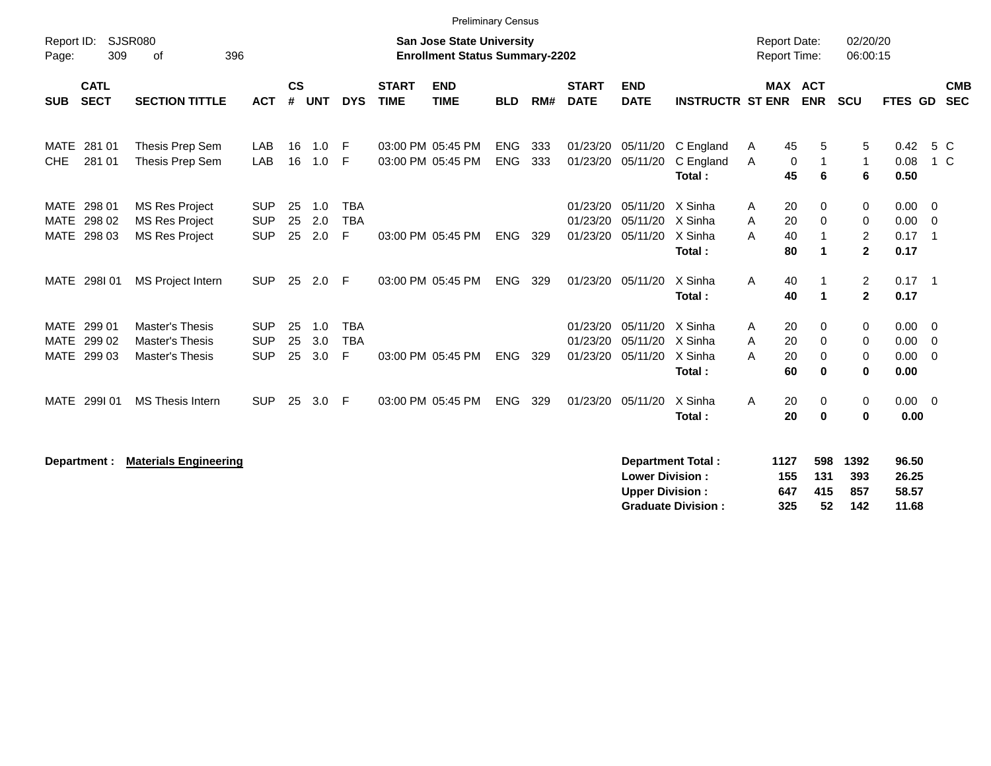|                                                 |                                                                         |                                        |                    |                   |                               |                             | <b>Preliminary Census</b>                                                 |                          |            |                                  |                                  |                                         |                                            |                                       |                                          |                                                   |                          |
|-------------------------------------------------|-------------------------------------------------------------------------|----------------------------------------|--------------------|-------------------|-------------------------------|-----------------------------|---------------------------------------------------------------------------|--------------------------|------------|----------------------------------|----------------------------------|-----------------------------------------|--------------------------------------------|---------------------------------------|------------------------------------------|---------------------------------------------------|--------------------------|
| Report ID:<br>309<br>Page:                      | <b>SJSR080</b><br>396<br>οf                                             |                                        |                    |                   |                               |                             | <b>San Jose State University</b><br><b>Enrollment Status Summary-2202</b> |                          |            |                                  |                                  |                                         | <b>Report Date:</b><br><b>Report Time:</b> |                                       | 02/20/20<br>06:00:15                     |                                                   |                          |
| <b>CATL</b><br><b>SECT</b><br><b>SUB</b>        | <b>SECTION TITTLE</b>                                                   | <b>ACT</b>                             | $\mathsf{cs}$<br># | <b>UNT</b>        | <b>DYS</b>                    | <b>START</b><br><b>TIME</b> | <b>END</b><br><b>TIME</b>                                                 | <b>BLD</b>               | RM#        | <b>START</b><br><b>DATE</b>      | <b>END</b><br><b>DATE</b>        | <b>INSTRUCTR ST ENR</b>                 |                                            | <b>MAX ACT</b><br><b>ENR</b>          | <b>SCU</b>                               | FTES GD                                           | <b>CMB</b><br><b>SEC</b> |
| 281 01<br><b>MATE</b><br><b>CHE</b><br>281 01   | Thesis Prep Sem<br>Thesis Prep Sem                                      | LAB<br>LAB                             | 16<br>16           | 1.0<br>1.0        | -F<br>F                       |                             | 03:00 PM 05:45 PM<br>03:00 PM 05:45 PM                                    | <b>ENG</b><br><b>ENG</b> | 333<br>333 | 01/23/20<br>01/23/20             | 05/11/20<br>05/11/20             | C England<br>C England<br>Total:        | 45<br>A<br>A<br>0<br>45                    | 5<br>1<br>6                           | 5<br>1<br>6                              | 0.42<br>0.08<br>0.50                              | 5 C<br>1 C               |
| MATE 298 01<br>298 02<br>MATE<br>MATE 298 03    | <b>MS Res Project</b><br><b>MS Res Project</b><br><b>MS Res Project</b> | <b>SUP</b><br><b>SUP</b><br><b>SUP</b> | 25<br>25<br>25     | 1.0<br>2.0<br>2.0 | <b>TBA</b><br><b>TBA</b><br>F |                             | 03:00 PM 05:45 PM                                                         | <b>ENG</b>               | 329        | 01/23/20<br>01/23/20<br>01/23/20 | 05/11/20<br>05/11/20<br>05/11/20 | X Sinha<br>X Sinha<br>X Sinha<br>Total: | 20<br>A<br>20<br>A<br>40<br>Α<br>80        | 0<br>0<br>1                           | 0<br>0<br>$\overline{c}$<br>$\mathbf{2}$ | $0.00 \t 0$<br>$0.00 \t 0$<br>$0.17$ 1<br>0.17    |                          |
| MATE 298101                                     | MS Project Intern                                                       | <b>SUP</b>                             | 25                 | 2.0               | -F                            |                             | 03:00 PM 05:45 PM                                                         | <b>ENG</b>               | 329        |                                  | 01/23/20 05/11/20                | X Sinha<br>Total:                       | A<br>40<br>40                              |                                       | $\overline{2}$<br>$\mathbf{2}$           | $0.17$ 1<br>0.17                                  |                          |
| MATE<br>299 01<br>299 02<br>MATE<br>MATE 299 03 | <b>Master's Thesis</b><br>Master's Thesis<br><b>Master's Thesis</b>     | <b>SUP</b><br><b>SUP</b><br><b>SUP</b> | 25<br>25<br>25     | 1.0<br>3.0<br>3.0 | <b>TBA</b><br><b>TBA</b><br>F |                             | 03:00 PM 05:45 PM                                                         | <b>ENG</b>               | 329        | 01/23/20<br>01/23/20<br>01/23/20 | 05/11/20<br>05/11/20<br>05/11/20 | X Sinha<br>X Sinha<br>X Sinha<br>Total: | 20<br>A<br>20<br>Α<br>A<br>20<br>60        | $\Omega$<br>0<br>$\Omega$<br>$\bf{0}$ | 0<br>0<br>0<br>0                         | $0.00 \t 0$<br>$0.00 \t 0$<br>$0.00 \t 0$<br>0.00 |                          |
| MATE 299I 01                                    | <b>MS Thesis Intern</b>                                                 | <b>SUP</b>                             | 25                 | 3.0               | F                             |                             | 03:00 PM 05:45 PM                                                         | <b>ENG</b>               | 329        | 01/23/20                         | 05/11/20                         | X Sinha<br>Total:                       | 20<br>A<br>20                              | 0<br>$\bf{0}$                         | 0<br>0                                   | $0.00 \ 0$<br>0.00                                |                          |
| Department :                                    | <b>Materials Engineering</b>                                            |                                        |                    |                   |                               |                             |                                                                           |                          |            |                                  | <b>Lower Division:</b>           | <b>Department Total:</b>                | 1127<br>155                                | 598<br>131                            | 1392<br>393                              | 96.50<br>26.25                                    |                          |

**Upper Division : 647 415 857 58.57<br>
Graduate Division : 325 52 142 11.68 Graduate Division : 325 52 142 11.68**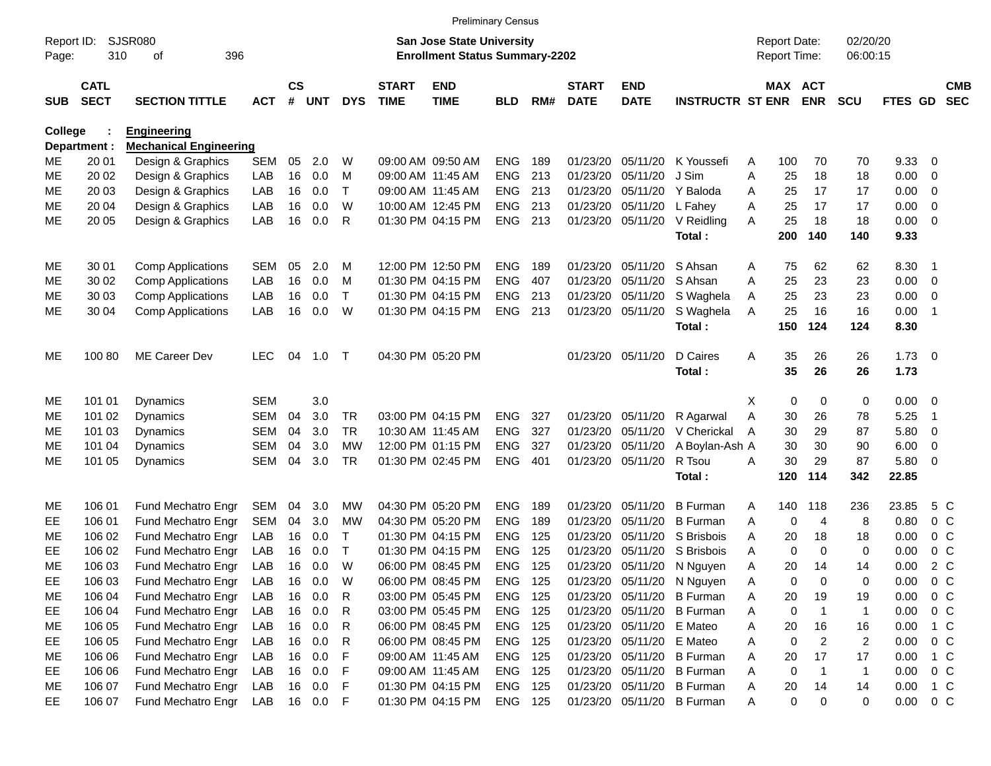|                 | <b>Preliminary Census</b>                                                                                              |                                                    |            |                    |                  |              |                             |                                        |                    |     |                             |                           |                         |        |                                     |                      |                      |                     |                            |                          |
|-----------------|------------------------------------------------------------------------------------------------------------------------|----------------------------------------------------|------------|--------------------|------------------|--------------|-----------------------------|----------------------------------------|--------------------|-----|-----------------------------|---------------------------|-------------------------|--------|-------------------------------------|----------------------|----------------------|---------------------|----------------------------|--------------------------|
| Page:           | SJSR080<br><b>San Jose State University</b><br>Report ID:<br>310<br>396<br><b>Enrollment Status Summary-2202</b><br>οf |                                                    |            |                    |                  |              |                             |                                        |                    |     |                             |                           |                         |        | <b>Report Date:</b><br>Report Time: |                      | 02/20/20<br>06:00:15 |                     |                            |                          |
| <b>SUB</b>      | <b>CATL</b><br><b>SECT</b>                                                                                             | <b>SECTION TITTLE</b>                              | <b>ACT</b> | $\mathsf{cs}$<br># | <b>UNT</b>       | <b>DYS</b>   | <b>START</b><br><b>TIME</b> | <b>END</b><br><b>TIME</b>              | <b>BLD</b>         | RM# | <b>START</b><br><b>DATE</b> | <b>END</b><br><b>DATE</b> | <b>INSTRUCTR ST ENR</b> |        | MAX ACT                             | <b>ENR</b>           | <b>SCU</b>           | FTES GD             |                            | <b>CMB</b><br><b>SEC</b> |
| <b>College</b>  |                                                                                                                        | <b>Engineering</b>                                 |            |                    |                  |              |                             |                                        |                    |     |                             |                           |                         |        |                                     |                      |                      |                     |                            |                          |
|                 | Department :<br>20 01                                                                                                  | <b>Mechanical Engineering</b><br>Design & Graphics | <b>SEM</b> | 05                 | 2.0              | W            |                             | 09:00 AM 09:50 AM                      | <b>ENG</b>         | 189 | 01/23/20                    | 05/11/20                  | K Youssefi              |        | 100                                 | 70                   | 70                   | 9.33                | - 0                        |                          |
| ME<br><b>ME</b> | 20 02                                                                                                                  | Design & Graphics                                  | LAB        | 16                 | 0.0              | M            |                             | 09:00 AM 11:45 AM                      | <b>ENG</b>         | 213 | 01/23/20                    | 05/11/20                  | J Sim                   | A<br>A | 25                                  | 18                   | 18                   | 0.00                | $\overline{0}$             |                          |
| <b>ME</b>       | 20 03                                                                                                                  | Design & Graphics                                  | LAB        | 16                 | 0.0              | T.           |                             | 09:00 AM 11:45 AM                      | <b>ENG</b>         | 213 | 01/23/20                    | 05/11/20                  | Y Baloda                | A      | 25                                  | 17                   | 17                   | 0.00                | $\overline{0}$             |                          |
| <b>ME</b>       | 20 04                                                                                                                  | Design & Graphics                                  | LAB        | 16                 | 0.0              | W            |                             | 10:00 AM 12:45 PM                      | <b>ENG</b>         | 213 | 01/23/20                    | 05/11/20                  | L Fahey                 | A      | 25                                  | 17                   | 17                   | 0.00                | $\overline{0}$             |                          |
| <b>ME</b>       | 20 05                                                                                                                  | Design & Graphics                                  | LAB        | 16                 | 0.0              | R            |                             | 01:30 PM 04:15 PM                      | <b>ENG</b>         | 213 | 01/23/20                    | 05/11/20                  | V Reidling              | A      | 25                                  | 18                   | 18                   | 0.00                | $\overline{\mathbf{0}}$    |                          |
|                 |                                                                                                                        |                                                    |            |                    |                  |              |                             |                                        |                    |     |                             |                           | Total:                  |        | 200                                 | 140                  | 140                  | 9.33                |                            |                          |
| ME              | 30 01                                                                                                                  | <b>Comp Applications</b>                           | <b>SEM</b> | 05                 | 2.0              | M            |                             | 12:00 PM 12:50 PM                      | <b>ENG</b>         | 189 | 01/23/20                    | 05/11/20                  | S Ahsan                 | A      | 75                                  | 62                   | 62                   | 8.30                | $\overline{\phantom{0}}$ 1 |                          |
| ME              | 30 02                                                                                                                  | <b>Comp Applications</b>                           | LAB        | 16                 | 0.0              | M            |                             | 01:30 PM 04:15 PM                      | <b>ENG</b>         | 407 | 01/23/20                    | 05/11/20                  | S Ahsan                 | A      | 25                                  | 23                   | 23                   | 0.00                | $\overline{0}$             |                          |
| MЕ              | 30 03                                                                                                                  | <b>Comp Applications</b>                           | LAB        | 16                 | 0.0              | T.           |                             | 01:30 PM 04:15 PM                      | ENG                | 213 | 01/23/20                    | 05/11/20                  | S Waghela               | A      | 25                                  | 23                   | 23                   | 0.00                | $\overline{0}$             |                          |
| MЕ              | 30 04                                                                                                                  | <b>Comp Applications</b>                           | LAB        | 16                 | 0.0              | W            |                             | 01:30 PM 04:15 PM                      | ENG                | 213 | 01/23/20                    | 05/11/20                  | S Waghela<br>Total:     | A      | 25<br>150                           | 16<br>124            | 16<br>124            | 0.00<br>8.30        | $\overline{1}$             |                          |
| ME              | 100 80                                                                                                                 | <b>ME Career Dev</b>                               | <b>LEC</b> | 04                 | 1.0              | т            |                             | 04:30 PM 05:20 PM                      |                    |     | 01/23/20                    | 05/11/20                  | D Caires<br>Total:      | A      | 35<br>35                            | 26<br>26             | 26<br>26             | $1.73 \t 0$<br>1.73 |                            |                          |
| ME              | 101 01                                                                                                                 | Dynamics                                           | <b>SEM</b> |                    | 3.0              |              |                             |                                        |                    |     |                             |                           |                         | Χ      | 0                                   | 0                    | 0                    | 0.00                | $\overline{\mathbf{0}}$    |                          |
| ME              | 101 02                                                                                                                 | <b>Dynamics</b>                                    | <b>SEM</b> | 04                 | 3.0              | <b>TR</b>    |                             | 03:00 PM 04:15 PM                      | <b>ENG</b>         | 327 | 01/23/20                    | 05/11/20                  | R Agarwal               | Α      | 30                                  | 26                   | 78                   | 5.25                | $\overline{1}$             |                          |
| ME              | 101 03                                                                                                                 | Dynamics                                           | <b>SEM</b> | 04                 | 3.0              | <b>TR</b>    |                             | 10:30 AM 11:45 AM                      | <b>ENG</b>         | 327 | 01/23/20                    | 05/11/20                  | V Cherickal             | A      | 30                                  | 29                   | 87                   | 5.80                | 0                          |                          |
| MЕ              | 101 04                                                                                                                 | Dynamics                                           | <b>SEM</b> | 04                 | 3.0              | <b>MW</b>    |                             | 12:00 PM 01:15 PM                      | <b>ENG</b>         | 327 | 01/23/20                    | 05/11/20                  | A Boylan-Ash A          |        | 30                                  | 30                   | 90                   | 6.00                | $\overline{0}$             |                          |
| MЕ              | 101 05                                                                                                                 | Dynamics                                           | <b>SEM</b> | 04                 | 3.0              | <b>TR</b>    |                             | 01:30 PM 02:45 PM                      | <b>ENG</b>         | 401 | 01/23/20                    | 05/11/20                  | R Tsou                  | A      | 30                                  | 29                   | 87                   | 5.80                | $\overline{\mathbf{0}}$    |                          |
|                 |                                                                                                                        |                                                    |            |                    |                  |              |                             |                                        |                    |     |                             |                           | Total :                 |        | 120                                 | 114                  | 342                  | 22.85               |                            |                          |
| ME              | 106 01                                                                                                                 | Fund Mechatro Engr                                 | SEM        | 04                 | 3.0              | МW           |                             | 04:30 PM 05:20 PM                      | <b>ENG</b>         | 189 | 01/23/20                    | 05/11/20                  | <b>B</b> Furman         | A      | 140                                 | 118                  | 236                  | 23.85               | 5 C                        |                          |
| EE              | 106 01                                                                                                                 | Fund Mechatro Engr                                 | <b>SEM</b> | 04                 | 3.0              | МW           |                             | 04:30 PM 05:20 PM                      | <b>ENG</b>         | 189 | 01/23/20                    | 05/11/20                  | <b>B</b> Furman         | A      | 0                                   | $\overline{4}$       | 8                    | 0.80                | 0 <sup>C</sup>             |                          |
| MЕ              | 106 02                                                                                                                 | Fund Mechatro Engr                                 | LAB        | 16                 | 0.0              | T            |                             | 01:30 PM 04:15 PM                      | <b>ENG</b>         | 125 | 01/23/20                    | 05/11/20                  | S Brisbois              | A      | 20                                  | 18                   | 18                   | 0.00                | 0 <sup>C</sup>             |                          |
| EE              | 106 02                                                                                                                 | Fund Mechatro Engr                                 | LAB        | 16                 | 0.0              | $\mathsf{T}$ |                             | 01:30 PM 04:15 PM                      | <b>ENG</b>         | 125 | 01/23/20                    | 05/11/20                  | S Brisbois              | A      | $\Omega$                            | $\mathbf 0$          | $\mathbf 0$          | 0.00                | 0 <sup>C</sup>             |                          |
| <b>ME</b>       | 106 03                                                                                                                 | Fund Mechatro Engr                                 | LAB        | 16                 | 0.0              | W            |                             | 06:00 PM 08:45 PM                      | <b>ENG</b>         | 125 | 01/23/20                    | 05/11/20                  | N Nguyen                | Α      | 20                                  | 14                   | 14                   | 0.00                | 2 C                        |                          |
| EE              | 106 03                                                                                                                 | Fund Mechatro Engr                                 | LAB        | 16                 | 0.0              | W            |                             | 06:00 PM 08:45 PM                      | ENG                | 125 |                             | 01/23/20 05/11/20         | N Nguyen                | Α      | 0                                   | 0                    | 0                    | 0.00                | 0 <sup>C</sup>             |                          |
| ME              | 106 04                                                                                                                 | Fund Mechatro Engr                                 | LAB        | 16                 | 0.0              | R            |                             | 03:00 PM 05:45 PM                      | ENG                | 125 | 01/23/20                    | 05/11/20                  | <b>B</b> Furman         | A      | 20                                  | 19                   | 19                   | 0.00                | 0 <sup>C</sup>             |                          |
| EE.             | 106 04<br>106 05                                                                                                       | Fund Mechatro Engr<br>Fund Mechatro Engr           | LAB<br>LAB |                    | 16 0.0<br>16 0.0 | R            |                             | 03:00 PM 05:45 PM                      | ENG 125<br>ENG 125 |     | 01/23/20<br>01/23/20        | 05/11/20<br>05/11/20      | <b>B</b> Furman         | Α      | 0                                   | $\overline{1}$       | $\mathbf 1$          | 0.00                | $0\,C$                     |                          |
| ME<br>EE        | 106 05                                                                                                                 | Fund Mechatro Engr                                 | LAB        | 16                 | 0.0              | R<br>R       |                             | 06:00 PM 08:45 PM<br>06:00 PM 08:45 PM | ENG 125            |     | 01/23/20                    | 05/11/20                  | E Mateo<br>E Mateo      | Α<br>Α | 20<br>0                             | 16<br>$\overline{c}$ | 16<br>$\overline{c}$ | 0.00<br>0.00        | 1 C<br>$0\,C$              |                          |
| ME              | 106 06                                                                                                                 | Fund Mechatro Engr                                 | LAB        |                    | 16 0.0           | F            |                             | 09:00 AM 11:45 AM                      | ENG 125            |     | 01/23/20                    | 05/11/20                  | <b>B</b> Furman         | Α      | 20                                  | 17                   | 17                   | 0.00                | 1 C                        |                          |
| EE              | 106 06                                                                                                                 | Fund Mechatro Engr                                 | LAB        |                    | 16 0.0           | F            |                             | 09:00 AM 11:45 AM                      | ENG 125            |     | 01/23/20                    | 05/11/20                  | <b>B</b> Furman         | Α      | 0                                   | $\overline{1}$       | $\mathbf 1$          | 0.00                | $0\,C$                     |                          |
| ME              | 106 07                                                                                                                 | Fund Mechatro Engr                                 | LAB        | 16                 | 0.0              | F            |                             | 01:30 PM 04:15 PM                      | ENG 125            |     | 01/23/20                    | 05/11/20                  | <b>B</b> Furman         | A      | 20                                  | 14                   | 14                   | 0.00                | $1\,C$                     |                          |
| EE              | 106 07                                                                                                                 | Fund Mechatro Engr                                 | LAB        |                    | 16 0.0           | F            |                             | 01:30 PM 04:15 PM                      | ENG 125            |     | 01/23/20                    | 05/11/20                  | <b>B</b> Furman         | A      | 0                                   | 0                    | 0                    | 0.00                | $0\,C$                     |                          |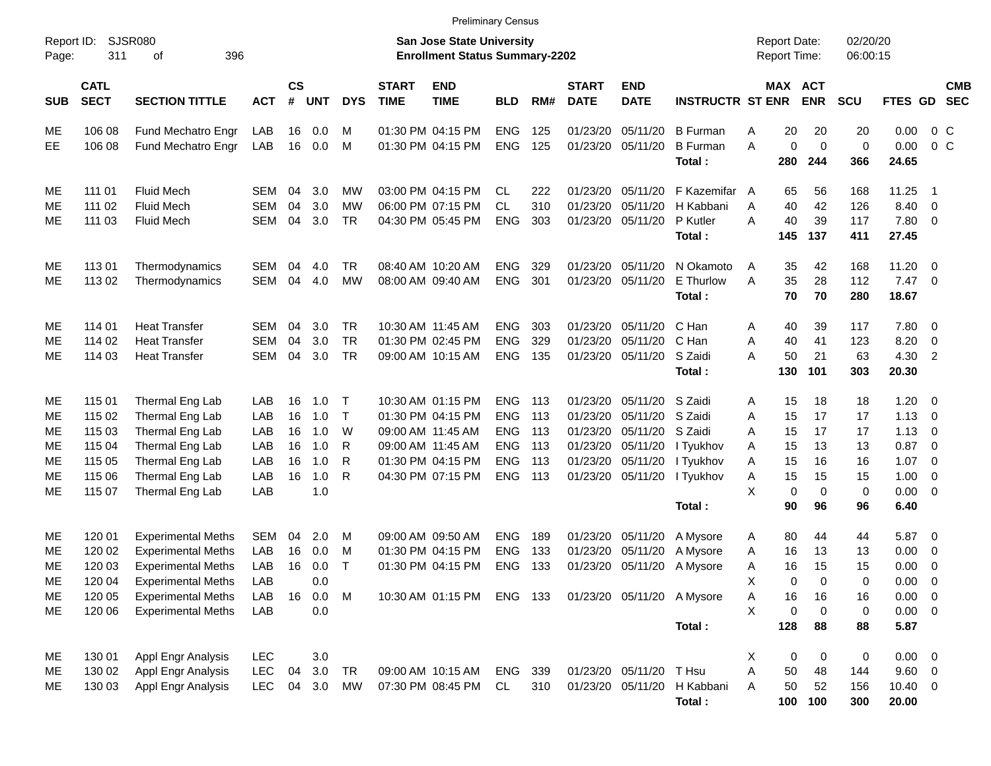|                     |                                                                                                                 |                           |            |                             |            |            |                             |                           | <b>Preliminary Census</b> |       |                             |                           |                             |   |                                     |                    |                      |                     |                            |                          |
|---------------------|-----------------------------------------------------------------------------------------------------------------|---------------------------|------------|-----------------------------|------------|------------|-----------------------------|---------------------------|---------------------------|-------|-----------------------------|---------------------------|-----------------------------|---|-------------------------------------|--------------------|----------------------|---------------------|----------------------------|--------------------------|
| Report ID:<br>Page: | <b>SJSR080</b><br><b>San Jose State University</b><br>396<br><b>Enrollment Status Summary-2202</b><br>311<br>οf |                           |            |                             |            |            |                             |                           |                           |       |                             |                           |                             |   | <b>Report Date:</b><br>Report Time: |                    | 02/20/20<br>06:00:15 |                     |                            |                          |
| <b>SUB</b>          | <b>CATL</b><br><b>SECT</b>                                                                                      | <b>SECTION TITTLE</b>     | <b>ACT</b> | $\mathsf{cs}$<br>$\pmb{\#}$ | <b>UNT</b> | <b>DYS</b> | <b>START</b><br><b>TIME</b> | <b>END</b><br><b>TIME</b> | <b>BLD</b>                | RM#   | <b>START</b><br><b>DATE</b> | <b>END</b><br><b>DATE</b> | <b>INSTRUCTR ST ENR</b>     |   | MAX ACT                             | <b>ENR</b>         | <b>SCU</b>           | FTES GD             |                            | <b>CMB</b><br><b>SEC</b> |
| ME                  | 106 08                                                                                                          | Fund Mechatro Engr        | LAB        | 16                          | 0.0        | M          |                             | 01:30 PM 04:15 PM         | <b>ENG</b>                | 125   |                             | 01/23/20 05/11/20         | <b>B</b> Furman             | Α | 20                                  | 20                 | 20                   | 0.00                | 0 <sup>o</sup>             |                          |
| EЕ                  | 106 08                                                                                                          | Fund Mechatro Engr        | LAB        | 16                          | 0.0        | M          |                             | 01:30 PM 04:15 PM         | <b>ENG</b>                | 125   |                             | 01/23/20 05/11/20         | <b>B</b> Furman<br>Total:   | A | 0<br>280                            | $\mathbf 0$<br>244 | $\pmb{0}$<br>366     | 0.00<br>24.65       | 0 <sup>o</sup>             |                          |
| ME                  | 111 01                                                                                                          | <b>Fluid Mech</b>         | SEM        | 04                          | 3.0        | MW         |                             | 03:00 PM 04:15 PM         | CL.                       | 222   |                             | 01/23/20 05/11/20         | F Kazemifar A               |   | 65                                  | 56                 | 168                  | 11.25               | $\overline{\phantom{1}}$   |                          |
| МE                  | 111 02                                                                                                          | <b>Fluid Mech</b>         | <b>SEM</b> | 04                          | 3.0        | МW         |                             | 06:00 PM 07:15 PM         | <b>CL</b>                 | 310   | 01/23/20                    | 05/11/20                  | H Kabbani                   | A | 40                                  | 42                 | 126                  | 8.40                | $\overline{\phantom{0}}$   |                          |
| МE                  | 111 03                                                                                                          | <b>Fluid Mech</b>         | <b>SEM</b> | 04                          | 3.0        | TR         |                             | 04:30 PM 05:45 PM         | <b>ENG</b>                | 303   |                             | 01/23/20 05/11/20         | P Kutler<br>Total:          | A | 40<br>145                           | 39<br>137          | 117<br>411           | 7.80 0<br>27.45     |                            |                          |
| ME                  | 11301                                                                                                           | Thermodynamics            | SEM        | 04                          | 4.0        | TR         |                             | 08:40 AM 10:20 AM         | <b>ENG</b>                | 329   |                             | 01/23/20 05/11/20         | N Okamoto                   | A | 35                                  | 42                 | 168                  | 11.20 0             |                            |                          |
| МE                  | 113 02                                                                                                          | Thermodynamics            | <b>SEM</b> | 04                          | 4.0        | <b>MW</b>  |                             | 08:00 AM 09:40 AM         | <b>ENG</b>                | 301   |                             | 01/23/20 05/11/20         | E Thurlow                   | A | 35                                  | 28                 | 112                  | $7.47\ 0$           |                            |                          |
|                     |                                                                                                                 |                           |            |                             |            |            |                             |                           |                           |       |                             |                           | Total:                      |   | 70                                  | 70                 | 280                  | 18.67               |                            |                          |
| ME                  | 114 01                                                                                                          | <b>Heat Transfer</b>      | SEM        | 04                          | 3.0        | <b>TR</b>  |                             | 10:30 AM 11:45 AM         | <b>ENG</b>                | 303   |                             | 01/23/20 05/11/20         | C Han                       | A | 40                                  | 39                 | 117                  | 7.80 0              |                            |                          |
| МE                  | 114 02                                                                                                          | <b>Heat Transfer</b>      | <b>SEM</b> | 04                          | 3.0        | <b>TR</b>  |                             | 01:30 PM 02:45 PM         | <b>ENG</b>                | 329   |                             | 01/23/20 05/11/20         | C Han                       | Α | 40                                  | 41                 | 123                  | 8.20                | $\overline{0}$             |                          |
| MЕ                  | 114 03                                                                                                          | <b>Heat Transfer</b>      | <b>SEM</b> | 04                          | 3.0        | TR         |                             | 09:00 AM 10:15 AM         | <b>ENG</b>                | 135   |                             | 01/23/20 05/11/20         | S Zaidi                     | A | 50                                  | 21                 | 63                   | 4.30                | $\overline{\phantom{0}}^2$ |                          |
|                     |                                                                                                                 |                           |            |                             |            |            |                             |                           |                           |       |                             |                           | Total:                      |   | 130                                 | 101                | 303                  | 20.30               |                            |                          |
| ME                  | 115 01                                                                                                          | Thermal Eng Lab           | LAB        | 16                          | 1.0        | Т          |                             | 10:30 AM 01:15 PM         | <b>ENG</b>                | - 113 |                             | 01/23/20 05/11/20         | S Zaidi                     | Α | 15                                  | 18                 | 18                   | $1.20 \t 0$         |                            |                          |
| МE                  | 115 02                                                                                                          | Thermal Eng Lab           | LAB        | 16                          | 1.0        | $\top$     |                             | 01:30 PM 04:15 PM         | <b>ENG</b>                | 113   |                             | 01/23/20 05/11/20         | S Zaidi                     | A | 15                                  | 17                 | 17                   | $1.13 \ 0$          |                            |                          |
| МE                  | 115 03                                                                                                          | Thermal Eng Lab           | LAB        | 16                          | 1.0        | W          |                             | 09:00 AM 11:45 AM         | <b>ENG</b>                | 113   |                             | 01/23/20 05/11/20         | S Zaidi                     | A | 15                                  | 17                 | 17                   | 1.13                | $\overline{\phantom{0}}$   |                          |
| МE                  | 115 04                                                                                                          | Thermal Eng Lab           | LAB        | 16                          | 1.0        | R          |                             | 09:00 AM 11:45 AM         | <b>ENG</b>                | 113   |                             | 01/23/20 05/11/20         | I Tyukhov                   | A | 15                                  | 13                 | 13                   | 0.87                | $\overline{\phantom{0}}$   |                          |
| МE                  | 115 05                                                                                                          | Thermal Eng Lab           | LAB        | 16                          | 1.0        | R          |                             | 01:30 PM 04:15 PM         | <b>ENG</b>                | 113   |                             | 01/23/20 05/11/20         | I Tyukhov                   | A | 15                                  | 16                 | 16                   | 1.07                | $\overline{\phantom{0}}$   |                          |
| МE                  | 115 06                                                                                                          | Thermal Eng Lab           | LAB        | 16                          | 1.0        | R          |                             | 04:30 PM 07:15 PM         | <b>ENG</b>                | 113   |                             | 01/23/20 05/11/20         | I Tyukhov                   | Α | 15                                  | 15                 | 15                   | 1.00                | $\overline{\phantom{0}}$   |                          |
| MЕ                  | 115 07                                                                                                          | Thermal Eng Lab           | LAB        |                             | 1.0        |            |                             |                           |                           |       |                             |                           | Total:                      | X | $\mathbf 0$<br>90                   | $\mathbf 0$<br>96  | 0<br>96              | $0.00 \t 0$<br>6.40 |                            |                          |
| ME                  | 120 01                                                                                                          | <b>Experimental Meths</b> | SEM        | 04                          | 2.0        | M          |                             | 09:00 AM 09:50 AM         | <b>ENG</b>                | 189   |                             | 01/23/20 05/11/20         | A Mysore                    | A | 80                                  | 44                 | 44                   | 5.87 0              |                            |                          |
| МE                  | 120 02                                                                                                          | <b>Experimental Meths</b> | LAB        | 16                          | 0.0        | M          |                             | 01:30 PM 04:15 PM         | <b>ENG</b>                | 133   |                             | 01/23/20 05/11/20         | A Mysore                    | A | 16                                  | 13                 | 13                   | 0.00                | $\overline{\phantom{0}}$   |                          |
| MЕ                  | 120 03                                                                                                          | <b>Experimental Meths</b> | LAB        | 16                          | 0.0        | Т          |                             | 01:30 PM 04:15 PM         | <b>ENG</b>                | 133   |                             | 01/23/20 05/11/20         | A Mysore                    | Α | 16                                  | 15                 | 15                   | 0.00                | $\overline{\phantom{0}}$   |                          |
| ME                  | 120 04                                                                                                          | <b>Experimental Meths</b> | LAB        |                             | 0.0        |            |                             |                           |                           |       |                             |                           |                             | Χ | 0                                   | $\boldsymbol{0}$   | 0                    | $0.00 \t 0$         |                            |                          |
| ME                  | 120 05                                                                                                          | <b>Experimental Meths</b> | LAB        | 16                          | 0.0        | M          |                             | 10:30 AM 01:15 PM ENG 133 |                           |       |                             |                           | 01/23/20 05/11/20 A Mysore  | Α | 16                                  | 16                 | 16                   | $0.00 \t 0$         |                            |                          |
| ME                  | 120 06                                                                                                          | <b>Experimental Meths</b> | LAB        |                             | 0.0        |            |                             |                           |                           |       |                             |                           |                             | X | 0                                   | 0                  | 0                    | $0.00 \t 0$         |                            |                          |
|                     |                                                                                                                 |                           |            |                             |            |            |                             |                           |                           |       |                             |                           | Total:                      |   | 128                                 | 88                 | 88                   | 5.87                |                            |                          |
| МE                  | 130 01                                                                                                          | Appl Engr Analysis        | <b>LEC</b> |                             | 3.0        |            |                             |                           |                           |       |                             |                           |                             | X | 0                                   | 0                  | $\pmb{0}$            | $0.00 \t 0$         |                            |                          |
| МE                  | 130 02                                                                                                          | Appl Engr Analysis        | <b>LEC</b> | 04                          | 3.0        | <b>TR</b>  |                             | 09:00 AM 10:15 AM         | ENG 339                   |       |                             | 01/23/20 05/11/20 T Hsu   |                             | Α | 50                                  | 48                 | 144                  | 9.60 0              |                            |                          |
| ME                  | 130 03                                                                                                          | Appl Engr Analysis        | <b>LEC</b> | 04                          | 3.0        | MW         |                             | 07:30 PM 08:45 PM         | CL                        | 310   |                             |                           | 01/23/20 05/11/20 H Kabbani | Α | 50                                  | 52                 | 156                  | 10.40 0             |                            |                          |

**Total : 100 100 300 20.00**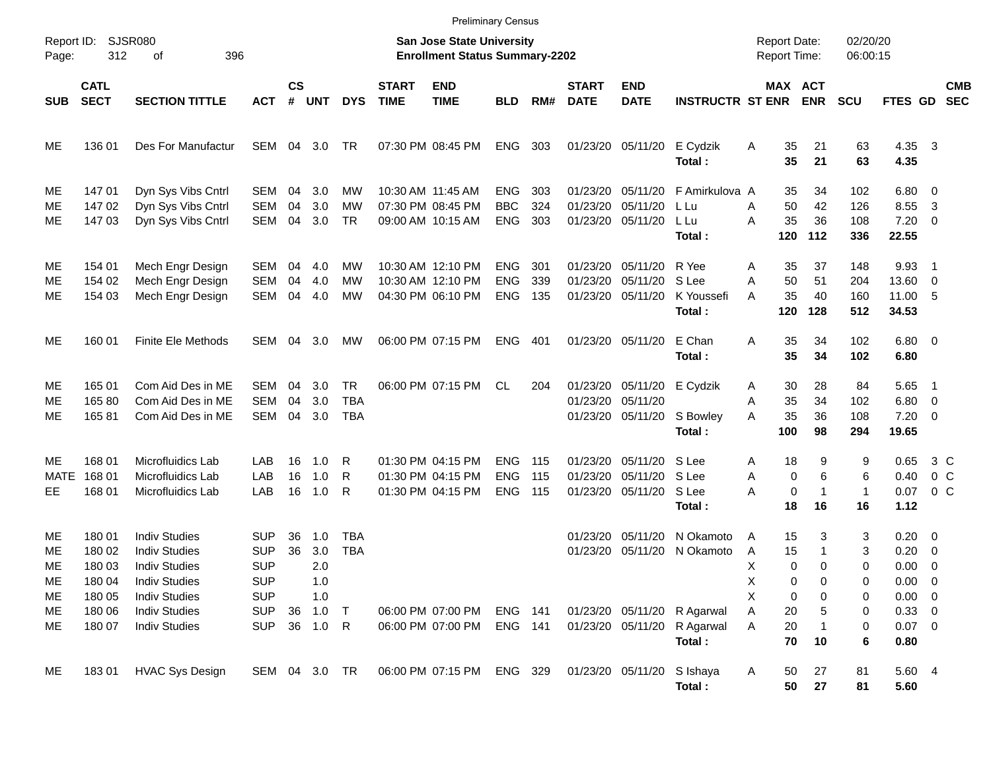|                                         | <b>Preliminary Census</b>                                          |                                                                                                                                                                      |                                                                                                |                    |                                                    |                                       |                             |                                                                           |                                        |                   |                                  |                                           |                                                                    |                                                         |                                                  |                                 |                                                                                |                                                     |  |
|-----------------------------------------|--------------------------------------------------------------------|----------------------------------------------------------------------------------------------------------------------------------------------------------------------|------------------------------------------------------------------------------------------------|--------------------|----------------------------------------------------|---------------------------------------|-----------------------------|---------------------------------------------------------------------------|----------------------------------------|-------------------|----------------------------------|-------------------------------------------|--------------------------------------------------------------------|---------------------------------------------------------|--------------------------------------------------|---------------------------------|--------------------------------------------------------------------------------|-----------------------------------------------------|--|
| Report ID:<br>Page:                     | 312                                                                | SJSR080<br>396<br>οf                                                                                                                                                 |                                                                                                |                    |                                                    |                                       |                             | <b>San Jose State University</b><br><b>Enrollment Status Summary-2202</b> |                                        |                   |                                  |                                           |                                                                    | <b>Report Date:</b><br><b>Report Time:</b>              |                                                  | 02/20/20<br>06:00:15            |                                                                                |                                                     |  |
| <b>SUB</b>                              | <b>CATL</b><br><b>SECT</b>                                         | <b>SECTION TITTLE</b>                                                                                                                                                | <b>ACT</b>                                                                                     | $\mathsf{cs}$<br># | UNT                                                | <b>DYS</b>                            | <b>START</b><br><b>TIME</b> | <b>END</b><br><b>TIME</b>                                                 | <b>BLD</b>                             | RM#               | <b>START</b><br><b>DATE</b>      | <b>END</b><br><b>DATE</b>                 | <b>INSTRUCTR ST ENR</b>                                            |                                                         | MAX ACT<br><b>ENR</b>                            | <b>SCU</b>                      | FTES GD                                                                        | <b>CMB</b><br><b>SEC</b>                            |  |
| ME                                      | 136 01                                                             | Des For Manufactur                                                                                                                                                   | SEM                                                                                            | 04                 | 3.0                                                | TR                                    |                             | 07:30 PM 08:45 PM                                                         | <b>ENG</b>                             | 303               | 01/23/20                         | 05/11/20                                  | E Cydzik<br>Total:                                                 | Α<br>35<br>35                                           | 21<br>21                                         | 63<br>63                        | 4.35<br>4.35                                                                   | $\overline{\mathbf{3}}$                             |  |
| ME<br>ME<br>ME.                         | 147 01<br>147 02<br>147 03                                         | Dyn Sys Vibs Cntrl<br>Dyn Sys Vibs Cntrl<br>Dyn Sys Vibs Cntrl                                                                                                       | SEM<br>SEM<br>SEM                                                                              | 04<br>04<br>04     | 3.0<br>3.0<br>3.0                                  | МW<br>МW<br><b>TR</b>                 | 10:30 AM 11:45 AM           | 07:30 PM 08:45 PM<br>09:00 AM 10:15 AM                                    | <b>ENG</b><br><b>BBC</b><br><b>ENG</b> | 303<br>324<br>303 | 01/23/20<br>01/23/20<br>01/23/20 | 05/11/20<br>05/11/20<br>05/11/20          | F Amirkulova A<br>L Lu<br>L Lu<br>Total:                           | 35<br>50<br>Α<br>35<br>Α<br>120                         | 34<br>42<br>36<br>112                            | 102<br>126<br>108<br>336        | $6.80$ 0<br>8.55<br>7.20<br>22.55                                              | -3<br>$\overline{\phantom{0}}$                      |  |
| ME<br>ME<br>ME                          | 154 01<br>154 02<br>154 03                                         | Mech Engr Design<br>Mech Engr Design<br>Mech Engr Design                                                                                                             | SEM<br>SEM<br>SEM                                                                              | 04<br>04<br>04     | 4.0<br>4.0<br>4.0                                  | МW<br>МW<br><b>MW</b>                 |                             | 10:30 AM 12:10 PM<br>10:30 AM 12:10 PM<br>04:30 PM 06:10 PM               | <b>ENG</b><br><b>ENG</b><br><b>ENG</b> | 301<br>339<br>135 | 01/23/20<br>01/23/20<br>01/23/20 | 05/11/20<br>05/11/20<br>05/11/20          | R Yee<br>S Lee<br>K Youssefi<br>Total:                             | 35<br>Α<br>50<br>Α<br>35<br>A<br>120                    | 37<br>51<br>40<br>128                            | 148<br>204<br>160<br>512        | 9.93<br>13.60<br>11.00 5<br>34.53                                              | $\overline{1}$<br>$\overline{\phantom{0}}$          |  |
| ME                                      | 160 01                                                             | <b>Finite Ele Methods</b>                                                                                                                                            | SEM                                                                                            | 04                 | 3.0                                                | MW                                    |                             | 06:00 PM 07:15 PM                                                         | <b>ENG</b>                             | 401               |                                  | 01/23/20 05/11/20                         | E Chan<br>Total:                                                   | 35<br>Α<br>35                                           | 34<br>34                                         | 102<br>102                      | $6.80$ 0<br>6.80                                                               |                                                     |  |
| ME<br>ME<br>ME                          | 165 01<br>16580<br>16581                                           | Com Aid Des in ME<br>Com Aid Des in ME<br>Com Aid Des in ME                                                                                                          | SEM<br>SEM<br>SEM                                                                              | 04<br>04<br>04     | 3.0<br>3.0<br>3.0                                  | <b>TR</b><br><b>TBA</b><br><b>TBA</b> |                             | 06:00 PM 07:15 PM                                                         | CL.                                    | 204               | 01/23/20<br>01/23/20<br>01/23/20 | 05/11/20<br>05/11/20<br>05/11/20          | E Cydzik<br>S Bowley<br>Total:                                     | 30<br>Α<br>35<br>Α<br>35<br>Α<br>100                    | 28<br>34<br>36<br>98                             | 84<br>102<br>108<br>294         | 5.65<br>6.80<br>$7.20 \t 0$<br>19.65                                           | $\overline{\phantom{1}}$<br>$\overline{\mathbf{0}}$ |  |
| ME.<br>MATE<br>EE                       | 168 01<br>168 01<br>168 01                                         | <b>Microfluidics Lab</b><br>Microfluidics Lab<br>Microfluidics Lab                                                                                                   | LAB<br>LAB<br>LAB                                                                              | 16<br>16<br>16     | 1.0<br>1.0<br>1.0                                  | R<br>R<br>R                           |                             | 01:30 PM 04:15 PM<br>01:30 PM 04:15 PM<br>01:30 PM 04:15 PM               | <b>ENG</b><br><b>ENG</b><br><b>ENG</b> | 115<br>115<br>115 | 01/23/20<br>01/23/20<br>01/23/20 | 05/11/20<br>05/11/20<br>05/11/20          | S Lee<br>S Lee<br>S Lee<br>Total:                                  | 18<br>Α<br>Α<br>A<br>18                                 | 9<br>6<br>0<br>$\pmb{0}$<br>$\mathbf{1}$<br>16   | 9<br>6<br>1<br>16               | 0.65<br>0.40<br>0.07<br>1.12                                                   | 3 C<br>0 <sup>o</sup><br>0 <sup>o</sup>             |  |
| ME<br>ME<br>ME<br>ME.<br>ME<br>ME<br>ME | 180 01<br>180 02<br>180 03<br>180 04<br>180 05<br>180 06<br>180 07 | <b>Indiv Studies</b><br><b>Indiv Studies</b><br><b>Indiv Studies</b><br><b>Indiv Studies</b><br><b>Indiv Studies</b><br><b>Indiv Studies</b><br><b>Indiv Studies</b> | <b>SUP</b><br><b>SUP</b><br><b>SUP</b><br><b>SUP</b><br><b>SUP</b><br><b>SUP</b><br><b>SUP</b> | 36<br>36<br>36     | 1.0<br>3.0<br>2.0<br>1.0<br>1.0<br>1.0<br>36 1.0 R | <b>TBA</b><br><b>TBA</b><br>$\top$    |                             | 06:00 PM 07:00 PM<br>06:00 PM 07:00 PM                                    | ENG 141<br>ENG 141                     |                   | 01/23/20<br>01/23/20             | 05/11/20<br>05/11/20<br>01/23/20 05/11/20 | N Okamoto<br>N Okamoto<br>01/23/20 05/11/20 R Agarwal<br>R Agarwal | 15<br>Α<br>15<br>Α<br>х<br>Χ<br>Χ<br>20<br>Α<br>20<br>Α | 3<br>1<br>0<br>$\Omega$<br>0<br>0<br>0<br>0<br>5 | 3<br>3<br>0<br>0<br>0<br>0<br>0 | $0.20 \ 0$<br>0.20<br>0.00<br>$0.00 \t 0$<br>$0.00 \t 0$<br>0.33 0<br>$0.07$ 0 | $\overline{\mathbf{0}}$<br>$\overline{0}$           |  |
| ME                                      | 18301                                                              | <b>HVAC Sys Design</b>                                                                                                                                               | SEM 04 3.0 TR                                                                                  |                    |                                                    |                                       |                             | 06:00 PM 07:15 PM                                                         | ENG 329                                |                   |                                  | 01/23/20 05/11/20                         | Total:<br>S Ishaya<br>Total:                                       | 70<br>50<br>A<br>50                                     | 10<br>27<br>27                                   | 6<br>81<br>81                   | 0.80<br>5.60 4<br>5.60                                                         |                                                     |  |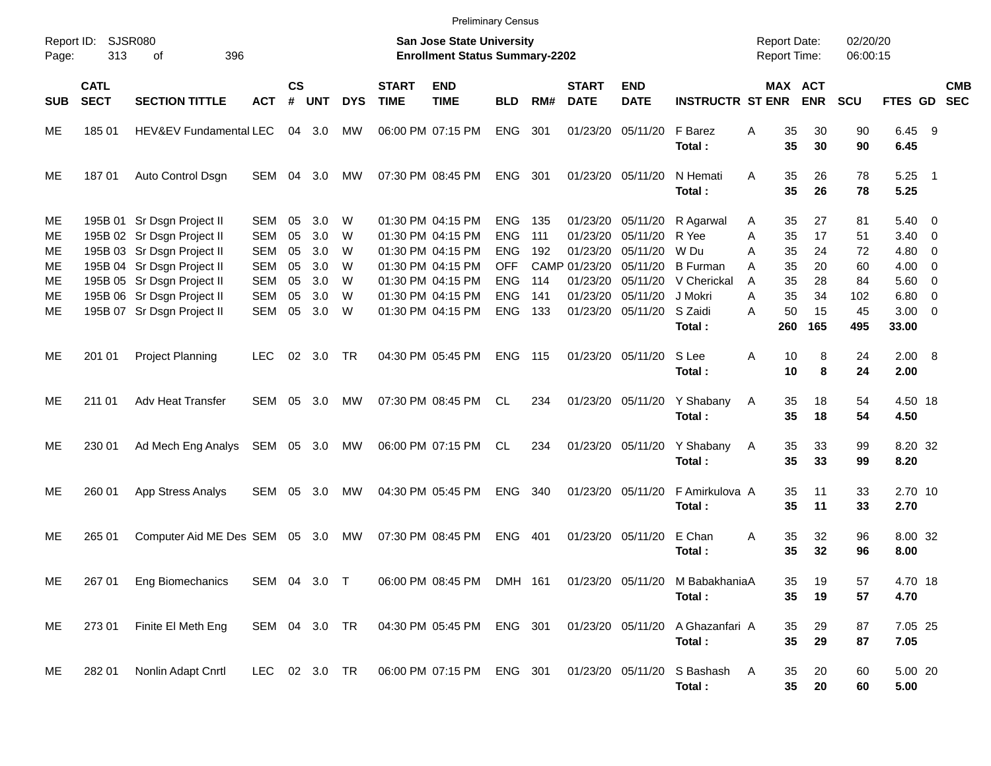|                                                                                                                                 |                            |                                                                                        |                                        |                |                   |             |                             | <b>Preliminary Census</b>                                   |                                        |                   |                                       |                                  |                                                                     |                      |                |                       |                 |                                          |            |
|---------------------------------------------------------------------------------------------------------------------------------|----------------------------|----------------------------------------------------------------------------------------|----------------------------------------|----------------|-------------------|-------------|-----------------------------|-------------------------------------------------------------|----------------------------------------|-------------------|---------------------------------------|----------------------------------|---------------------------------------------------------------------|----------------------|----------------|-----------------------|-----------------|------------------------------------------|------------|
| Report ID:<br>SJSR080<br><b>San Jose State University</b><br>313<br>396<br><b>Enrollment Status Summary-2202</b><br>Page:<br>οf |                            |                                                                                        |                                        |                |                   |             |                             |                                                             |                                        |                   |                                       |                                  | <b>Report Date:</b><br><b>Report Time:</b>                          | 02/20/20<br>06:00:15 |                |                       |                 |                                          |            |
| <b>SUB</b>                                                                                                                      | <b>CATL</b><br><b>SECT</b> | <b>SECTION TITTLE</b>                                                                  | <b>ACT</b>                             | <b>CS</b><br># | <b>UNT</b>        | <b>DYS</b>  | <b>START</b><br><b>TIME</b> | <b>END</b><br><b>TIME</b>                                   | <b>BLD</b>                             | RM#               | <b>START</b><br><b>DATE</b>           | <b>END</b><br><b>DATE</b>        | <b>INSTRUCTR ST ENR</b>                                             |                      |                | MAX ACT<br><b>ENR</b> | <b>SCU</b>      | FTES GD SEC                              | <b>CMB</b> |
| ME                                                                                                                              | 185 01                     | HEV&EV Fundamental LEC                                                                 |                                        |                | 04 3.0            | МW          |                             | 06:00 PM 07:15 PM                                           | <b>ENG</b>                             | 301               |                                       | 01/23/20 05/11/20                | F Barez<br>Total:                                                   | Α                    | 35<br>35       | 30<br>30              | 90<br>90        | 6.45 9<br>6.45                           |            |
| ME                                                                                                                              | 18701                      | Auto Control Dsgn                                                                      | SEM                                    | 04             | 3.0               | МW          |                             | 07:30 PM 08:45 PM                                           | <b>ENG</b>                             | 301               |                                       | 01/23/20 05/11/20                | N Hemati<br>Total:                                                  | A                    | 35<br>35       | 26<br>26              | 78<br>78        | $5.25$ 1<br>5.25                         |            |
| ME.<br>ME.<br>ME.                                                                                                               |                            | 195B 01 Sr Dsgn Project II<br>195B 02 Sr Dsgn Project II<br>195B 03 Sr Dsgn Project II | SEM<br><b>SEM</b><br><b>SEM</b>        | 05<br>05<br>05 | 3.0<br>3.0<br>3.0 | W<br>W<br>W |                             | 01:30 PM 04:15 PM<br>01:30 PM 04:15 PM<br>01:30 PM 04:15 PM | <b>ENG</b><br><b>ENG</b><br><b>ENG</b> | 135<br>111<br>192 | 01/23/20<br>01/23/20<br>01/23/20      | 05/11/20<br>05/11/20<br>05/11/20 | R Agarwal<br>R Yee<br>W Du                                          | A<br>Α<br>A          | 35<br>35<br>35 | 27<br>17<br>24        | 81<br>51<br>72  | $5.40 \ 0$<br>$3.40 \ 0$<br>$4.80\ 0$    |            |
| ME.<br>ME.<br>ME                                                                                                                |                            | 195B 04 Sr Dsgn Project II<br>195B 05 Sr Dsgn Project II<br>195B 06 Sr Dsgn Project II | <b>SEM</b><br><b>SEM</b><br><b>SEM</b> | 05<br>05<br>05 | 3.0<br>3.0<br>3.0 | W<br>W<br>W |                             | 01:30 PM 04:15 PM<br>01:30 PM 04:15 PM<br>01:30 PM 04:15 PM | <b>OFF</b><br><b>ENG</b><br><b>ENG</b> | 114<br>141        | CAMP 01/23/20<br>01/23/20<br>01/23/20 | 05/11/20<br>05/11/20<br>05/11/20 | <b>B</b> Furman<br>V Cherickal<br>J Mokri                           | A<br>A<br>A          | 35<br>35<br>35 | 20<br>28<br>34        | 60<br>84<br>102 | $4.00 \ 0$<br>$5.60 \quad 0$<br>$6.80$ 0 |            |
| ME                                                                                                                              |                            | 195B 07 Sr Dsgn Project II                                                             | SEM                                    | 05             | 3.0               | W           |                             | 01:30 PM 04:15 PM                                           | <b>ENG</b>                             | 133               |                                       | 01/23/20 05/11/20                | S Zaidi<br>Total:                                                   | A                    | 50<br>260      | 15<br>165             | 45<br>495       | $3.00 \ 0$<br>33.00                      |            |
| ME                                                                                                                              | 201 01                     | <b>Project Planning</b>                                                                | <b>LEC</b>                             |                | 02 3.0            | TR          |                             | 04:30 PM 05:45 PM                                           | <b>ENG</b>                             | 115               |                                       | 01/23/20 05/11/20                | S Lee<br>Total:                                                     | A                    | 10<br>10       | 8<br>8                | 24<br>24        | 2.00 8<br>2.00                           |            |
| ME.                                                                                                                             | 211 01                     | Adv Heat Transfer                                                                      | SEM 05 3.0                             |                |                   | <b>MW</b>   |                             | 07:30 PM 08:45 PM                                           | CL                                     | 234               |                                       | 01/23/20 05/11/20                | Y Shabany<br>Total:                                                 | A                    | 35<br>35       | 18<br>18              | 54<br>54        | 4.50 18<br>4.50                          |            |
| ME                                                                                                                              | 230 01                     | Ad Mech Eng Analys SEM 05 3.0 MW                                                       |                                        |                |                   |             |                             | 06:00 PM 07:15 PM CL                                        |                                        | 234               |                                       | 01/23/20 05/11/20                | Y Shabany<br>Total:                                                 | A                    | 35<br>35       | 33<br>33              | 99<br>99        | 8.20 32<br>8.20                          |            |
| ME                                                                                                                              | 260 01                     | App Stress Analys                                                                      | SEM 05 3.0                             |                |                   | МW          |                             | 04:30 PM 05:45 PM                                           | <b>ENG</b>                             | 340               |                                       | 01/23/20 05/11/20                | F Amirkulova A<br>Total:                                            |                      | 35<br>35       | 11<br>11              | 33<br>33        | 2.70 10<br>2.70                          |            |
| ME                                                                                                                              | 265 01                     | Computer Aid ME Des SEM 05 3.0                                                         |                                        |                |                   | МW          |                             | 07:30 PM 08:45 PM                                           | ENG                                    | 401               |                                       | 01/23/20 05/11/20                | E Chan<br>Total:                                                    | A                    | 35<br>35       | 32<br>32              | 96<br>96        | 8.00 32<br>8.00                          |            |
| ME.                                                                                                                             |                            | 267 01 Eng Biomechanics                                                                | SEM 04 3.0 T                           |                |                   |             |                             |                                                             |                                        |                   |                                       |                                  | 06:00 PM 08:45 PM DMH 161 01/23/20 05/11/20 M BabakhaniaA<br>Total: |                      | 35<br>35       | 19<br>19              | 57<br>57        | 4.70 18<br>4.70                          |            |
| ME                                                                                                                              | 273 01                     | Finite El Meth Eng                                                                     | SEM 04 3.0 TR                          |                |                   |             |                             | 04:30 PM 05:45 PM ENG 301                                   |                                        |                   | 01/23/20 05/11/20                     |                                  | A Ghazanfari A<br>Total:                                            |                      | 35<br>35       | 29<br>29              | 87<br>87        | 7.05 25<br>7.05                          |            |
| ME                                                                                                                              | 282 01                     | Nonlin Adapt Cnrtl                                                                     | LEC 02 3.0 TR                          |                |                   |             |                             |                                                             |                                        |                   |                                       |                                  | 06:00 PM 07:15 PM ENG 301 01/23/20 05/11/20 S Bashash<br>Total:     | A                    | 35<br>35       | 20<br>20              | 60<br>60        | 5.00 20<br>5.00                          |            |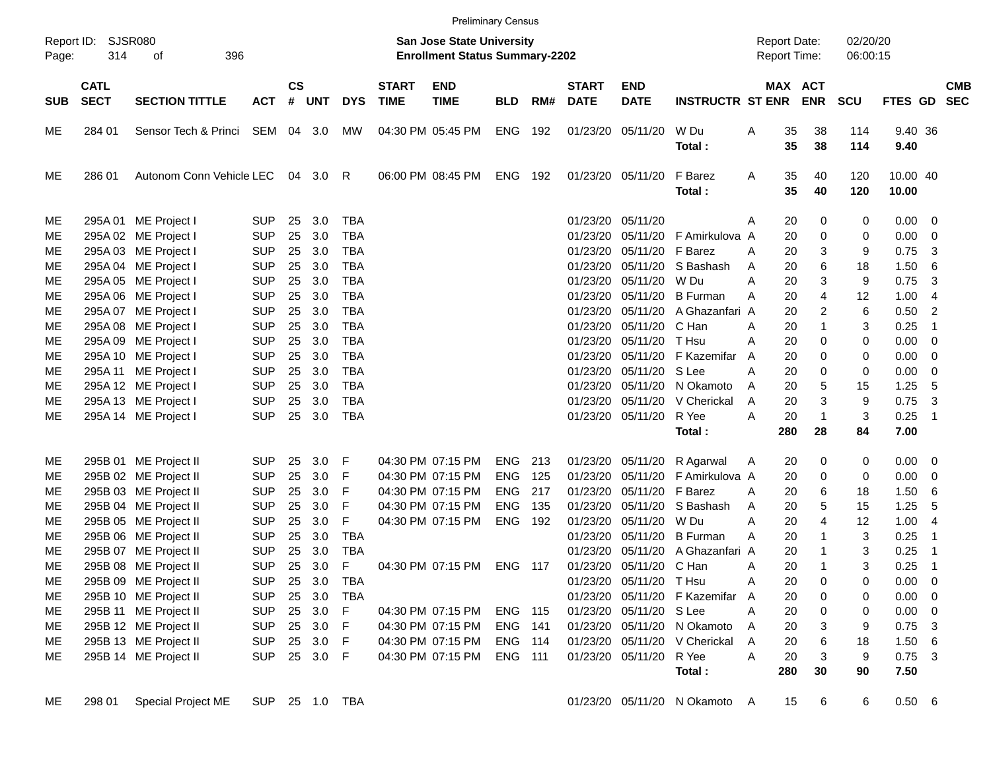|                     |                            |                          |                |           |          |            |                             | <b>Preliminary Census</b>                                                 |            |     |                             |                           |                             |   |                                            |              |                      |                   |                            |            |
|---------------------|----------------------------|--------------------------|----------------|-----------|----------|------------|-----------------------------|---------------------------------------------------------------------------|------------|-----|-----------------------------|---------------------------|-----------------------------|---|--------------------------------------------|--------------|----------------------|-------------------|----------------------------|------------|
| Report ID:<br>Page: | 314                        | SJSR080<br>of<br>396     |                |           |          |            |                             | <b>San Jose State University</b><br><b>Enrollment Status Summary-2202</b> |            |     |                             |                           |                             |   | <b>Report Date:</b><br><b>Report Time:</b> |              | 02/20/20<br>06:00:15 |                   |                            |            |
| <b>SUB</b>          | <b>CATL</b><br><b>SECT</b> | <b>SECTION TITTLE</b>    | <b>ACT</b>     | <b>CS</b> | # UNT    | <b>DYS</b> | <b>START</b><br><b>TIME</b> | <b>END</b><br><b>TIME</b>                                                 | <b>BLD</b> | RM# | <b>START</b><br><b>DATE</b> | <b>END</b><br><b>DATE</b> | <b>INSTRUCTR ST ENR</b>     |   | MAX ACT                                    | <b>ENR</b>   | <b>SCU</b>           | FTES GD SEC       |                            | <b>CMB</b> |
| ME                  | 284 01                     | Sensor Tech & Princi     | SEM            |           | 04 3.0   | МW         |                             | 04:30 PM 05:45 PM                                                         | ENG        | 192 |                             | 01/23/20 05/11/20         | W Du<br>Total:              | Α | 35<br>35                                   | 38<br>38     | 114<br>114           | 9.40 36<br>9.40   |                            |            |
| ME                  | 286 01                     | Autonom Conn Vehicle LEC |                |           | 04 3.0 R |            |                             | 06:00 PM 08:45 PM                                                         | ENG        | 192 |                             | 01/23/20 05/11/20         | F Barez<br>Total:           | Α | 35<br>35                                   | 40<br>40     | 120<br>120           | 10.00 40<br>10.00 |                            |            |
| ME                  |                            | 295A 01 ME Project I     | <b>SUP</b>     | 25        | 3.0      | <b>TBA</b> |                             |                                                                           |            |     | 01/23/20                    | 05/11/20                  |                             | A | 20                                         | 0            | 0                    | 0.00              | $\overline{\phantom{0}}$   |            |
| ME                  |                            | 295A 02 ME Project I     | <b>SUP</b>     | 25        | 3.0      | <b>TBA</b> |                             |                                                                           |            |     | 01/23/20                    | 05/11/20                  | F Amirkulova A              |   | 20                                         | 0            | 0                    | 0.00              | $\overline{\mathbf{0}}$    |            |
| ME                  |                            | 295A 03 ME Project I     | <b>SUP</b>     | 25        | 3.0      | <b>TBA</b> |                             |                                                                           |            |     | 01/23/20                    | 05/11/20                  | F Barez                     | A | 20                                         | 3            | 9                    | 0.75              | 3                          |            |
| ME                  |                            | 295A 04 ME Project I     | <b>SUP</b>     | 25        | 3.0      | <b>TBA</b> |                             |                                                                           |            |     | 01/23/20                    | 05/11/20                  | S Bashash                   | A | 20                                         | 6            | 18                   | 1.50              | 6                          |            |
| ME                  |                            | 295A 05 ME Project I     | <b>SUP</b>     | 25        | 3.0      | <b>TBA</b> |                             |                                                                           |            |     | 01/23/20                    | 05/11/20                  | W Du                        | А | 20                                         | 3            | 9                    | 0.75              | 3                          |            |
| ME                  |                            | 295A 06 ME Project I     | <b>SUP</b>     | 25        | 3.0      | <b>TBA</b> |                             |                                                                           |            |     | 01/23/20                    | 05/11/20                  | <b>B</b> Furman             | A | 20                                         | 4            | 12                   | 1.00              | 4                          |            |
| ME                  |                            | 295A 07 ME Project I     | <b>SUP</b>     | 25        | 3.0      | <b>TBA</b> |                             |                                                                           |            |     | 01/23/20                    | 05/11/20                  | A Ghazanfari A              |   | 20                                         | 2            | 6                    | 0.50              | 2                          |            |
| ME                  |                            | 295A 08 ME Project I     | <b>SUP</b>     | 25        | 3.0      | <b>TBA</b> |                             |                                                                           |            |     | 01/23/20                    | 05/11/20                  | C Han                       | A | 20                                         | 1            | 3                    | 0.25              | -1                         |            |
| ME                  |                            | 295A 09 ME Project I     | <b>SUP</b>     | 25        | 3.0      | <b>TBA</b> |                             |                                                                           |            |     | 01/23/20                    | 05/11/20                  | T Hsu                       | A | 20                                         | 0            | 0                    | 0.00              | 0                          |            |
| ME                  |                            | 295A 10 ME Project I     | <b>SUP</b>     | 25        | 3.0      | <b>TBA</b> |                             |                                                                           |            |     | 01/23/20                    | 05/11/20                  | F Kazemifar                 | A | 20                                         | 0            | 0                    | 0.00              | 0                          |            |
| ME                  |                            | 295A 11 ME Project I     | <b>SUP</b>     | 25        | 3.0      | <b>TBA</b> |                             |                                                                           |            |     | 01/23/20                    | 05/11/20                  | S Lee                       | А | 20                                         | 0            | 0                    | 0.00              | 0                          |            |
| ME                  |                            | 295A 12 ME Project I     | <b>SUP</b>     | 25        | 3.0      | <b>TBA</b> |                             |                                                                           |            |     | 01/23/20                    | 05/11/20                  | N Okamoto                   | A | 20                                         | 5            | 15                   | 1.25              | 5                          |            |
| ME                  |                            | 295A 13 ME Project I     | <b>SUP</b>     | 25        | 3.0      | <b>TBA</b> |                             |                                                                           |            |     | 01/23/20                    | 05/11/20                  | V Cherickal                 | A | 20                                         | 3            | 9                    | 0.75              | 3                          |            |
| ME                  |                            | 295A 14 ME Project I     | <b>SUP</b>     | 25        | 3.0      | <b>TBA</b> |                             |                                                                           |            |     |                             | 01/23/20 05/11/20         | R Yee                       | А | 20                                         | $\mathbf{1}$ | 3                    | 0.25              | $\overline{\phantom{0}}$ 1 |            |
|                     |                            |                          |                |           |          |            |                             |                                                                           |            |     |                             |                           | Total:                      |   | 280                                        | 28           | 84                   | 7.00              |                            |            |
| ME                  |                            | 295B 01 ME Project II    | <b>SUP</b>     | 25        | 3.0      | F          |                             | 04:30 PM 07:15 PM                                                         | <b>ENG</b> | 213 | 01/23/20                    | 05/11/20                  | R Agarwal                   | A | 20                                         | 0            | 0                    | 0.00              | $\overline{\phantom{0}}$   |            |
| ME                  |                            | 295B 02 ME Project II    | <b>SUP</b>     | 25        | 3.0      | F          |                             | 04:30 PM 07:15 PM                                                         | <b>ENG</b> | 125 | 01/23/20                    | 05/11/20                  | F Amirkulova A              |   | 20                                         | 0            | 0                    | 0.00              | - 0                        |            |
| ME                  |                            | 295B 03 ME Project II    | <b>SUP</b>     | 25        | 3.0      | F          |                             | 04:30 PM 07:15 PM                                                         | <b>ENG</b> | 217 | 01/23/20                    | 05/11/20                  | F Barez                     | A | 20                                         | 6            | 18                   | 1.50              | 6                          |            |
| ME                  |                            | 295B 04 ME Project II    | <b>SUP</b>     | 25        | 3.0      | F          |                             | 04:30 PM 07:15 PM                                                         | <b>ENG</b> | 135 | 01/23/20                    | 05/11/20                  | S Bashash                   | A | 20                                         | 5            | 15                   | 1.25              | 5                          |            |
| ME                  |                            | 295B 05 ME Project II    | <b>SUP</b>     | 25        | 3.0      | F          |                             | 04:30 PM 07:15 PM                                                         | ENG        | 192 | 01/23/20                    | 05/11/20                  | W Du                        | А | 20                                         | 4            | 12                   | 1.00              | - 4                        |            |
| ME                  |                            | 295B 06 ME Project II    | <b>SUP</b>     | 25        | 3.0      | <b>TBA</b> |                             |                                                                           |            |     | 01/23/20                    | 05/11/20                  | <b>B</b> Furman             | A | 20                                         | 1            | 3                    | 0.25              | -1                         |            |
| ME                  |                            | 295B 07 ME Project II    | <b>SUP</b>     | 25        | 3.0      | <b>TBA</b> |                             |                                                                           |            |     | 01/23/20                    | 05/11/20                  | A Ghazanfari A              |   | 20                                         | 1            | 3                    | 0.25              | - 1                        |            |
| ME                  |                            | 295B 08 ME Project II    | <b>SUP</b>     | 25        | 3.0      | F          |                             | 04:30 PM 07:15 PM                                                         | ENG 117    |     |                             | 01/23/20 05/11/20 C Han   |                             | Α | 20                                         | 1            | 3                    | 0.25              | - 1                        |            |
| ME                  |                            | 295B 09 ME Project II    | <b>SUP</b>     | 25        | 3.0      | TBA        |                             |                                                                           |            |     |                             | 01/23/20 05/11/20         | T Hsu                       | A | 20                                         | 0            | 0                    | 0.00              | $\overline{\mathbf{0}}$    |            |
| ME                  |                            | 295B 10 ME Project II    | <b>SUP</b>     |           | 25 3.0   | TBA        |                             |                                                                           |            |     |                             | 01/23/20 05/11/20         | F Kazemifar A               |   | 20                                         | 0            | 0                    | $0.00 \t 0$       |                            |            |
| ME                  |                            | 295B 11 ME Project II    | <b>SUP</b>     |           | 25 3.0   | F          |                             | 04:30 PM 07:15 PM                                                         | ENG 115    |     |                             | 01/23/20 05/11/20 S Lee   |                             | Α | 20                                         | 0            | 0                    | $0.00 \t 0$       |                            |            |
| ME                  |                            | 295B 12 ME Project II    | <b>SUP</b>     |           | 25 3.0   | - F        |                             | 04:30 PM 07:15 PM                                                         | ENG 141    |     |                             |                           | 01/23/20 05/11/20 N Okamoto | A | 20                                         | 3            | 9                    | $0.75$ 3          |                            |            |
| ME                  |                            | 295B 13 ME Project II    | <b>SUP</b>     |           | 25 3.0   | - F        |                             | 04:30 PM 07:15 PM                                                         | ENG 114    |     |                             | 01/23/20 05/11/20         | V Cherickal                 | Α | 20                                         | 6            | 18                   | 1.50 6            |                            |            |
| ME                  |                            | 295B 14 ME Project II    | <b>SUP</b>     |           | 25 3.0 F |            |                             | 04:30 PM 07:15 PM                                                         | ENG 111    |     |                             | 01/23/20 05/11/20         | R Yee                       | A | 20                                         | 3            | 9                    | $0.75$ 3          |                            |            |
|                     |                            |                          |                |           |          |            |                             |                                                                           |            |     |                             |                           | Total:                      |   | 280                                        | 30           | 90                   | 7.50              |                            |            |
| ME                  | 298 01                     | Special Project ME       | SUP 25 1.0 TBA |           |          |            |                             |                                                                           |            |     |                             |                           | 01/23/20 05/11/20 N Okamoto | A | 15                                         | 6            | 6                    | 0.50 6            |                            |            |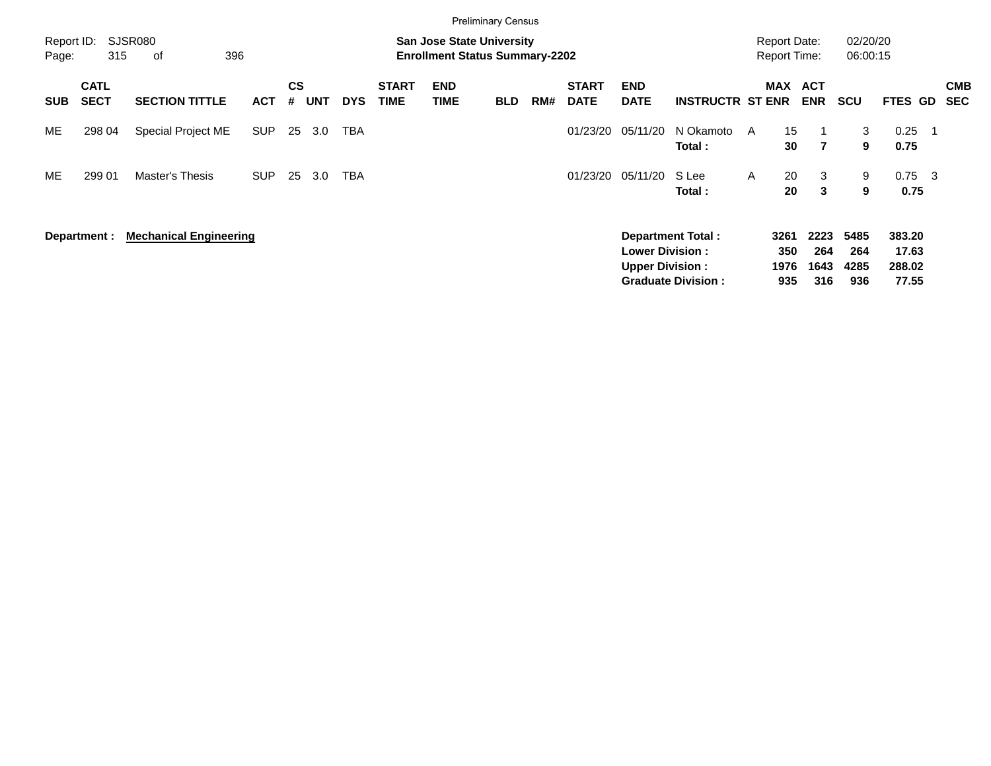|                     |                            |                               |            |                |            |            |                             |                                                                           | <b>Preliminary Census</b> |     |                             |                                                  |                                                       |   |                                            |                            |                            |                                    |     |                   |
|---------------------|----------------------------|-------------------------------|------------|----------------|------------|------------|-----------------------------|---------------------------------------------------------------------------|---------------------------|-----|-----------------------------|--------------------------------------------------|-------------------------------------------------------|---|--------------------------------------------|----------------------------|----------------------------|------------------------------------|-----|-------------------|
| Report ID:<br>Page: | 315                        | SJSR080<br>396<br>οf          |            |                |            |            |                             | <b>San Jose State University</b><br><b>Enrollment Status Summary-2202</b> |                           |     |                             |                                                  |                                                       |   | <b>Report Date:</b><br><b>Report Time:</b> |                            | 02/20/20<br>06:00:15       |                                    |     |                   |
| <b>SUB</b>          | <b>CATL</b><br><b>SECT</b> | <b>SECTION TITTLE</b>         | <b>ACT</b> | <b>CS</b><br># | <b>UNT</b> | <b>DYS</b> | <b>START</b><br><b>TIME</b> | <b>END</b><br><b>TIME</b>                                                 | <b>BLD</b>                | RM# | <b>START</b><br><b>DATE</b> | <b>END</b><br><b>DATE</b>                        | <b>INSTRUCTR ST ENR</b>                               |   | <b>MAX</b>                                 | <b>ACT</b><br><b>ENR</b>   | <b>SCU</b>                 | <b>FTES GD</b>                     |     | <b>CMB</b><br>SEC |
| ME                  | 298 04                     | Special Project ME            | <b>SUP</b> | 25             | 3.0        | TBA        |                             |                                                                           |                           |     | 01/23/20                    | 05/11/20                                         | N Okamoto<br>Total :                                  | A | 15<br>30                                   | $\overline{7}$             | 3<br>9                     | 0.25<br>0.75                       |     |                   |
| ME                  | 299 01                     | Master's Thesis               | <b>SUP</b> | 25             | 3.0        | TBA        |                             |                                                                           |                           |     | 01/23/20                    | 05/11/20                                         | S Lee<br>Total :                                      | A | 20<br>20                                   | 3<br>3                     | 9<br>9                     | 0.75<br>0.75                       | - 3 |                   |
|                     | Department :               | <b>Mechanical Engineering</b> |            |                |            |            |                             |                                                                           |                           |     |                             | <b>Lower Division:</b><br><b>Upper Division:</b> | <b>Department Total:</b><br><b>Graduate Division:</b> |   | 3261<br>350<br>1976<br>935                 | 2223<br>264<br>1643<br>316 | 5485<br>264<br>4285<br>936 | 383.20<br>17.63<br>288.02<br>77.55 |     |                   |